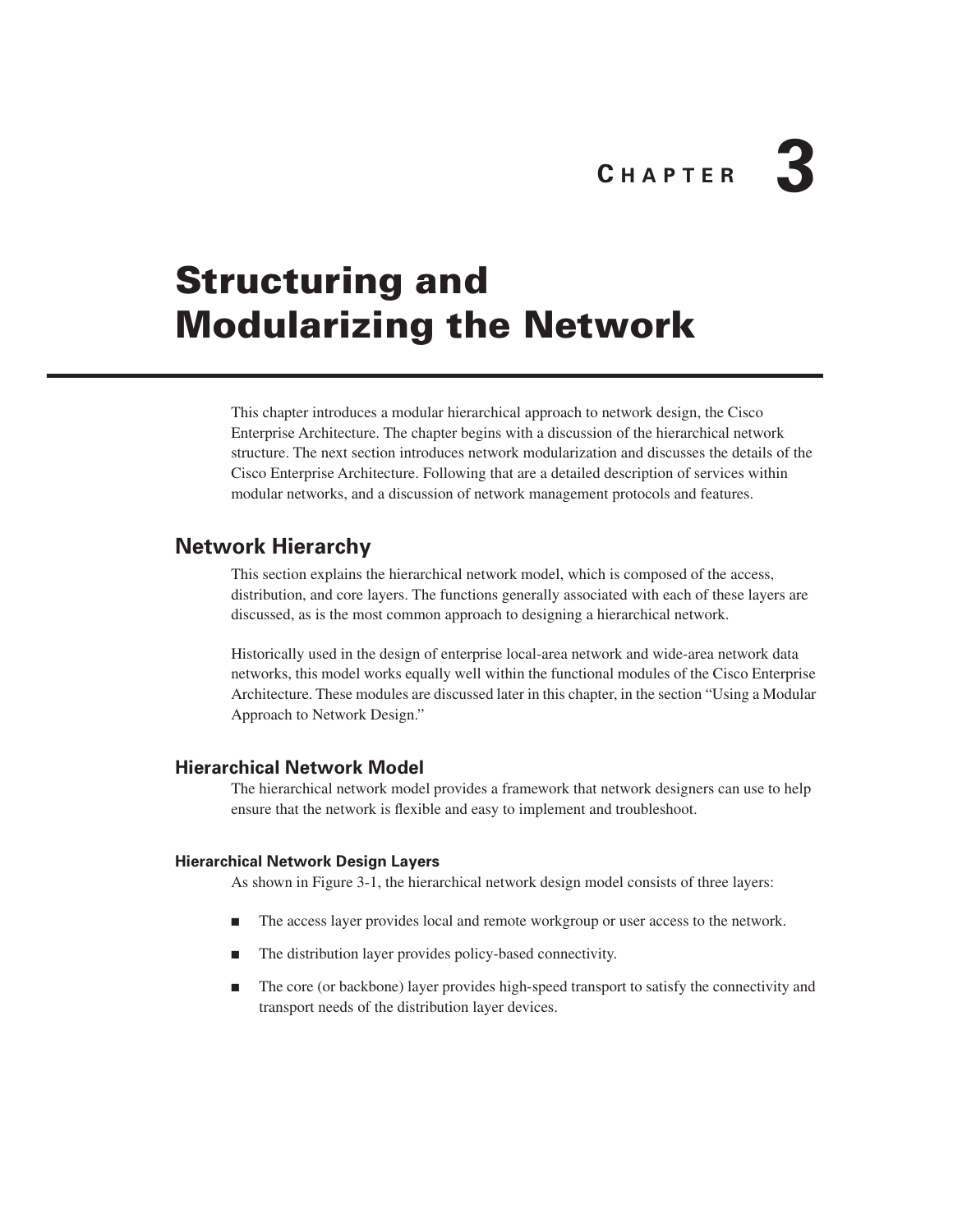# **Structuring and Modularizing the Network**

This chapter introduces a modular hierarchical approach to network design, the Cisco Enterprise Architecture. The chapter begins with a discussion of the hierarchical network structure. The next section introduces network modularization and discusses the details of the Cisco Enterprise Architecture. Following that are a detailed description of services within modular networks, and a discussion of network management protocols and features.

# **Network Hierarchy**

This section explains the hierarchical network model, which is composed of the access, distribution, and core layers. The functions generally associated with each of these layers are discussed, as is the most common approach to designing a hierarchical network.

Historically used in the design of enterprise local-area network and wide-area network data networks, this model works equally well within the functional modules of the Cisco Enterprise Architecture. These modules are discussed later in this chapter, in the section "Using a Modular Approach to Network Design."

## **Hierarchical Network Model**

The hierarchical network model provides a framework that network designers can use to help ensure that the network is flexible and easy to implement and troubleshoot.

## **Hierarchical Network Design Layers**

As shown in Figure 3-1, the hierarchical network design model consists of three layers:

- The access layer provides local and remote workgroup or user access to the network.
- The distribution layer provides policy-based connectivity.
- The core (or backbone) layer provides high-speed transport to satisfy the connectivity and transport needs of the distribution layer devices.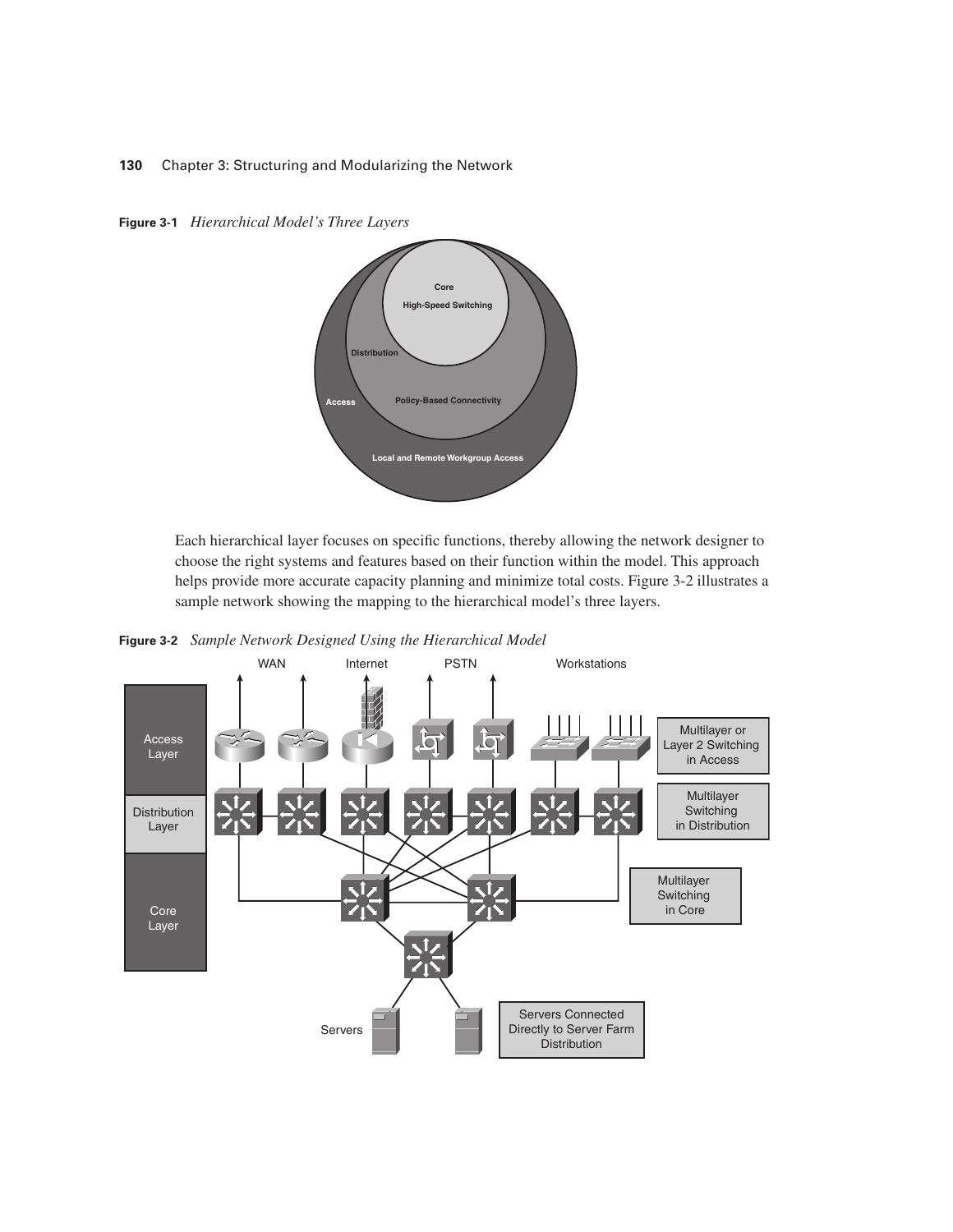**Figure 3-1** *Hierarchical Model's Three Layers*



Each hierarchical layer focuses on specific functions, thereby allowing the network designer to choose the right systems and features based on their function within the model. This approach helps provide more accurate capacity planning and minimize total costs. Figure 3-2 illustrates a sample network showing the mapping to the hierarchical model's three layers.

**Figure 3-2** *Sample Network Designed Using the Hierarchical Model*

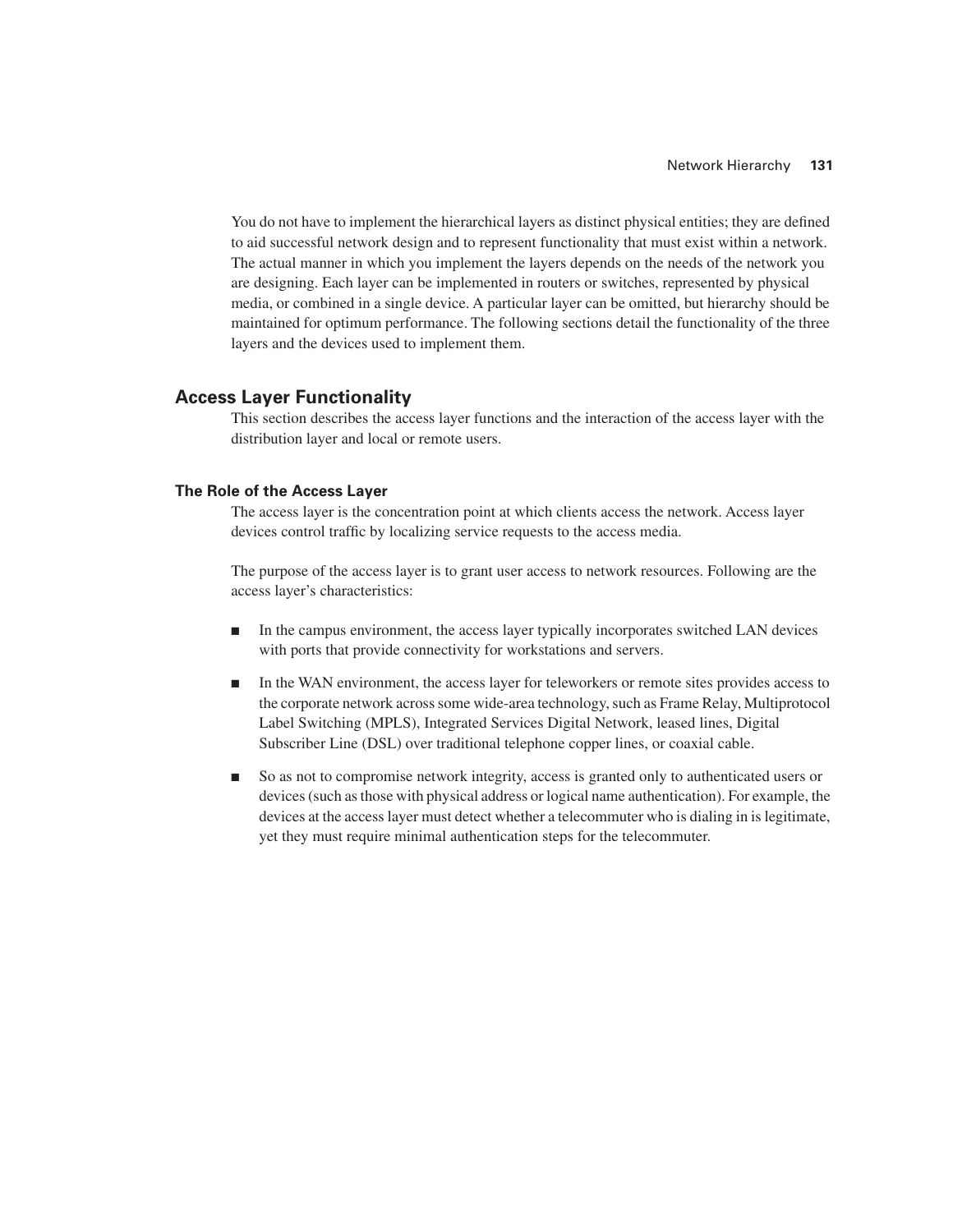You do not have to implement the hierarchical layers as distinct physical entities; they are defined to aid successful network design and to represent functionality that must exist within a network. The actual manner in which you implement the layers depends on the needs of the network you are designing. Each layer can be implemented in routers or switches, represented by physical media, or combined in a single device. A particular layer can be omitted, but hierarchy should be maintained for optimum performance. The following sections detail the functionality of the three layers and the devices used to implement them.

## **Access Layer Functionality**

This section describes the access layer functions and the interaction of the access layer with the distribution layer and local or remote users.

#### **The Role of the Access Layer**

The access layer is the concentration point at which clients access the network. Access layer devices control traffic by localizing service requests to the access media.

The purpose of the access layer is to grant user access to network resources. Following are the access layer's characteristics:

- In the campus environment, the access layer typically incorporates switched LAN devices with ports that provide connectivity for workstations and servers.
- In the WAN environment, the access layer for teleworkers or remote sites provides access to the corporate network across some wide-area technology, such as Frame Relay, Multiprotocol Label Switching (MPLS), Integrated Services Digital Network, leased lines, Digital Subscriber Line (DSL) over traditional telephone copper lines, or coaxial cable.
- So as not to compromise network integrity, access is granted only to authenticated users or devices (such as those with physical address or logical name authentication). For example, the devices at the access layer must detect whether a telecommuter who is dialing in is legitimate, yet they must require minimal authentication steps for the telecommuter.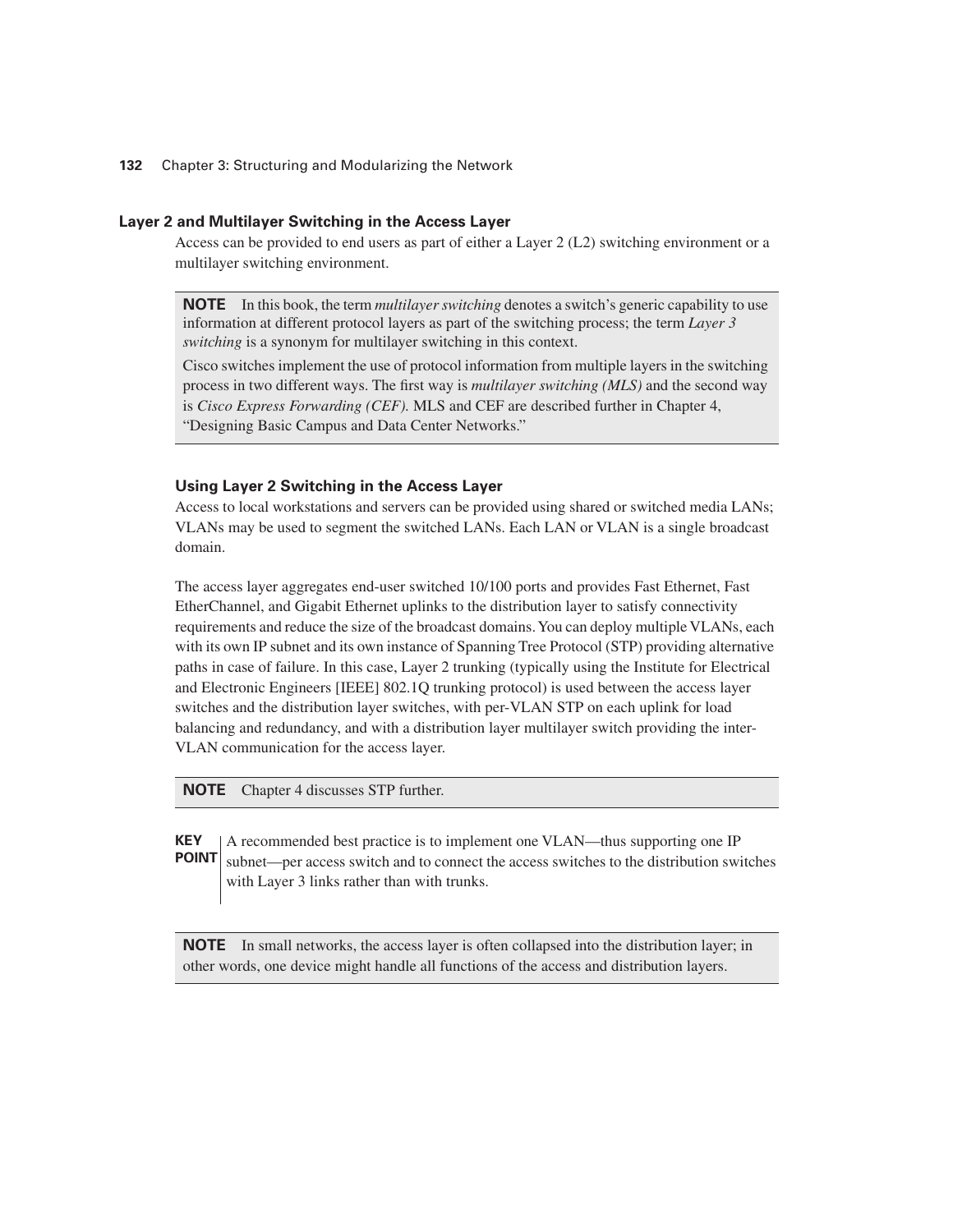#### **Layer 2 and Multilayer Switching in the Access Layer**

Access can be provided to end users as part of either a Layer 2 (L2) switching environment or a multilayer switching environment.

**NOTE** In this book, the term *multilayer switching* denotes a switch's generic capability to use information at different protocol layers as part of the switching process; the term *Layer 3 switching* is a synonym for multilayer switching in this context.

Cisco switches implement the use of protocol information from multiple layers in the switching process in two different ways. The first way is *multilayer switching (MLS)* and the second way is *Cisco Express Forwarding (CEF).* MLS and CEF are described further in Chapter 4, "Designing Basic Campus and Data Center Networks."

#### **Using Layer 2 Switching in the Access Layer**

Access to local workstations and servers can be provided using shared or switched media LANs; VLANs may be used to segment the switched LANs. Each LAN or VLAN is a single broadcast domain.

The access layer aggregates end-user switched 10/100 ports and provides Fast Ethernet, Fast EtherChannel, and Gigabit Ethernet uplinks to the distribution layer to satisfy connectivity requirements and reduce the size of the broadcast domains. You can deploy multiple VLANs, each with its own IP subnet and its own instance of Spanning Tree Protocol (STP) providing alternative paths in case of failure. In this case, Layer 2 trunking (typically using the Institute for Electrical and Electronic Engineers [IEEE] 802.1Q trunking protocol) is used between the access layer switches and the distribution layer switches, with per-VLAN STP on each uplink for load balancing and redundancy, and with a distribution layer multilayer switch providing the inter-VLAN communication for the access layer.

**NOTE** Chapter 4 discusses STP further.

**KEY POINT** A recommended best practice is to implement one VLAN—thus supporting one IP subnet—per access switch and to connect the access switches to the distribution switches with Layer 3 links rather than with trunks.

**NOTE** In small networks, the access layer is often collapsed into the distribution layer; in other words, one device might handle all functions of the access and distribution layers.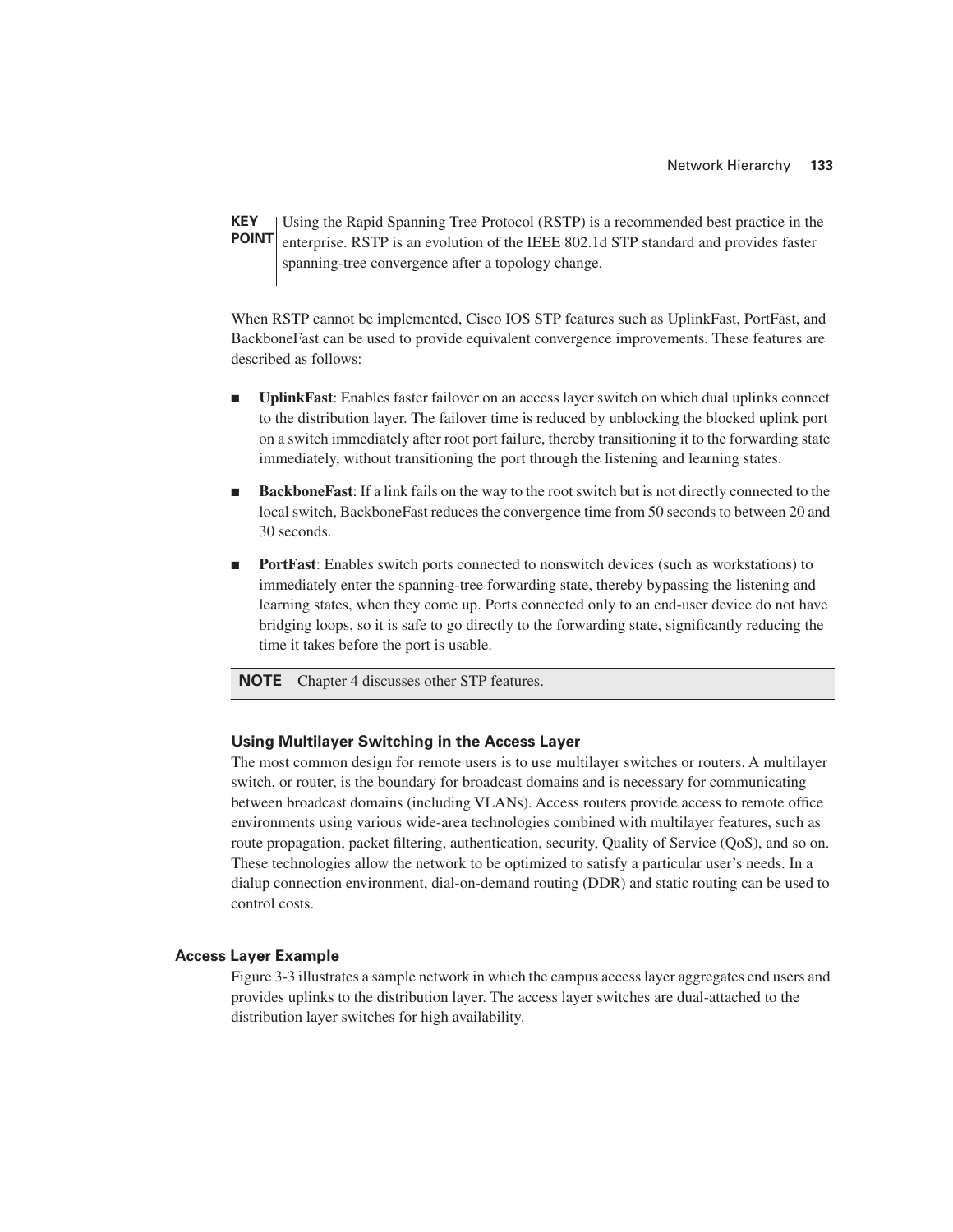**KEY POINT** enterprise. RSTP is an evolution of the IEEE 802.1d STP standard and provides faster Using the Rapid Spanning Tree Protocol (RSTP) is a recommended best practice in the spanning-tree convergence after a topology change.

When RSTP cannot be implemented, Cisco IOS STP features such as UplinkFast, PortFast, and BackboneFast can be used to provide equivalent convergence improvements. These features are described as follows:

- **UplinkFast**: Enables faster failover on an access layer switch on which dual uplinks connect to the distribution layer. The failover time is reduced by unblocking the blocked uplink port on a switch immediately after root port failure, thereby transitioning it to the forwarding state immediately, without transitioning the port through the listening and learning states.
- **BackboneFast**: If a link fails on the way to the root switch but is not directly connected to the local switch, BackboneFast reduces the convergence time from 50 seconds to between 20 and 30 seconds.
- **PortFast**: Enables switch ports connected to nonswitch devices (such as workstations) to immediately enter the spanning-tree forwarding state, thereby bypassing the listening and learning states, when they come up. Ports connected only to an end-user device do not have bridging loops, so it is safe to go directly to the forwarding state, significantly reducing the time it takes before the port is usable.

**NOTE** Chapter 4 discusses other STP features.

#### **Using Multilayer Switching in the Access Layer**

The most common design for remote users is to use multilayer switches or routers. A multilayer switch, or router, is the boundary for broadcast domains and is necessary for communicating between broadcast domains (including VLANs). Access routers provide access to remote office environments using various wide-area technologies combined with multilayer features, such as route propagation, packet filtering, authentication, security, Quality of Service (QoS), and so on. These technologies allow the network to be optimized to satisfy a particular user's needs. In a dialup connection environment, dial-on-demand routing (DDR) and static routing can be used to control costs.

#### **Access Layer Example**

Figure 3-3 illustrates a sample network in which the campus access layer aggregates end users and provides uplinks to the distribution layer. The access layer switches are dual-attached to the distribution layer switches for high availability.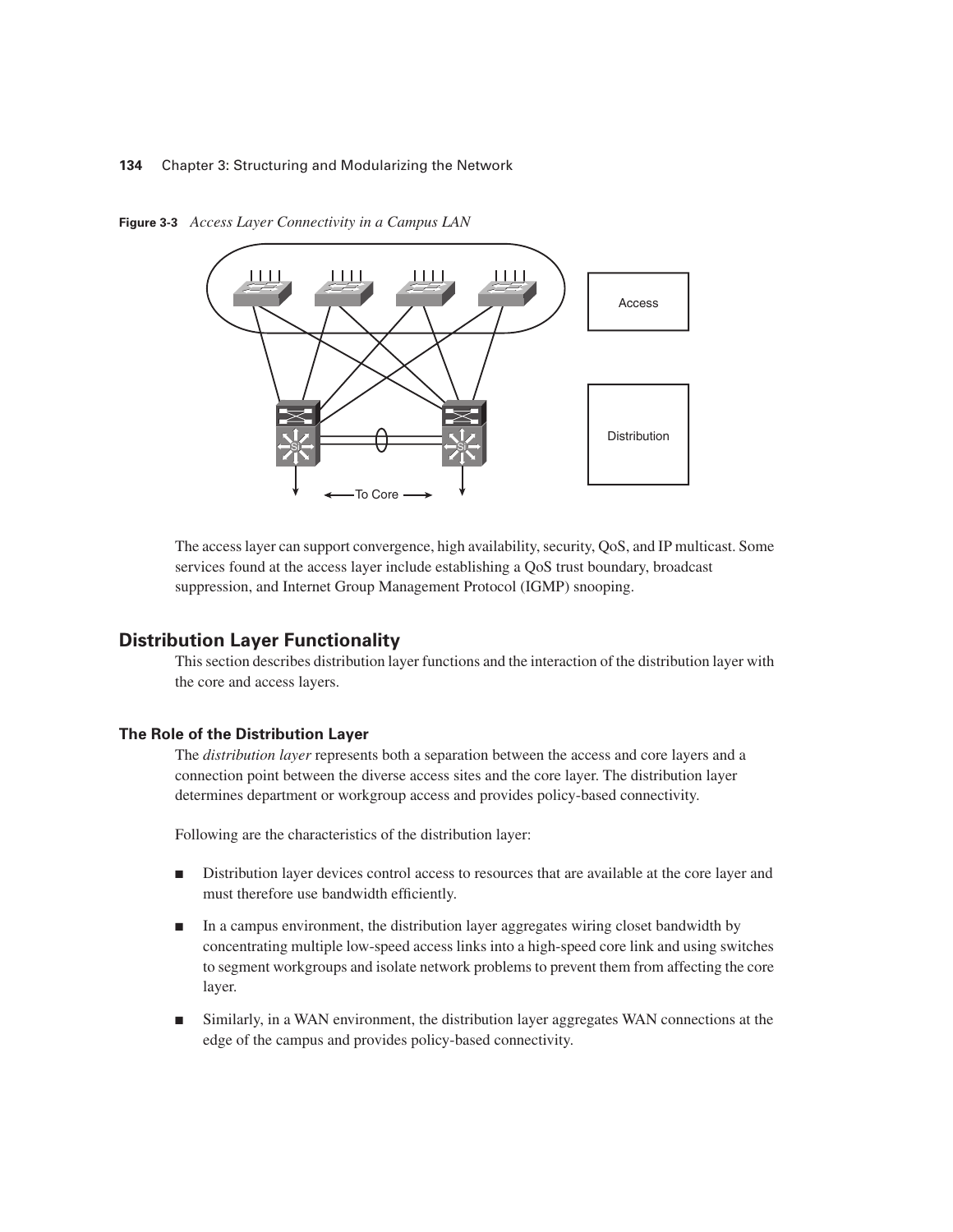

**Figure 3-3** *Access Layer Connectivity in a Campus LAN*

The access layer can support convergence, high availability, security, QoS, and IP multicast. Some services found at the access layer include establishing a QoS trust boundary, broadcast suppression, and Internet Group Management Protocol (IGMP) snooping.

## **Distribution Layer Functionality**

This section describes distribution layer functions and the interaction of the distribution layer with the core and access layers.

#### **The Role of the Distribution Layer**

The *distribution layer* represents both a separation between the access and core layers and a connection point between the diverse access sites and the core layer. The distribution layer determines department or workgroup access and provides policy-based connectivity.

Following are the characteristics of the distribution layer:

- Distribution layer devices control access to resources that are available at the core layer and must therefore use bandwidth efficiently.
- In a campus environment, the distribution layer aggregates wiring closet bandwidth by concentrating multiple low-speed access links into a high-speed core link and using switches to segment workgroups and isolate network problems to prevent them from affecting the core layer.
- Similarly, in a WAN environment, the distribution layer aggregates WAN connections at the edge of the campus and provides policy-based connectivity.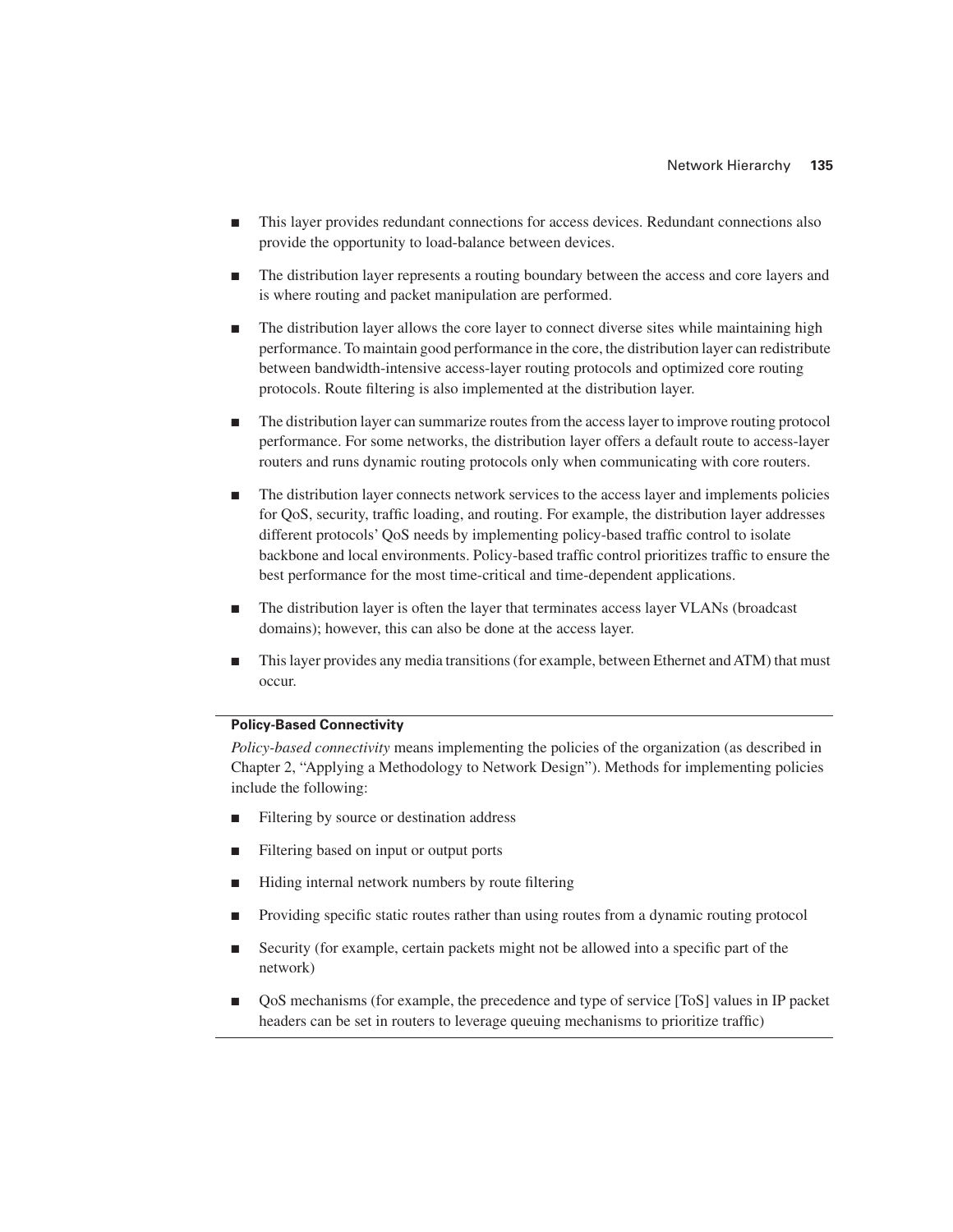- This layer provides redundant connections for access devices. Redundant connections also provide the opportunity to load-balance between devices.
- The distribution layer represents a routing boundary between the access and core layers and is where routing and packet manipulation are performed.
- The distribution layer allows the core layer to connect diverse sites while maintaining high performance. To maintain good performance in the core, the distribution layer can redistribute between bandwidth-intensive access-layer routing protocols and optimized core routing protocols. Route filtering is also implemented at the distribution layer.
- The distribution layer can summarize routes from the access layer to improve routing protocol performance. For some networks, the distribution layer offers a default route to access-layer routers and runs dynamic routing protocols only when communicating with core routers.
- The distribution layer connects network services to the access layer and implements policies for QoS, security, traffic loading, and routing. For example, the distribution layer addresses different protocols' QoS needs by implementing policy-based traffic control to isolate backbone and local environments. Policy-based traffic control prioritizes traffic to ensure the best performance for the most time-critical and time-dependent applications.
- The distribution layer is often the layer that terminates access layer VLANs (broadcast domains); however, this can also be done at the access layer.
- This layer provides any media transitions (for example, between Ethernet and ATM) that must occur.

### **Policy-Based Connectivity**

*Policy-based connectivity* means implementing the policies of the organization (as described in Chapter 2, "Applying a Methodology to Network Design"). Methods for implementing policies include the following:

- Filtering by source or destination address
- Filtering based on input or output ports
- Hiding internal network numbers by route filtering
- Providing specific static routes rather than using routes from a dynamic routing protocol
- Security (for example, certain packets might not be allowed into a specific part of the network)
- QoS mechanisms (for example, the precedence and type of service [ToS] values in IP packet headers can be set in routers to leverage queuing mechanisms to prioritize traffic)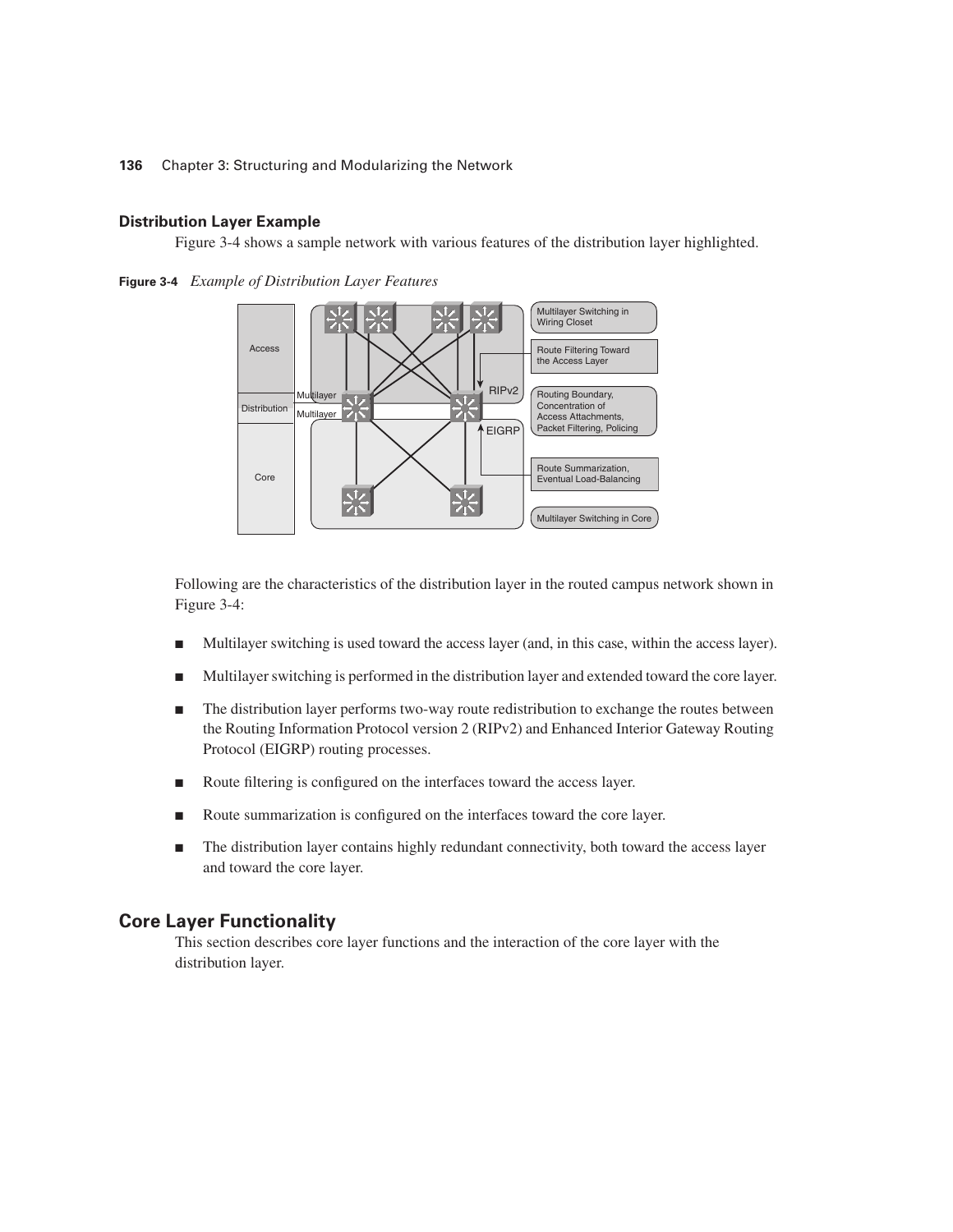#### **Distribution Layer Example**

Figure 3-4 shows a sample network with various features of the distribution layer highlighted.

**Figure 3-4** *Example of Distribution Layer Features*



Following are the characteristics of the distribution layer in the routed campus network shown in Figure 3-4:

- Multilayer switching is used toward the access layer (and, in this case, within the access layer).
- Multilayer switching is performed in the distribution layer and extended toward the core layer.
- The distribution layer performs two-way route redistribution to exchange the routes between the Routing Information Protocol version 2 (RIPv2) and Enhanced Interior Gateway Routing Protocol (EIGRP) routing processes.
- Route filtering is configured on the interfaces toward the access layer.
- Route summarization is configured on the interfaces toward the core layer.
- The distribution layer contains highly redundant connectivity, both toward the access layer and toward the core layer.

## **Core Layer Functionality**

This section describes core layer functions and the interaction of the core layer with the distribution layer.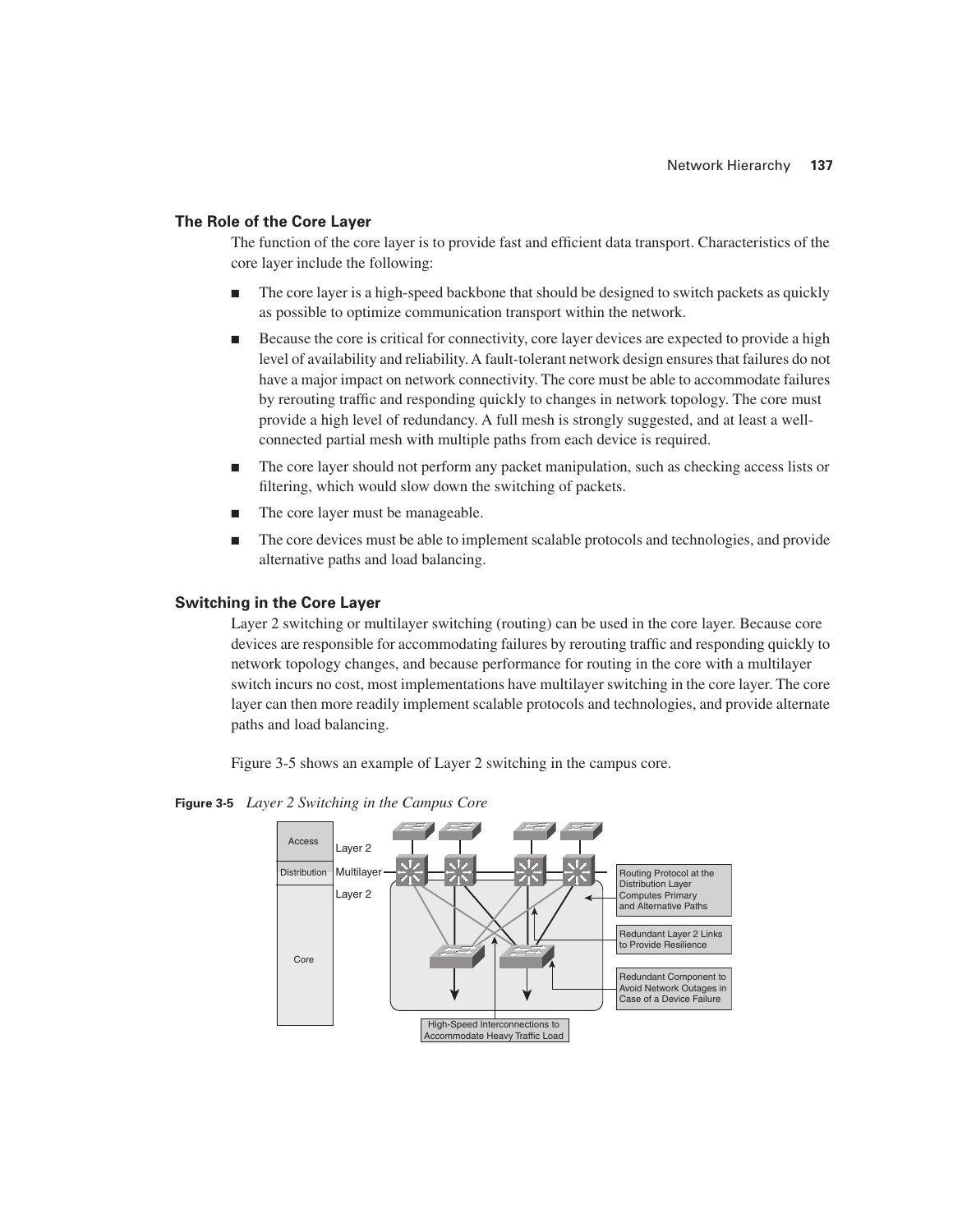#### **The Role of the Core Layer**

The function of the core layer is to provide fast and efficient data transport. Characteristics of the core layer include the following:

- The core layer is a high-speed backbone that should be designed to switch packets as quickly as possible to optimize communication transport within the network.
- Because the core is critical for connectivity, core layer devices are expected to provide a high level of availability and reliability. A fault-tolerant network design ensures that failures do not have a major impact on network connectivity. The core must be able to accommodate failures by rerouting traffic and responding quickly to changes in network topology. The core must provide a high level of redundancy. A full mesh is strongly suggested, and at least a wellconnected partial mesh with multiple paths from each device is required.
- The core layer should not perform any packet manipulation, such as checking access lists or filtering, which would slow down the switching of packets.
- The core layer must be manageable.
- The core devices must be able to implement scalable protocols and technologies, and provide alternative paths and load balancing.

#### **Switching in the Core Layer**

Layer 2 switching or multilayer switching (routing) can be used in the core layer. Because core devices are responsible for accommodating failures by rerouting traffic and responding quickly to network topology changes, and because performance for routing in the core with a multilayer switch incurs no cost, most implementations have multilayer switching in the core layer. The core layer can then more readily implement scalable protocols and technologies, and provide alternate paths and load balancing.

Figure 3-5 shows an example of Layer 2 switching in the campus core.

**Figure 3-5** *Layer 2 Switching in the Campus Core*

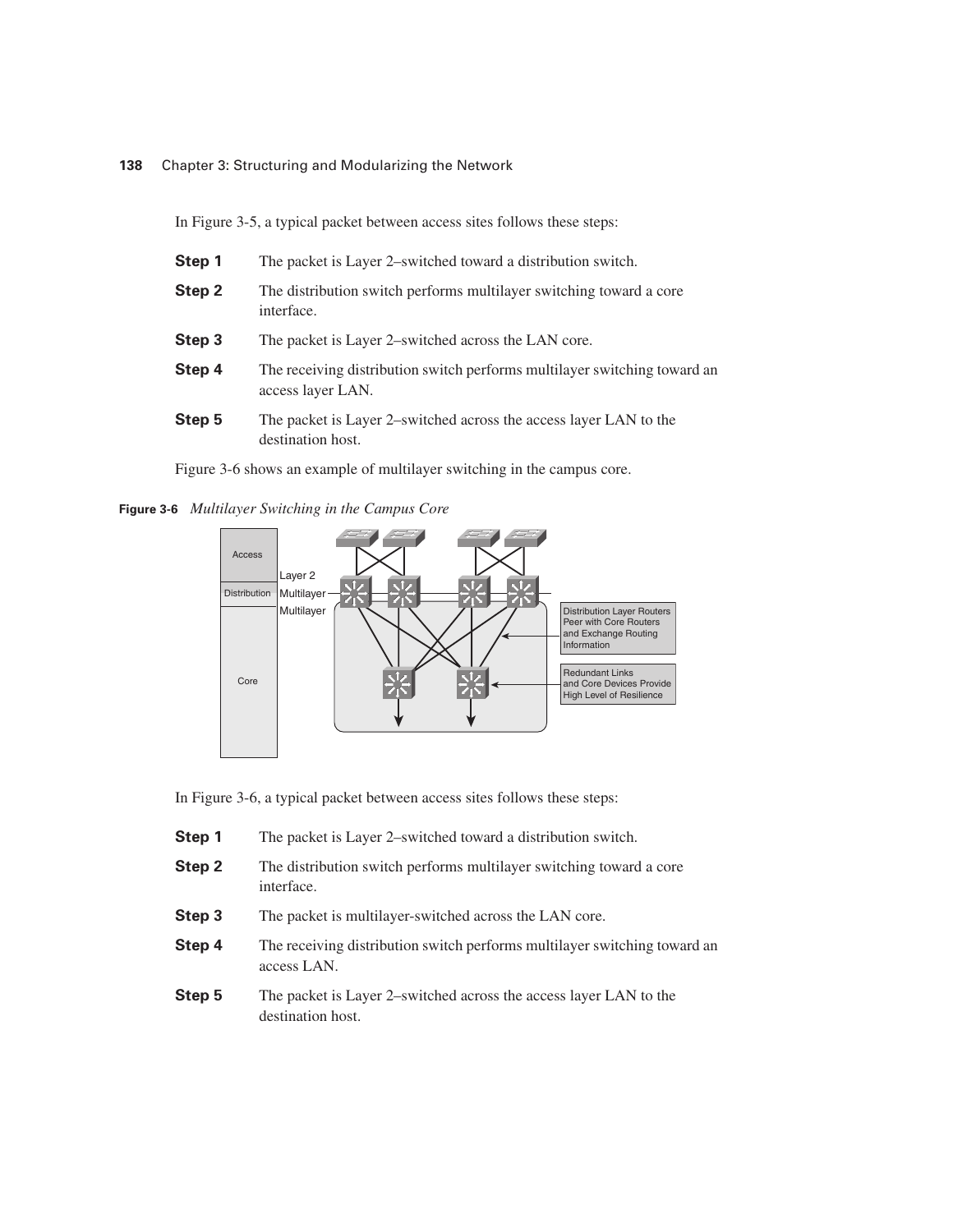In Figure 3-5, a typical packet between access sites follows these steps:

- **Step 1** The packet is Layer 2–switched toward a distribution switch.
- **Step 2** The distribution switch performs multilayer switching toward a core interface.
- **Step 3** The packet is Layer 2–switched across the LAN core.
- **Step 4** The receiving distribution switch performs multilayer switching toward an access layer LAN.
- **Step 5** The packet is Layer 2–switched across the access layer LAN to the destination host.

Figure 3-6 shows an example of multilayer switching in the campus core.

**Figure 3-6** *Multilayer Switching in the Campus Core*



In Figure 3-6, a typical packet between access sites follows these steps:

- **Step 1** The packet is Layer 2–switched toward a distribution switch.
- **Step 2** The distribution switch performs multilayer switching toward a core interface.
- **Step 3** The packet is multilayer-switched across the LAN core.
- **Step 4** The receiving distribution switch performs multilayer switching toward an access LAN.
- **Step 5** The packet is Layer 2–switched across the access layer LAN to the destination host.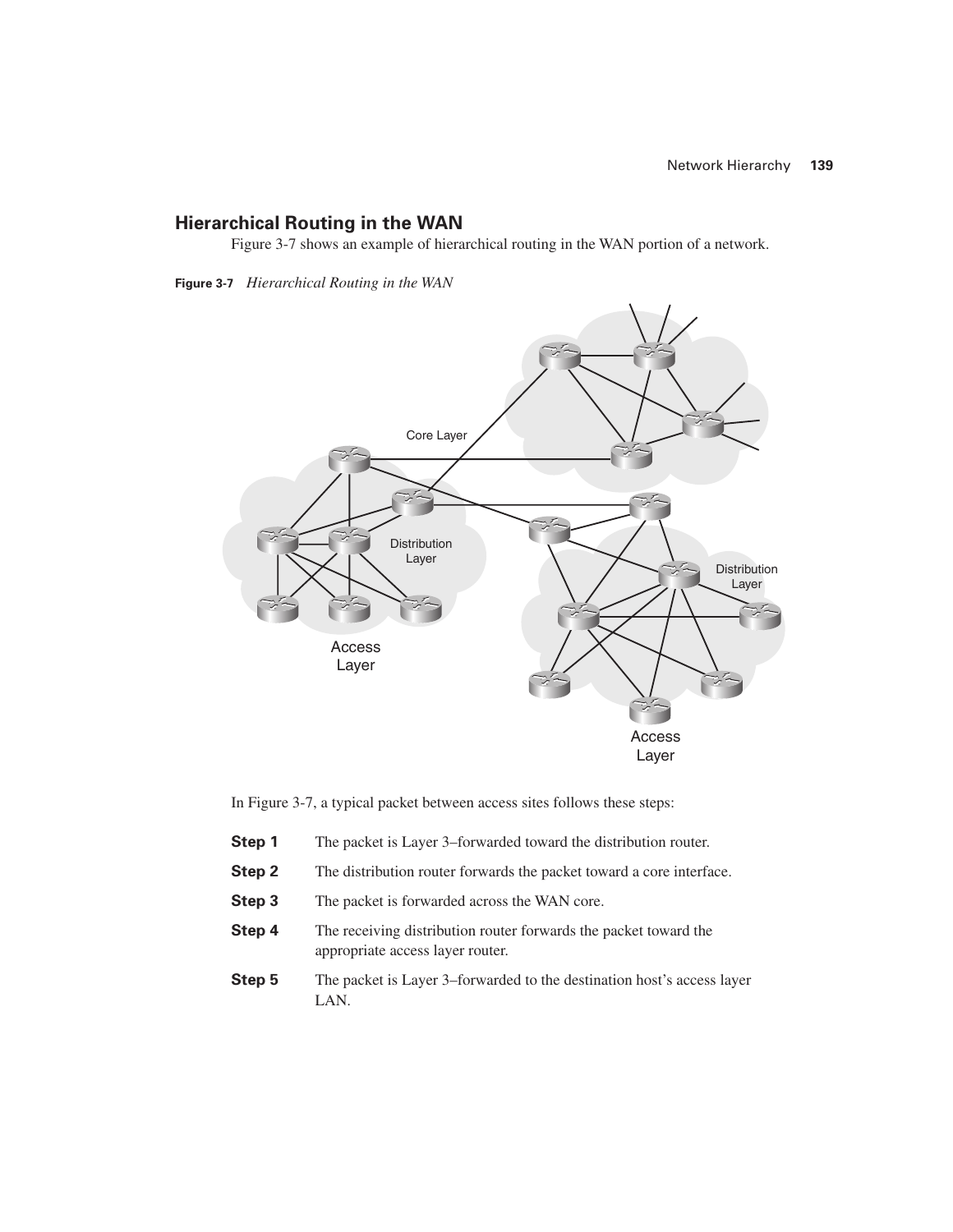# **Hierarchical Routing in the WAN**

Figure 3-7 shows an example of hierarchical routing in the WAN portion of a network.

**Figure 3-7** *Hierarchical Routing in the WAN* 



In Figure 3-7, a typical packet between access sites follows these steps:

- **Step 1** The packet is Layer 3–forwarded toward the distribution router.
- **Step 2** The distribution router forwards the packet toward a core interface.
- **Step 3** The packet is forwarded across the WAN core.
- **Step 4** The receiving distribution router forwards the packet toward the appropriate access layer router.
- **Step 5** The packet is Layer 3–forwarded to the destination host's access layer LAN.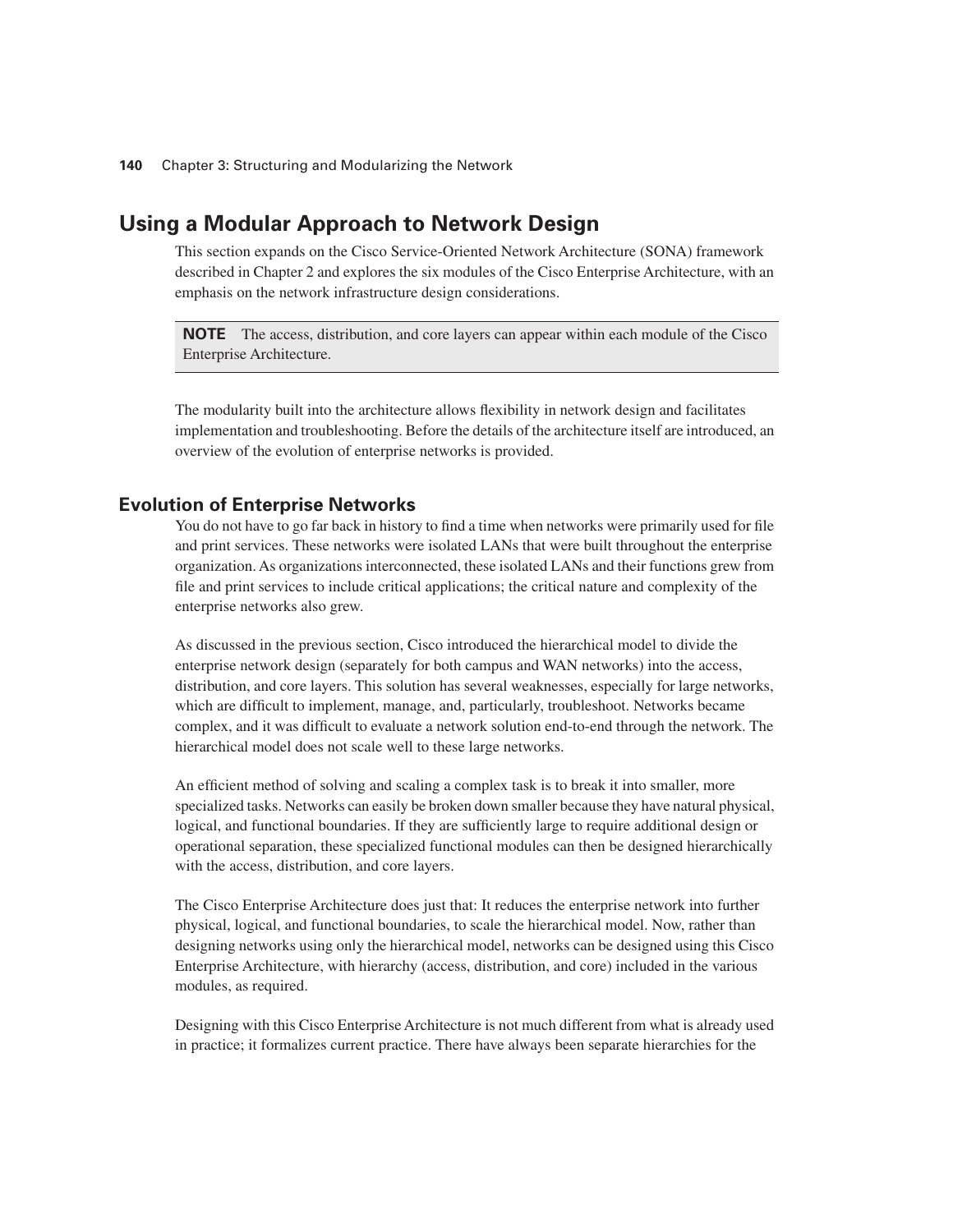# **Using a Modular Approach to Network Design**

This section expands on the Cisco Service-Oriented Network Architecture (SONA) framework described in Chapter 2 and explores the six modules of the Cisco Enterprise Architecture, with an emphasis on the network infrastructure design considerations.

**NOTE** The access, distribution, and core layers can appear within each module of the Cisco Enterprise Architecture.

The modularity built into the architecture allows flexibility in network design and facilitates implementation and troubleshooting. Before the details of the architecture itself are introduced, an overview of the evolution of enterprise networks is provided.

## **Evolution of Enterprise Networks**

You do not have to go far back in history to find a time when networks were primarily used for file and print services. These networks were isolated LANs that were built throughout the enterprise organization. As organizations interconnected, these isolated LANs and their functions grew from file and print services to include critical applications; the critical nature and complexity of the enterprise networks also grew.

As discussed in the previous section, Cisco introduced the hierarchical model to divide the enterprise network design (separately for both campus and WAN networks) into the access, distribution, and core layers. This solution has several weaknesses, especially for large networks, which are difficult to implement, manage, and, particularly, troubleshoot. Networks became complex, and it was difficult to evaluate a network solution end-to-end through the network. The hierarchical model does not scale well to these large networks.

An efficient method of solving and scaling a complex task is to break it into smaller, more specialized tasks. Networks can easily be broken down smaller because they have natural physical, logical, and functional boundaries. If they are sufficiently large to require additional design or operational separation, these specialized functional modules can then be designed hierarchically with the access, distribution, and core layers.

The Cisco Enterprise Architecture does just that: It reduces the enterprise network into further physical, logical, and functional boundaries, to scale the hierarchical model. Now, rather than designing networks using only the hierarchical model, networks can be designed using this Cisco Enterprise Architecture, with hierarchy (access, distribution, and core) included in the various modules, as required.

Designing with this Cisco Enterprise Architecture is not much different from what is already used in practice; it formalizes current practice. There have always been separate hierarchies for the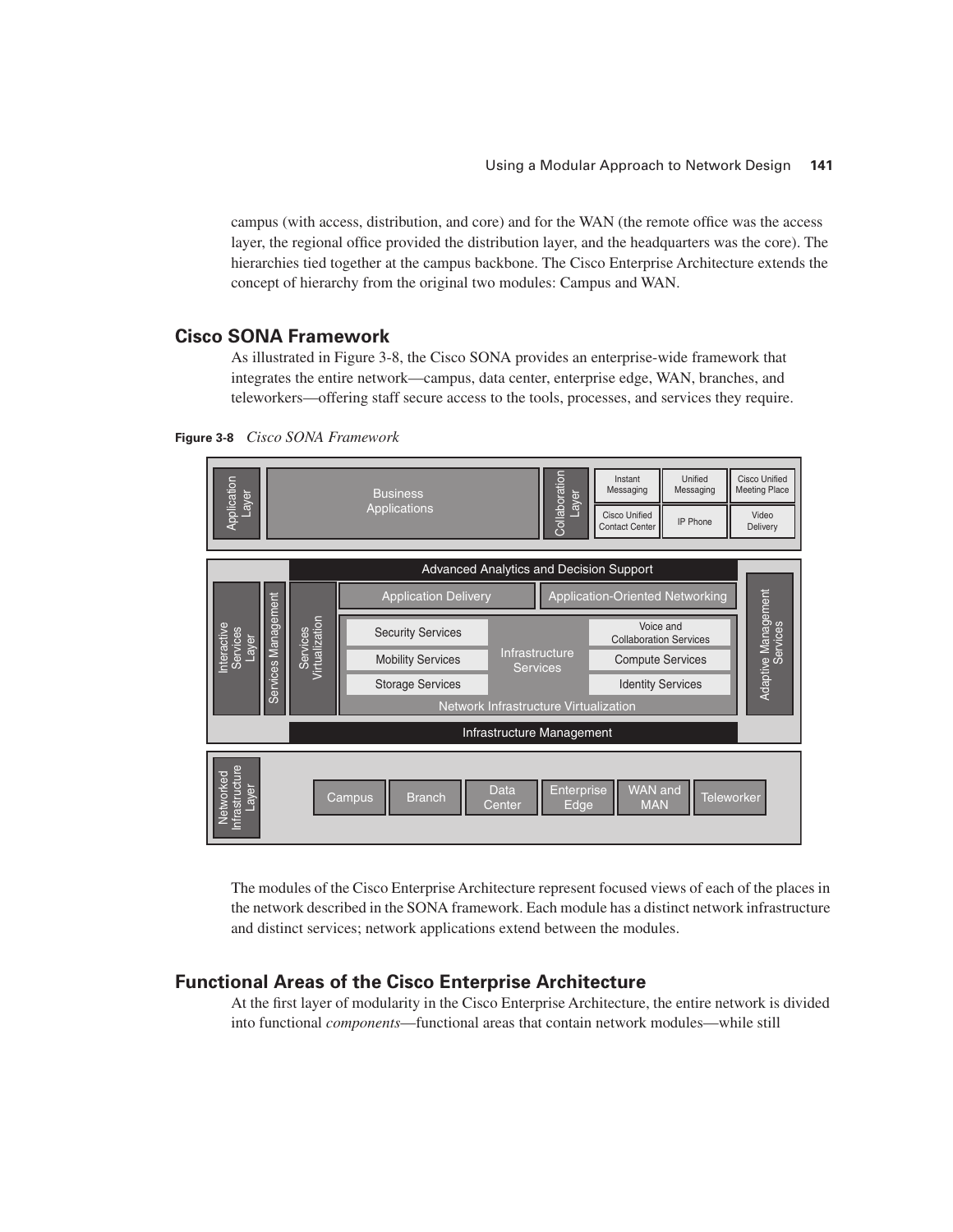campus (with access, distribution, and core) and for the WAN (the remote office was the access layer, the regional office provided the distribution layer, and the headquarters was the core). The hierarchies tied together at the campus backbone. The Cisco Enterprise Architecture extends the concept of hierarchy from the original two modules: Campus and WAN.

## **Cisco SONA Framework**

As illustrated in Figure 3-8, the Cisco SONA provides an enterprise-wide framework that integrates the entire network—campus, data center, enterprise edge, WAN, branches, and teleworkers—offering staff secure access to the tools, processes, and services they require.



**Figure 3-8** *Cisco SONA Framework*

The modules of the Cisco Enterprise Architecture represent focused views of each of the places in the network described in the SONA framework. Each module has a distinct network infrastructure and distinct services; network applications extend between the modules.

## **Functional Areas of the Cisco Enterprise Architecture**

At the first layer of modularity in the Cisco Enterprise Architecture, the entire network is divided into functional *components*—functional areas that contain network modules—while still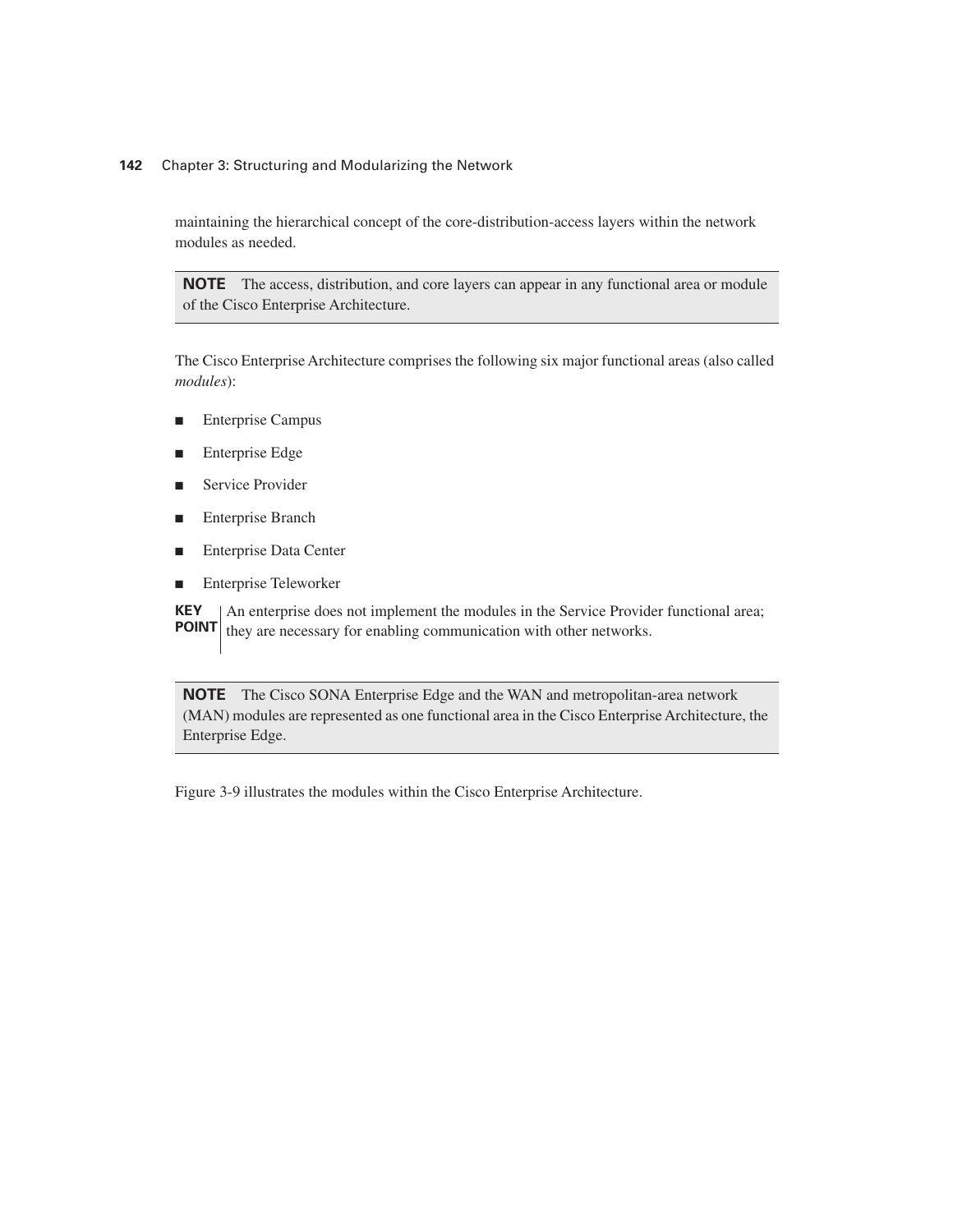maintaining the hierarchical concept of the core-distribution-access layers within the network modules as needed.

**NOTE** The access, distribution, and core layers can appear in any functional area or module of the Cisco Enterprise Architecture.

The Cisco Enterprise Architecture comprises the following six major functional areas (also called *modules*):

- **Enterprise Campus**
- Enterprise Edge
- Service Provider
- Enterprise Branch
- **Enterprise Data Center**
- Enterprise Teleworker

**KEY POINT** they are necessary for enabling communication with other networks. An enterprise does not implement the modules in the Service Provider functional area;

**NOTE** The Cisco SONA Enterprise Edge and the WAN and metropolitan-area network (MAN) modules are represented as one functional area in the Cisco Enterprise Architecture, the Enterprise Edge.

Figure 3-9 illustrates the modules within the Cisco Enterprise Architecture.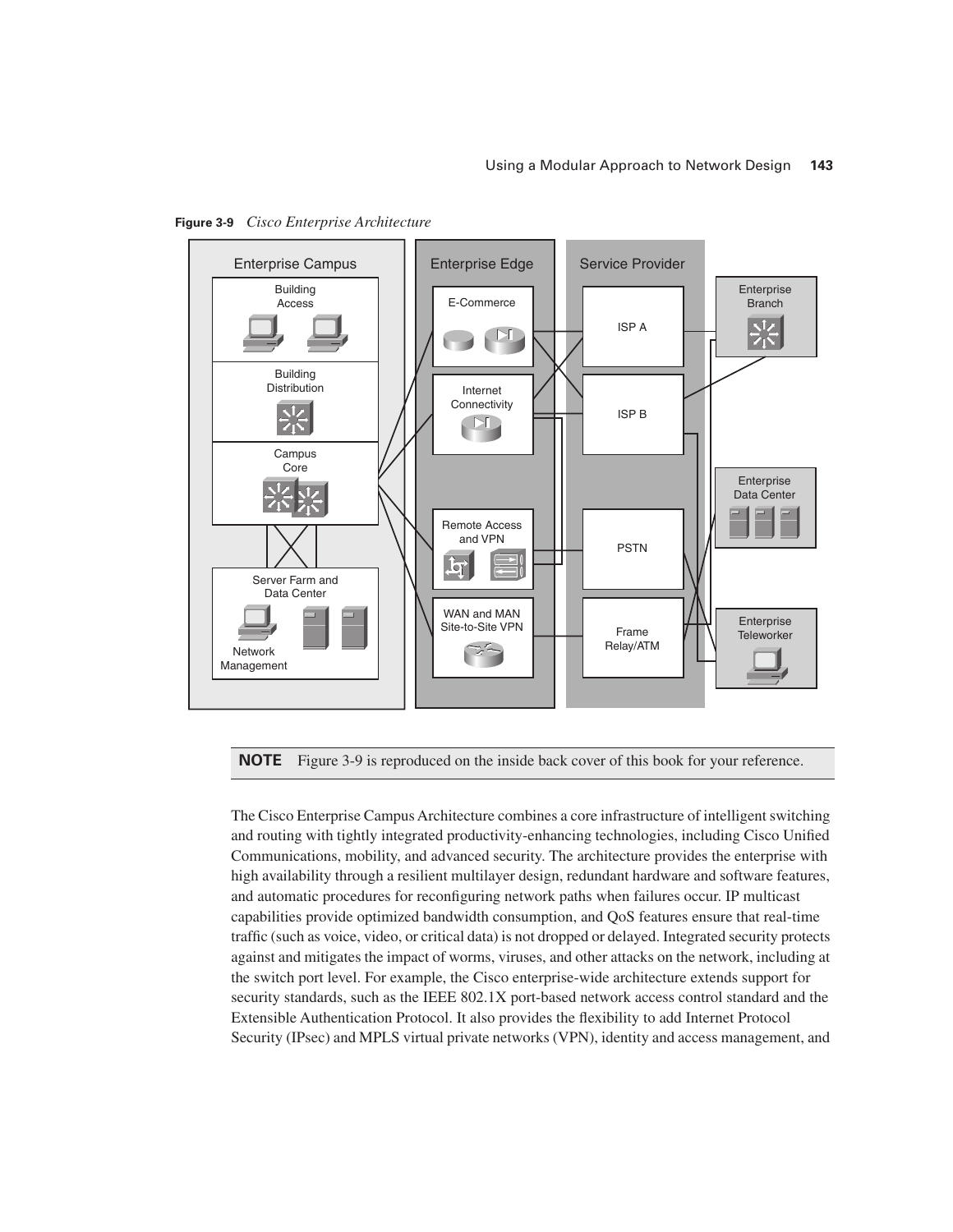

**Figure 3-9** *Cisco Enterprise Architecture*



The Cisco Enterprise Campus Architecture combines a core infrastructure of intelligent switching and routing with tightly integrated productivity-enhancing technologies, including Cisco Unified Communications, mobility, and advanced security. The architecture provides the enterprise with high availability through a resilient multilayer design, redundant hardware and software features, and automatic procedures for reconfiguring network paths when failures occur. IP multicast capabilities provide optimized bandwidth consumption, and QoS features ensure that real-time traffic (such as voice, video, or critical data) is not dropped or delayed. Integrated security protects against and mitigates the impact of worms, viruses, and other attacks on the network, including at the switch port level. For example, the Cisco enterprise-wide architecture extends support for security standards, such as the IEEE 802.1X port-based network access control standard and the Extensible Authentication Protocol. It also provides the flexibility to add Internet Protocol Security (IPsec) and MPLS virtual private networks (VPN), identity and access management, and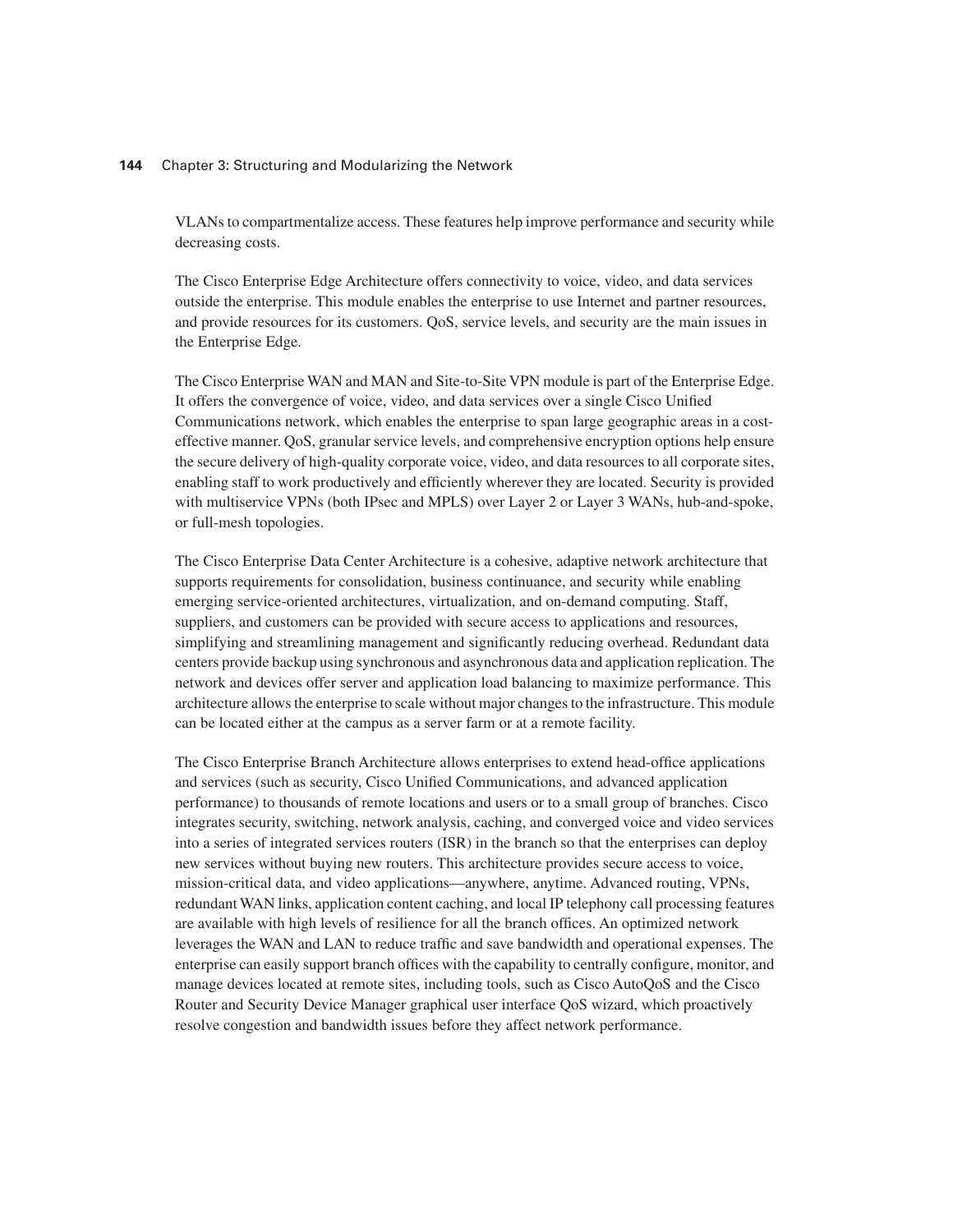VLANs to compartmentalize access. These features help improve performance and security while decreasing costs.

The Cisco Enterprise Edge Architecture offers connectivity to voice, video, and data services outside the enterprise. This module enables the enterprise to use Internet and partner resources, and provide resources for its customers. QoS, service levels, and security are the main issues in the Enterprise Edge.

The Cisco Enterprise WAN and MAN and Site-to-Site VPN module is part of the Enterprise Edge. It offers the convergence of voice, video, and data services over a single Cisco Unified Communications network, which enables the enterprise to span large geographic areas in a costeffective manner. QoS, granular service levels, and comprehensive encryption options help ensure the secure delivery of high-quality corporate voice, video, and data resources to all corporate sites, enabling staff to work productively and efficiently wherever they are located. Security is provided with multiservice VPNs (both IPsec and MPLS) over Layer 2 or Layer 3 WANs, hub-and-spoke, or full-mesh topologies.

The Cisco Enterprise Data Center Architecture is a cohesive, adaptive network architecture that supports requirements for consolidation, business continuance, and security while enabling emerging service-oriented architectures, virtualization, and on-demand computing. Staff, suppliers, and customers can be provided with secure access to applications and resources, simplifying and streamlining management and significantly reducing overhead. Redundant data centers provide backup using synchronous and asynchronous data and application replication. The network and devices offer server and application load balancing to maximize performance. This architecture allows the enterprise to scale without major changes to the infrastructure. This module can be located either at the campus as a server farm or at a remote facility.

The Cisco Enterprise Branch Architecture allows enterprises to extend head-office applications and services (such as security, Cisco Unified Communications, and advanced application performance) to thousands of remote locations and users or to a small group of branches. Cisco integrates security, switching, network analysis, caching, and converged voice and video services into a series of integrated services routers (ISR) in the branch so that the enterprises can deploy new services without buying new routers. This architecture provides secure access to voice, mission-critical data, and video applications—anywhere, anytime. Advanced routing, VPNs, redundant WAN links, application content caching, and local IP telephony call processing features are available with high levels of resilience for all the branch offices. An optimized network leverages the WAN and LAN to reduce traffic and save bandwidth and operational expenses. The enterprise can easily support branch offices with the capability to centrally configure, monitor, and manage devices located at remote sites, including tools, such as Cisco AutoQoS and the Cisco Router and Security Device Manager graphical user interface QoS wizard, which proactively resolve congestion and bandwidth issues before they affect network performance.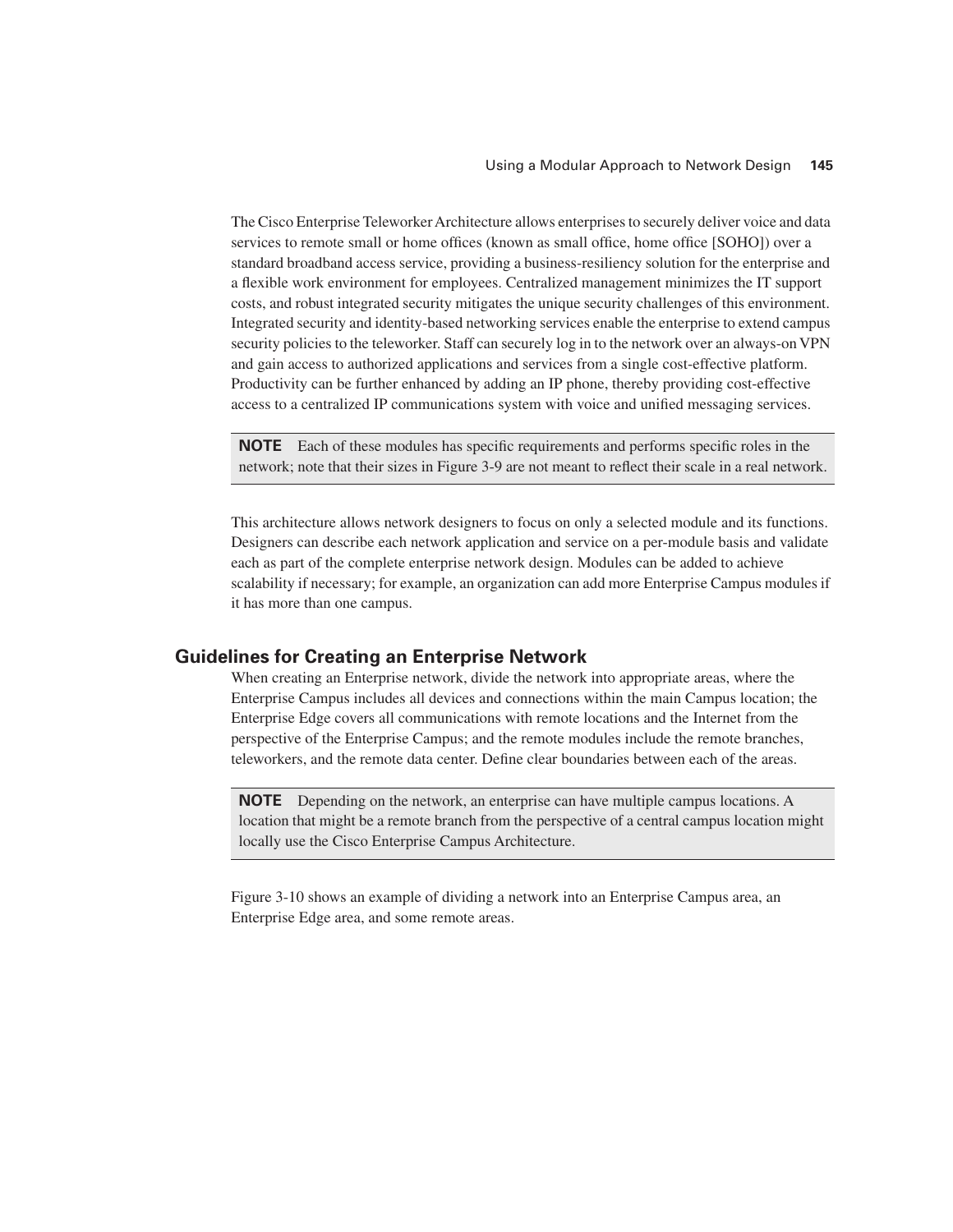The Cisco Enterprise Teleworker Architecture allows enterprises to securely deliver voice and data services to remote small or home offices (known as small office, home office [SOHO]) over a standard broadband access service, providing a business-resiliency solution for the enterprise and a flexible work environment for employees. Centralized management minimizes the IT support costs, and robust integrated security mitigates the unique security challenges of this environment. Integrated security and identity-based networking services enable the enterprise to extend campus security policies to the teleworker. Staff can securely log in to the network over an always-on VPN and gain access to authorized applications and services from a single cost-effective platform. Productivity can be further enhanced by adding an IP phone, thereby providing cost-effective access to a centralized IP communications system with voice and unified messaging services.

**NOTE** Each of these modules has specific requirements and performs specific roles in the network; note that their sizes in Figure 3-9 are not meant to reflect their scale in a real network.

This architecture allows network designers to focus on only a selected module and its functions. Designers can describe each network application and service on a per-module basis and validate each as part of the complete enterprise network design. Modules can be added to achieve scalability if necessary; for example, an organization can add more Enterprise Campus modules if it has more than one campus.

## **Guidelines for Creating an Enterprise Network**

When creating an Enterprise network, divide the network into appropriate areas, where the Enterprise Campus includes all devices and connections within the main Campus location; the Enterprise Edge covers all communications with remote locations and the Internet from the perspective of the Enterprise Campus; and the remote modules include the remote branches, teleworkers, and the remote data center. Define clear boundaries between each of the areas.

**NOTE** Depending on the network, an enterprise can have multiple campus locations. A location that might be a remote branch from the perspective of a central campus location might locally use the Cisco Enterprise Campus Architecture.

Figure 3-10 shows an example of dividing a network into an Enterprise Campus area, an Enterprise Edge area, and some remote areas.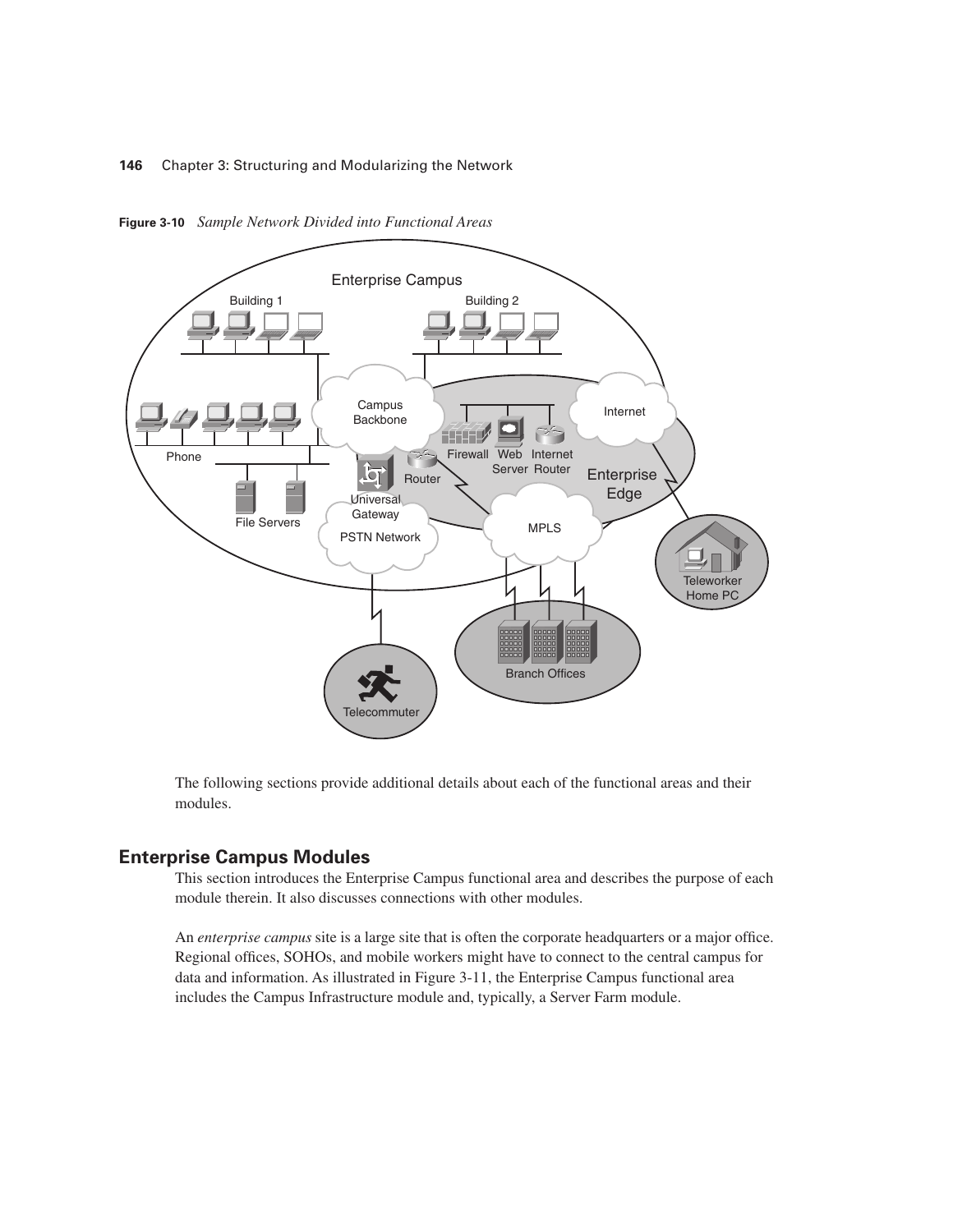

**Figure 3-10** *Sample Network Divided into Functional Areas*

The following sections provide additional details about each of the functional areas and their modules.

## **Enterprise Campus Modules**

This section introduces the Enterprise Campus functional area and describes the purpose of each module therein. It also discusses connections with other modules.

An *enterprise campus* site is a large site that is often the corporate headquarters or a major office. Regional offices, SOHOs, and mobile workers might have to connect to the central campus for data and information. As illustrated in Figure 3-11, the Enterprise Campus functional area includes the Campus Infrastructure module and, typically, a Server Farm module.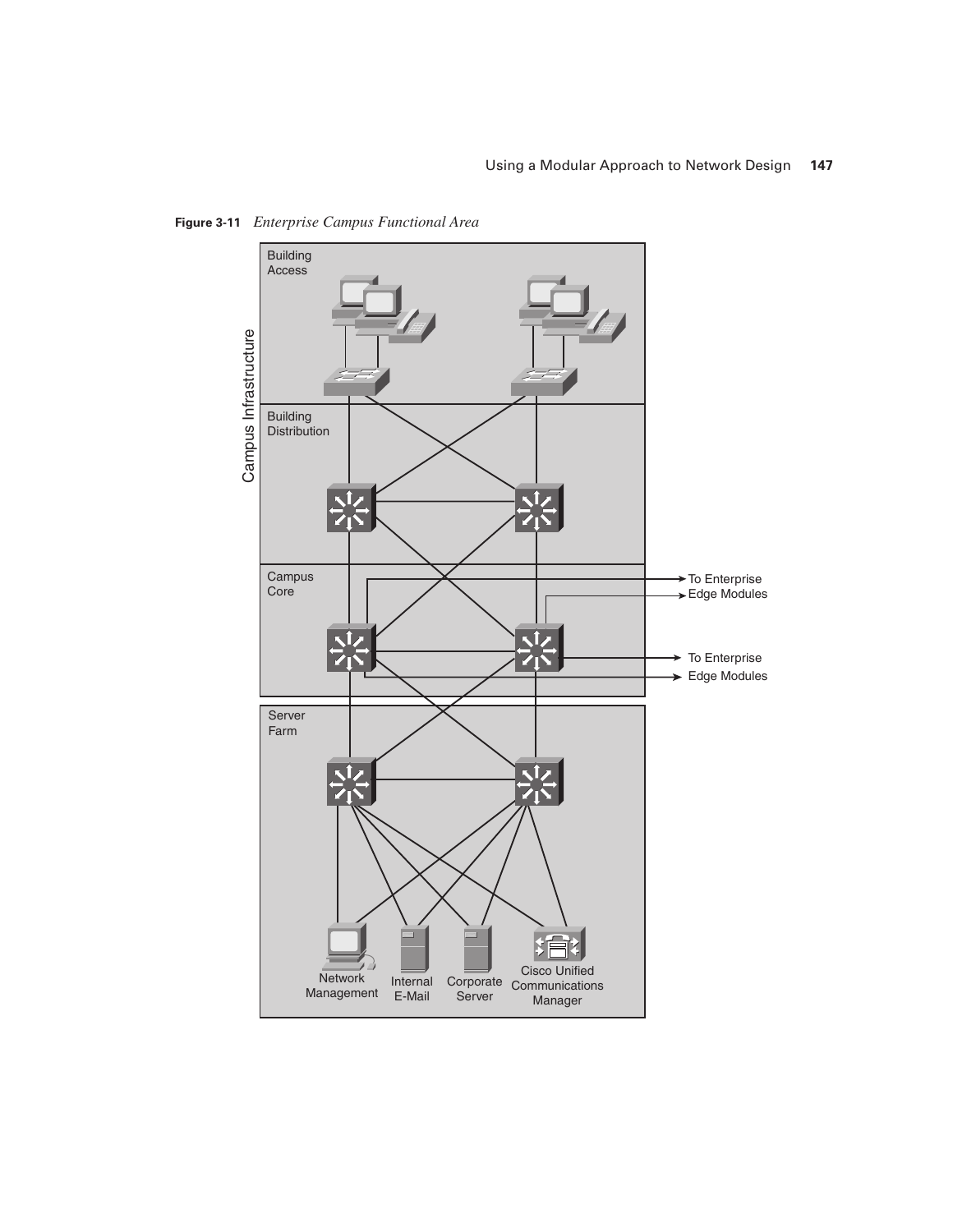

**Figure 3-11** *Enterprise Campus Functional Area*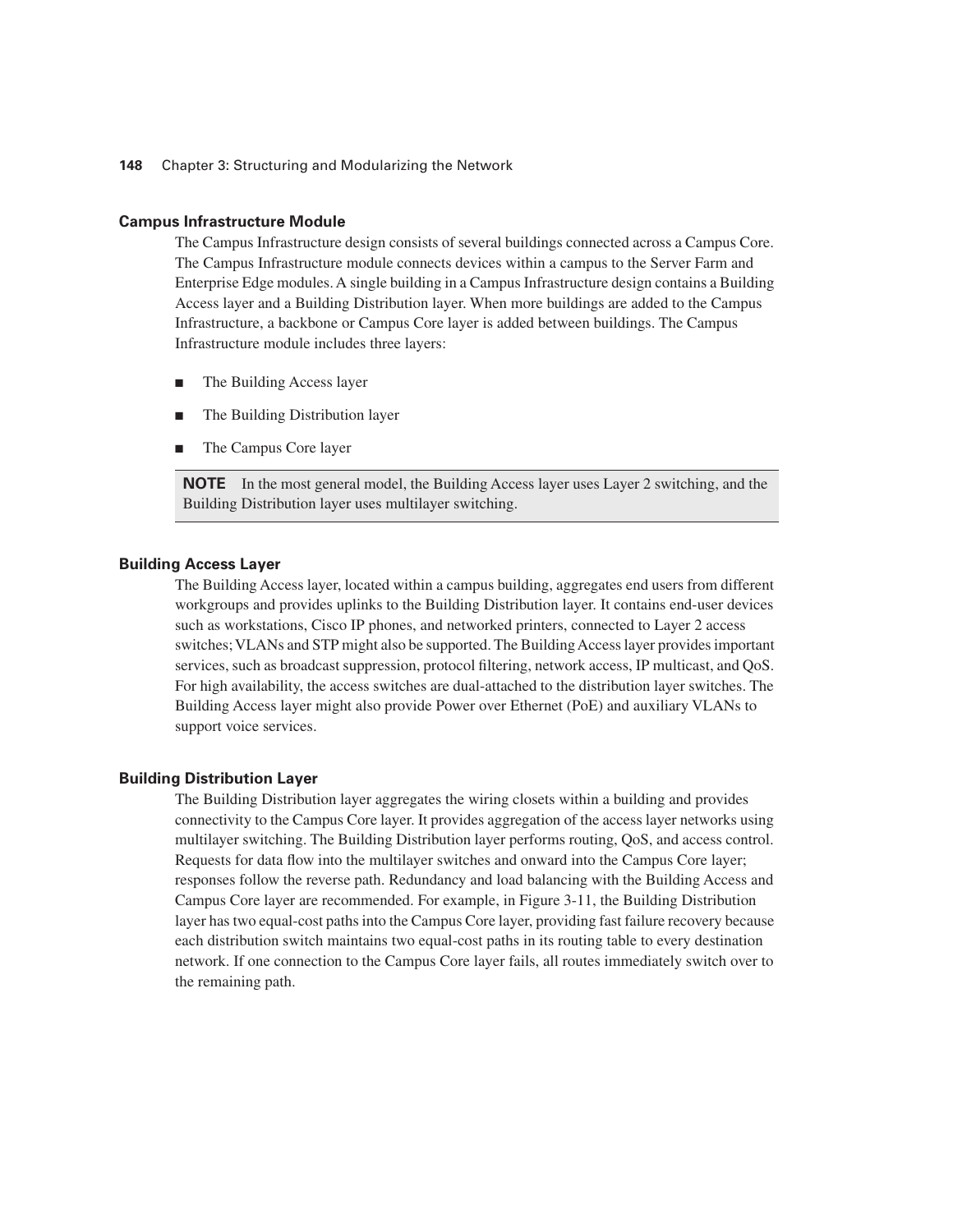#### **Campus Infrastructure Module**

The Campus Infrastructure design consists of several buildings connected across a Campus Core. The Campus Infrastructure module connects devices within a campus to the Server Farm and Enterprise Edge modules. A single building in a Campus Infrastructure design contains a Building Access layer and a Building Distribution layer. When more buildings are added to the Campus Infrastructure, a backbone or Campus Core layer is added between buildings. The Campus Infrastructure module includes three layers:

- The Building Access layer
- The Building Distribution layer
- The Campus Core layer

**NOTE** In the most general model, the Building Access layer uses Layer 2 switching, and the Building Distribution layer uses multilayer switching.

#### **Building Access Layer**

The Building Access layer, located within a campus building, aggregates end users from different workgroups and provides uplinks to the Building Distribution layer. It contains end-user devices such as workstations, Cisco IP phones, and networked printers, connected to Layer 2 access switches; VLANs and STP might also be supported. The Building Access layer provides important services, such as broadcast suppression, protocol filtering, network access, IP multicast, and QoS. For high availability, the access switches are dual-attached to the distribution layer switches. The Building Access layer might also provide Power over Ethernet (PoE) and auxiliary VLANs to support voice services.

#### **Building Distribution Layer**

The Building Distribution layer aggregates the wiring closets within a building and provides connectivity to the Campus Core layer. It provides aggregation of the access layer networks using multilayer switching. The Building Distribution layer performs routing, QoS, and access control. Requests for data flow into the multilayer switches and onward into the Campus Core layer; responses follow the reverse path. Redundancy and load balancing with the Building Access and Campus Core layer are recommended. For example, in Figure 3-11, the Building Distribution layer has two equal-cost paths into the Campus Core layer, providing fast failure recovery because each distribution switch maintains two equal-cost paths in its routing table to every destination network. If one connection to the Campus Core layer fails, all routes immediately switch over to the remaining path.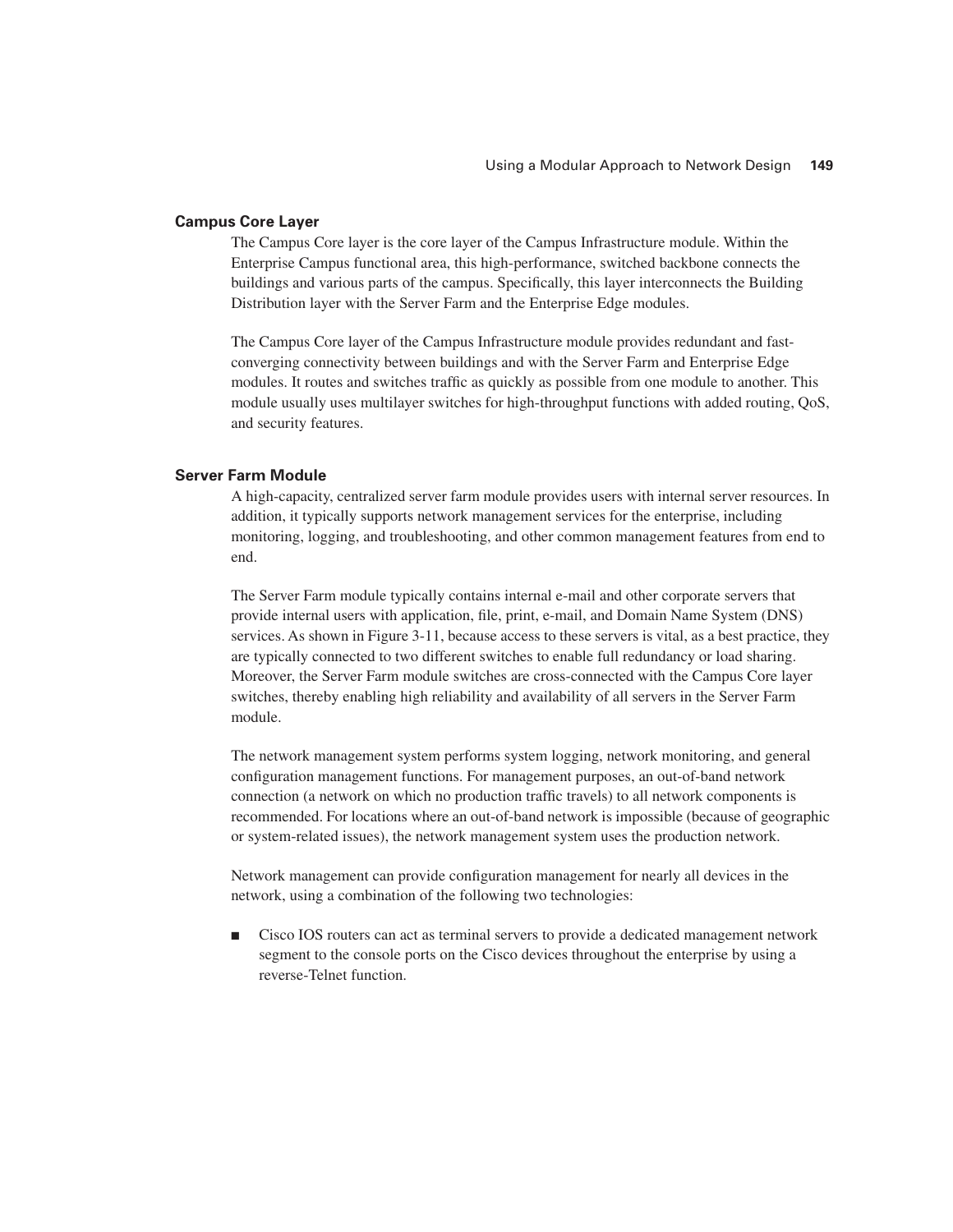### **Campus Core Layer**

The Campus Core layer is the core layer of the Campus Infrastructure module. Within the Enterprise Campus functional area, this high-performance, switched backbone connects the buildings and various parts of the campus. Specifically, this layer interconnects the Building Distribution layer with the Server Farm and the Enterprise Edge modules.

The Campus Core layer of the Campus Infrastructure module provides redundant and fastconverging connectivity between buildings and with the Server Farm and Enterprise Edge modules. It routes and switches traffic as quickly as possible from one module to another. This module usually uses multilayer switches for high-throughput functions with added routing, QoS, and security features.

#### **Server Farm Module**

A high-capacity, centralized server farm module provides users with internal server resources. In addition, it typically supports network management services for the enterprise, including monitoring, logging, and troubleshooting, and other common management features from end to end.

The Server Farm module typically contains internal e-mail and other corporate servers that provide internal users with application, file, print, e-mail, and Domain Name System (DNS) services. As shown in Figure 3-11, because access to these servers is vital, as a best practice, they are typically connected to two different switches to enable full redundancy or load sharing. Moreover, the Server Farm module switches are cross-connected with the Campus Core layer switches, thereby enabling high reliability and availability of all servers in the Server Farm module.

The network management system performs system logging, network monitoring, and general configuration management functions. For management purposes, an out-of-band network connection (a network on which no production traffic travels) to all network components is recommended. For locations where an out-of-band network is impossible (because of geographic or system-related issues), the network management system uses the production network.

Network management can provide configuration management for nearly all devices in the network, using a combination of the following two technologies:

■ Cisco IOS routers can act as terminal servers to provide a dedicated management network segment to the console ports on the Cisco devices throughout the enterprise by using a reverse-Telnet function.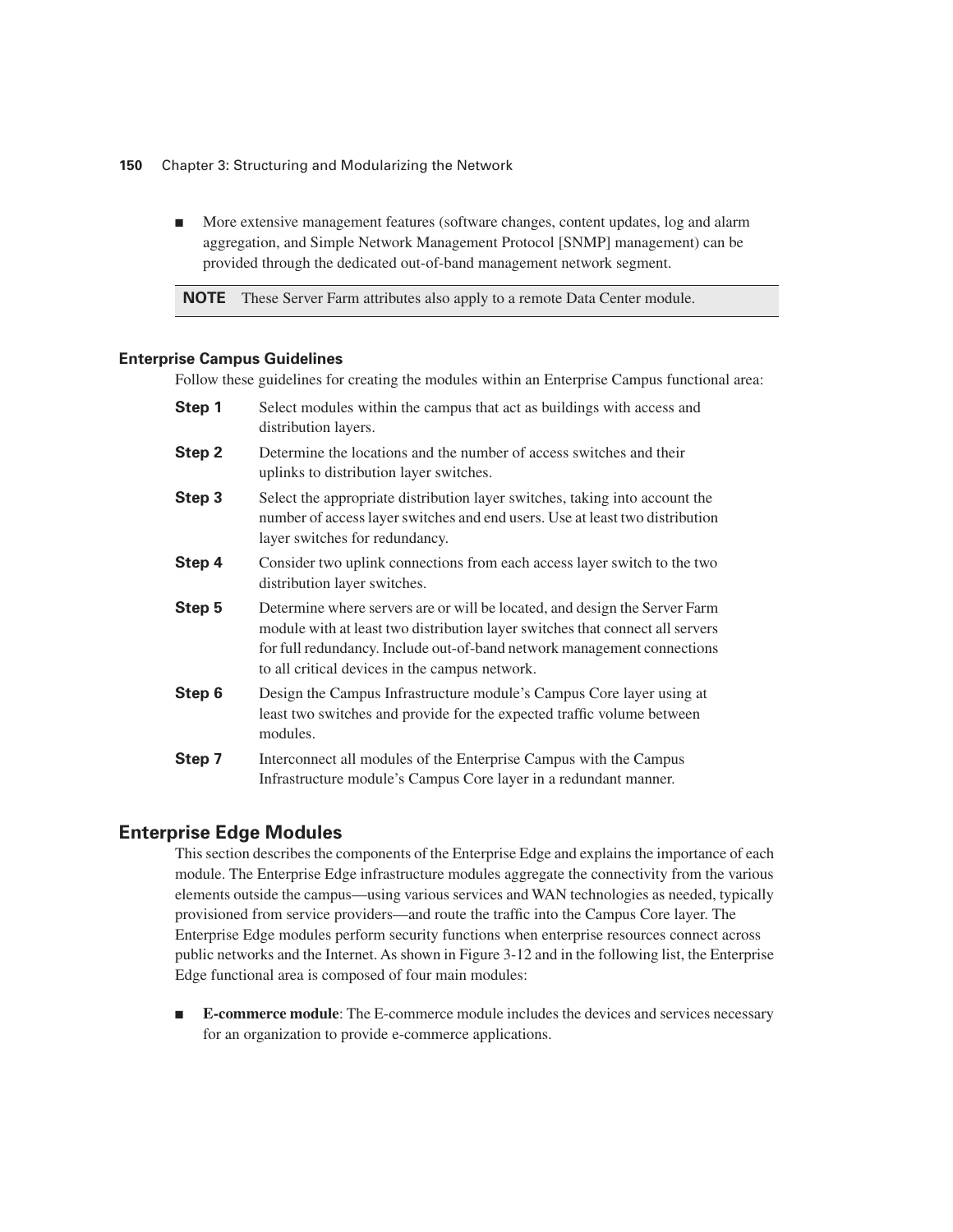More extensive management features (software changes, content updates, log and alarm aggregation, and Simple Network Management Protocol [SNMP] management) can be provided through the dedicated out-of-band management network segment.

**NOTE** These Server Farm attributes also apply to a remote Data Center module.

### **Enterprise Campus Guidelines**

Follow these guidelines for creating the modules within an Enterprise Campus functional area:

- **Step 1** Select modules within the campus that act as buildings with access and distribution layers.
- **Step 2** Determine the locations and the number of access switches and their uplinks to distribution layer switches.
- **Step 3** Select the appropriate distribution layer switches, taking into account the number of access layer switches and end users. Use at least two distribution layer switches for redundancy.
- **Step 4** Consider two uplink connections from each access layer switch to the two distribution layer switches.
- **Step 5** Determine where servers are or will be located, and design the Server Farm module with at least two distribution layer switches that connect all servers for full redundancy. Include out-of-band network management connections to all critical devices in the campus network.
- **Step 6** Design the Campus Infrastructure module's Campus Core layer using at least two switches and provide for the expected traffic volume between modules.
- **Step 7** Interconnect all modules of the Enterprise Campus with the Campus Infrastructure module's Campus Core layer in a redundant manner.

# **Enterprise Edge Modules**

This section describes the components of the Enterprise Edge and explains the importance of each module. The Enterprise Edge infrastructure modules aggregate the connectivity from the various elements outside the campus—using various services and WAN technologies as needed, typically provisioned from service providers—and route the traffic into the Campus Core layer. The Enterprise Edge modules perform security functions when enterprise resources connect across public networks and the Internet. As shown in Figure 3-12 and in the following list, the Enterprise Edge functional area is composed of four main modules:

**E-commerce module**: The E-commerce module includes the devices and services necessary for an organization to provide e-commerce applications.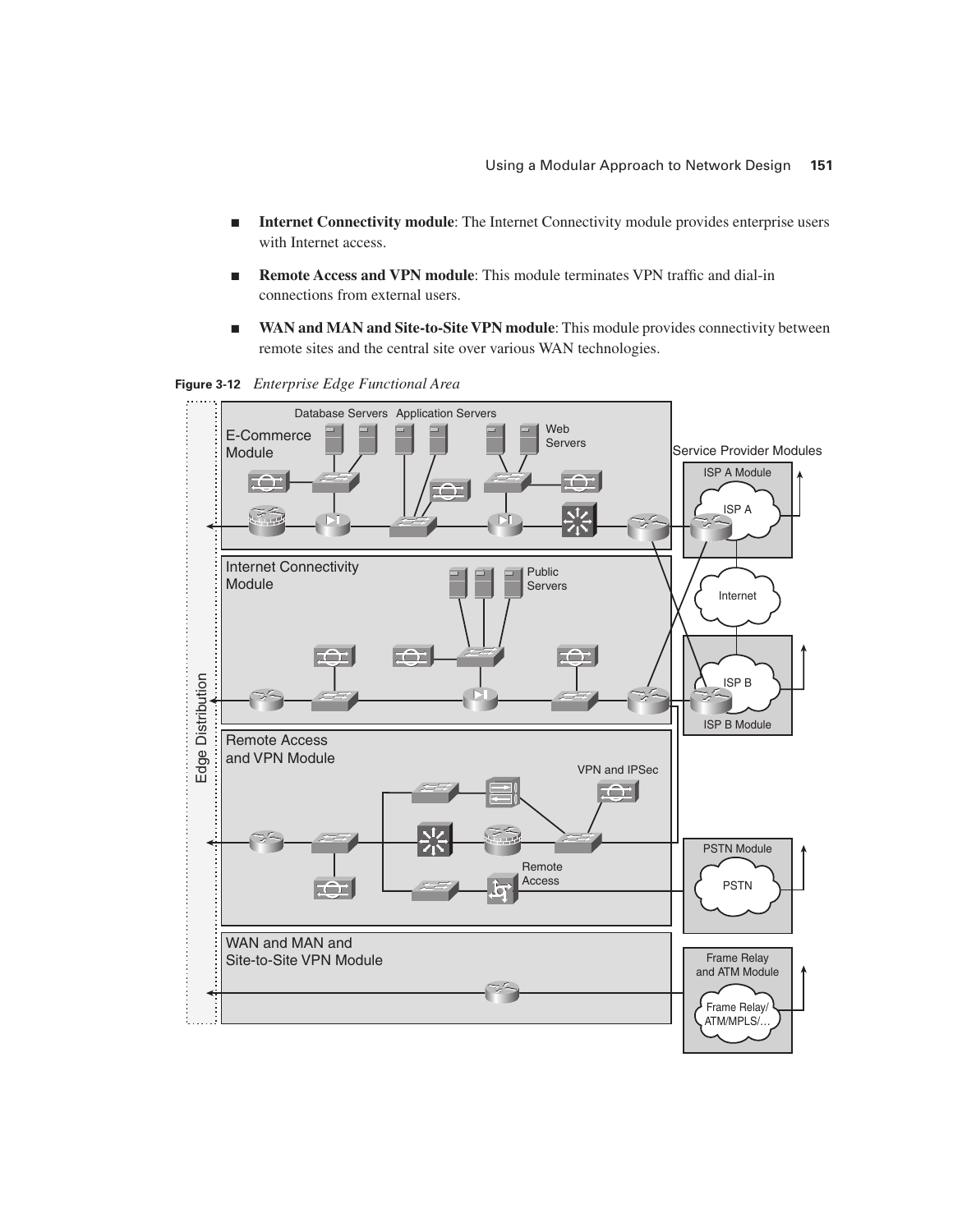- **Internet Connectivity module**: The Internet Connectivity module provides enterprise users with Internet access.
- **Remote Access and VPN module**: This module terminates VPN traffic and dial-in connections from external users.
- **WAN and MAN and Site-to-Site VPN module**: This module provides connectivity between remote sites and the central site over various WAN technologies.

**Figure 3-12** *Enterprise Edge Functional Area*

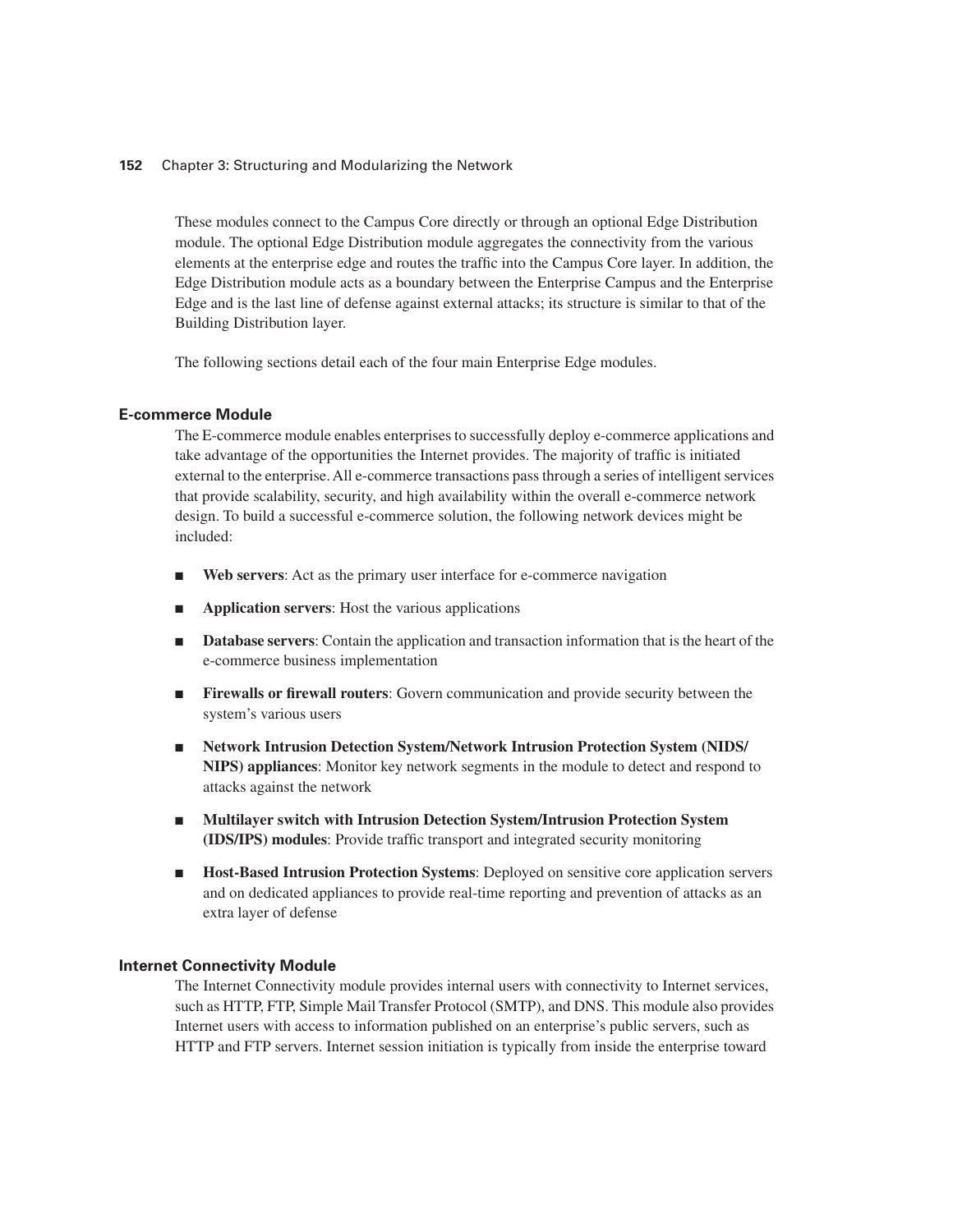These modules connect to the Campus Core directly or through an optional Edge Distribution module. The optional Edge Distribution module aggregates the connectivity from the various elements at the enterprise edge and routes the traffic into the Campus Core layer. In addition, the Edge Distribution module acts as a boundary between the Enterprise Campus and the Enterprise Edge and is the last line of defense against external attacks; its structure is similar to that of the Building Distribution layer.

The following sections detail each of the four main Enterprise Edge modules.

#### **E-commerce Module**

The E-commerce module enables enterprises to successfully deploy e-commerce applications and take advantage of the opportunities the Internet provides. The majority of traffic is initiated external to the enterprise. All e-commerce transactions pass through a series of intelligent services that provide scalability, security, and high availability within the overall e-commerce network design. To build a successful e-commerce solution, the following network devices might be included:

- Web servers: Act as the primary user interface for e-commerce navigation
- Application servers: Host the various applications
- **Database servers**: Contain the application and transaction information that is the heart of the e-commerce business implementation
- **Firewalls or firewall routers**: Govern communication and provide security between the system's various users
- **Network Intrusion Detection System/Network Intrusion Protection System (NIDS/ NIPS) appliances**: Monitor key network segments in the module to detect and respond to attacks against the network
- **Multilayer switch with Intrusion Detection System/Intrusion Protection System (IDS/IPS) modules**: Provide traffic transport and integrated security monitoring
- **Host-Based Intrusion Protection Systems**: Deployed on sensitive core application servers and on dedicated appliances to provide real-time reporting and prevention of attacks as an extra layer of defense

#### **Internet Connectivity Module**

The Internet Connectivity module provides internal users with connectivity to Internet services, such as HTTP, FTP, Simple Mail Transfer Protocol (SMTP), and DNS. This module also provides Internet users with access to information published on an enterprise's public servers, such as HTTP and FTP servers. Internet session initiation is typically from inside the enterprise toward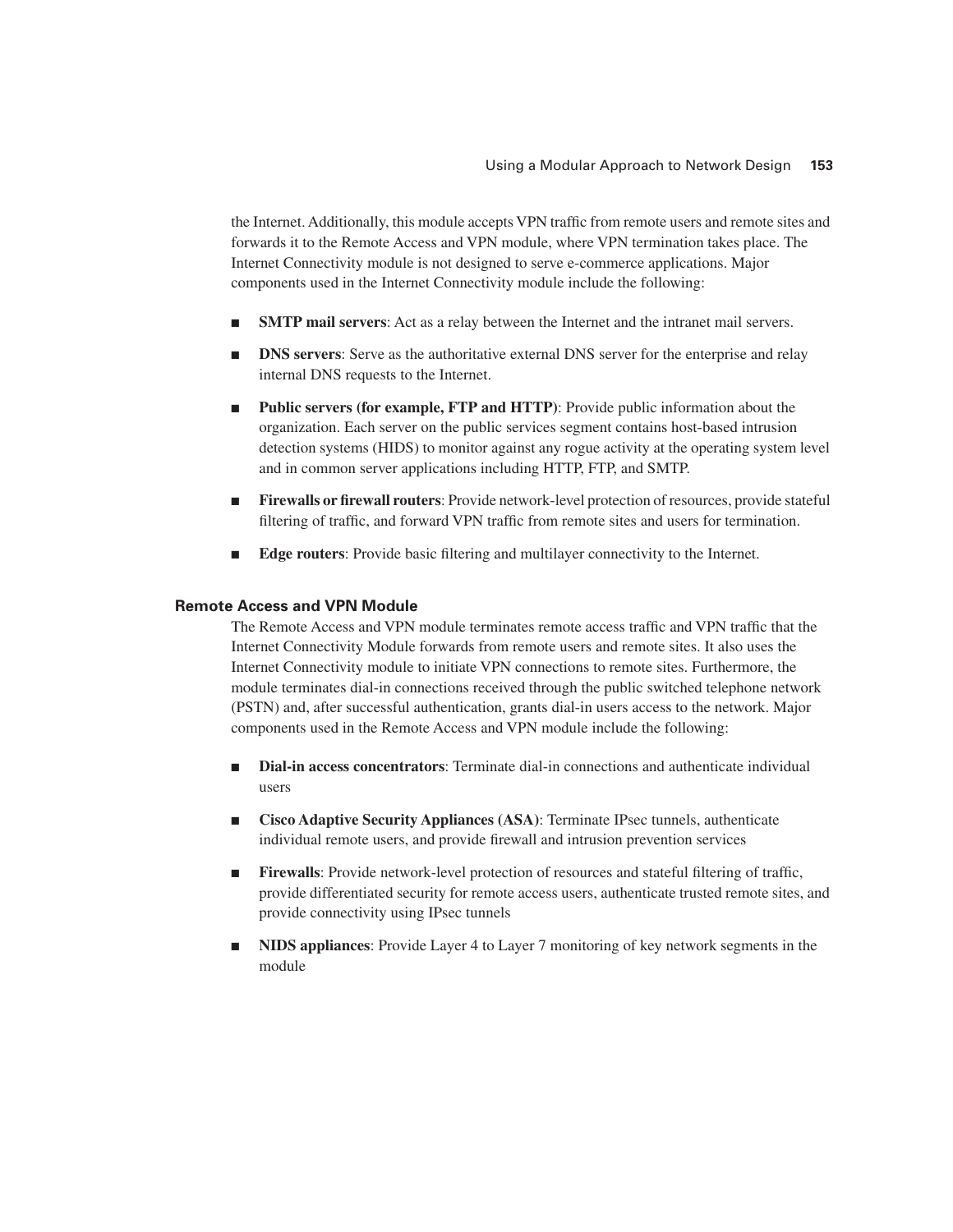the Internet. Additionally, this module accepts VPN traffic from remote users and remote sites and forwards it to the Remote Access and VPN module, where VPN termination takes place. The Internet Connectivity module is not designed to serve e-commerce applications. Major components used in the Internet Connectivity module include the following:

- **SMTP mail servers:** Act as a relay between the Internet and the intranet mail servers.
- **DNS servers:** Serve as the authoritative external DNS server for the enterprise and relay internal DNS requests to the Internet.
- **Public servers (for example, FTP and HTTP)**: Provide public information about the organization. Each server on the public services segment contains host-based intrusion detection systems (HIDS) to monitor against any rogue activity at the operating system level and in common server applications including HTTP, FTP, and SMTP.
- **Firewalls or firewall routers**: Provide network-level protection of resources, provide stateful filtering of traffic, and forward VPN traffic from remote sites and users for termination.
- **Edge routers:** Provide basic filtering and multilayer connectivity to the Internet.

#### **Remote Access and VPN Module**

The Remote Access and VPN module terminates remote access traffic and VPN traffic that the Internet Connectivity Module forwards from remote users and remote sites. It also uses the Internet Connectivity module to initiate VPN connections to remote sites. Furthermore, the module terminates dial-in connections received through the public switched telephone network (PSTN) and, after successful authentication, grants dial-in users access to the network. Major components used in the Remote Access and VPN module include the following:

- **Dial-in access concentrators**: Terminate dial-in connections and authenticate individual users
- **Cisco Adaptive Security Appliances (ASA)**: Terminate IPsec tunnels, authenticate individual remote users, and provide firewall and intrusion prevention services
- **Firewalls:** Provide network-level protection of resources and stateful filtering of traffic, provide differentiated security for remote access users, authenticate trusted remote sites, and provide connectivity using IPsec tunnels
- **NIDS appliances:** Provide Layer 4 to Layer 7 monitoring of key network segments in the module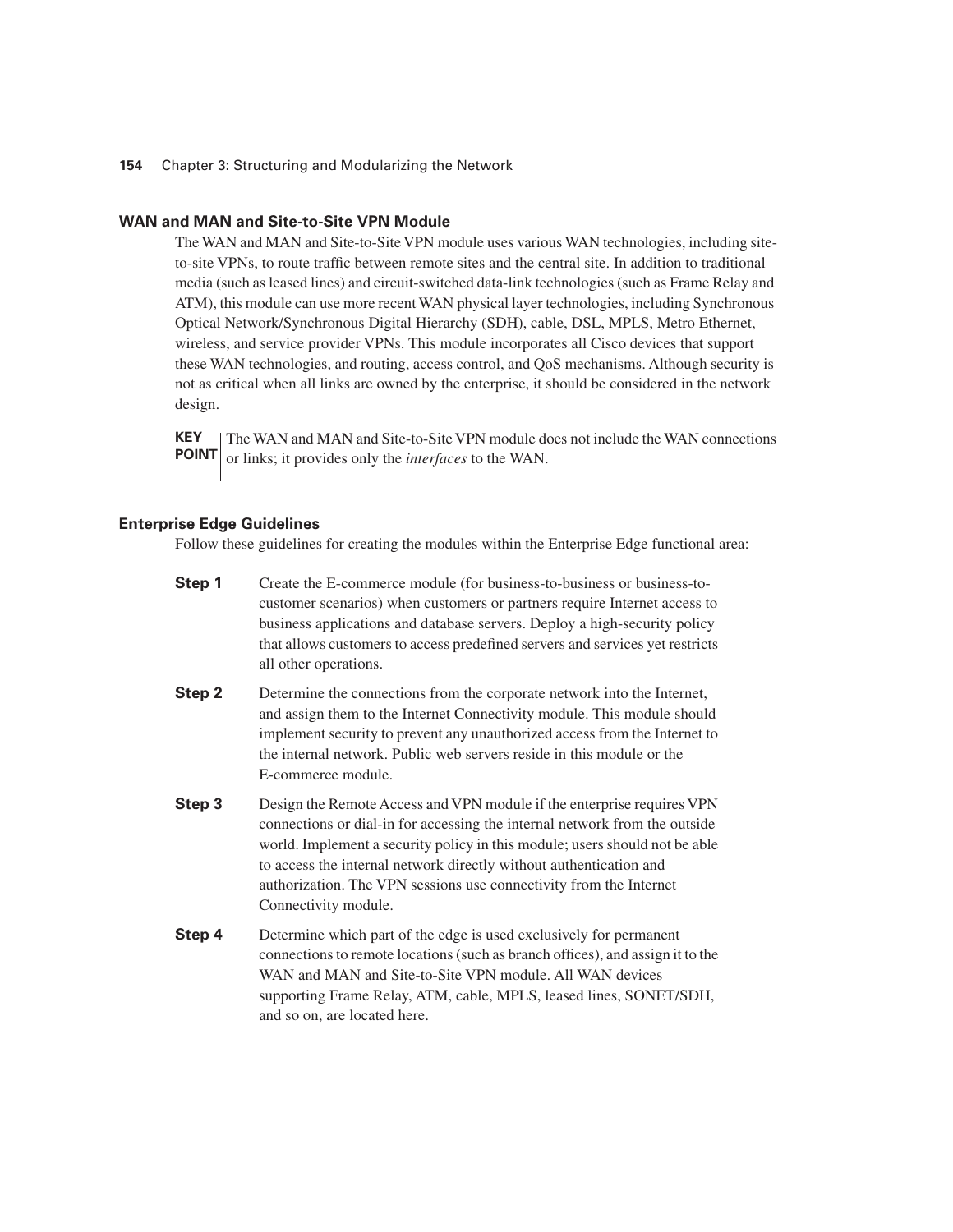#### **WAN and MAN and Site-to-Site VPN Module**

The WAN and MAN and Site-to-Site VPN module uses various WAN technologies, including siteto-site VPNs, to route traffic between remote sites and the central site. In addition to traditional media (such as leased lines) and circuit-switched data-link technologies (such as Frame Relay and ATM), this module can use more recent WAN physical layer technologies, including Synchronous Optical Network/Synchronous Digital Hierarchy (SDH), cable, DSL, MPLS, Metro Ethernet, wireless, and service provider VPNs. This module incorporates all Cisco devices that support these WAN technologies, and routing, access control, and QoS mechanisms. Although security is not as critical when all links are owned by the enterprise, it should be considered in the network design.

**KEY** 

**POINT** or links; it provides only the *interfaces* to the WAN. The WAN and MAN and Site-to-Site VPN module does not include the WAN connections

#### **Enterprise Edge Guidelines**

Follow these guidelines for creating the modules within the Enterprise Edge functional area:

- **Step 1** Create the E-commerce module (for business-to-business or business-tocustomer scenarios) when customers or partners require Internet access to business applications and database servers. Deploy a high-security policy that allows customers to access predefined servers and services yet restricts all other operations.
- **Step 2** Determine the connections from the corporate network into the Internet, and assign them to the Internet Connectivity module. This module should implement security to prevent any unauthorized access from the Internet to the internal network. Public web servers reside in this module or the E-commerce module.
- **Step 3** Design the Remote Access and VPN module if the enterprise requires VPN connections or dial-in for accessing the internal network from the outside world. Implement a security policy in this module; users should not be able to access the internal network directly without authentication and authorization. The VPN sessions use connectivity from the Internet Connectivity module.
- **Step 4** Determine which part of the edge is used exclusively for permanent connections to remote locations (such as branch offices), and assign it to the WAN and MAN and Site-to-Site VPN module. All WAN devices supporting Frame Relay, ATM, cable, MPLS, leased lines, SONET/SDH, and so on, are located here.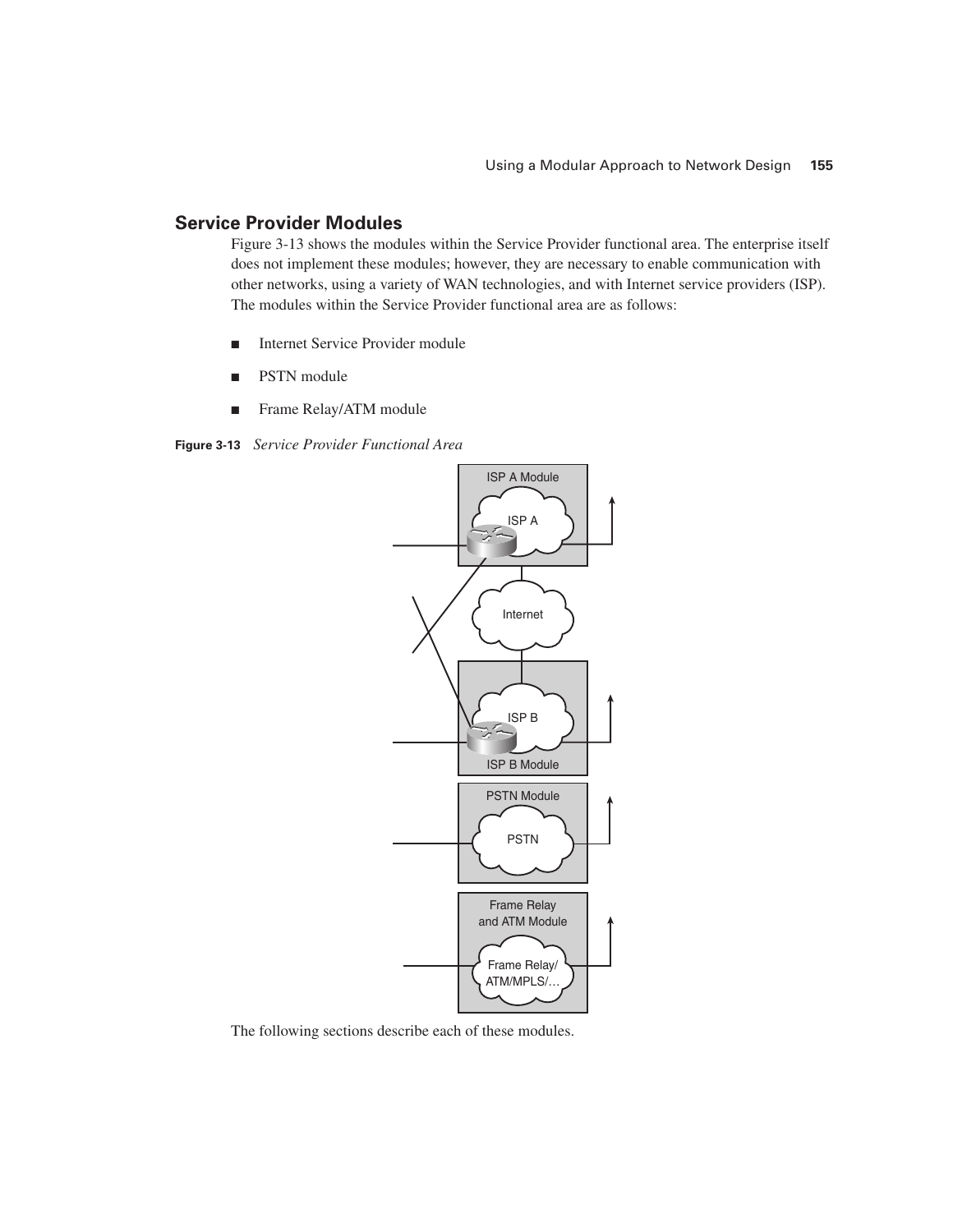# **Service Provider Modules**

Figure 3-13 shows the modules within the Service Provider functional area. The enterprise itself does not implement these modules; however, they are necessary to enable communication with other networks, using a variety of WAN technologies, and with Internet service providers (ISP). The modules within the Service Provider functional area are as follows:

- Internet Service Provider module
- PSTN module
- Frame Relay/ATM module

**Figure 3-13** *Service Provider Functional Area*



The following sections describe each of these modules.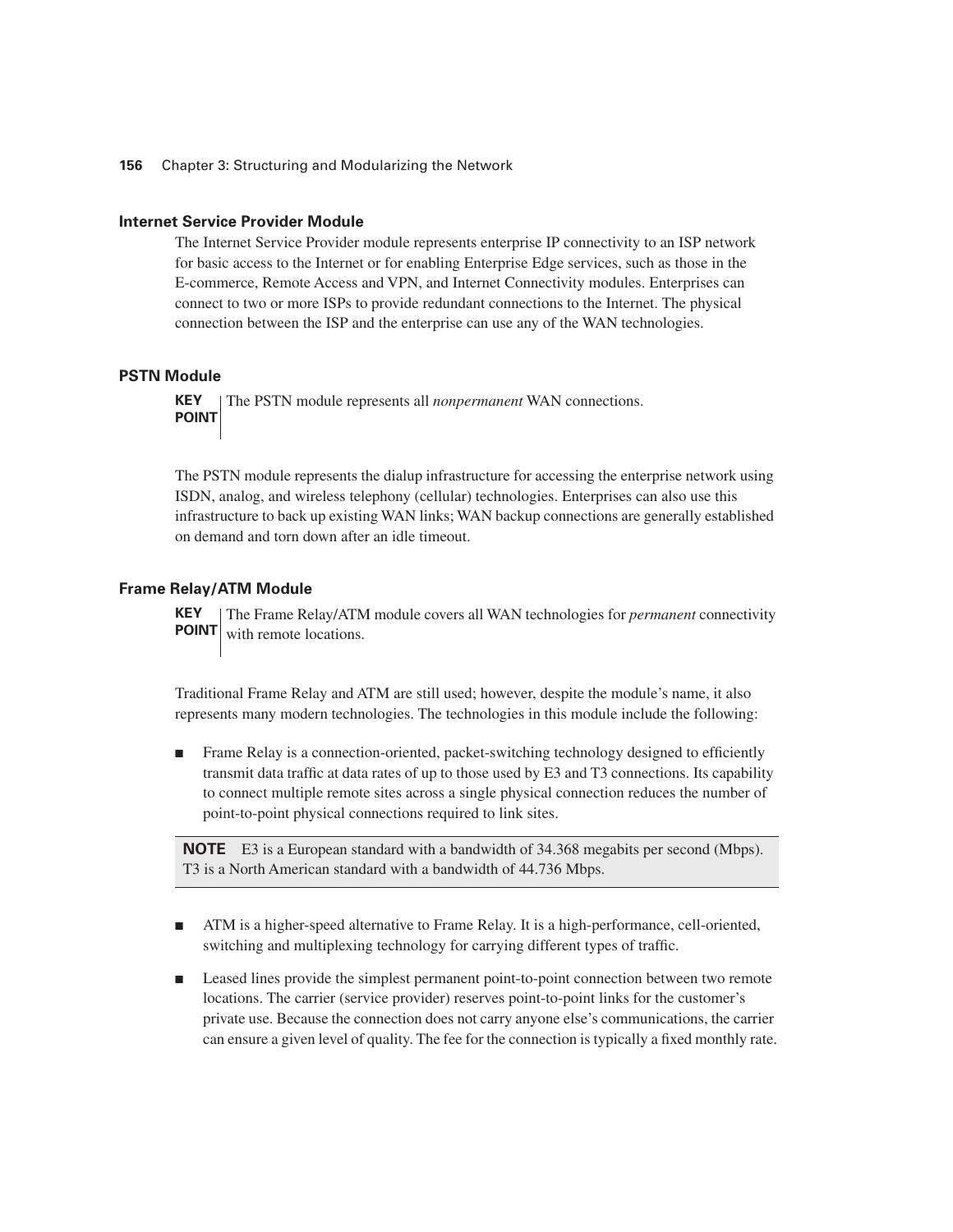## **Internet Service Provider Module**

The Internet Service Provider module represents enterprise IP connectivity to an ISP network for basic access to the Internet or for enabling Enterprise Edge services, such as those in the E-commerce, Remote Access and VPN, and Internet Connectivity modules. Enterprises can connect to two or more ISPs to provide redundant connections to the Internet. The physical connection between the ISP and the enterprise can use any of the WAN technologies.

## **PSTN Module**

**KEY POINT** The PSTN module represents all *nonpermanent* WAN connections.

The PSTN module represents the dialup infrastructure for accessing the enterprise network using ISDN, analog, and wireless telephony (cellular) technologies. Enterprises can also use this infrastructure to back up existing WAN links; WAN backup connections are generally established on demand and torn down after an idle timeout.

## **Frame Relay/ATM Module**

**KEY POINT** The Frame Relay/ATM module covers all WAN technologies for *permanent* connectivity with remote locations.

Traditional Frame Relay and ATM are still used; however, despite the module's name, it also represents many modern technologies. The technologies in this module include the following:

Frame Relay is a connection-oriented, packet-switching technology designed to efficiently transmit data traffic at data rates of up to those used by E3 and T3 connections. Its capability to connect multiple remote sites across a single physical connection reduces the number of point-to-point physical connections required to link sites.

**NOTE** E3 is a European standard with a bandwidth of 34.368 megabits per second (Mbps). T3 is a North American standard with a bandwidth of 44.736 Mbps.

- ATM is a higher-speed alternative to Frame Relay. It is a high-performance, cell-oriented, switching and multiplexing technology for carrying different types of traffic.
- Leased lines provide the simplest permanent point-to-point connection between two remote locations. The carrier (service provider) reserves point-to-point links for the customer's private use. Because the connection does not carry anyone else's communications, the carrier can ensure a given level of quality. The fee for the connection is typically a fixed monthly rate.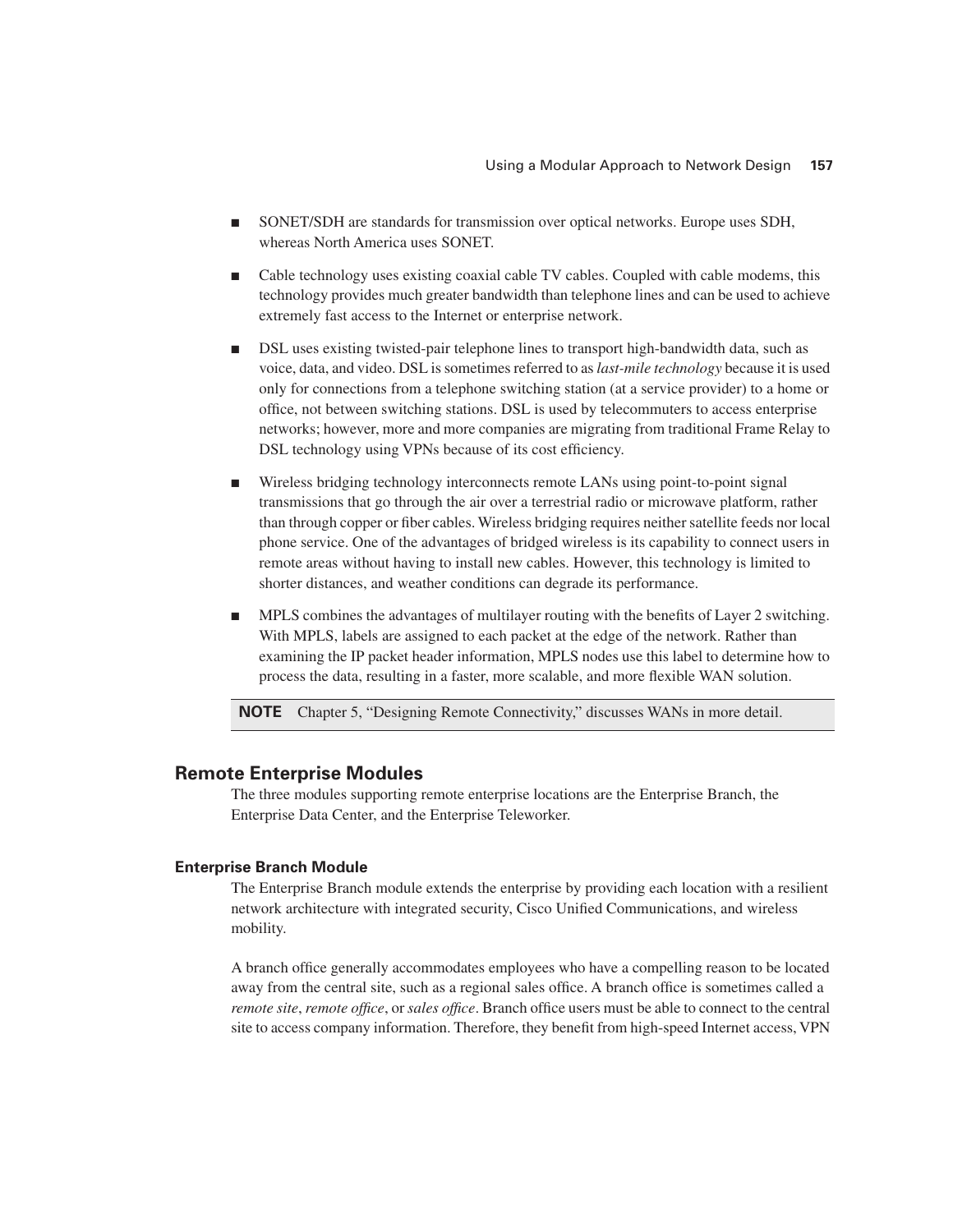- SONET/SDH are standards for transmission over optical networks. Europe uses SDH, whereas North America uses SONET.
- Cable technology uses existing coaxial cable TV cables. Coupled with cable modems, this technology provides much greater bandwidth than telephone lines and can be used to achieve extremely fast access to the Internet or enterprise network.
- DSL uses existing twisted-pair telephone lines to transport high-bandwidth data, such as voice, data, and video. DSL is sometimes referred to as *last-mile technology* because it is used only for connections from a telephone switching station (at a service provider) to a home or office, not between switching stations. DSL is used by telecommuters to access enterprise networks; however, more and more companies are migrating from traditional Frame Relay to DSL technology using VPNs because of its cost efficiency.
- Wireless bridging technology interconnects remote LANs using point-to-point signal transmissions that go through the air over a terrestrial radio or microwave platform, rather than through copper or fiber cables. Wireless bridging requires neither satellite feeds nor local phone service. One of the advantages of bridged wireless is its capability to connect users in remote areas without having to install new cables. However, this technology is limited to shorter distances, and weather conditions can degrade its performance.
- MPLS combines the advantages of multilayer routing with the benefits of Layer 2 switching. With MPLS, labels are assigned to each packet at the edge of the network. Rather than examining the IP packet header information, MPLS nodes use this label to determine how to process the data, resulting in a faster, more scalable, and more flexible WAN solution.

**NOTE** Chapter 5, "Designing Remote Connectivity," discusses WANs in more detail.

## **Remote Enterprise Modules**

The three modules supporting remote enterprise locations are the Enterprise Branch, the Enterprise Data Center, and the Enterprise Teleworker.

#### **Enterprise Branch Module**

The Enterprise Branch module extends the enterprise by providing each location with a resilient network architecture with integrated security, Cisco Unified Communications, and wireless mobility.

A branch office generally accommodates employees who have a compelling reason to be located away from the central site, such as a regional sales office. A branch office is sometimes called a *remote site*, *remote office*, or *sales office*. Branch office users must be able to connect to the central site to access company information. Therefore, they benefit from high-speed Internet access, VPN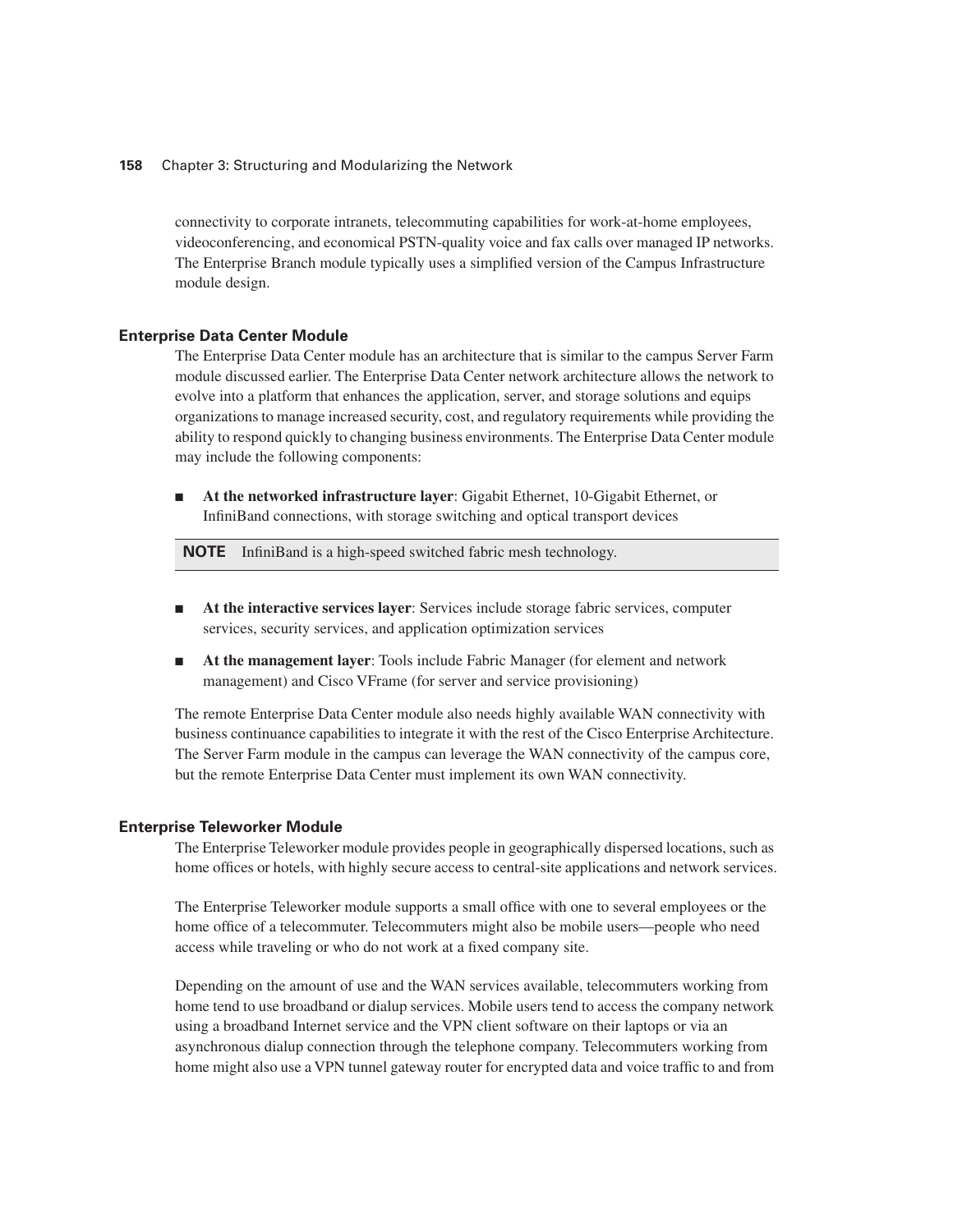connectivity to corporate intranets, telecommuting capabilities for work-at-home employees, videoconferencing, and economical PSTN-quality voice and fax calls over managed IP networks. The Enterprise Branch module typically uses a simplified version of the Campus Infrastructure module design.

#### **Enterprise Data Center Module**

The Enterprise Data Center module has an architecture that is similar to the campus Server Farm module discussed earlier. The Enterprise Data Center network architecture allows the network to evolve into a platform that enhances the application, server, and storage solutions and equips organizations to manage increased security, cost, and regulatory requirements while providing the ability to respond quickly to changing business environments. The Enterprise Data Center module may include the following components:

At the networked infrastructure layer: Gigabit Ethernet, 10-Gigabit Ethernet, or InfiniBand connections, with storage switching and optical transport devices

**NOTE** InfiniBand is a high-speed switched fabric mesh technology.

- **At the interactive services layer**: Services include storage fabric services, computer services, security services, and application optimization services
- **At the management layer**: Tools include Fabric Manager (for element and network management) and Cisco VFrame (for server and service provisioning)

The remote Enterprise Data Center module also needs highly available WAN connectivity with business continuance capabilities to integrate it with the rest of the Cisco Enterprise Architecture. The Server Farm module in the campus can leverage the WAN connectivity of the campus core, but the remote Enterprise Data Center must implement its own WAN connectivity.

#### **Enterprise Teleworker Module**

The Enterprise Teleworker module provides people in geographically dispersed locations, such as home offices or hotels, with highly secure access to central-site applications and network services.

The Enterprise Teleworker module supports a small office with one to several employees or the home office of a telecommuter. Telecommuters might also be mobile users—people who need access while traveling or who do not work at a fixed company site.

Depending on the amount of use and the WAN services available, telecommuters working from home tend to use broadband or dialup services. Mobile users tend to access the company network using a broadband Internet service and the VPN client software on their laptops or via an asynchronous dialup connection through the telephone company. Telecommuters working from home might also use a VPN tunnel gateway router for encrypted data and voice traffic to and from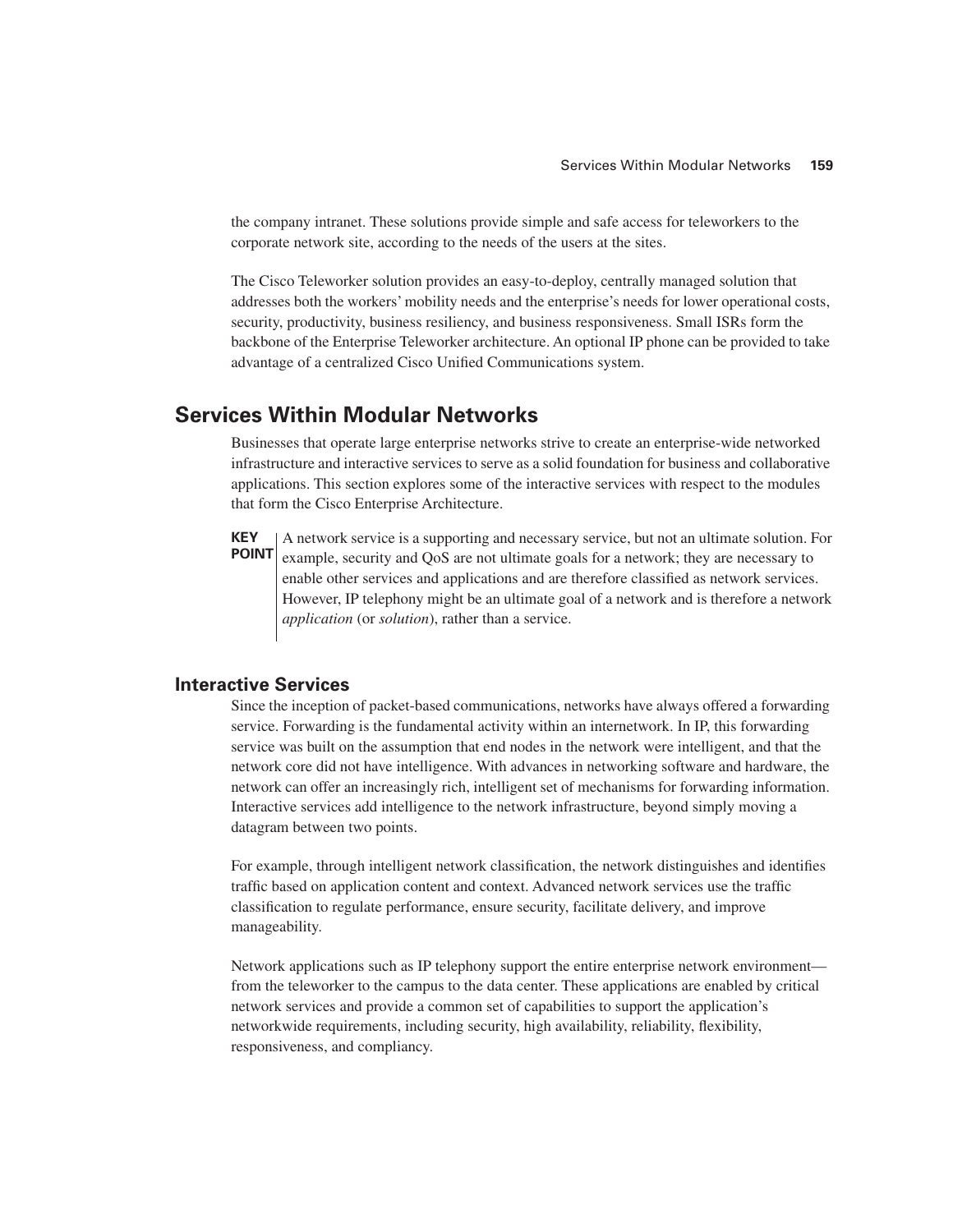the company intranet. These solutions provide simple and safe access for teleworkers to the corporate network site, according to the needs of the users at the sites.

The Cisco Teleworker solution provides an easy-to-deploy, centrally managed solution that addresses both the workers' mobility needs and the enterprise's needs for lower operational costs, security, productivity, business resiliency, and business responsiveness. Small ISRs form the backbone of the Enterprise Teleworker architecture. An optional IP phone can be provided to take advantage of a centralized Cisco Unified Communications system.

# **Services Within Modular Networks**

Businesses that operate large enterprise networks strive to create an enterprise-wide networked infrastructure and interactive services to serve as a solid foundation for business and collaborative applications. This section explores some of the interactive services with respect to the modules that form the Cisco Enterprise Architecture.

**KEY POINT** example, security and QoS are not ultimate goals for a network; they are necessary to A network service is a supporting and necessary service, but not an ultimate solution. For enable other services and applications and are therefore classified as network services. However, IP telephony might be an ultimate goal of a network and is therefore a network *application* (or *solution*), rather than a service.

## **Interactive Services**

Since the inception of packet-based communications, networks have always offered a forwarding service. Forwarding is the fundamental activity within an internetwork. In IP, this forwarding service was built on the assumption that end nodes in the network were intelligent, and that the network core did not have intelligence. With advances in networking software and hardware, the network can offer an increasingly rich, intelligent set of mechanisms for forwarding information. Interactive services add intelligence to the network infrastructure, beyond simply moving a datagram between two points.

For example, through intelligent network classification, the network distinguishes and identifies traffic based on application content and context. Advanced network services use the traffic classification to regulate performance, ensure security, facilitate delivery, and improve manageability.

Network applications such as IP telephony support the entire enterprise network environment from the teleworker to the campus to the data center. These applications are enabled by critical network services and provide a common set of capabilities to support the application's networkwide requirements, including security, high availability, reliability, flexibility, responsiveness, and compliancy.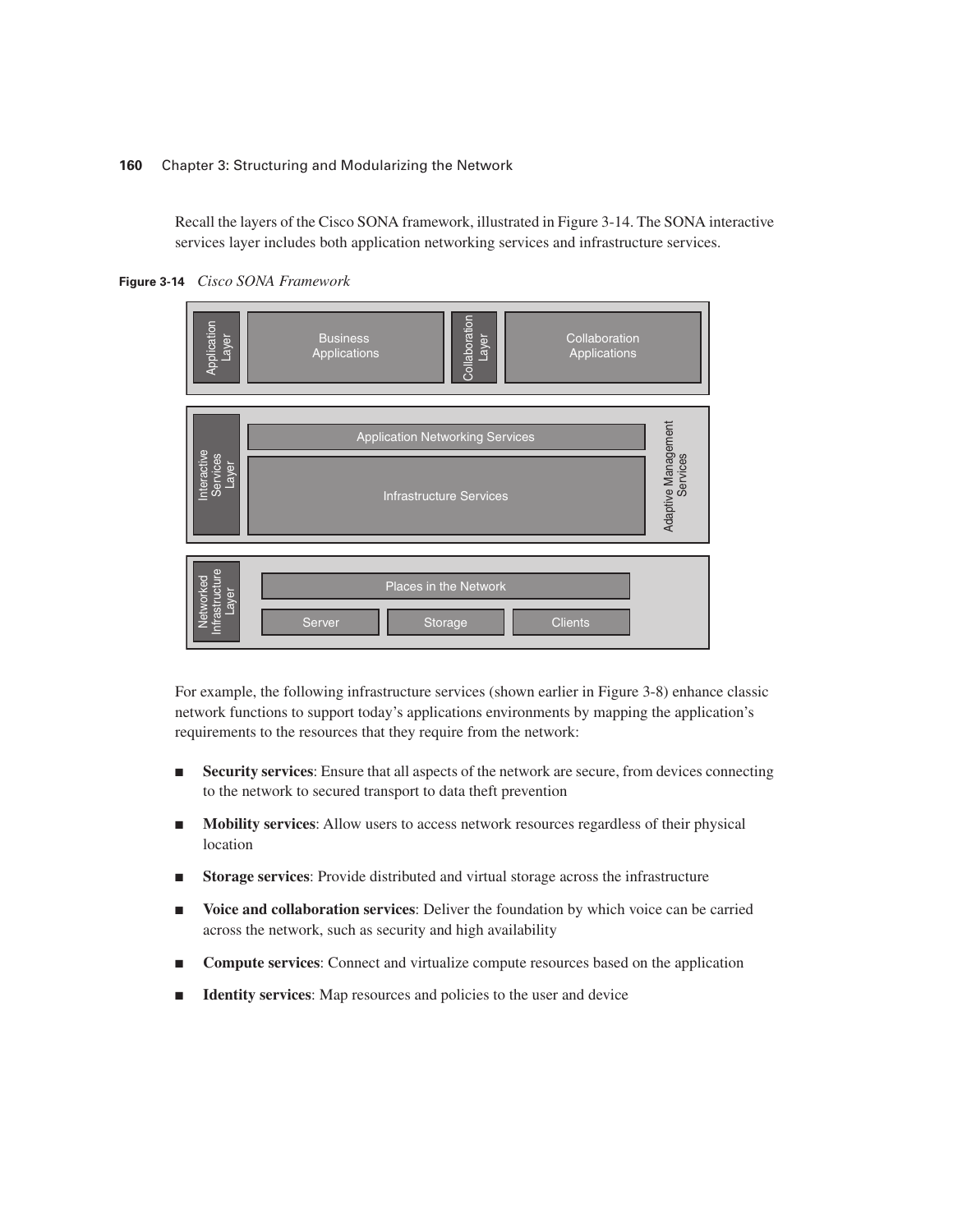Recall the layers of the Cisco SONA framework, illustrated in Figure 3-14. The SONA interactive services layer includes both application networking services and infrastructure services.





For example, the following infrastructure services (shown earlier in Figure 3-8) enhance classic network functions to support today's applications environments by mapping the application's requirements to the resources that they require from the network:

- **Security services**: Ensure that all aspects of the network are secure, from devices connecting to the network to secured transport to data theft prevention
- **Mobility services**: Allow users to access network resources regardless of their physical location
- **Storage services**: Provide distributed and virtual storage across the infrastructure
- **Voice and collaboration services**: Deliver the foundation by which voice can be carried across the network, such as security and high availability
- **Compute services**: Connect and virtualize compute resources based on the application
- **Identity services**: Map resources and policies to the user and device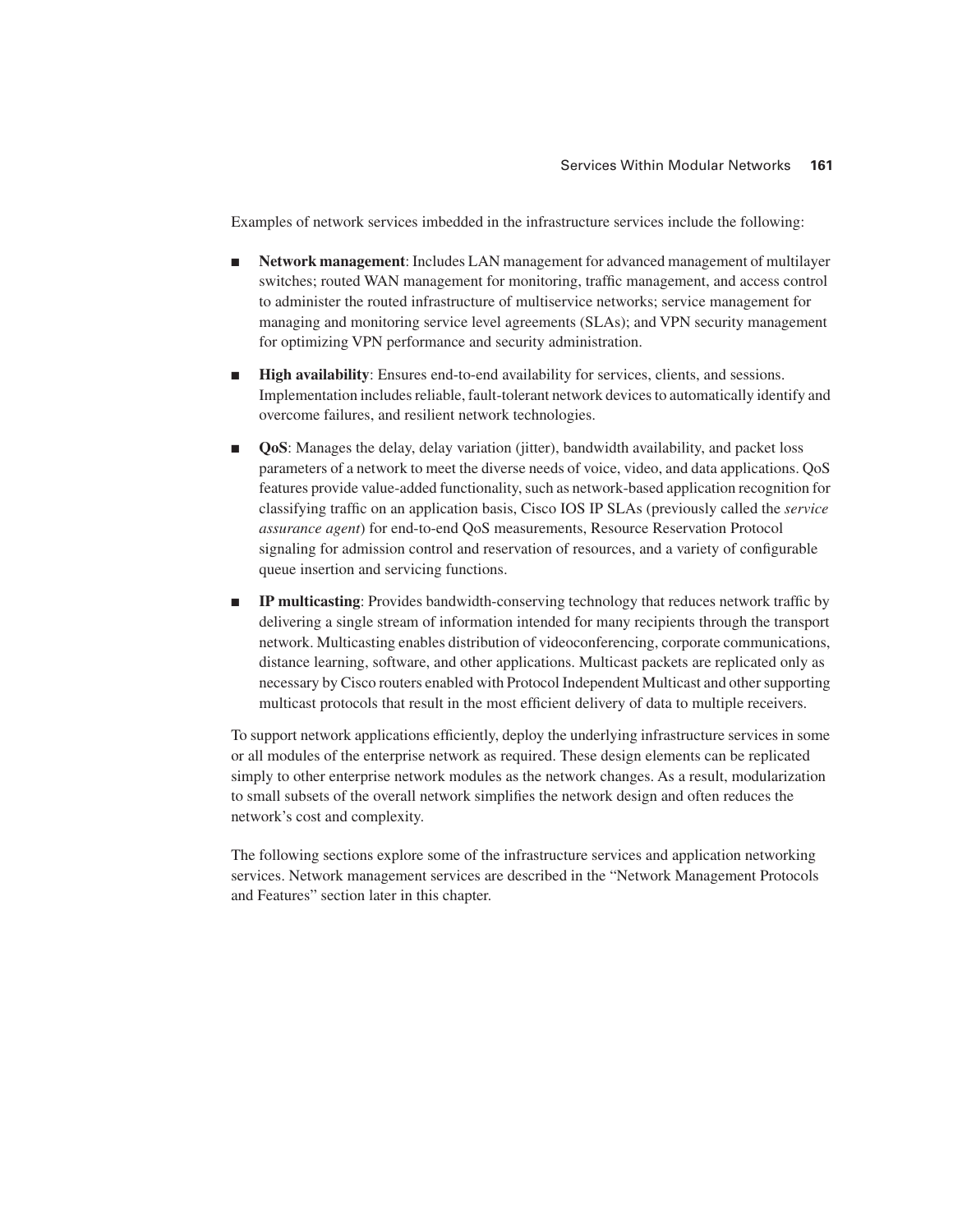Examples of network services imbedded in the infrastructure services include the following:

- **Network management**: Includes LAN management for advanced management of multilayer switches; routed WAN management for monitoring, traffic management, and access control to administer the routed infrastructure of multiservice networks; service management for managing and monitoring service level agreements (SLAs); and VPN security management for optimizing VPN performance and security administration.
- **High availability**: Ensures end-to-end availability for services, clients, and sessions. Implementation includes reliable, fault-tolerant network devices to automatically identify and overcome failures, and resilient network technologies.
- **QoS**: Manages the delay, delay variation (jitter), bandwidth availability, and packet loss parameters of a network to meet the diverse needs of voice, video, and data applications. QoS features provide value-added functionality, such as network-based application recognition for classifying traffic on an application basis, Cisco IOS IP SLAs (previously called the *service assurance agent*) for end-to-end QoS measurements, Resource Reservation Protocol signaling for admission control and reservation of resources, and a variety of configurable queue insertion and servicing functions.
- **IP multicasting**: Provides bandwidth-conserving technology that reduces network traffic by delivering a single stream of information intended for many recipients through the transport network. Multicasting enables distribution of videoconferencing, corporate communications, distance learning, software, and other applications. Multicast packets are replicated only as necessary by Cisco routers enabled with Protocol Independent Multicast and other supporting multicast protocols that result in the most efficient delivery of data to multiple receivers.

To support network applications efficiently, deploy the underlying infrastructure services in some or all modules of the enterprise network as required. These design elements can be replicated simply to other enterprise network modules as the network changes. As a result, modularization to small subsets of the overall network simplifies the network design and often reduces the network's cost and complexity.

The following sections explore some of the infrastructure services and application networking services. Network management services are described in the "Network Management Protocols and Features" section later in this chapter.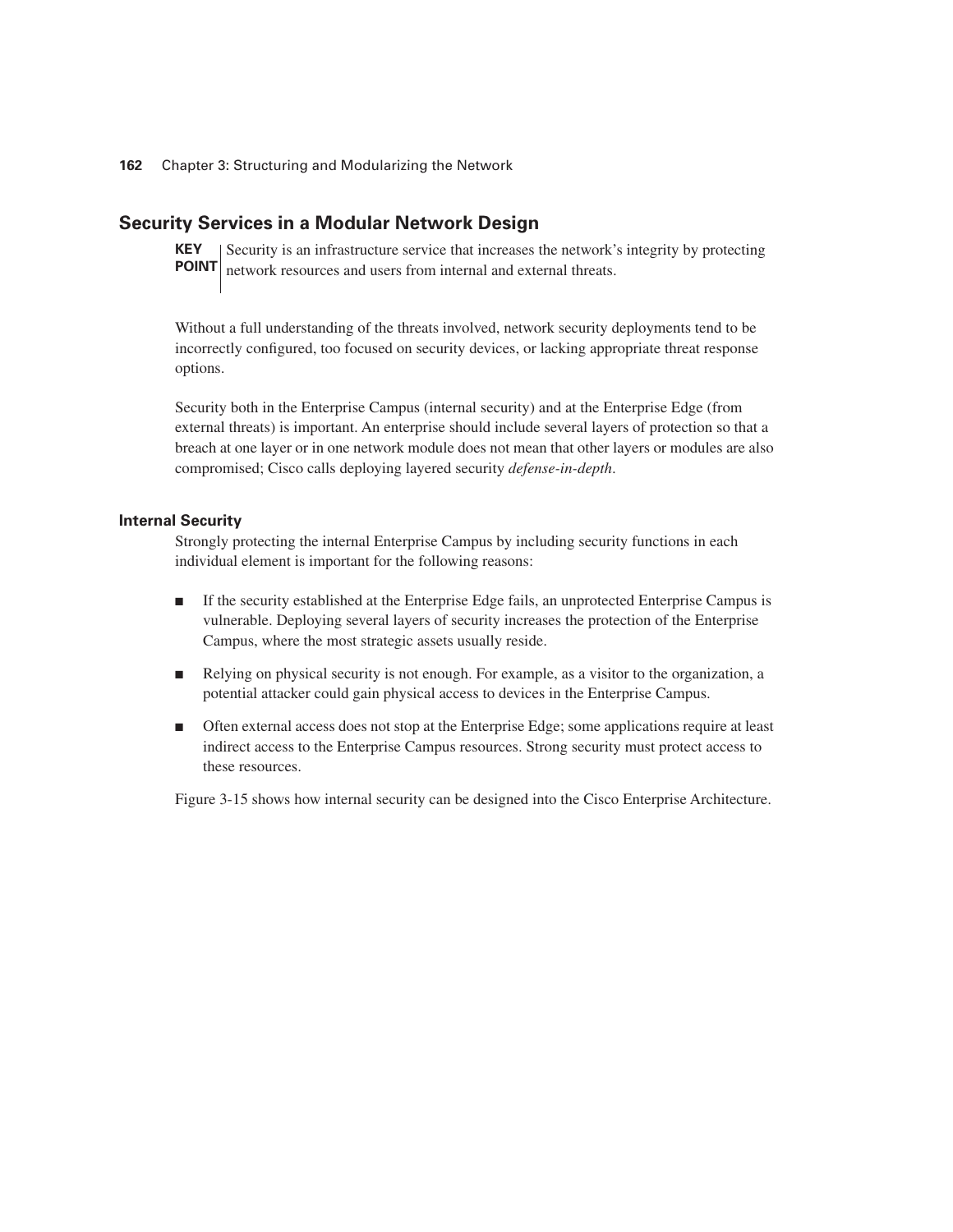# **Security Services in a Modular Network Design**

**KEY POINT** network resources and users from internal and external threats. Security is an infrastructure service that increases the network's integrity by protecting

Without a full understanding of the threats involved, network security deployments tend to be incorrectly configured, too focused on security devices, or lacking appropriate threat response options.

Security both in the Enterprise Campus (internal security) and at the Enterprise Edge (from external threats) is important. An enterprise should include several layers of protection so that a breach at one layer or in one network module does not mean that other layers or modules are also compromised; Cisco calls deploying layered security *defense-in-depth*.

## **Internal Security**

Strongly protecting the internal Enterprise Campus by including security functions in each individual element is important for the following reasons:

- If the security established at the Enterprise Edge fails, an unprotected Enterprise Campus is vulnerable. Deploying several layers of security increases the protection of the Enterprise Campus, where the most strategic assets usually reside.
- Relying on physical security is not enough. For example, as a visitor to the organization, a potential attacker could gain physical access to devices in the Enterprise Campus.
- Often external access does not stop at the Enterprise Edge; some applications require at least indirect access to the Enterprise Campus resources. Strong security must protect access to these resources.

Figure 3-15 shows how internal security can be designed into the Cisco Enterprise Architecture.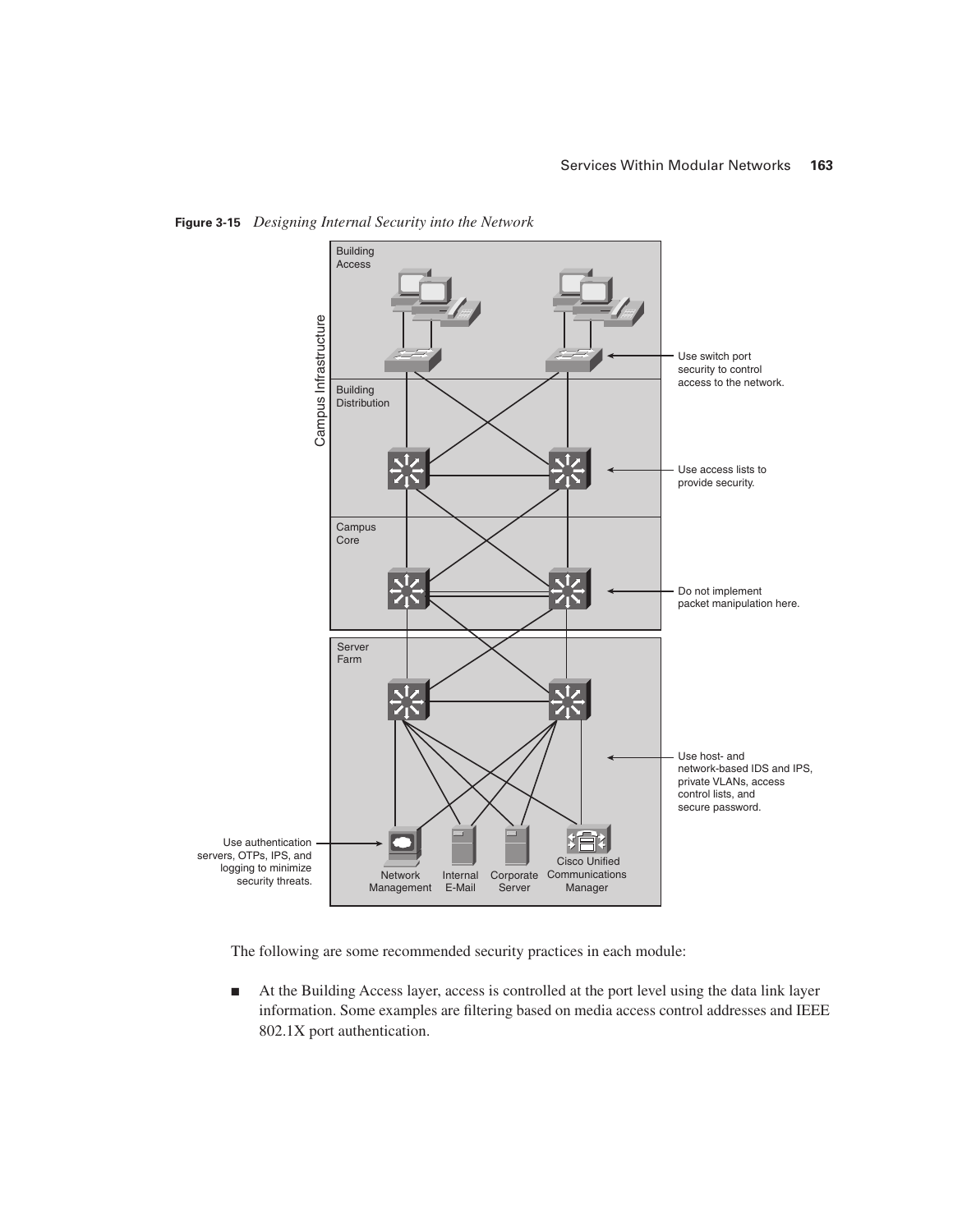

**Figure 3-15** *Designing Internal Security into the Network*

The following are some recommended security practices in each module:

■ At the Building Access layer, access is controlled at the port level using the data link layer information. Some examples are filtering based on media access control addresses and IEEE 802.1X port authentication.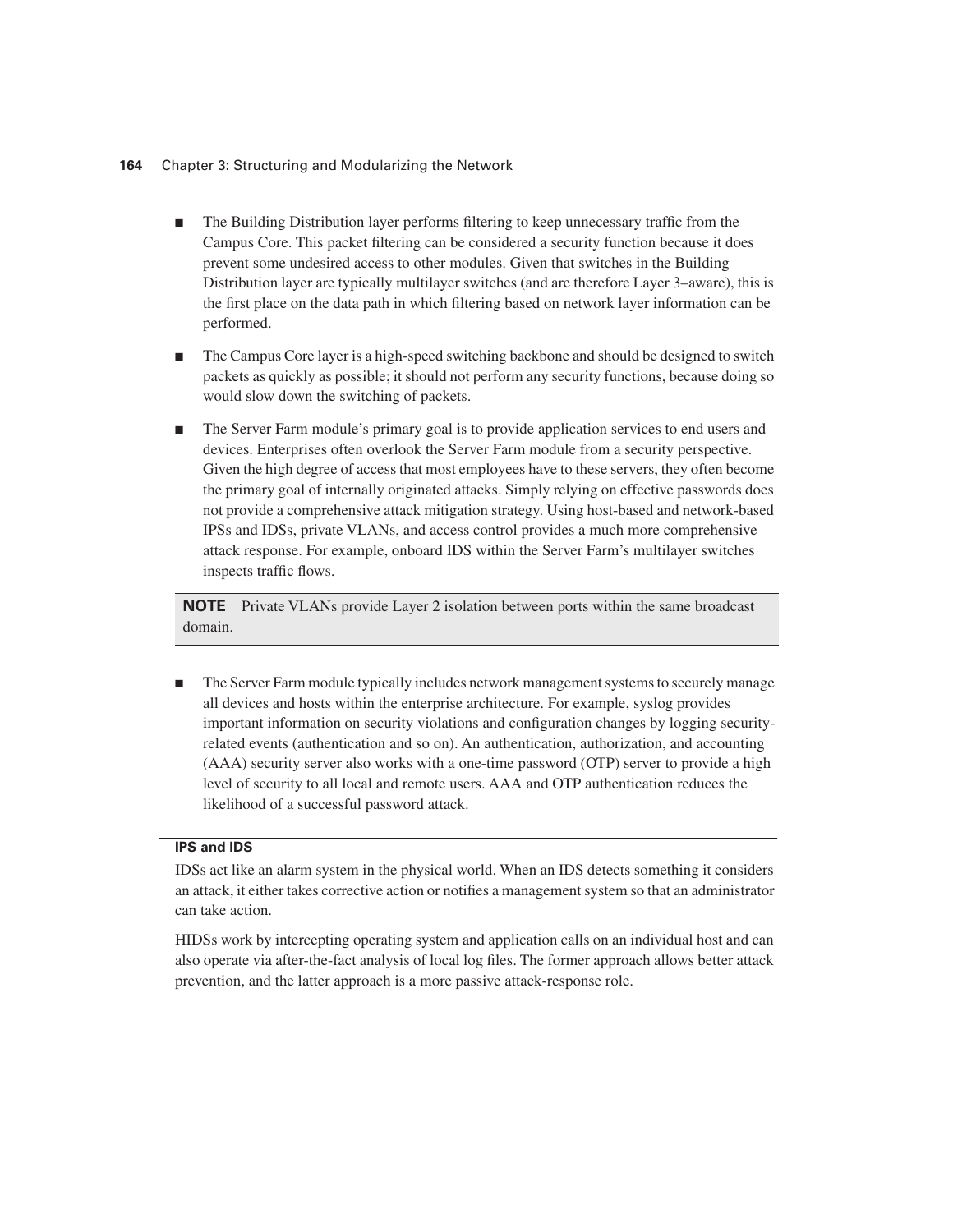- The Building Distribution layer performs filtering to keep unnecessary traffic from the Campus Core. This packet filtering can be considered a security function because it does prevent some undesired access to other modules. Given that switches in the Building Distribution layer are typically multilayer switches (and are therefore Layer 3–aware), this is the first place on the data path in which filtering based on network layer information can be performed.
- The Campus Core layer is a high-speed switching backbone and should be designed to switch packets as quickly as possible; it should not perform any security functions, because doing so would slow down the switching of packets.
- The Server Farm module's primary goal is to provide application services to end users and devices. Enterprises often overlook the Server Farm module from a security perspective. Given the high degree of access that most employees have to these servers, they often become the primary goal of internally originated attacks. Simply relying on effective passwords does not provide a comprehensive attack mitigation strategy. Using host-based and network-based IPSs and IDSs, private VLANs, and access control provides a much more comprehensive attack response. For example, onboard IDS within the Server Farm's multilayer switches inspects traffic flows.

**NOTE** Private VLANs provide Layer 2 isolation between ports within the same broadcast domain.

The Server Farm module typically includes network management systems to securely manage all devices and hosts within the enterprise architecture. For example, syslog provides important information on security violations and configuration changes by logging securityrelated events (authentication and so on). An authentication, authorization, and accounting (AAA) security server also works with a one-time password (OTP) server to provide a high level of security to all local and remote users. AAA and OTP authentication reduces the likelihood of a successful password attack.

## **IPS and IDS**

IDSs act like an alarm system in the physical world. When an IDS detects something it considers an attack, it either takes corrective action or notifies a management system so that an administrator can take action.

HIDSs work by intercepting operating system and application calls on an individual host and can also operate via after-the-fact analysis of local log files. The former approach allows better attack prevention, and the latter approach is a more passive attack-response role.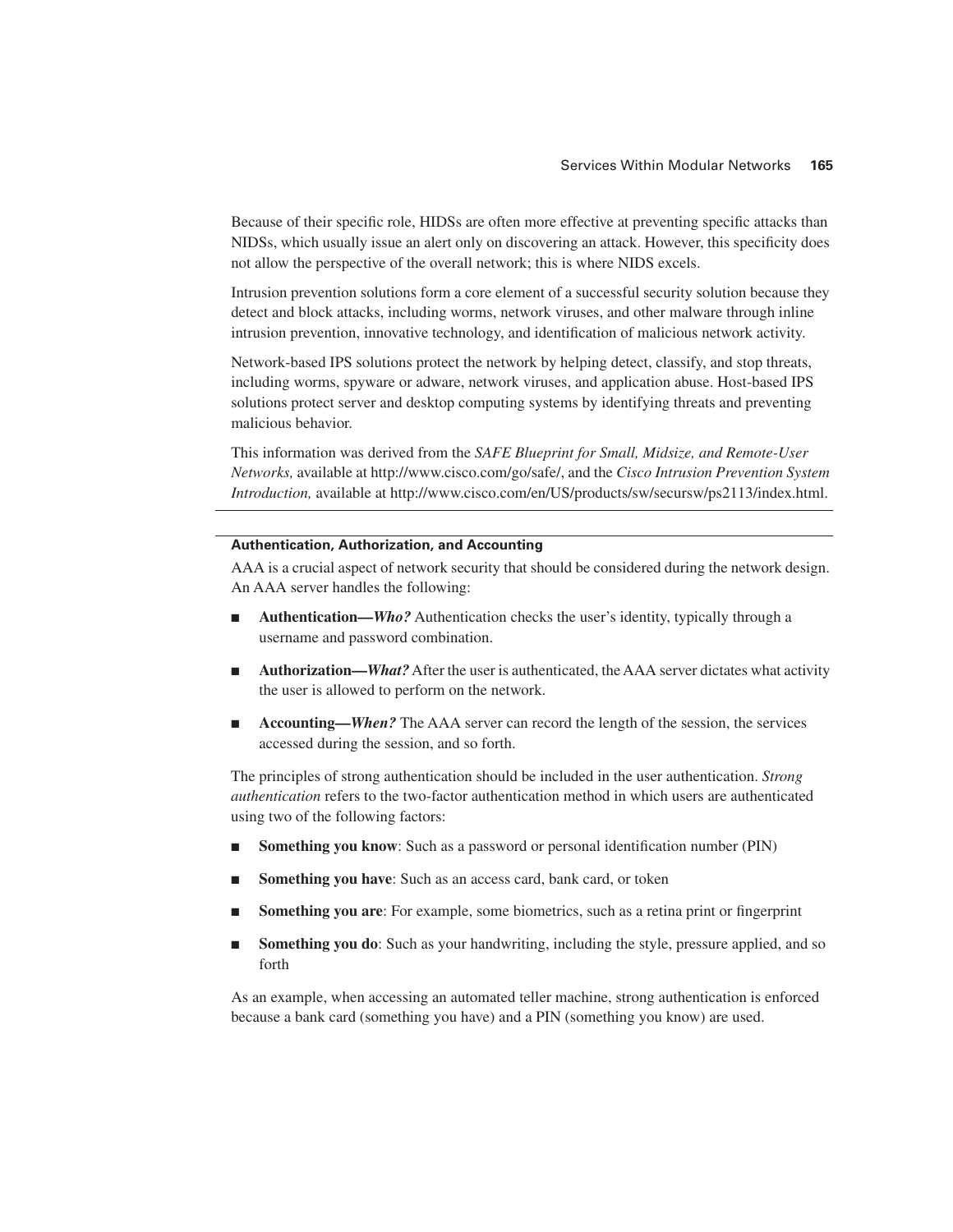Because of their specific role, HIDSs are often more effective at preventing specific attacks than NIDSs, which usually issue an alert only on discovering an attack. However, this specificity does not allow the perspective of the overall network; this is where NIDS excels.

Intrusion prevention solutions form a core element of a successful security solution because they detect and block attacks, including worms, network viruses, and other malware through inline intrusion prevention, innovative technology, and identification of malicious network activity.

Network-based IPS solutions protect the network by helping detect, classify, and stop threats, including worms, spyware or adware, network viruses, and application abuse. Host-based IPS solutions protect server and desktop computing systems by identifying threats and preventing malicious behavior.

This information was derived from the *SAFE Blueprint for Small, Midsize, and Remote-User Networks,* available at http://www.cisco.com/go/safe/, and the *Cisco Intrusion Prevention System Introduction,* available at http://www.cisco.com/en/US/products/sw/secursw/ps2113/index.html.

### **Authentication, Authorization, and Accounting**

AAA is a crucial aspect of network security that should be considered during the network design. An AAA server handles the following:

- **Authentication—***Who?* Authentication checks the user's identity, typically through a username and password combination.
- **Authorization—***What?* After the user is authenticated, the AAA server dictates what activity the user is allowed to perform on the network.
- **Accounting—***When***?** The AAA server can record the length of the session, the services accessed during the session, and so forth.

The principles of strong authentication should be included in the user authentication. *Strong authentication* refers to the two-factor authentication method in which users are authenticated using two of the following factors:

- **Something you know:** Such as a password or personal identification number (PIN)
- Something you have: Such as an access card, bank card, or token
- **Something you are:** For example, some biometrics, such as a retina print or fingerprint
- **Something you do**: Such as your handwriting, including the style, pressure applied, and so forth

As an example, when accessing an automated teller machine, strong authentication is enforced because a bank card (something you have) and a PIN (something you know) are used.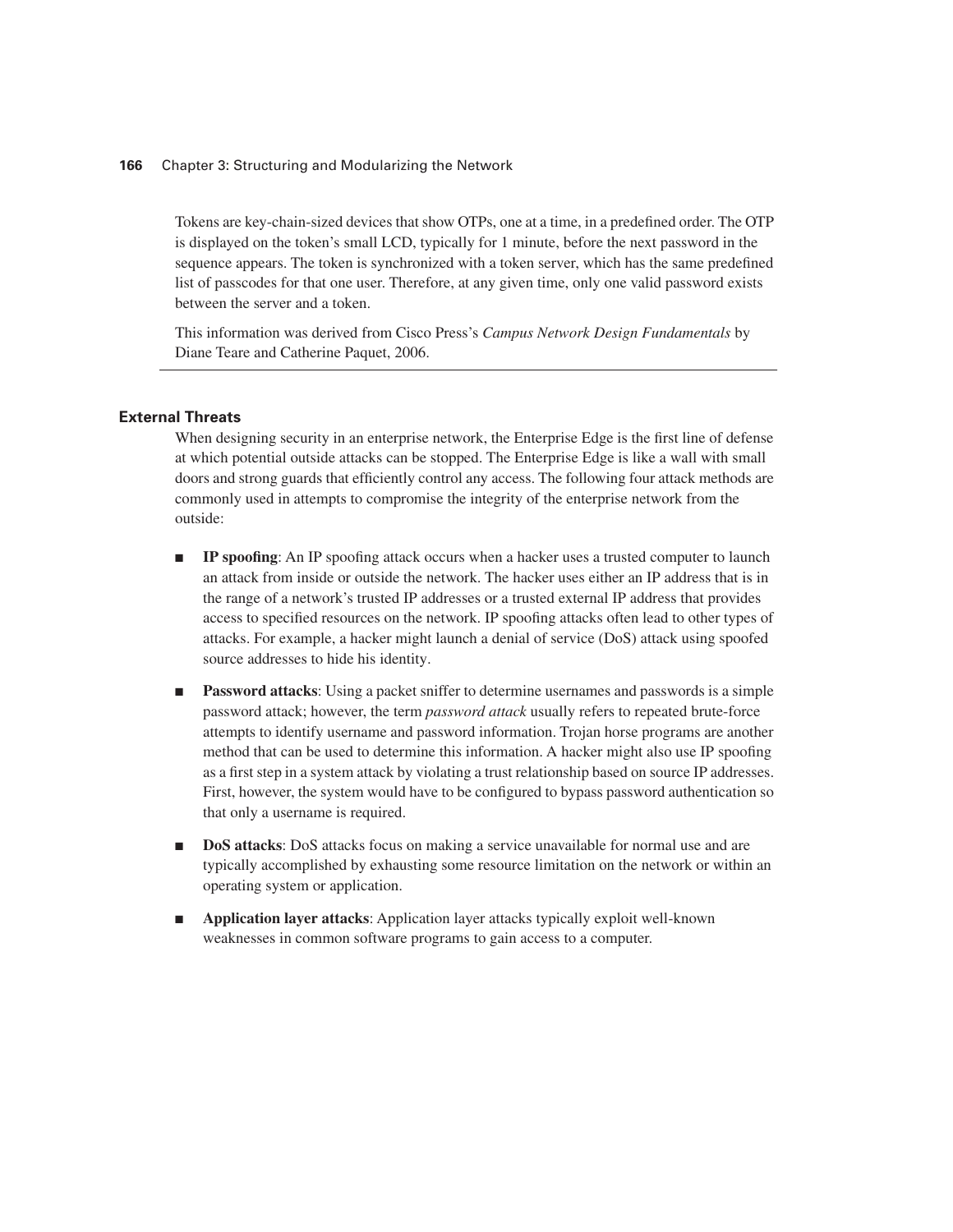Tokens are key-chain-sized devices that show OTPs, one at a time, in a predefined order. The OTP is displayed on the token's small LCD, typically for 1 minute, before the next password in the sequence appears. The token is synchronized with a token server, which has the same predefined list of passcodes for that one user. Therefore, at any given time, only one valid password exists between the server and a token.

This information was derived from Cisco Press's *Campus Network Design Fundamentals* by Diane Teare and Catherine Paquet, 2006.

## **External Threats**

When designing security in an enterprise network, the Enterprise Edge is the first line of defense at which potential outside attacks can be stopped. The Enterprise Edge is like a wall with small doors and strong guards that efficiently control any access. The following four attack methods are commonly used in attempts to compromise the integrity of the enterprise network from the outside:

- **IP spoofing**: An IP spoofing attack occurs when a hacker uses a trusted computer to launch an attack from inside or outside the network. The hacker uses either an IP address that is in the range of a network's trusted IP addresses or a trusted external IP address that provides access to specified resources on the network. IP spoofing attacks often lead to other types of attacks. For example, a hacker might launch a denial of service (DoS) attack using spoofed source addresses to hide his identity.
- **Password attacks**: Using a packet sniffer to determine usernames and passwords is a simple password attack; however, the term *password attack* usually refers to repeated brute-force attempts to identify username and password information. Trojan horse programs are another method that can be used to determine this information. A hacker might also use IP spoofing as a first step in a system attack by violating a trust relationship based on source IP addresses. First, however, the system would have to be configured to bypass password authentication so that only a username is required.
- **DoS attacks:** DoS attacks focus on making a service unavailable for normal use and are typically accomplished by exhausting some resource limitation on the network or within an operating system or application.
- **Application layer attacks**: Application layer attacks typically exploit well-known weaknesses in common software programs to gain access to a computer.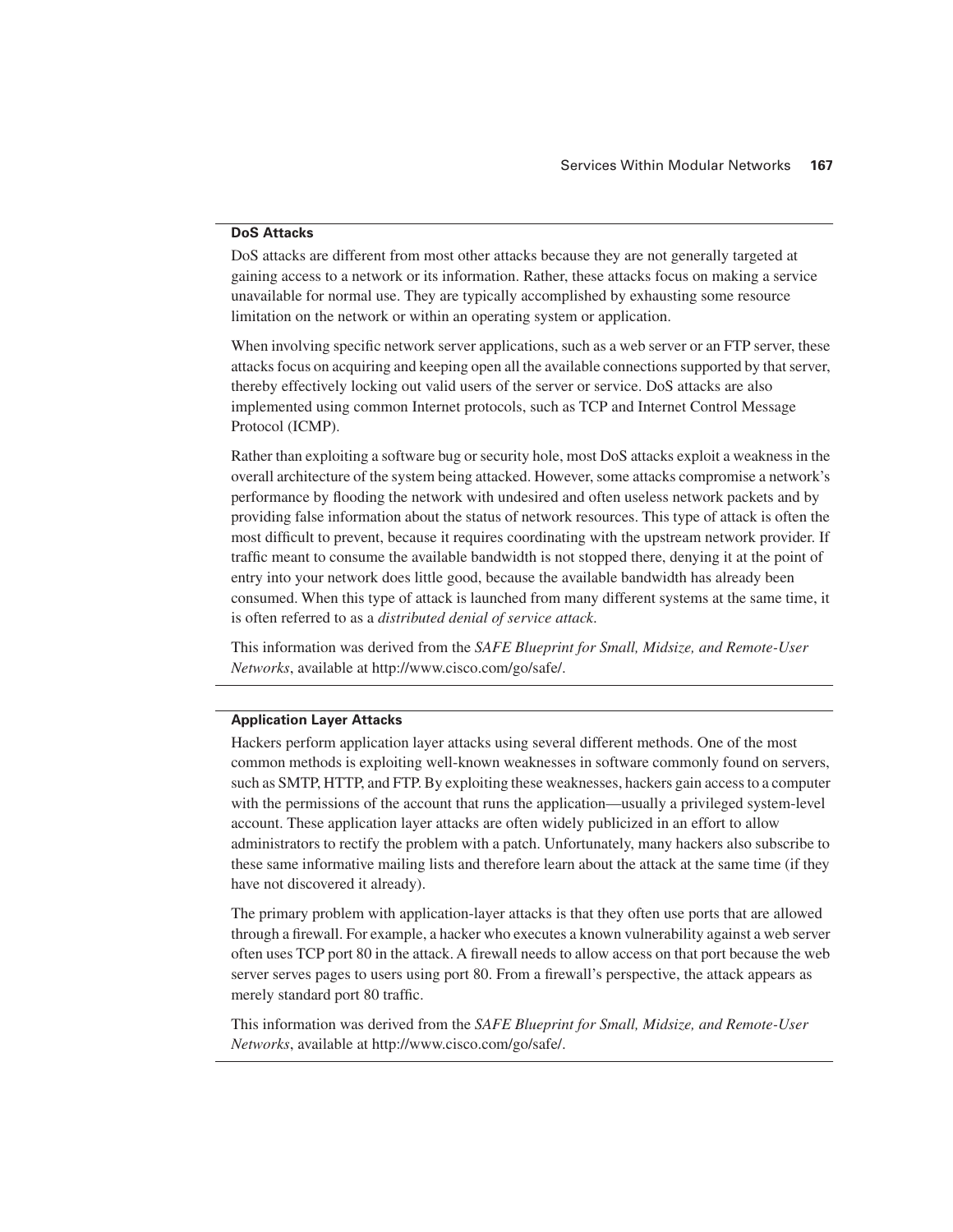# **DoS Attacks**

DoS attacks are different from most other attacks because they are not generally targeted at gaining access to a network or its information. Rather, these attacks focus on making a service unavailable for normal use. They are typically accomplished by exhausting some resource limitation on the network or within an operating system or application.

When involving specific network server applications, such as a web server or an FTP server, these attacks focus on acquiring and keeping open all the available connections supported by that server, thereby effectively locking out valid users of the server or service. DoS attacks are also implemented using common Internet protocols, such as TCP and Internet Control Message Protocol (ICMP).

Rather than exploiting a software bug or security hole, most DoS attacks exploit a weakness in the overall architecture of the system being attacked. However, some attacks compromise a network's performance by flooding the network with undesired and often useless network packets and by providing false information about the status of network resources. This type of attack is often the most difficult to prevent, because it requires coordinating with the upstream network provider. If traffic meant to consume the available bandwidth is not stopped there, denying it at the point of entry into your network does little good, because the available bandwidth has already been consumed. When this type of attack is launched from many different systems at the same time, it is often referred to as a *distributed denial of service attack*.

This information was derived from the *SAFE Blueprint for Small, Midsize, and Remote-User Networks*, available at http://www.cisco.com/go/safe/.

## **Application Layer Attacks**

Hackers perform application layer attacks using several different methods. One of the most common methods is exploiting well-known weaknesses in software commonly found on servers, such as SMTP, HTTP, and FTP. By exploiting these weaknesses, hackers gain access to a computer with the permissions of the account that runs the application—usually a privileged system-level account. These application layer attacks are often widely publicized in an effort to allow administrators to rectify the problem with a patch. Unfortunately, many hackers also subscribe to these same informative mailing lists and therefore learn about the attack at the same time (if they have not discovered it already).

The primary problem with application-layer attacks is that they often use ports that are allowed through a firewall. For example, a hacker who executes a known vulnerability against a web server often uses TCP port 80 in the attack. A firewall needs to allow access on that port because the web server serves pages to users using port 80. From a firewall's perspective, the attack appears as merely standard port 80 traffic.

This information was derived from the *SAFE Blueprint for Small, Midsize, and Remote-User Networks*, available at http://www.cisco.com/go/safe/.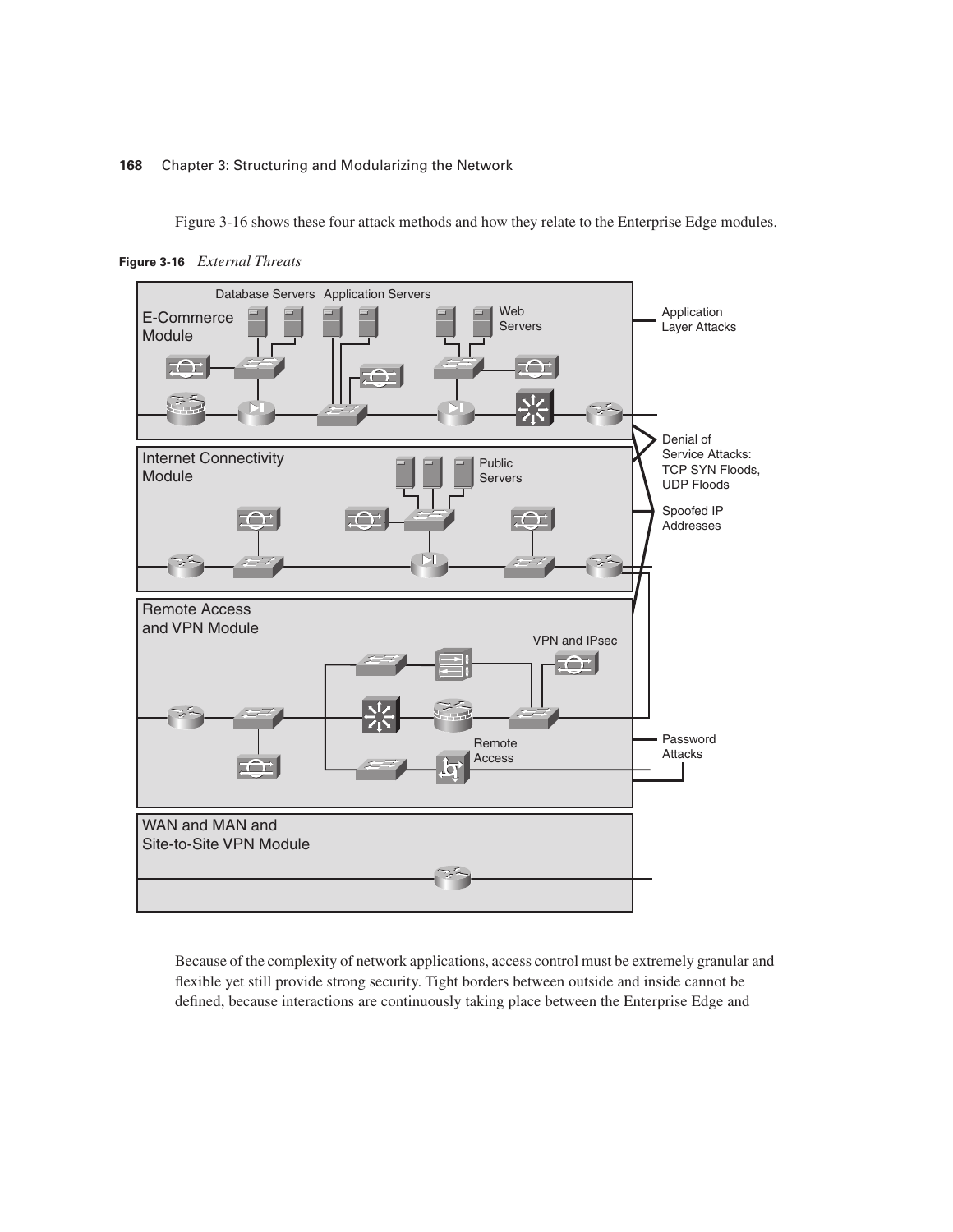Figure 3-16 shows these four attack methods and how they relate to the Enterprise Edge modules.



**Figure 3-16** *External Threats*

Because of the complexity of network applications, access control must be extremely granular and flexible yet still provide strong security. Tight borders between outside and inside cannot be defined, because interactions are continuously taking place between the Enterprise Edge and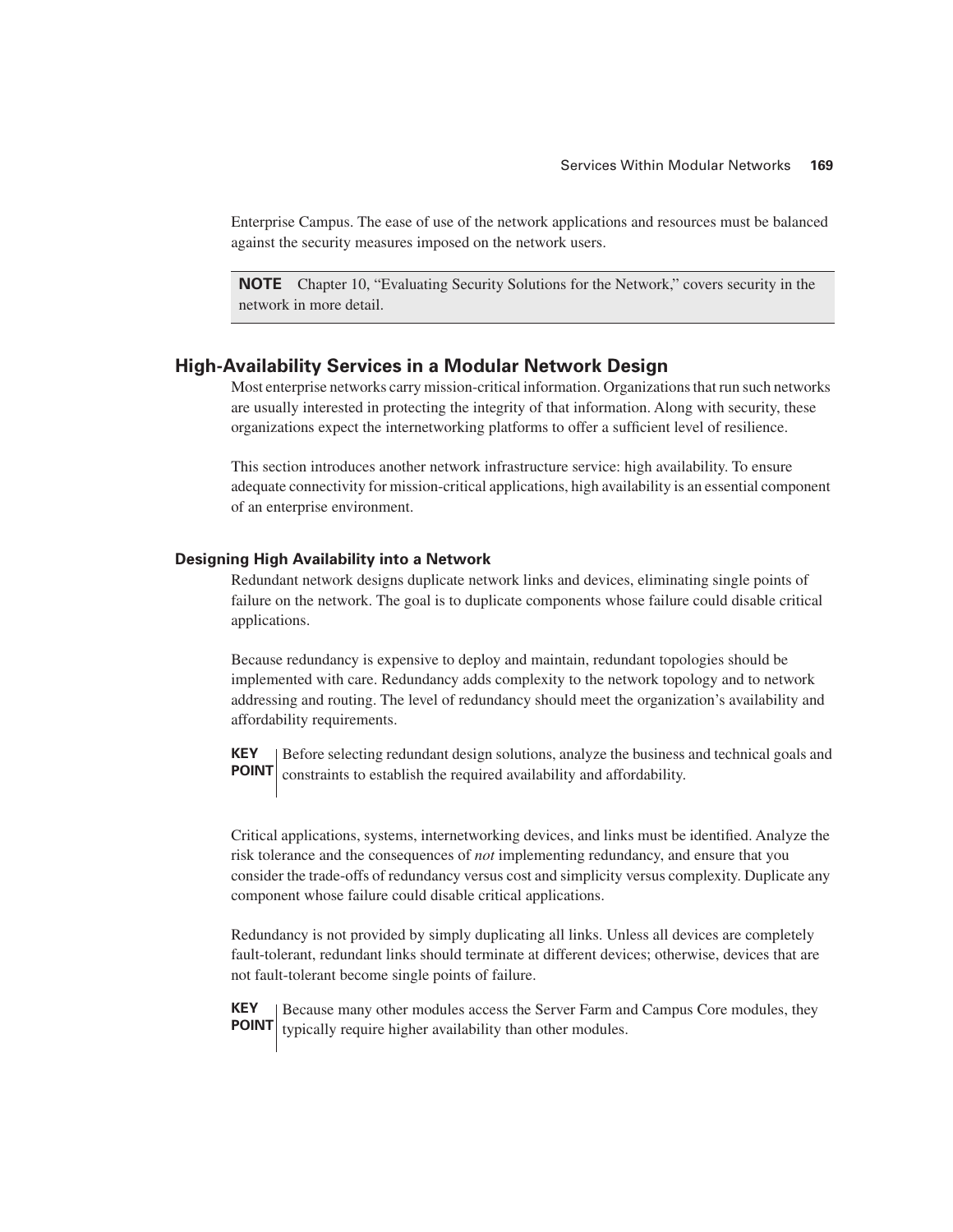Enterprise Campus. The ease of use of the network applications and resources must be balanced against the security measures imposed on the network users.

**NOTE** Chapter 10, "Evaluating Security Solutions for the Network," covers security in the network in more detail.

## **High-Availability Services in a Modular Network Design**

Most enterprise networks carry mission-critical information. Organizations that run such networks are usually interested in protecting the integrity of that information. Along with security, these organizations expect the internetworking platforms to offer a sufficient level of resilience.

This section introduces another network infrastructure service: high availability. To ensure adequate connectivity for mission-critical applications, high availability is an essential component of an enterprise environment.

## **Designing High Availability into a Network**

Redundant network designs duplicate network links and devices, eliminating single points of failure on the network. The goal is to duplicate components whose failure could disable critical applications.

Because redundancy is expensive to deploy and maintain, redundant topologies should be implemented with care. Redundancy adds complexity to the network topology and to network addressing and routing. The level of redundancy should meet the organization's availability and affordability requirements.

**KEY POINT** constraints to establish the required availability and affordability. Before selecting redundant design solutions, analyze the business and technical goals and

Critical applications, systems, internetworking devices, and links must be identified. Analyze the risk tolerance and the consequences of *not* implementing redundancy, and ensure that you consider the trade-offs of redundancy versus cost and simplicity versus complexity. Duplicate any component whose failure could disable critical applications.

Redundancy is not provided by simply duplicating all links. Unless all devices are completely fault-tolerant, redundant links should terminate at different devices; otherwise, devices that are not fault-tolerant become single points of failure.

**KEY POINT** typically require higher availability than other modules. Because many other modules access the Server Farm and Campus Core modules, they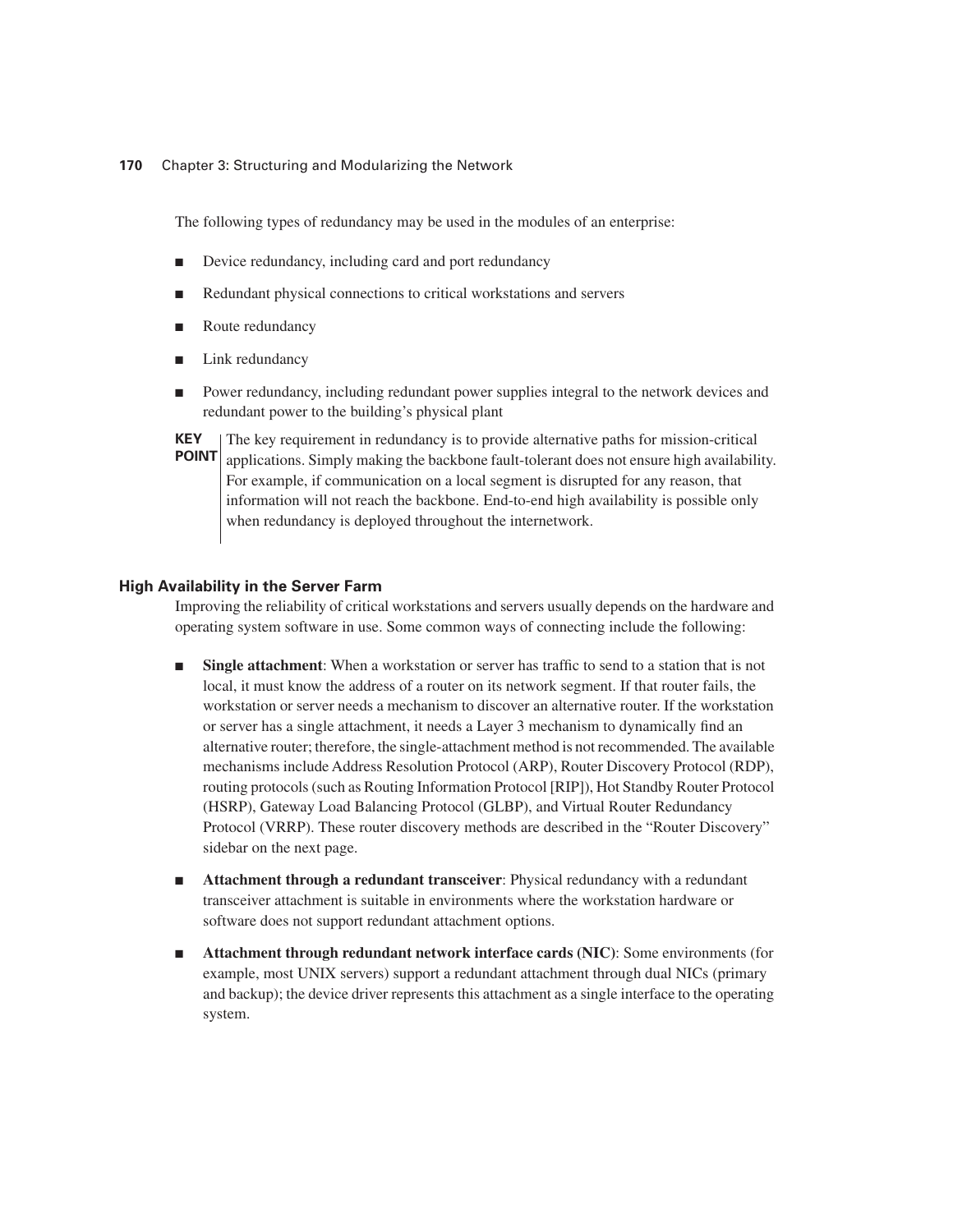The following types of redundancy may be used in the modules of an enterprise:

- Device redundancy, including card and port redundancy
- Redundant physical connections to critical workstations and servers
- Route redundancy
- Link redundancy
- Power redundancy, including redundant power supplies integral to the network devices and redundant power to the building's physical plant
- **KEY POINT** The key requirement in redundancy is to provide alternative paths for mission-critical applications. Simply making the backbone fault-tolerant does not ensure high availability. For example, if communication on a local segment is disrupted for any reason, that information will not reach the backbone. End-to-end high availability is possible only when redundancy is deployed throughout the internetwork.

### **High Availability in the Server Farm**

Improving the reliability of critical workstations and servers usually depends on the hardware and operating system software in use. Some common ways of connecting include the following:

- **Single attachment:** When a workstation or server has traffic to send to a station that is not local, it must know the address of a router on its network segment. If that router fails, the workstation or server needs a mechanism to discover an alternative router. If the workstation or server has a single attachment, it needs a Layer 3 mechanism to dynamically find an alternative router; therefore, the single-attachment method is not recommended. The available mechanisms include Address Resolution Protocol (ARP), Router Discovery Protocol (RDP), routing protocols (such as Routing Information Protocol [RIP]), Hot Standby Router Protocol (HSRP), Gateway Load Balancing Protocol (GLBP), and Virtual Router Redundancy Protocol (VRRP). These router discovery methods are described in the "Router Discovery" sidebar on the next page.
- **Attachment through a redundant transceiver**: Physical redundancy with a redundant transceiver attachment is suitable in environments where the workstation hardware or software does not support redundant attachment options.
- **Attachment through redundant network interface cards (NIC):** Some environments (for example, most UNIX servers) support a redundant attachment through dual NICs (primary and backup); the device driver represents this attachment as a single interface to the operating system.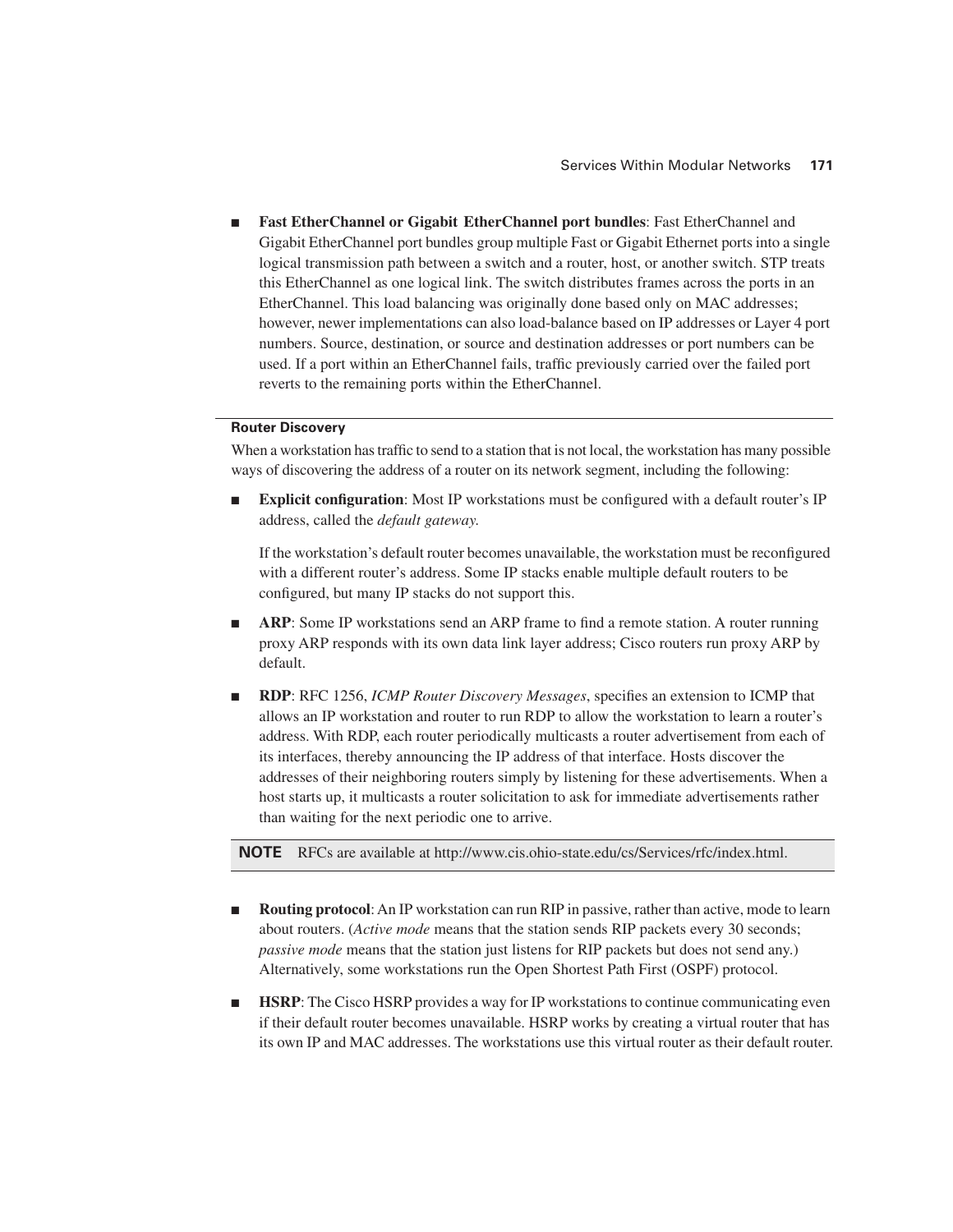**Fast EtherChannel or Gigabit EtherChannel port bundles**: Fast EtherChannel and Gigabit EtherChannel port bundles group multiple Fast or Gigabit Ethernet ports into a single logical transmission path between a switch and a router, host, or another switch. STP treats this EtherChannel as one logical link. The switch distributes frames across the ports in an EtherChannel. This load balancing was originally done based only on MAC addresses; however, newer implementations can also load-balance based on IP addresses or Layer 4 port numbers. Source, destination, or source and destination addresses or port numbers can be used. If a port within an EtherChannel fails, traffic previously carried over the failed port reverts to the remaining ports within the EtherChannel.

## **Router Discovery**

When a workstation has traffic to send to a station that is not local, the workstation has many possible ways of discovering the address of a router on its network segment, including the following:

**Explicit configuration:** Most IP workstations must be configured with a default router's IP address, called the *default gateway*.

If the workstation's default router becomes unavailable, the workstation must be reconfigured with a different router's address. Some IP stacks enable multiple default routers to be configured, but many IP stacks do not support this.

- **ARP**: Some IP workstations send an ARP frame to find a remote station. A router running proxy ARP responds with its own data link layer address; Cisco routers run proxy ARP by default.
- **RDP**: RFC 1256, *ICMP Router Discovery Messages*, specifies an extension to ICMP that allows an IP workstation and router to run RDP to allow the workstation to learn a router's address. With RDP, each router periodically multicasts a router advertisement from each of its interfaces, thereby announcing the IP address of that interface. Hosts discover the addresses of their neighboring routers simply by listening for these advertisements. When a host starts up, it multicasts a router solicitation to ask for immediate advertisements rather than waiting for the next periodic one to arrive.

**NOTE** RFCs are available at http://www.cis.ohio-state.edu/cs/Services/rfc/index.html.

- **Routing protocol:** An IP workstation can run RIP in passive, rather than active, mode to learn about routers. (*Active mode* means that the station sends RIP packets every 30 seconds; *passive mode* means that the station just listens for RIP packets but does not send any.) Alternatively, some workstations run the Open Shortest Path First (OSPF) protocol.
- **HSRP:** The Cisco HSRP provides a way for IP workstations to continue communicating even if their default router becomes unavailable. HSRP works by creating a virtual router that has its own IP and MAC addresses. The workstations use this virtual router as their default router.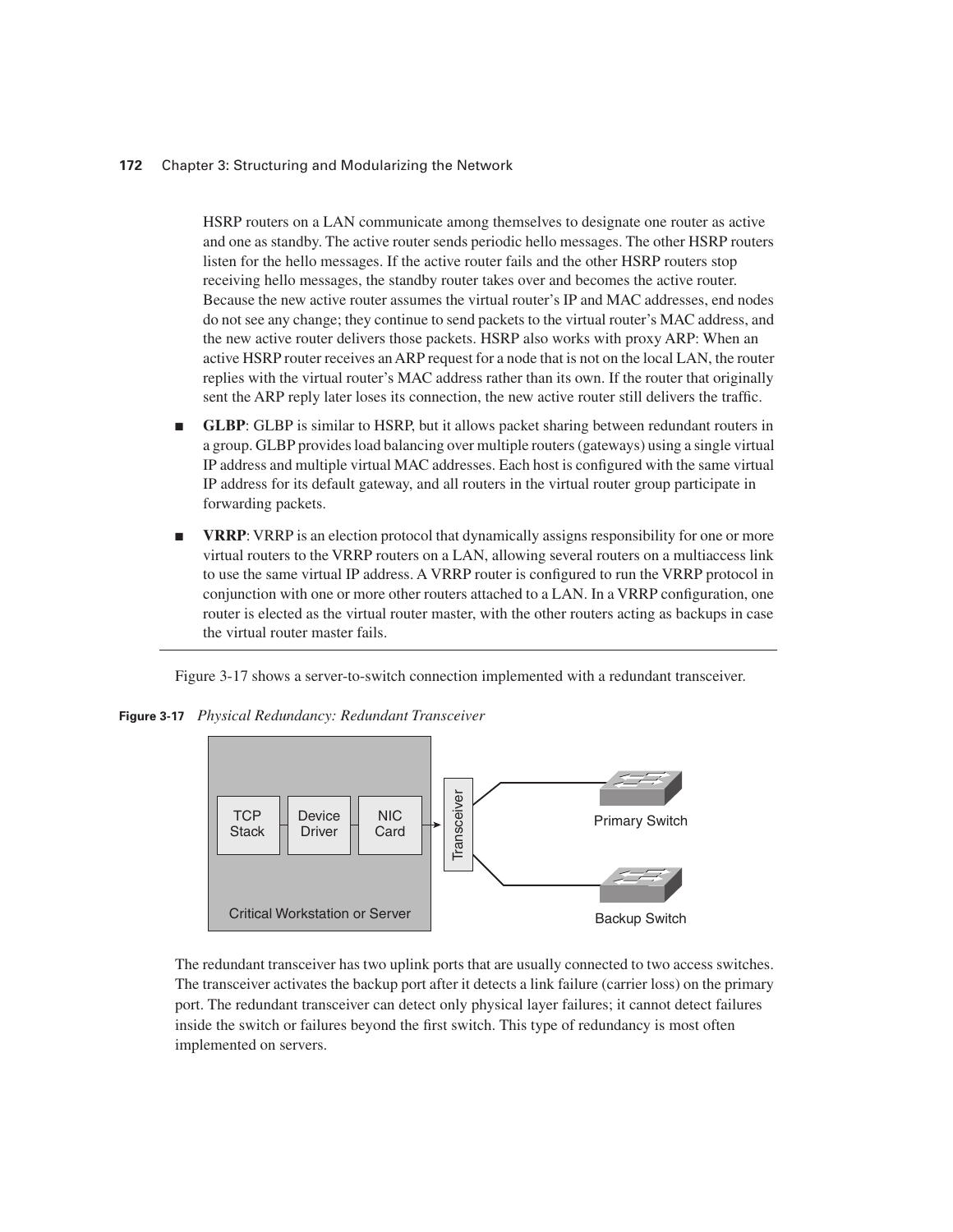HSRP routers on a LAN communicate among themselves to designate one router as active and one as standby. The active router sends periodic hello messages. The other HSRP routers listen for the hello messages. If the active router fails and the other HSRP routers stop receiving hello messages, the standby router takes over and becomes the active router. Because the new active router assumes the virtual router's IP and MAC addresses, end nodes do not see any change; they continue to send packets to the virtual router's MAC address, and the new active router delivers those packets. HSRP also works with proxy ARP: When an active HSRP router receives an ARP request for a node that is not on the local LAN, the router replies with the virtual router's MAC address rather than its own. If the router that originally sent the ARP reply later loses its connection, the new active router still delivers the traffic.

- **GLBP**: GLBP is similar to HSRP, but it allows packet sharing between redundant routers in a group. GLBP provides load balancing over multiple routers (gateways) using a single virtual IP address and multiple virtual MAC addresses. Each host is configured with the same virtual IP address for its default gateway, and all routers in the virtual router group participate in forwarding packets.
- **VRRP**: VRRP is an election protocol that dynamically assigns responsibility for one or more virtual routers to the VRRP routers on a LAN, allowing several routers on a multiaccess link to use the same virtual IP address. A VRRP router is configured to run the VRRP protocol in conjunction with one or more other routers attached to a LAN. In a VRRP configuration, one router is elected as the virtual router master, with the other routers acting as backups in case the virtual router master fails.

Figure 3-17 shows a server-to-switch connection implemented with a redundant transceiver.

**Figure 3-17** *Physical Redundancy: Redundant Transceiver*



The redundant transceiver has two uplink ports that are usually connected to two access switches. The transceiver activates the backup port after it detects a link failure (carrier loss) on the primary port. The redundant transceiver can detect only physical layer failures; it cannot detect failures inside the switch or failures beyond the first switch. This type of redundancy is most often implemented on servers.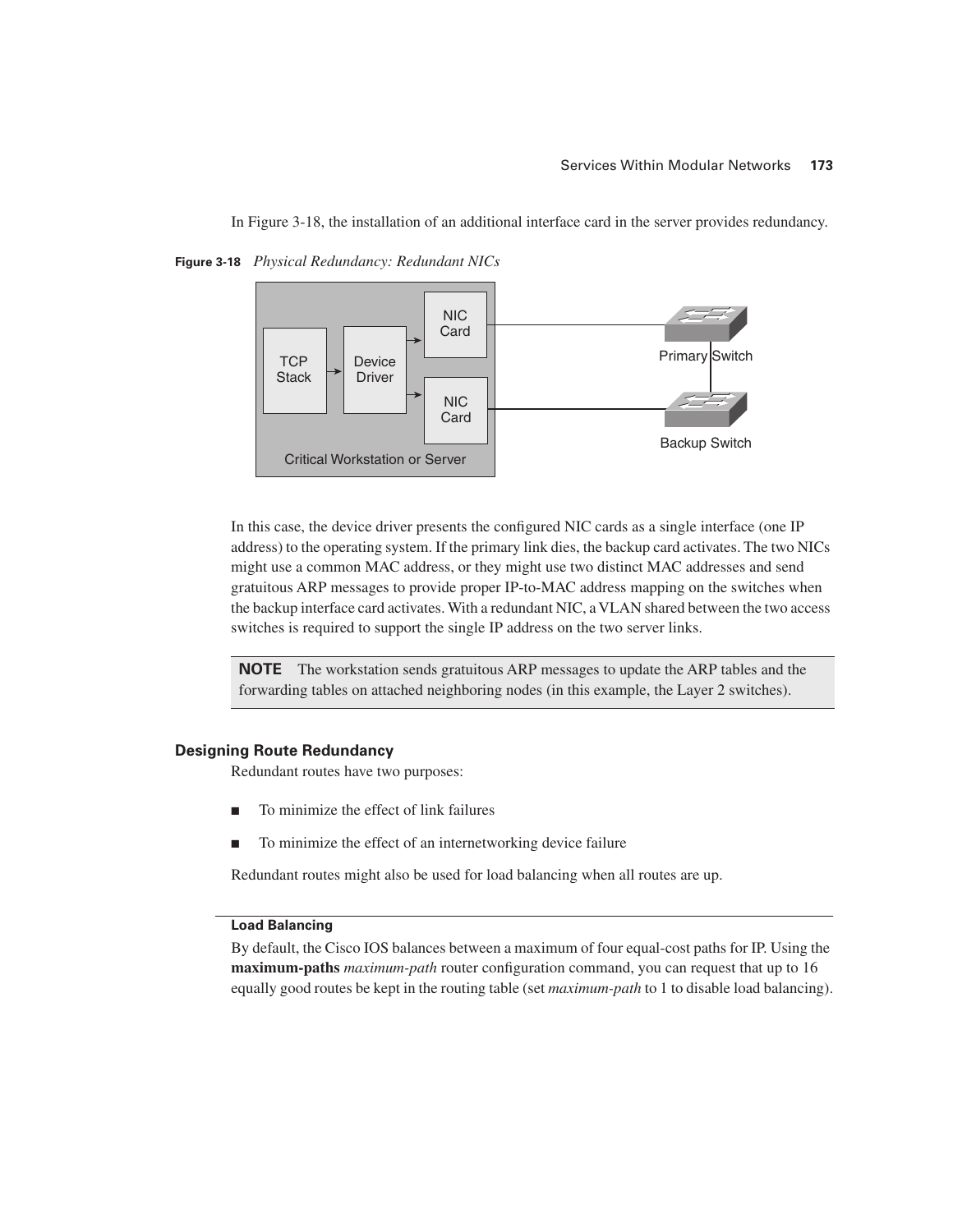In Figure 3-18, the installation of an additional interface card in the server provides redundancy.

**Figure 3-18** *Physical Redundancy: Redundant NICs*



In this case, the device driver presents the configured NIC cards as a single interface (one IP address) to the operating system. If the primary link dies, the backup card activates. The two NICs might use a common MAC address, or they might use two distinct MAC addresses and send gratuitous ARP messages to provide proper IP-to-MAC address mapping on the switches when the backup interface card activates. With a redundant NIC, a VLAN shared between the two access switches is required to support the single IP address on the two server links.

**NOTE** The workstation sends gratuitous ARP messages to update the ARP tables and the forwarding tables on attached neighboring nodes (in this example, the Layer 2 switches).

### **Designing Route Redundancy**

Redundant routes have two purposes:

- To minimize the effect of link failures
- To minimize the effect of an internetworking device failure

Redundant routes might also be used for load balancing when all routes are up.

## **Load Balancing**

By default, the Cisco IOS balances between a maximum of four equal-cost paths for IP. Using the **maximum-paths** *maximum-path* router configuration command, you can request that up to 16 equally good routes be kept in the routing table (set *maximum-path* to 1 to disable load balancing).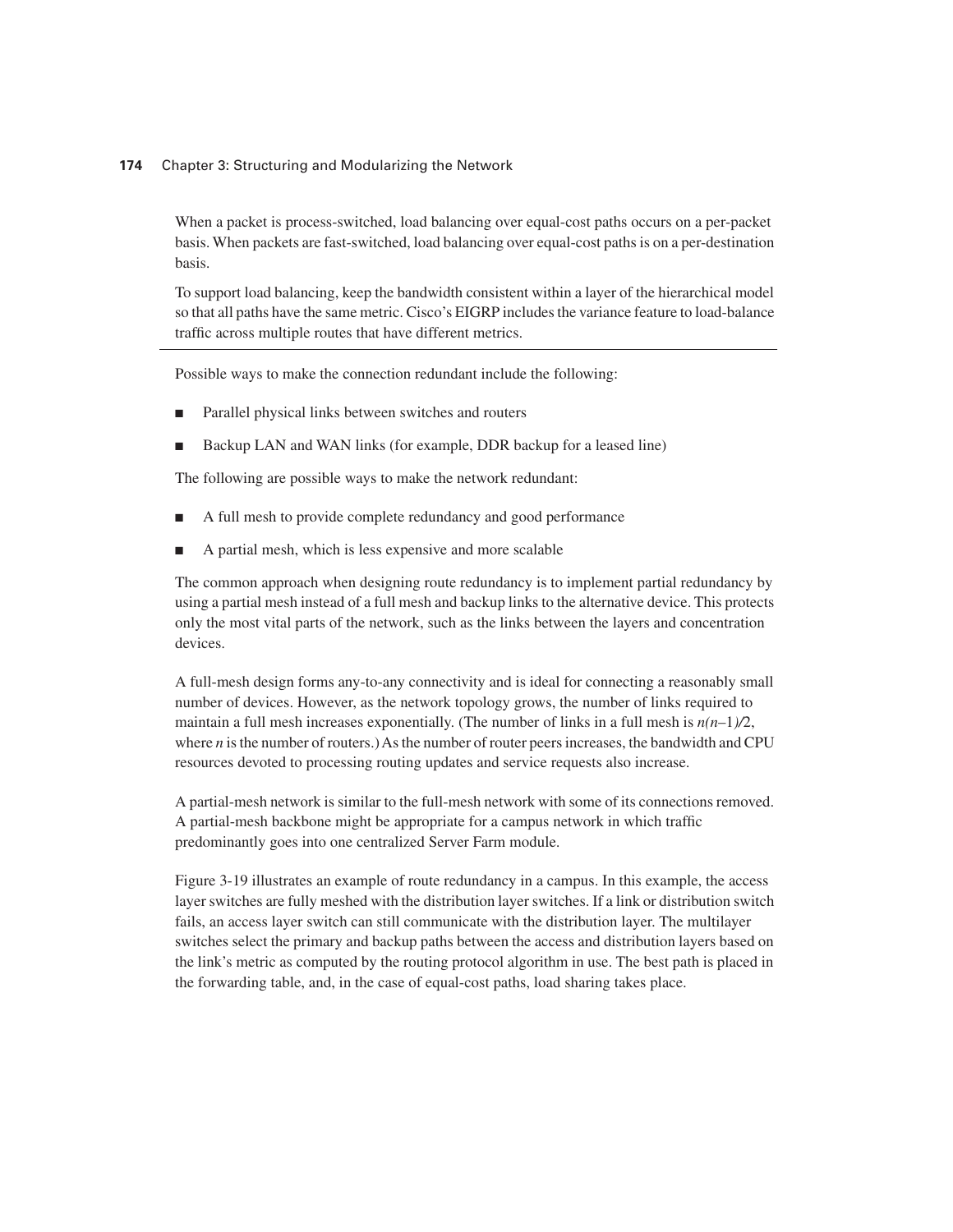When a packet is process-switched, load balancing over equal-cost paths occurs on a per-packet basis. When packets are fast-switched, load balancing over equal-cost paths is on a per-destination basis.

To support load balancing, keep the bandwidth consistent within a layer of the hierarchical model so that all paths have the same metric. Cisco's EIGRP includes the variance feature to load-balance traffic across multiple routes that have different metrics.

Possible ways to make the connection redundant include the following:

- Parallel physical links between switches and routers
- Backup LAN and WAN links (for example, DDR backup for a leased line)

The following are possible ways to make the network redundant:

- A full mesh to provide complete redundancy and good performance
- A partial mesh, which is less expensive and more scalable

The common approach when designing route redundancy is to implement partial redundancy by using a partial mesh instead of a full mesh and backup links to the alternative device. This protects only the most vital parts of the network, such as the links between the layers and concentration devices.

A full-mesh design forms any-to-any connectivity and is ideal for connecting a reasonably small number of devices. However, as the network topology grows, the number of links required to maintain a full mesh increases exponentially. (The number of links in a full mesh is  $n(n-1)/2$ , where *n* is the number of routers.) As the number of router peers increases, the bandwidth and CPU resources devoted to processing routing updates and service requests also increase.

A partial-mesh network is similar to the full-mesh network with some of its connections removed. A partial-mesh backbone might be appropriate for a campus network in which traffic predominantly goes into one centralized Server Farm module.

Figure 3-19 illustrates an example of route redundancy in a campus. In this example, the access layer switches are fully meshed with the distribution layer switches. If a link or distribution switch fails, an access layer switch can still communicate with the distribution layer. The multilayer switches select the primary and backup paths between the access and distribution layers based on the link's metric as computed by the routing protocol algorithm in use. The best path is placed in the forwarding table, and, in the case of equal-cost paths, load sharing takes place.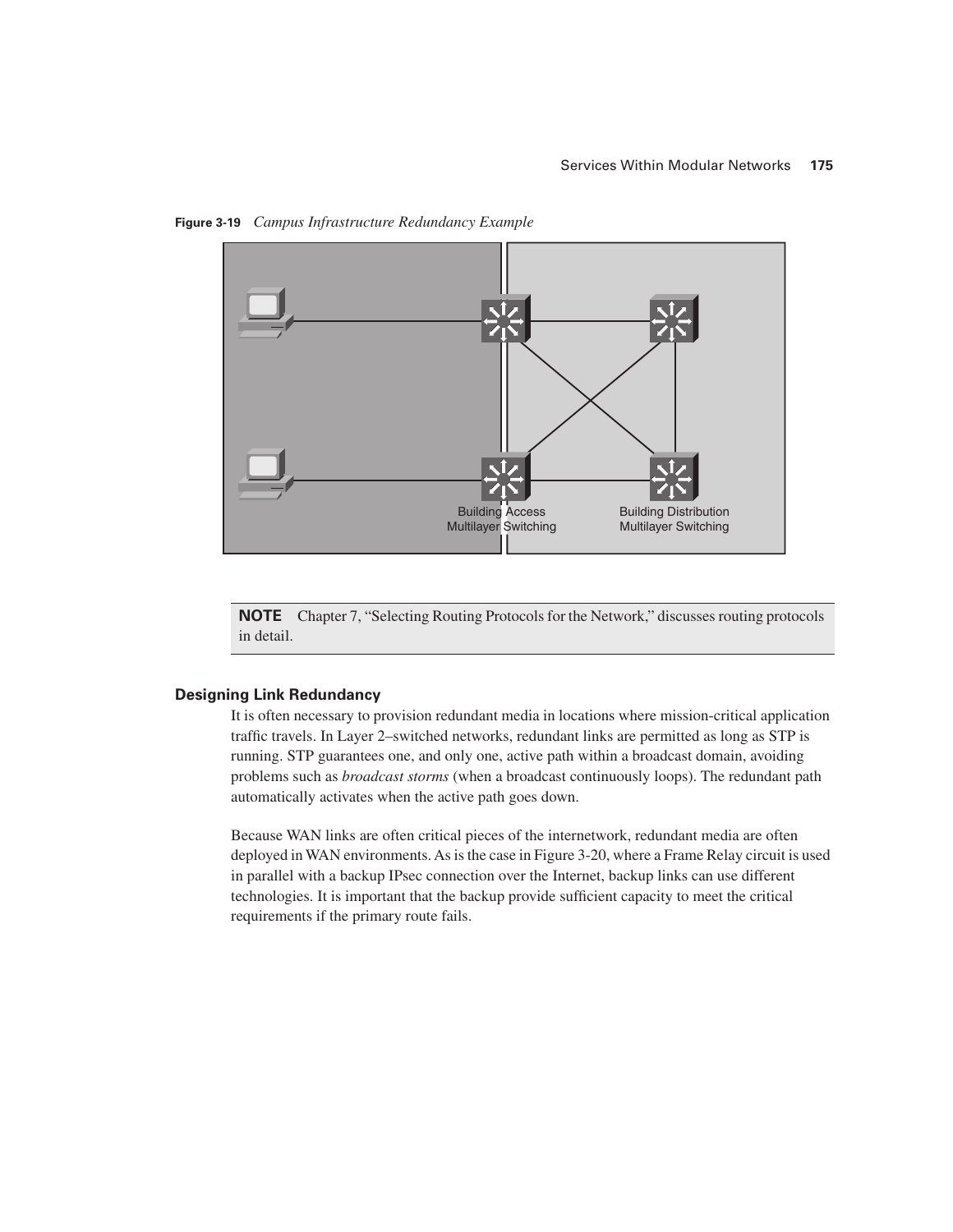

**Figure 3-19** *Campus Infrastructure Redundancy Example*

**NOTE** Chapter 7, "Selecting Routing Protocols for the Network," discusses routing protocols in detail.

### **Designing Link Redundancy**

It is often necessary to provision redundant media in locations where mission-critical application traffic travels. In Layer 2–switched networks, redundant links are permitted as long as STP is running. STP guarantees one, and only one, active path within a broadcast domain, avoiding problems such as *broadcast storms* (when a broadcast continuously loops). The redundant path automatically activates when the active path goes down.

Because WAN links are often critical pieces of the internetwork, redundant media are often deployed in WAN environments. As is the case in Figure 3-20, where a Frame Relay circuit is used in parallel with a backup IPsec connection over the Internet, backup links can use different technologies. It is important that the backup provide sufficient capacity to meet the critical requirements if the primary route fails.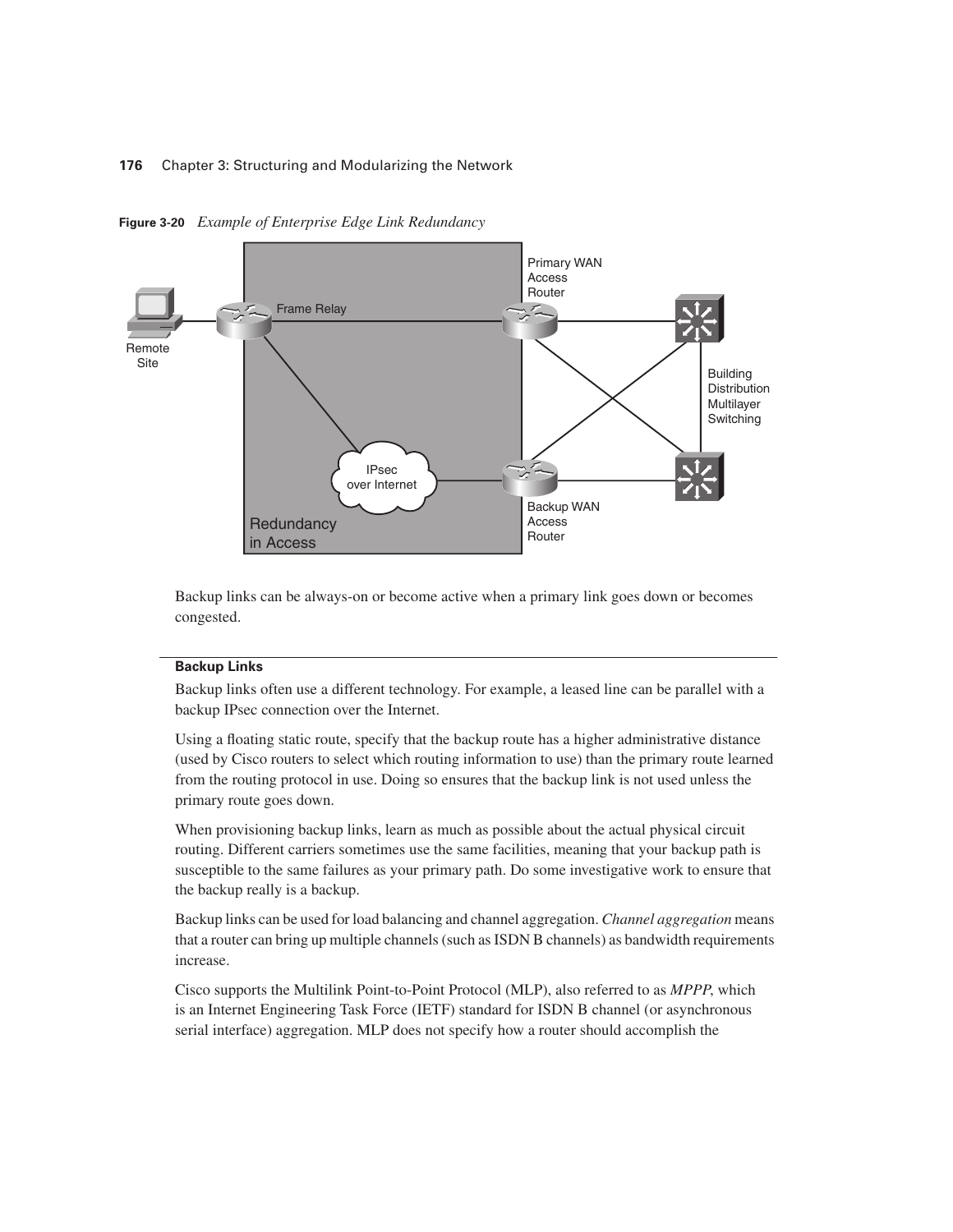

**Figure 3-20** *Example of Enterprise Edge Link Redundancy*

Backup links can be always-on or become active when a primary link goes down or becomes congested.

## **Backup Links**

Backup links often use a different technology. For example, a leased line can be parallel with a backup IPsec connection over the Internet.

Using a floating static route, specify that the backup route has a higher administrative distance (used by Cisco routers to select which routing information to use) than the primary route learned from the routing protocol in use. Doing so ensures that the backup link is not used unless the primary route goes down.

When provisioning backup links, learn as much as possible about the actual physical circuit routing. Different carriers sometimes use the same facilities, meaning that your backup path is susceptible to the same failures as your primary path. Do some investigative work to ensure that the backup really is a backup.

Backup links can be used for load balancing and channel aggregation. *Channel aggregation* means that a router can bring up multiple channels (such as ISDN B channels) as bandwidth requirements increase.

Cisco supports the Multilink Point-to-Point Protocol (MLP), also referred to as *MPPP*, which is an Internet Engineering Task Force (IETF) standard for ISDN B channel (or asynchronous serial interface) aggregation. MLP does not specify how a router should accomplish the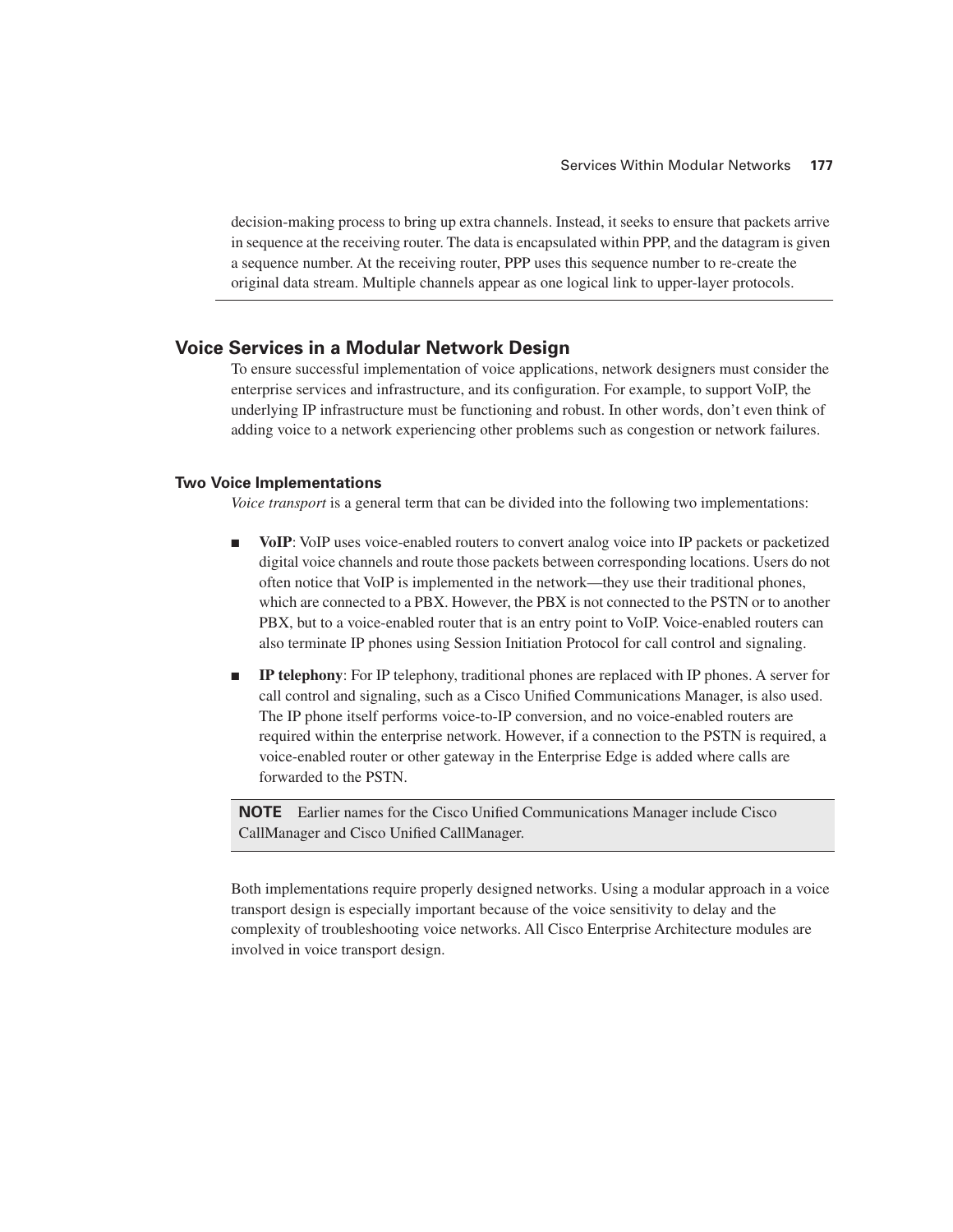decision-making process to bring up extra channels. Instead, it seeks to ensure that packets arrive in sequence at the receiving router. The data is encapsulated within PPP, and the datagram is given a sequence number. At the receiving router, PPP uses this sequence number to re-create the original data stream. Multiple channels appear as one logical link to upper-layer protocols.

## **Voice Services in a Modular Network Design**

To ensure successful implementation of voice applications, network designers must consider the enterprise services and infrastructure, and its configuration. For example, to support VoIP, the underlying IP infrastructure must be functioning and robust. In other words, don't even think of adding voice to a network experiencing other problems such as congestion or network failures.

## **Two Voice Implementations**

*Voice transport* is a general term that can be divided into the following two implementations:

- **VoIP**: VoIP uses voice-enabled routers to convert analog voice into IP packets or packetized digital voice channels and route those packets between corresponding locations. Users do not often notice that VoIP is implemented in the network—they use their traditional phones, which are connected to a PBX. However, the PBX is not connected to the PSTN or to another PBX, but to a voice-enabled router that is an entry point to VoIP. Voice-enabled routers can also terminate IP phones using Session Initiation Protocol for call control and signaling.
- **IP telephony**: For IP telephony, traditional phones are replaced with IP phones. A server for call control and signaling, such as a Cisco Unified Communications Manager, is also used. The IP phone itself performs voice-to-IP conversion, and no voice-enabled routers are required within the enterprise network. However, if a connection to the PSTN is required, a voice-enabled router or other gateway in the Enterprise Edge is added where calls are forwarded to the PSTN.

**NOTE** Earlier names for the Cisco Unified Communications Manager include Cisco CallManager and Cisco Unified CallManager.

Both implementations require properly designed networks. Using a modular approach in a voice transport design is especially important because of the voice sensitivity to delay and the complexity of troubleshooting voice networks. All Cisco Enterprise Architecture modules are involved in voice transport design.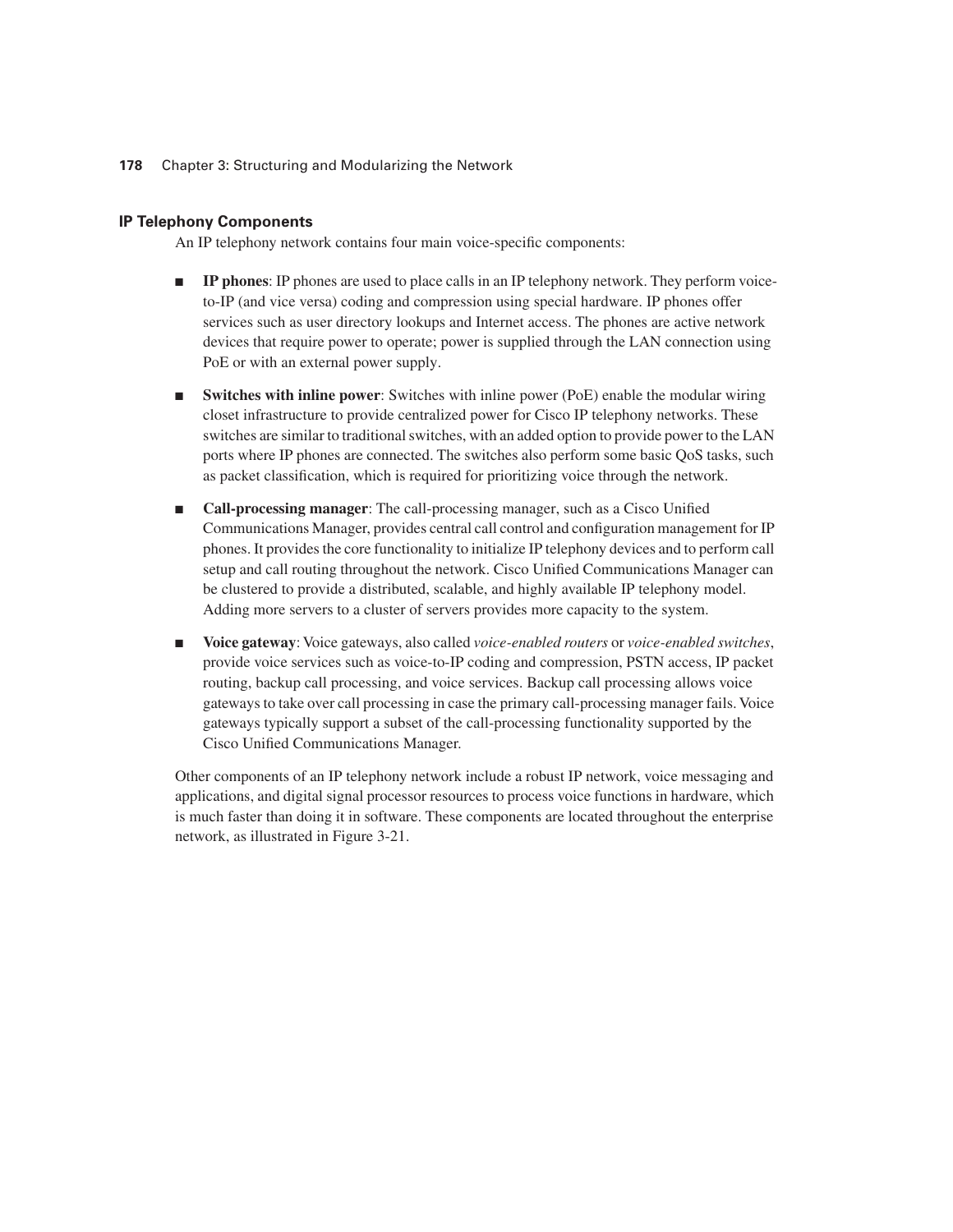## **IP Telephony Components**

An IP telephony network contains four main voice-specific components:

- **IP phones:** IP phones are used to place calls in an IP telephony network. They perform voiceto-IP (and vice versa) coding and compression using special hardware. IP phones offer services such as user directory lookups and Internet access. The phones are active network devices that require power to operate; power is supplied through the LAN connection using PoE or with an external power supply.
- **Switches with inline power**: Switches with inline power (PoE) enable the modular wiring closet infrastructure to provide centralized power for Cisco IP telephony networks. These switches are similar to traditional switches, with an added option to provide power to the LAN ports where IP phones are connected. The switches also perform some basic QoS tasks, such as packet classification, which is required for prioritizing voice through the network.
- **Call-processing manager**: The call-processing manager, such as a Cisco Unified Communications Manager, provides central call control and configuration management for IP phones. It provides the core functionality to initialize IP telephony devices and to perform call setup and call routing throughout the network. Cisco Unified Communications Manager can be clustered to provide a distributed, scalable, and highly available IP telephony model. Adding more servers to a cluster of servers provides more capacity to the system.
- **Voice gateway**: Voice gateways, also called *voice-enabled routers* or *voice-enabled switches*, provide voice services such as voice-to-IP coding and compression, PSTN access, IP packet routing, backup call processing, and voice services. Backup call processing allows voice gateways to take over call processing in case the primary call-processing manager fails. Voice gateways typically support a subset of the call-processing functionality supported by the Cisco Unified Communications Manager.

Other components of an IP telephony network include a robust IP network, voice messaging and applications, and digital signal processor resources to process voice functions in hardware, which is much faster than doing it in software. These components are located throughout the enterprise network, as illustrated in Figure 3-21.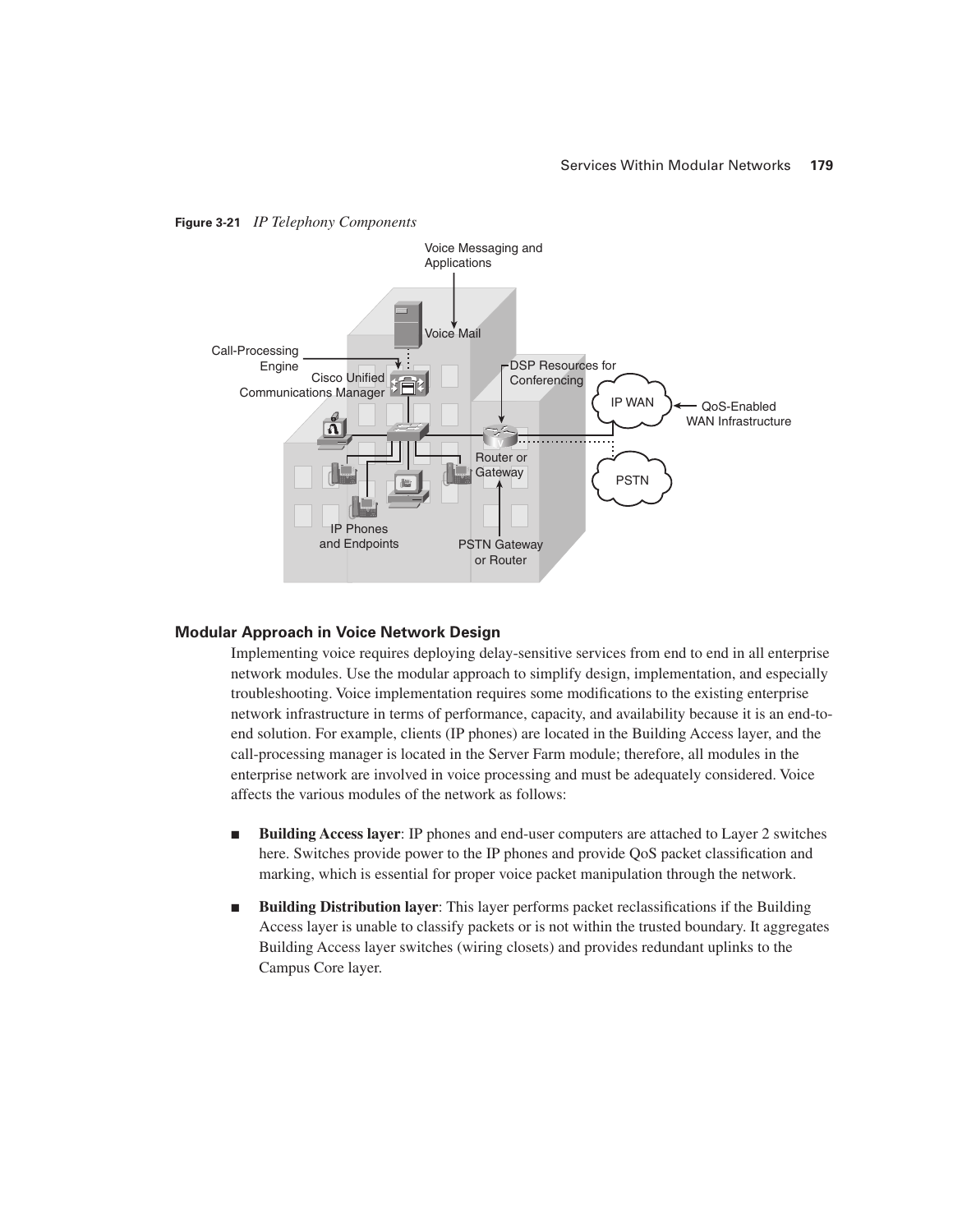

**Figure 3-21** *IP Telephony Components*

## **Modular Approach in Voice Network Design**

Implementing voice requires deploying delay-sensitive services from end to end in all enterprise network modules. Use the modular approach to simplify design, implementation, and especially troubleshooting. Voice implementation requires some modifications to the existing enterprise network infrastructure in terms of performance, capacity, and availability because it is an end-toend solution. For example, clients (IP phones) are located in the Building Access layer, and the call-processing manager is located in the Server Farm module; therefore, all modules in the enterprise network are involved in voice processing and must be adequately considered. Voice affects the various modules of the network as follows:

- **Building Access layer**: IP phones and end-user computers are attached to Layer 2 switches here. Switches provide power to the IP phones and provide QoS packet classification and marking, which is essential for proper voice packet manipulation through the network.
- **Building Distribution layer:** This layer performs packet reclassifications if the Building Access layer is unable to classify packets or is not within the trusted boundary. It aggregates Building Access layer switches (wiring closets) and provides redundant uplinks to the Campus Core layer.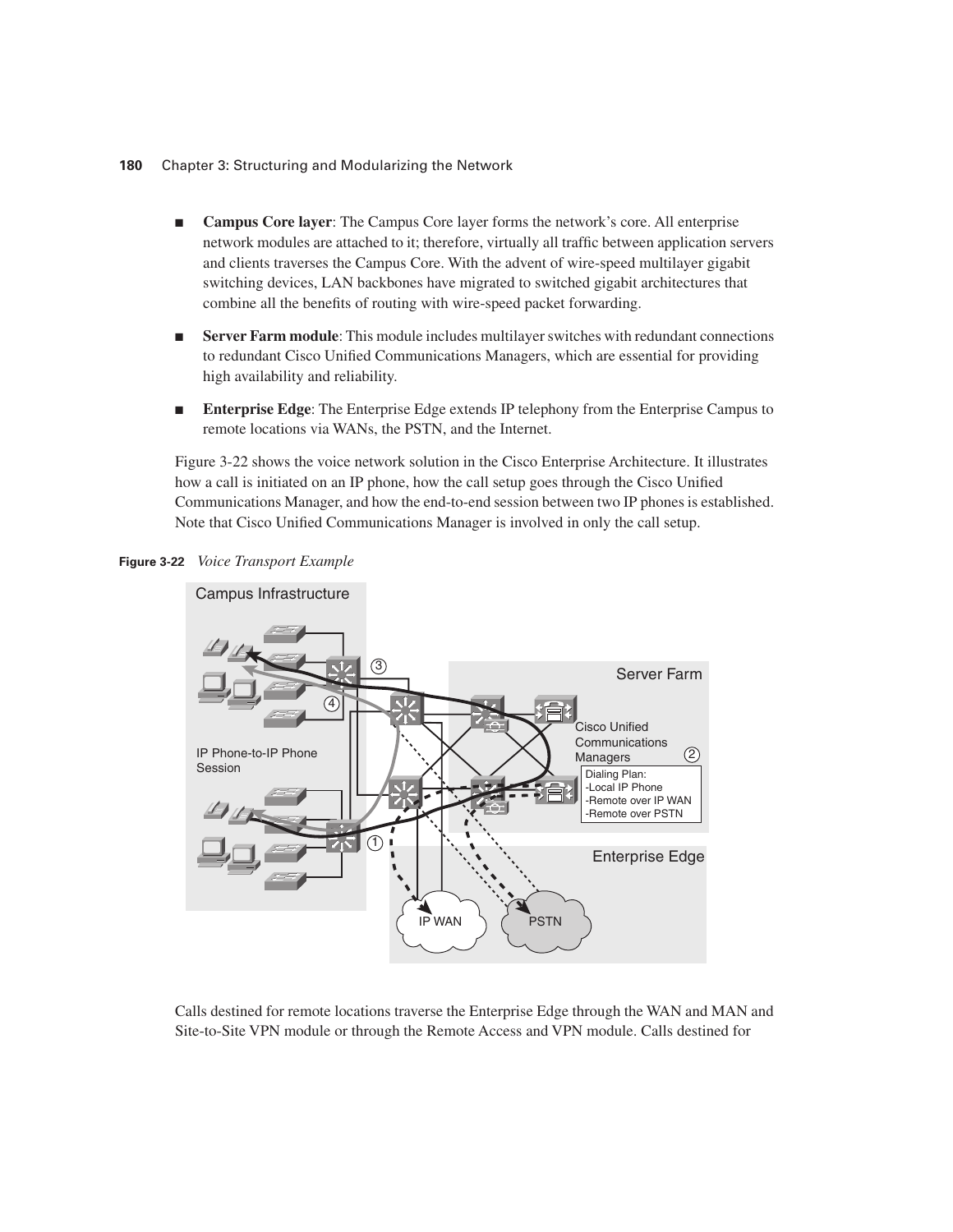- **Campus Core layer**: The Campus Core layer forms the network's core. All enterprise network modules are attached to it; therefore, virtually all traffic between application servers and clients traverses the Campus Core. With the advent of wire-speed multilayer gigabit switching devices, LAN backbones have migrated to switched gigabit architectures that combine all the benefits of routing with wire-speed packet forwarding.
- **Server Farm module**: This module includes multilayer switches with redundant connections to redundant Cisco Unified Communications Managers, which are essential for providing high availability and reliability.
- **Enterprise Edge:** The Enterprise Edge extends IP telephony from the Enterprise Campus to remote locations via WANs, the PSTN, and the Internet.

Figure 3-22 shows the voice network solution in the Cisco Enterprise Architecture. It illustrates how a call is initiated on an IP phone, how the call setup goes through the Cisco Unified Communications Manager, and how the end-to-end session between two IP phones is established. Note that Cisco Unified Communications Manager is involved in only the call setup.





Calls destined for remote locations traverse the Enterprise Edge through the WAN and MAN and Site-to-Site VPN module or through the Remote Access and VPN module. Calls destined for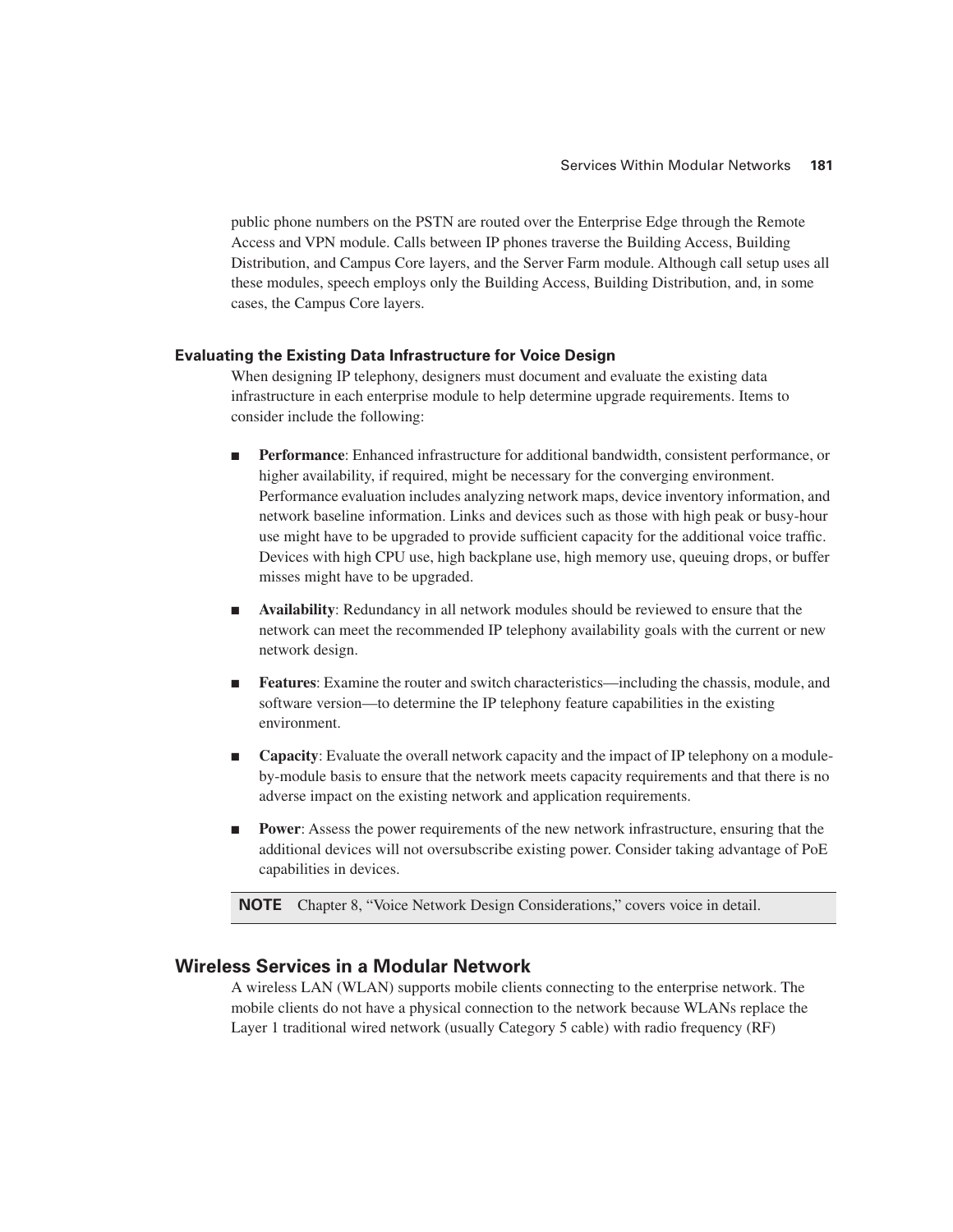public phone numbers on the PSTN are routed over the Enterprise Edge through the Remote Access and VPN module. Calls between IP phones traverse the Building Access, Building Distribution, and Campus Core layers, and the Server Farm module. Although call setup uses all these modules, speech employs only the Building Access, Building Distribution, and, in some cases, the Campus Core layers.

### **Evaluating the Existing Data Infrastructure for Voice Design**

When designing IP telephony, designers must document and evaluate the existing data infrastructure in each enterprise module to help determine upgrade requirements. Items to consider include the following:

- **Performance**: Enhanced infrastructure for additional bandwidth, consistent performance, or higher availability, if required, might be necessary for the converging environment. Performance evaluation includes analyzing network maps, device inventory information, and network baseline information. Links and devices such as those with high peak or busy-hour use might have to be upgraded to provide sufficient capacity for the additional voice traffic. Devices with high CPU use, high backplane use, high memory use, queuing drops, or buffer misses might have to be upgraded.
- **Availability**: Redundancy in all network modules should be reviewed to ensure that the network can meet the recommended IP telephony availability goals with the current or new network design.
- **Features**: Examine the router and switch characteristics—including the chassis, module, and software version—to determine the IP telephony feature capabilities in the existing environment.
- **Capacity**: Evaluate the overall network capacity and the impact of IP telephony on a moduleby-module basis to ensure that the network meets capacity requirements and that there is no adverse impact on the existing network and application requirements.
- **Power:** Assess the power requirements of the new network infrastructure, ensuring that the additional devices will not oversubscribe existing power. Consider taking advantage of PoE capabilities in devices.

**NOTE** Chapter 8, "Voice Network Design Considerations," covers voice in detail.

# **Wireless Services in a Modular Network**

A wireless LAN (WLAN) supports mobile clients connecting to the enterprise network. The mobile clients do not have a physical connection to the network because WLANs replace the Layer 1 traditional wired network (usually Category 5 cable) with radio frequency (RF)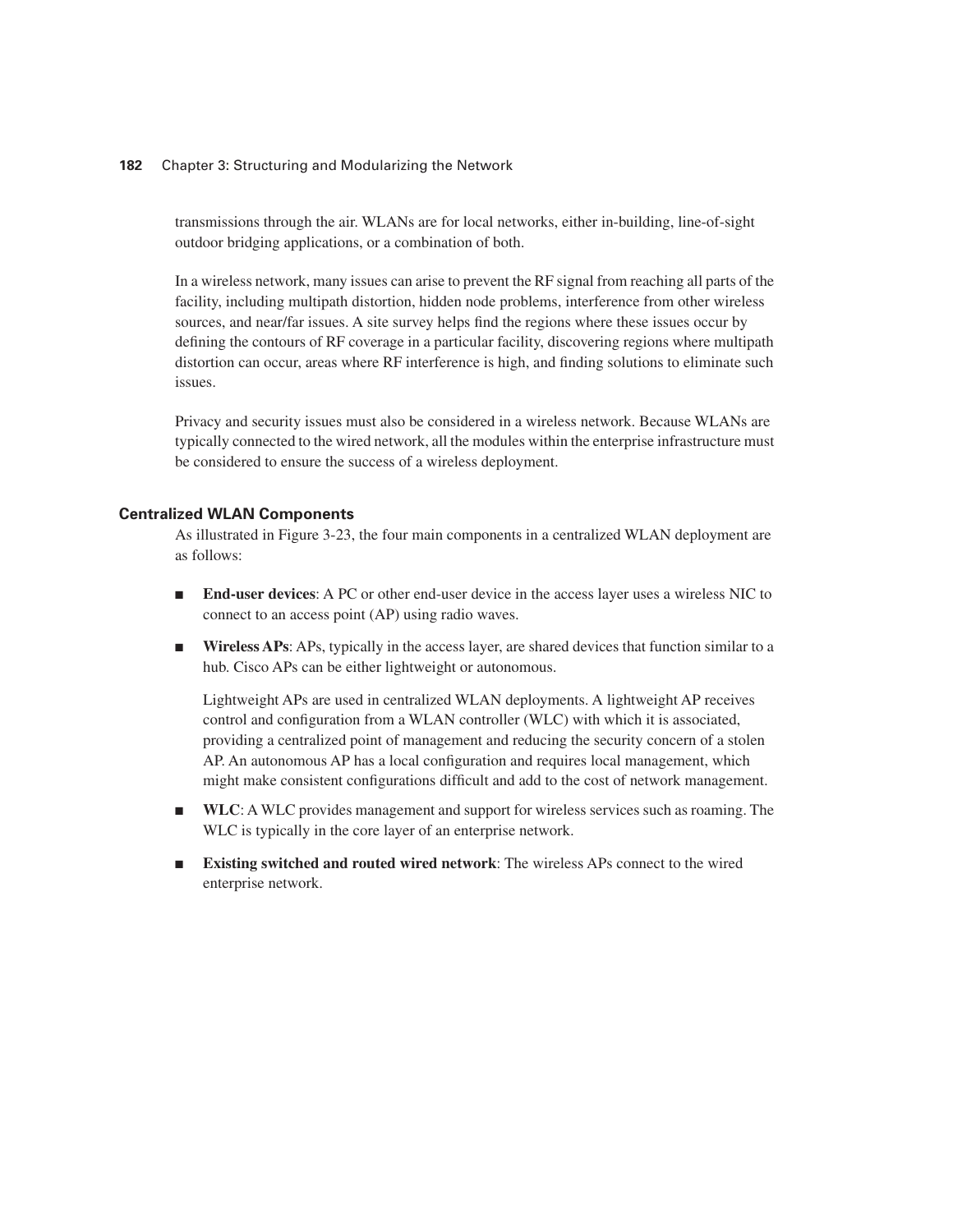transmissions through the air. WLANs are for local networks, either in-building, line-of-sight outdoor bridging applications, or a combination of both.

In a wireless network, many issues can arise to prevent the RF signal from reaching all parts of the facility, including multipath distortion, hidden node problems, interference from other wireless sources, and near/far issues. A site survey helps find the regions where these issues occur by defining the contours of RF coverage in a particular facility, discovering regions where multipath distortion can occur, areas where RF interference is high, and finding solutions to eliminate such issues.

Privacy and security issues must also be considered in a wireless network. Because WLANs are typically connected to the wired network, all the modules within the enterprise infrastructure must be considered to ensure the success of a wireless deployment.

### **Centralized WLAN Components**

As illustrated in Figure 3-23, the four main components in a centralized WLAN deployment are as follows:

- **End-user devices**: A PC or other end-user device in the access layer uses a wireless NIC to connect to an access point (AP) using radio waves.
- **Wireless APs:** APs, typically in the access layer, are shared devices that function similar to a hub. Cisco APs can be either lightweight or autonomous.

Lightweight APs are used in centralized WLAN deployments. A lightweight AP receives control and configuration from a WLAN controller (WLC) with which it is associated, providing a centralized point of management and reducing the security concern of a stolen AP. An autonomous AP has a local configuration and requires local management, which might make consistent configurations difficult and add to the cost of network management.

- **WLC**: A WLC provides management and support for wireless services such as roaming. The WLC is typically in the core layer of an enterprise network.
- **Existing switched and routed wired network:** The wireless APs connect to the wired enterprise network.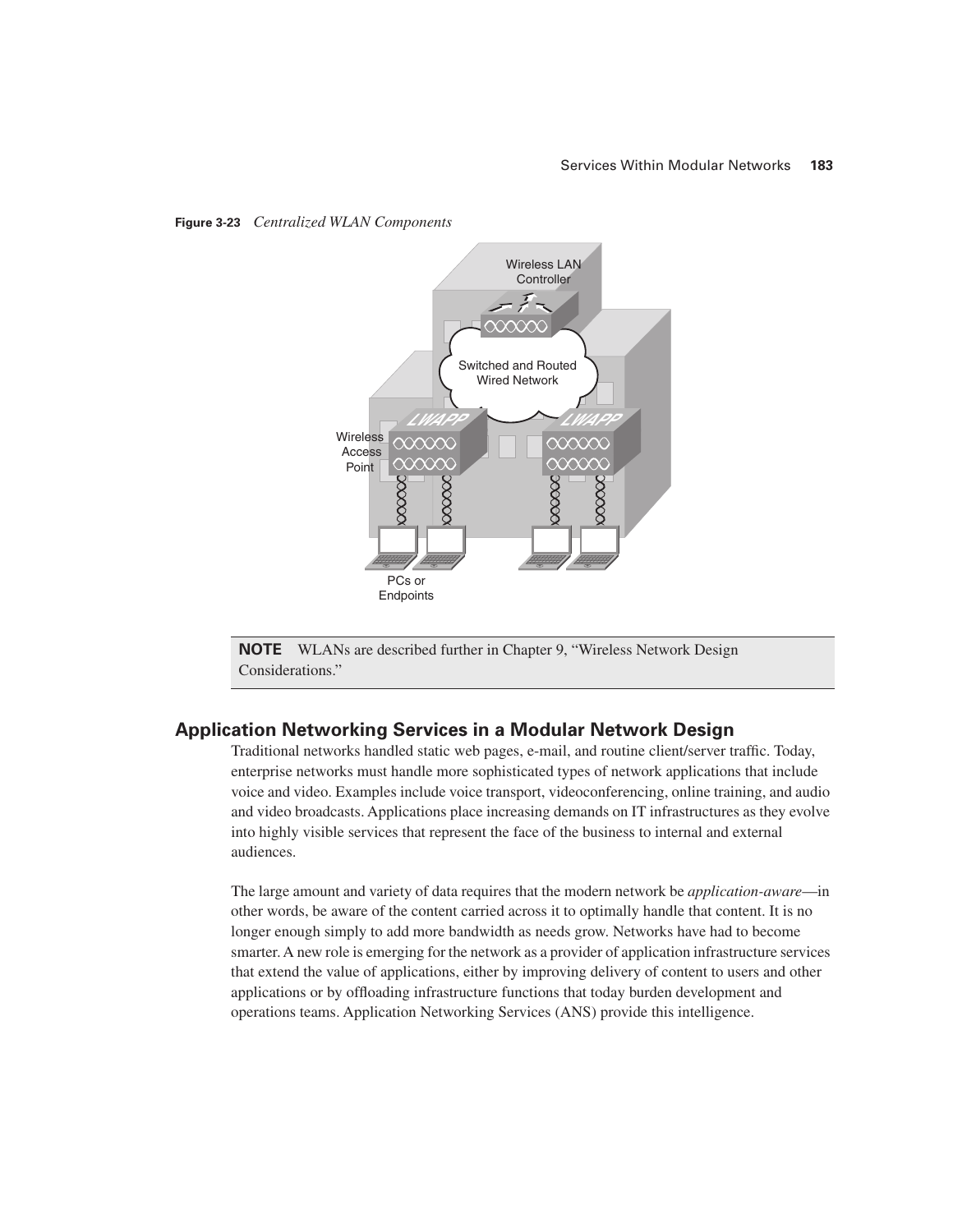

### **Figure 3-23** *Centralized WLAN Components*

**NOTE** WLANs are described further in Chapter 9, "Wireless Network Design Considerations."

# **Application Networking Services in a Modular Network Design**

Traditional networks handled static web pages, e-mail, and routine client/server traffic. Today, enterprise networks must handle more sophisticated types of network applications that include voice and video. Examples include voice transport, videoconferencing, online training, and audio and video broadcasts. Applications place increasing demands on IT infrastructures as they evolve into highly visible services that represent the face of the business to internal and external audiences.

The large amount and variety of data requires that the modern network be *application-aware*—in other words, be aware of the content carried across it to optimally handle that content. It is no longer enough simply to add more bandwidth as needs grow. Networks have had to become smarter. A new role is emerging for the network as a provider of application infrastructure services that extend the value of applications, either by improving delivery of content to users and other applications or by offloading infrastructure functions that today burden development and operations teams. Application Networking Services (ANS) provide this intelligence.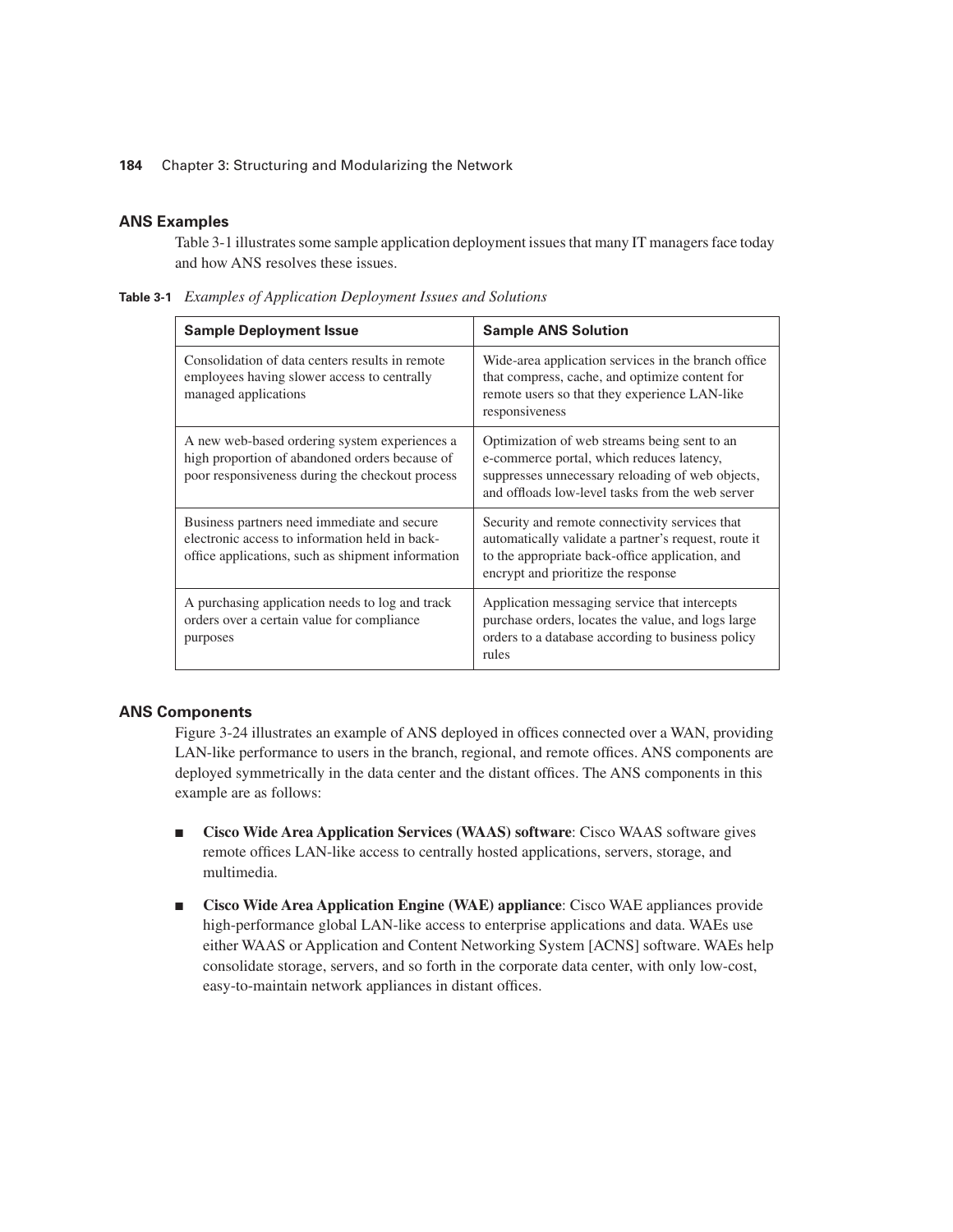## **ANS Examples**

Table 3-1 illustrates some sample application deployment issues that many IT managers face today and how ANS resolves these issues.

**Table 3-1** *Examples of Application Deployment Issues and Solutions*

| <b>Sample Deployment Issue</b>                                                                                                                     | <b>Sample ANS Solution</b>                                                                                                                                                                        |
|----------------------------------------------------------------------------------------------------------------------------------------------------|---------------------------------------------------------------------------------------------------------------------------------------------------------------------------------------------------|
| Consolidation of data centers results in remote<br>employees having slower access to centrally<br>managed applications                             | Wide-area application services in the branch office.<br>that compress, cache, and optimize content for<br>remote users so that they experience LAN-like<br>responsiveness                         |
| A new web-based ordering system experiences a<br>high proportion of abandoned orders because of<br>poor responsiveness during the checkout process | Optimization of web streams being sent to an<br>e-commerce portal, which reduces latency,<br>suppresses unnecessary reloading of web objects,<br>and offloads low-level tasks from the web server |
| Business partners need immediate and secure<br>electronic access to information held in back-<br>office applications, such as shipment information | Security and remote connectivity services that<br>automatically validate a partner's request, route it<br>to the appropriate back-office application, and<br>encrypt and prioritize the response  |
| A purchasing application needs to log and track<br>orders over a certain value for compliance<br>purposes                                          | Application messaging service that intercepts<br>purchase orders, locates the value, and logs large<br>orders to a database according to business policy<br>rules                                 |

## **ANS Components**

Figure 3-24 illustrates an example of ANS deployed in offices connected over a WAN, providing LAN-like performance to users in the branch, regional, and remote offices. ANS components are deployed symmetrically in the data center and the distant offices. The ANS components in this example are as follows:

- **Cisco Wide Area Application Services (WAAS) software**: Cisco WAAS software gives remote offices LAN-like access to centrally hosted applications, servers, storage, and multimedia.
- **Cisco Wide Area Application Engine (WAE) appliance**: Cisco WAE appliances provide high-performance global LAN-like access to enterprise applications and data. WAEs use either WAAS or Application and Content Networking System [ACNS] software. WAEs help consolidate storage, servers, and so forth in the corporate data center, with only low-cost, easy-to-maintain network appliances in distant offices.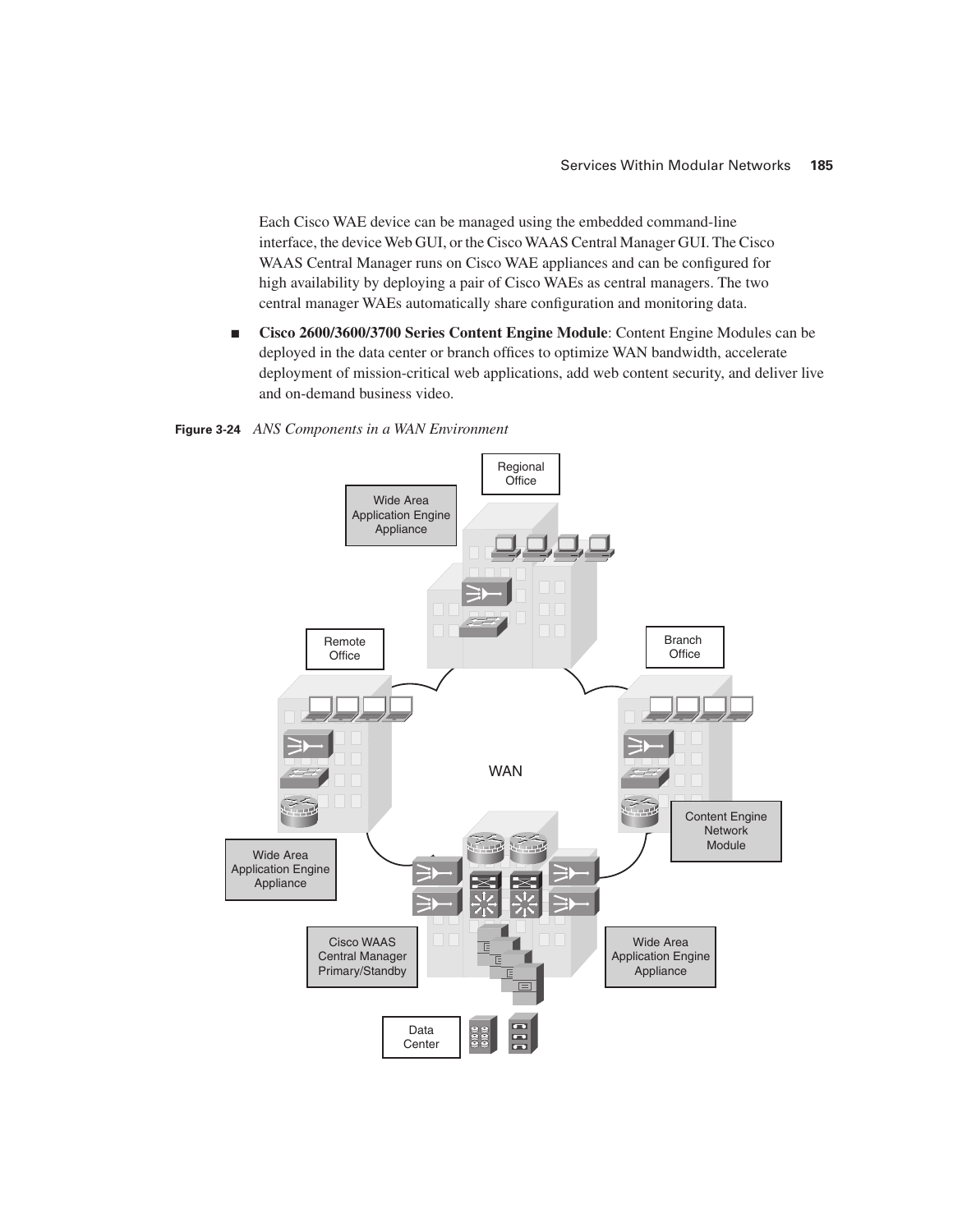Each Cisco WAE device can be managed using the embedded command-line interface, the device Web GUI, or the Cisco WAAS Central Manager GUI. The Cisco WAAS Central Manager runs on Cisco WAE appliances and can be configured for high availability by deploying a pair of Cisco WAEs as central managers. The two central manager WAEs automatically share configuration and monitoring data.

■ **Cisco 2600/3600/3700 Series Content Engine Module**: Content Engine Modules can be deployed in the data center or branch offices to optimize WAN bandwidth, accelerate deployment of mission-critical web applications, add web content security, and deliver live and on-demand business video.

**Figure 3-24** *ANS Components in a WAN Environment*

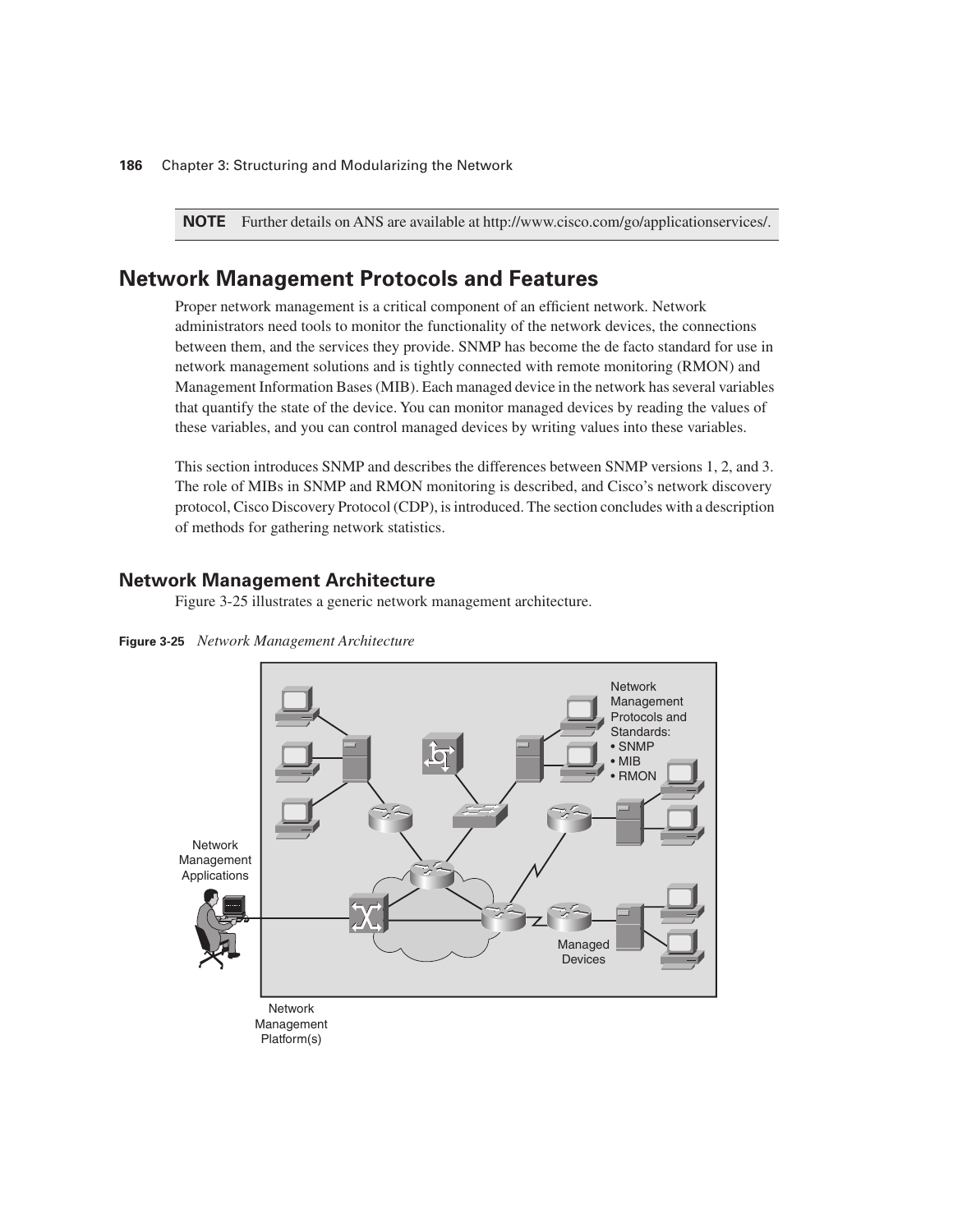**NOTE** Further details on ANS are available at http://www.cisco.com/go/applicationservices/.

# **Network Management Protocols and Features**

Proper network management is a critical component of an efficient network. Network administrators need tools to monitor the functionality of the network devices, the connections between them, and the services they provide. SNMP has become the de facto standard for use in network management solutions and is tightly connected with remote monitoring (RMON) and Management Information Bases (MIB). Each managed device in the network has several variables that quantify the state of the device. You can monitor managed devices by reading the values of these variables, and you can control managed devices by writing values into these variables.

This section introduces SNMP and describes the differences between SNMP versions 1, 2, and 3. The role of MIBs in SNMP and RMON monitoring is described, and Cisco's network discovery protocol, Cisco Discovery Protocol (CDP), is introduced. The section concludes with a description of methods for gathering network statistics.

# **Network Management Architecture**

Figure 3-25 illustrates a generic network management architecture.



**Figure 3-25** *Network Management Architecture*

Platform(s)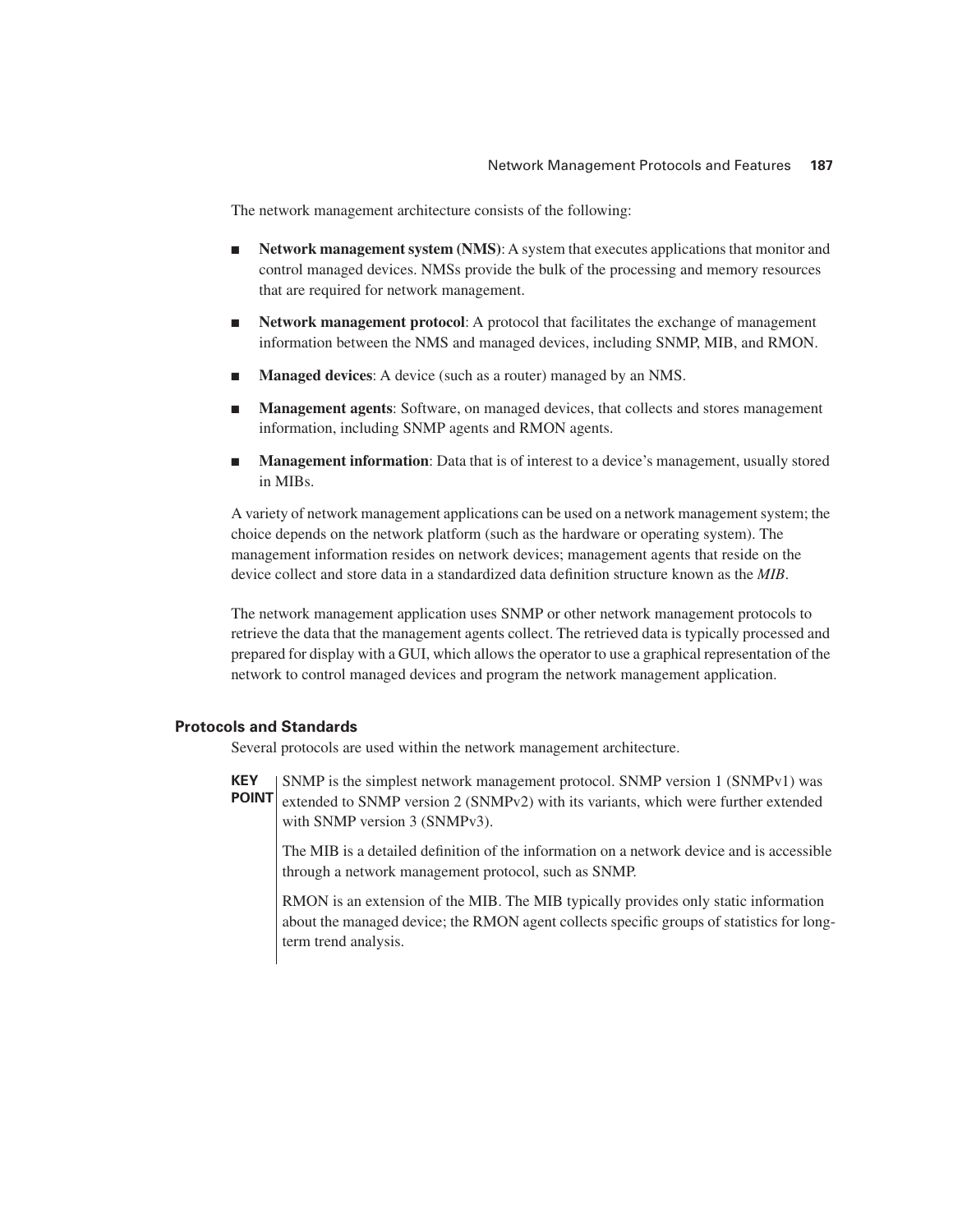The network management architecture consists of the following:

- **Network management system (NMS)**: A system that executes applications that monitor and control managed devices. NMSs provide the bulk of the processing and memory resources that are required for network management.
- Network management protocol: A protocol that facilitates the exchange of management information between the NMS and managed devices, including SNMP, MIB, and RMON.
- **Managed devices:** A device (such as a router) managed by an NMS.
- **Management agents**: Software, on managed devices, that collects and stores management information, including SNMP agents and RMON agents.
- **Management information**: Data that is of interest to a device's management, usually stored in MIBs.

A variety of network management applications can be used on a network management system; the choice depends on the network platform (such as the hardware or operating system). The management information resides on network devices; management agents that reside on the device collect and store data in a standardized data definition structure known as the *MIB*.

The network management application uses SNMP or other network management protocols to retrieve the data that the management agents collect. The retrieved data is typically processed and prepared for display with a GUI, which allows the operator to use a graphical representation of the network to control managed devices and program the network management application.

## **Protocols and Standards**

Several protocols are used within the network management architecture.

**KEY POINT** SNMP is the simplest network management protocol. SNMP version 1 (SNMPv1) was extended to SNMP version 2 (SNMPv2) with its variants, which were further extended with SNMP version 3 (SNMPv3).

The MIB is a detailed definition of the information on a network device and is accessible through a network management protocol, such as SNMP.

RMON is an extension of the MIB. The MIB typically provides only static information about the managed device; the RMON agent collects specific groups of statistics for longterm trend analysis.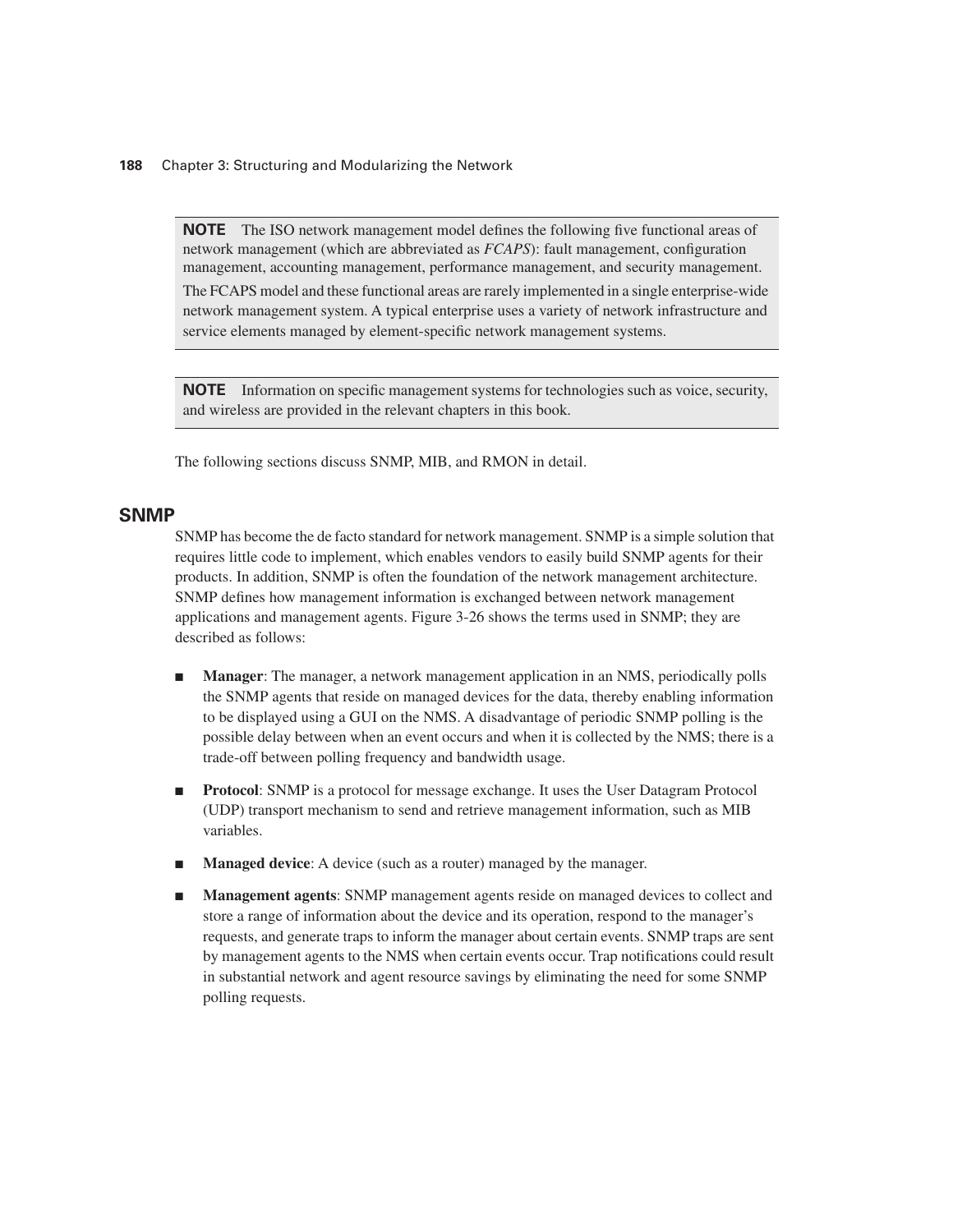**NOTE** The ISO network management model defines the following five functional areas of network management (which are abbreviated as *FCAPS*): fault management, configuration management, accounting management, performance management, and security management. The FCAPS model and these functional areas are rarely implemented in a single enterprise-wide network management system. A typical enterprise uses a variety of network infrastructure and service elements managed by element-specific network management systems.

**NOTE** Information on specific management systems for technologies such as voice, security, and wireless are provided in the relevant chapters in this book.

The following sections discuss SNMP, MIB, and RMON in detail.

## **SNMP**

SNMP has become the de facto standard for network management. SNMP is a simple solution that requires little code to implement, which enables vendors to easily build SNMP agents for their products. In addition, SNMP is often the foundation of the network management architecture. SNMP defines how management information is exchanged between network management applications and management agents. Figure 3-26 shows the terms used in SNMP; they are described as follows:

- **Manager**: The manager, a network management application in an NMS, periodically polls the SNMP agents that reside on managed devices for the data, thereby enabling information to be displayed using a GUI on the NMS. A disadvantage of periodic SNMP polling is the possible delay between when an event occurs and when it is collected by the NMS; there is a trade-off between polling frequency and bandwidth usage.
- **Protocol**: SNMP is a protocol for message exchange. It uses the User Datagram Protocol (UDP) transport mechanism to send and retrieve management information, such as MIB variables.
- **Managed device**: A device (such as a router) managed by the manager.
- **Management agents**: SNMP management agents reside on managed devices to collect and store a range of information about the device and its operation, respond to the manager's requests, and generate traps to inform the manager about certain events. SNMP traps are sent by management agents to the NMS when certain events occur. Trap notifications could result in substantial network and agent resource savings by eliminating the need for some SNMP polling requests.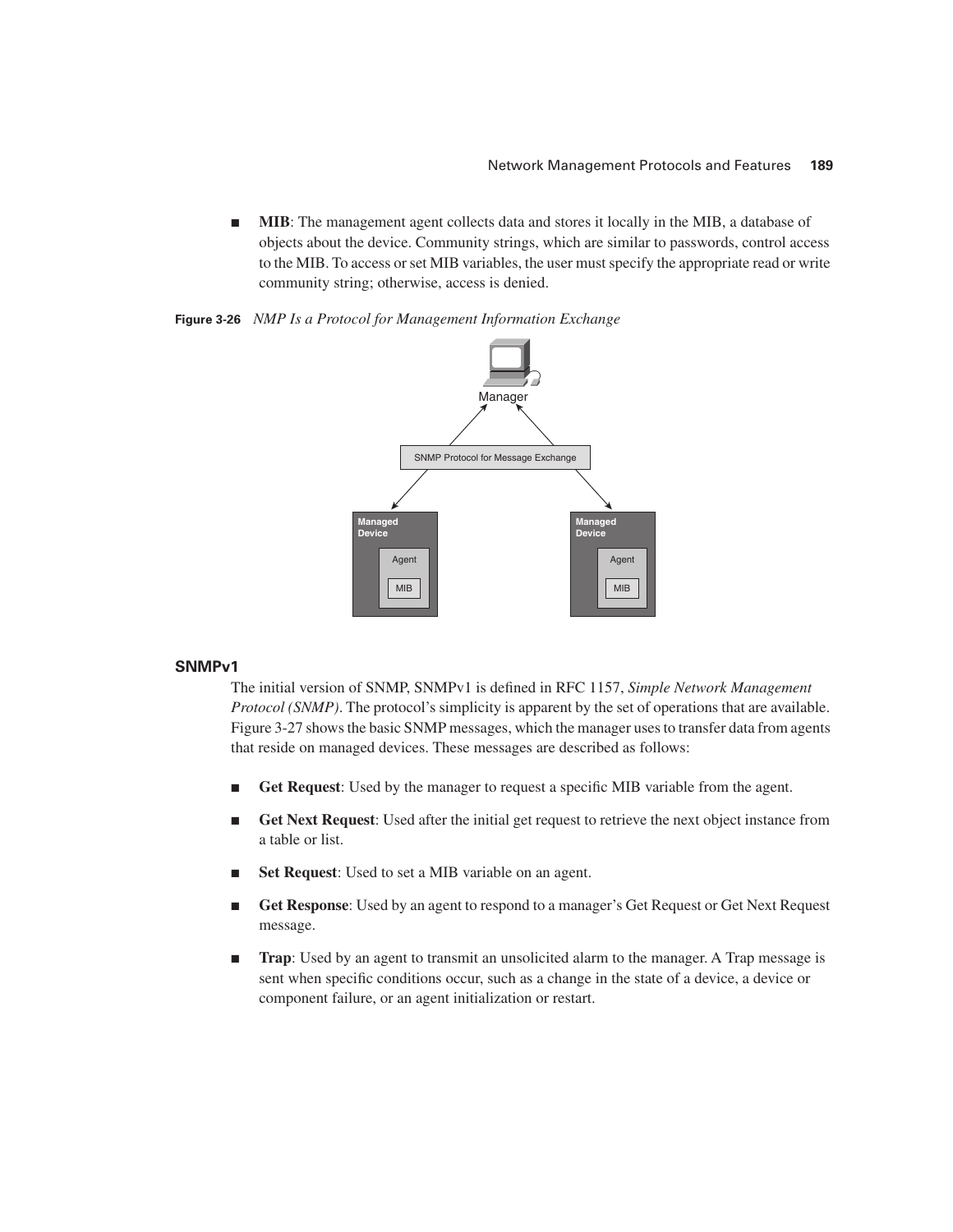■ **MIB**: The management agent collects data and stores it locally in the MIB, a database of objects about the device. Community strings, which are similar to passwords, control access to the MIB. To access or set MIB variables, the user must specify the appropriate read or write community string; otherwise, access is denied.





## **SNMPv1**

The initial version of SNMP, SNMPv1 is defined in RFC 1157, *Simple Network Management Protocol (SNMP)*. The protocol's simplicity is apparent by the set of operations that are available. Figure 3-27 shows the basic SNMP messages, which the manager uses to transfer data from agents that reside on managed devices. These messages are described as follows:

- **Get Request**: Used by the manager to request a specific MIB variable from the agent.
- **Get Next Request**: Used after the initial get request to retrieve the next object instance from a table or list.
- Set Request: Used to set a MIB variable on an agent.
- Get Response: Used by an agent to respond to a manager's Get Request or Get Next Request message.
- **Trap**: Used by an agent to transmit an unsolicited alarm to the manager. A Trap message is sent when specific conditions occur, such as a change in the state of a device, a device or component failure, or an agent initialization or restart.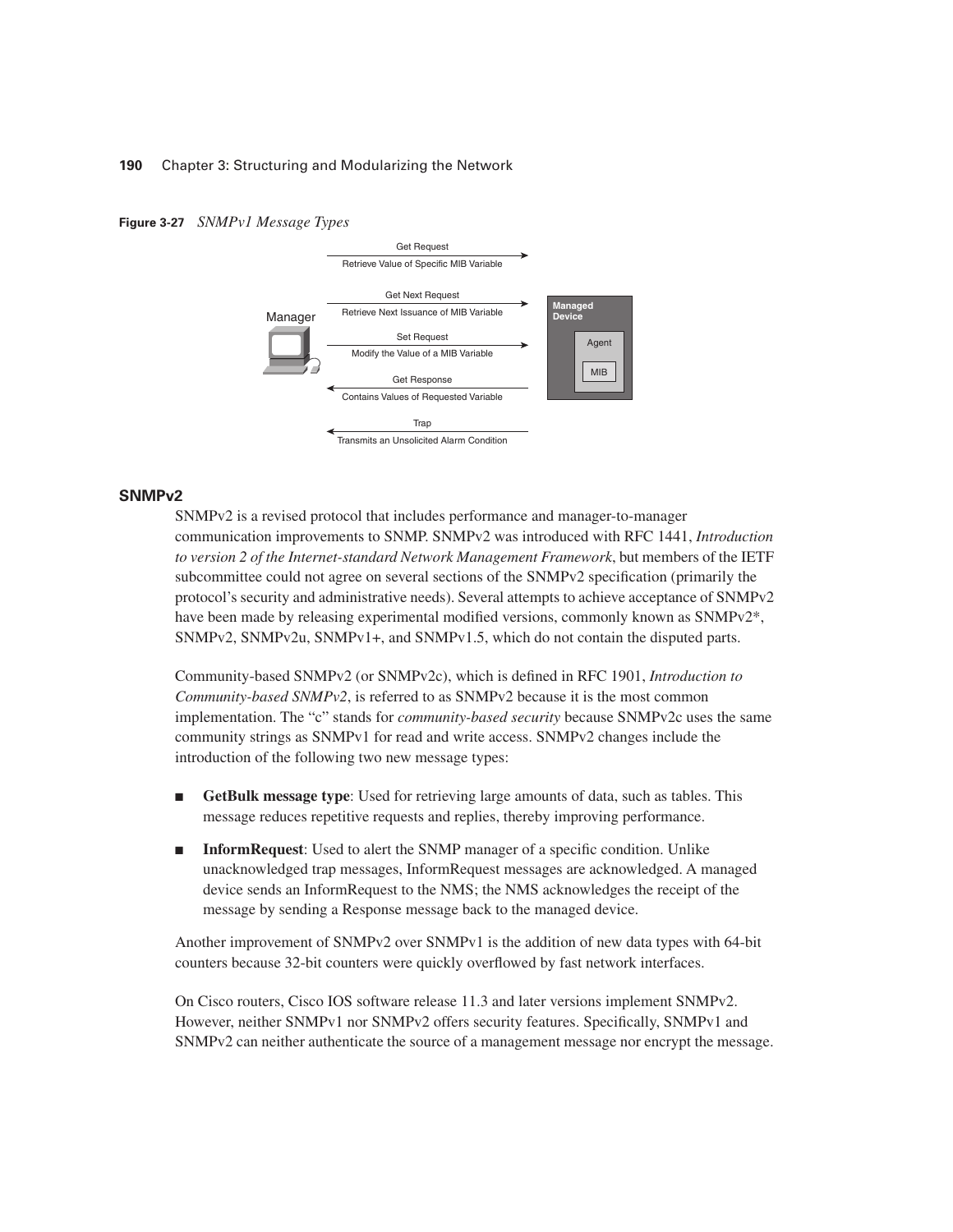### **Figure 3-27** *SNMPv1 Message Types*



## **SNMPv2**

SNMPv2 is a revised protocol that includes performance and manager-to-manager communication improvements to SNMP. SNMPv2 was introduced with RFC 1441, *Introduction to version 2 of the Internet-standard Network Management Framework*, but members of the IETF subcommittee could not agree on several sections of the SNMPv2 specification (primarily the protocol's security and administrative needs). Several attempts to achieve acceptance of SNMPv2 have been made by releasing experimental modified versions, commonly known as SNMPv2<sup>\*</sup>, SNMPv2, SNMPv2u, SNMPv1+, and SNMPv1.5, which do not contain the disputed parts.

Community-based SNMPv2 (or SNMPv2c), which is defined in RFC 1901, *Introduction to Community-based SNMPv2*, is referred to as SNMPv2 because it is the most common implementation. The "c" stands for *community-based security* because SNMPv2c uses the same community strings as SNMPv1 for read and write access. SNMPv2 changes include the introduction of the following two new message types:

- GetBulk message type: Used for retrieving large amounts of data, such as tables. This message reduces repetitive requests and replies, thereby improving performance.
- **InformRequest:** Used to alert the SNMP manager of a specific condition. Unlike unacknowledged trap messages, InformRequest messages are acknowledged. A managed device sends an InformRequest to the NMS; the NMS acknowledges the receipt of the message by sending a Response message back to the managed device.

Another improvement of SNMPv2 over SNMPv1 is the addition of new data types with 64-bit counters because 32-bit counters were quickly overflowed by fast network interfaces.

On Cisco routers, Cisco IOS software release 11.3 and later versions implement SNMPv2. However, neither SNMPv1 nor SNMPv2 offers security features. Specifically, SNMPv1 and SNMPv2 can neither authenticate the source of a management message nor encrypt the message.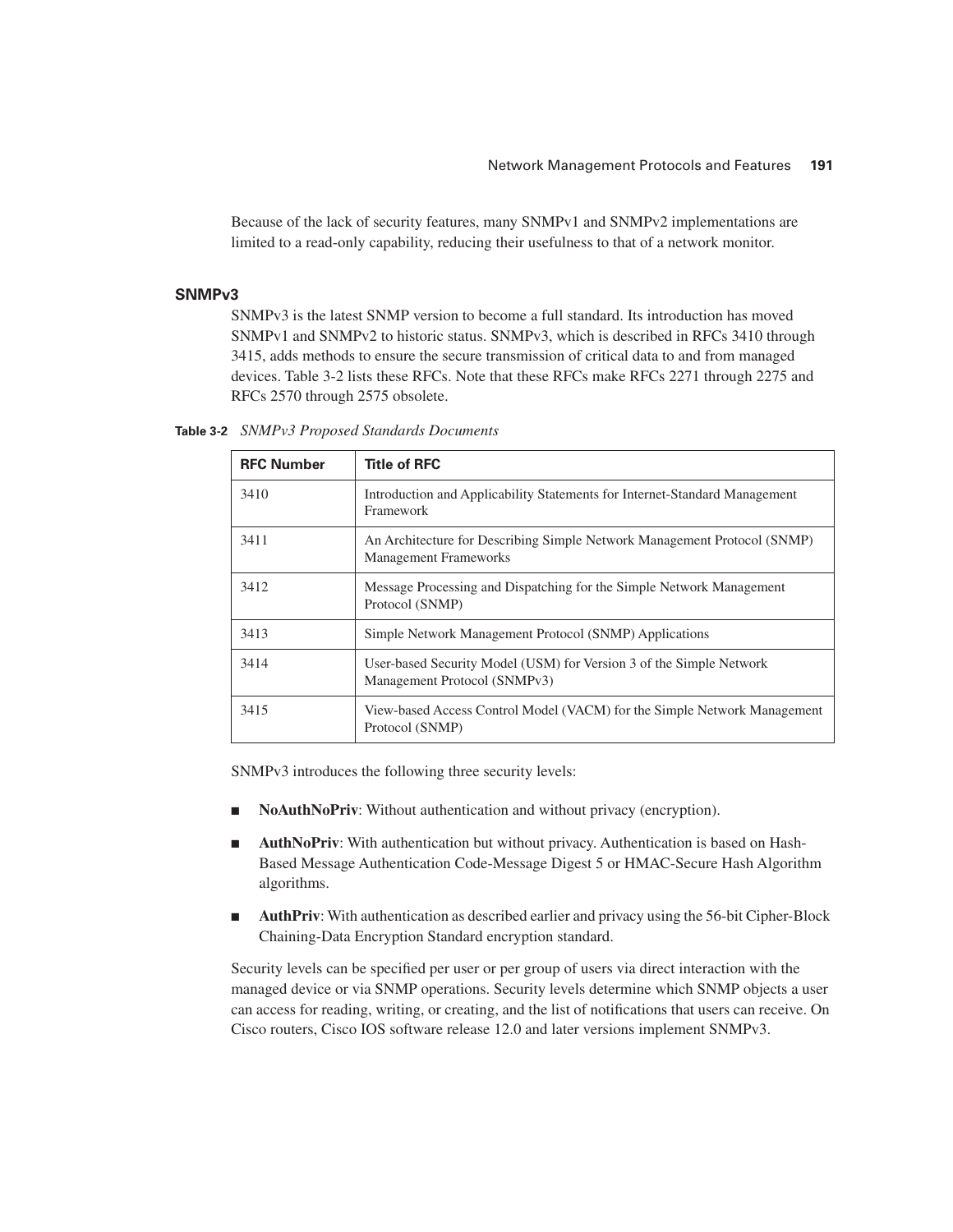Because of the lack of security features, many SNMPv1 and SNMPv2 implementations are limited to a read-only capability, reducing their usefulness to that of a network monitor.

### **SNMPv3**

SNMPv3 is the latest SNMP version to become a full standard. Its introduction has moved SNMPv1 and SNMPv2 to historic status. SNMPv3, which is described in RFCs 3410 through 3415, adds methods to ensure the secure transmission of critical data to and from managed devices. Table 3-2 lists these RFCs. Note that these RFCs make RFCs 2271 through 2275 and RFCs 2570 through 2575 obsolete.

| <b>RFC Number</b> | <b>Title of RFC</b>                                                                                      |
|-------------------|----------------------------------------------------------------------------------------------------------|
| 3410              | Introduction and Applicability Statements for Internet-Standard Management<br>Framework                  |
| 3411              | An Architecture for Describing Simple Network Management Protocol (SNMP)<br><b>Management Frameworks</b> |
| 3412              | Message Processing and Dispatching for the Simple Network Management<br>Protocol (SNMP)                  |
| 3413              | Simple Network Management Protocol (SNMP) Applications                                                   |
| 3414              | User-based Security Model (USM) for Version 3 of the Simple Network<br>Management Protocol (SNMPv3)      |
| 3415              | View-based Access Control Model (VACM) for the Simple Network Management<br>Protocol (SNMP)              |

**Table 3-2** *SNMPv3 Proposed Standards Documents*

SNMPv3 introduces the following three security levels:

- NoAuthNoPriv: Without authentication and without privacy (encryption).
- **AuthNoPriv**: With authentication but without privacy. Authentication is based on Hash-Based Message Authentication Code-Message Digest 5 or HMAC-Secure Hash Algorithm algorithms.
- **AuthPriv**: With authentication as described earlier and privacy using the 56-bit Cipher-Block Chaining-Data Encryption Standard encryption standard.

Security levels can be specified per user or per group of users via direct interaction with the managed device or via SNMP operations. Security levels determine which SNMP objects a user can access for reading, writing, or creating, and the list of notifications that users can receive. On Cisco routers, Cisco IOS software release 12.0 and later versions implement SNMPv3.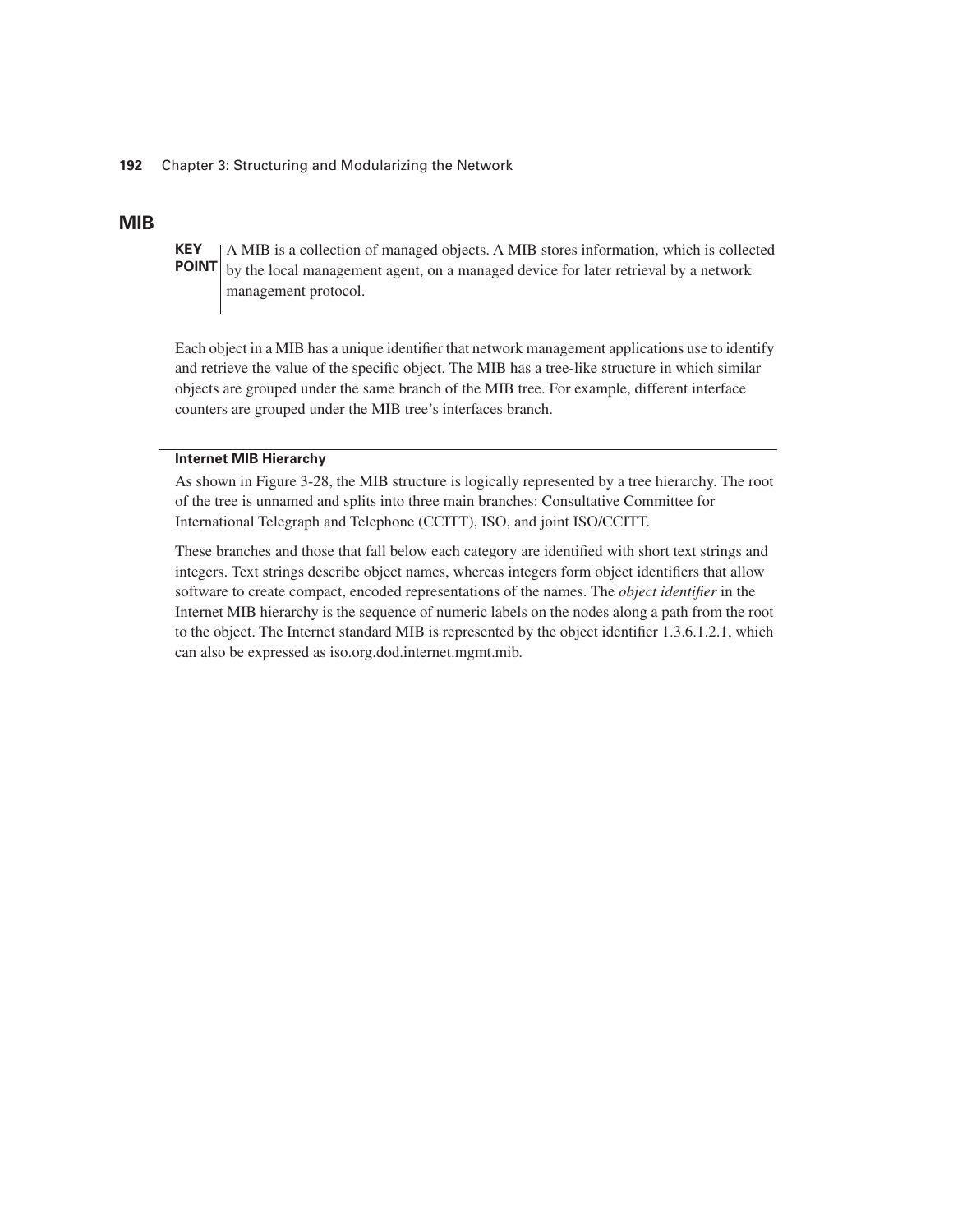# **MIB**

**KEY POINT** A MIB is a collection of managed objects. A MIB stores information, which is collected by the local management agent, on a managed device for later retrieval by a network management protocol.

Each object in a MIB has a unique identifier that network management applications use to identify and retrieve the value of the specific object. The MIB has a tree-like structure in which similar objects are grouped under the same branch of the MIB tree. For example, different interface counters are grouped under the MIB tree's interfaces branch.

## **Internet MIB Hierarchy**

As shown in Figure 3-28, the MIB structure is logically represented by a tree hierarchy. The root of the tree is unnamed and splits into three main branches: Consultative Committee for International Telegraph and Telephone (CCITT), ISO, and joint ISO/CCITT.

These branches and those that fall below each category are identified with short text strings and integers. Text strings describe object names, whereas integers form object identifiers that allow software to create compact, encoded representations of the names. The *object identifier* in the Internet MIB hierarchy is the sequence of numeric labels on the nodes along a path from the root to the object. The Internet standard MIB is represented by the object identifier 1.3.6.1.2.1, which can also be expressed as iso.org.dod.internet.mgmt.mib.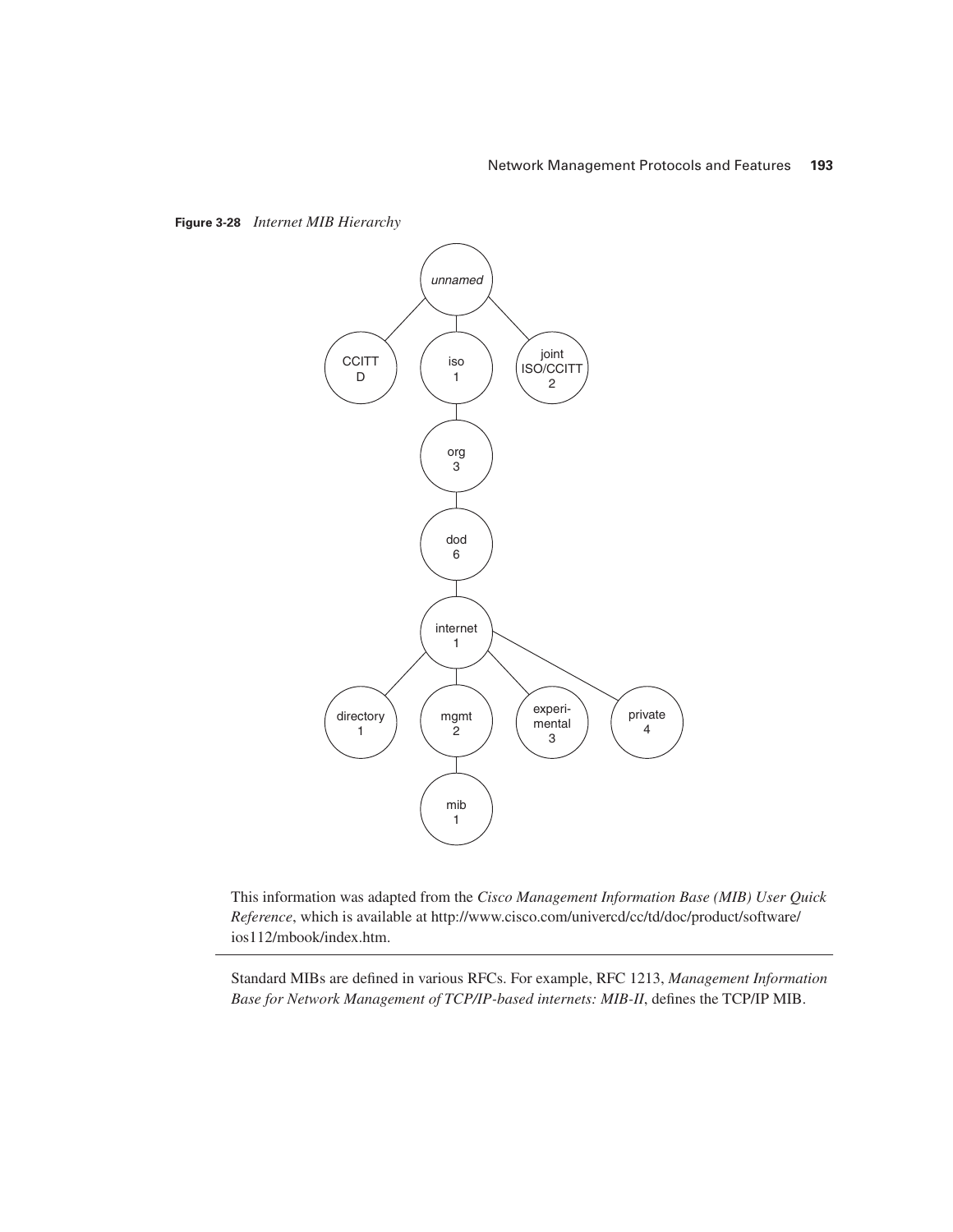

**Figure 3-28** *Internet MIB Hierarchy*

This information was adapted from the *Cisco Management Information Base (MIB) User Quick Reference*, which is available at http://www.cisco.com/univercd/cc/td/doc/product/software/ ios112/mbook/index.htm.

Standard MIBs are defined in various RFCs. For example, RFC 1213, *Management Information Base for Network Management of TCP/IP-based internets: MIB-II*, defines the TCP/IP MIB.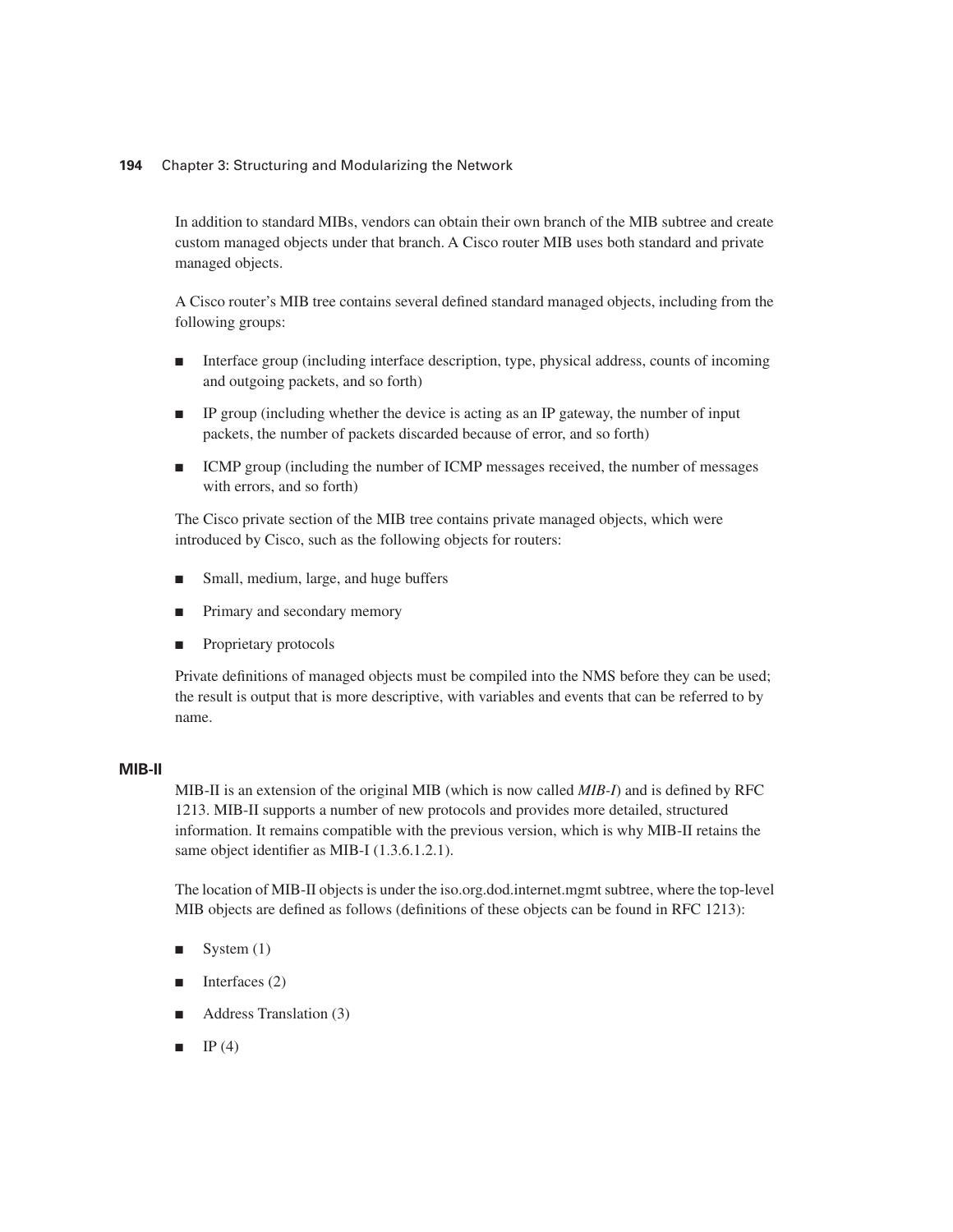In addition to standard MIBs, vendors can obtain their own branch of the MIB subtree and create custom managed objects under that branch. A Cisco router MIB uses both standard and private managed objects.

A Cisco router's MIB tree contains several defined standard managed objects, including from the following groups:

- Interface group (including interface description, type, physical address, counts of incoming and outgoing packets, and so forth)
- IP group (including whether the device is acting as an IP gateway, the number of input packets, the number of packets discarded because of error, and so forth)
- ICMP group (including the number of ICMP messages received, the number of messages with errors, and so forth)

The Cisco private section of the MIB tree contains private managed objects, which were introduced by Cisco, such as the following objects for routers:

- Small, medium, large, and huge buffers
- Primary and secondary memory
- Proprietary protocols

Private definitions of managed objects must be compiled into the NMS before they can be used; the result is output that is more descriptive, with variables and events that can be referred to by name.

## **MIB-II**

MIB-II is an extension of the original MIB (which is now called *MIB-I*) and is defined by RFC 1213. MIB-II supports a number of new protocols and provides more detailed, structured information. It remains compatible with the previous version, which is why MIB-II retains the same object identifier as MIB-I (1.3.6.1.2.1).

The location of MIB-II objects is under the iso.org.dod.internet.mgmt subtree, where the top-level MIB objects are defined as follows (definitions of these objects can be found in RFC 1213):

- $\blacksquare$  System (1)
- Interfaces  $(2)$
- Address Translation (3)
- IP $(4)$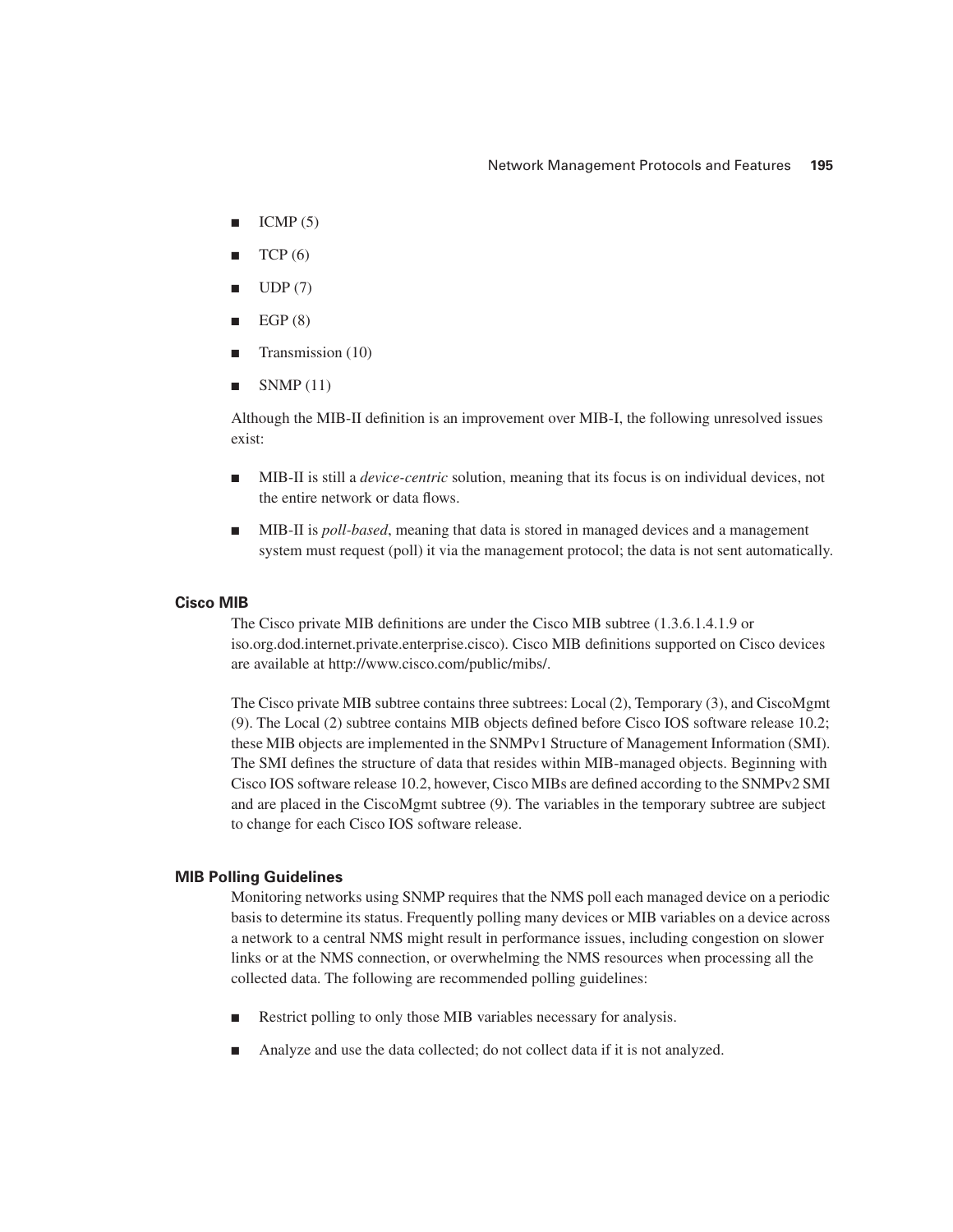### Network Management Protocols and Features **195**

- $ICMP(5)$
- $TCP(6)$
- $UDP(7)$
- $EGP(8)$
- Transmission (10)
- $SNMP(11)$

Although the MIB-II definition is an improvement over MIB-I, the following unresolved issues exist:

- MIB-II is still a *device-centric* solution, meaning that its focus is on individual devices, not the entire network or data flows.
- MIB-II is *poll-based*, meaning that data is stored in managed devices and a management system must request (poll) it via the management protocol; the data is not sent automatically.

### **Cisco MIB**

The Cisco private MIB definitions are under the Cisco MIB subtree (1.3.6.1.4.1.9 or iso.org.dod.internet.private.enterprise.cisco). Cisco MIB definitions supported on Cisco devices are available at http://www.cisco.com/public/mibs/.

The Cisco private MIB subtree contains three subtrees: Local (2), Temporary (3), and CiscoMgmt (9). The Local (2) subtree contains MIB objects defined before Cisco IOS software release 10.2; these MIB objects are implemented in the SNMPv1 Structure of Management Information (SMI). The SMI defines the structure of data that resides within MIB-managed objects. Beginning with Cisco IOS software release 10.2, however, Cisco MIBs are defined according to the SNMPv2 SMI and are placed in the CiscoMgmt subtree (9). The variables in the temporary subtree are subject to change for each Cisco IOS software release.

## **MIB Polling Guidelines**

Monitoring networks using SNMP requires that the NMS poll each managed device on a periodic basis to determine its status. Frequently polling many devices or MIB variables on a device across a network to a central NMS might result in performance issues, including congestion on slower links or at the NMS connection, or overwhelming the NMS resources when processing all the collected data. The following are recommended polling guidelines:

- Restrict polling to only those MIB variables necessary for analysis.
- Analyze and use the data collected; do not collect data if it is not analyzed.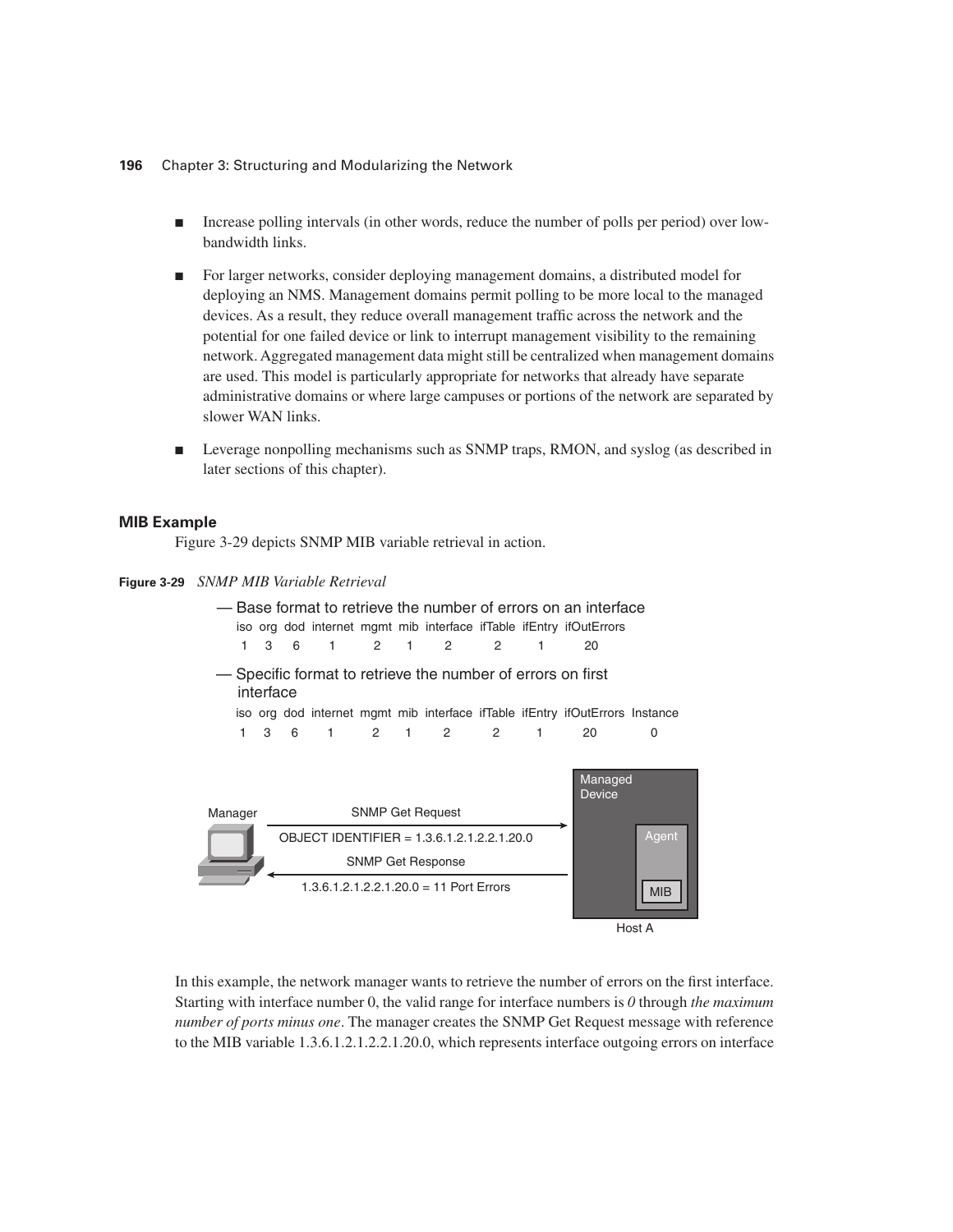- Increase polling intervals (in other words, reduce the number of polls per period) over lowbandwidth links.
- For larger networks, consider deploying management domains, a distributed model for deploying an NMS. Management domains permit polling to be more local to the managed devices. As a result, they reduce overall management traffic across the network and the potential for one failed device or link to interrupt management visibility to the remaining network. Aggregated management data might still be centralized when management domains are used. This model is particularly appropriate for networks that already have separate administrative domains or where large campuses or portions of the network are separated by slower WAN links.
- Leverage nonpolling mechanisms such as SNMP traps, RMON, and syslog (as described in later sections of this chapter).

## **MIB Example**

Figure 3-29 depicts SNMP MIB variable retrieval in action.

### **Figure 3-29** *SNMP MIB Variable Retrieval*





In this example, the network manager wants to retrieve the number of errors on the first interface. Starting with interface number 0, the valid range for interface numbers is *0* through *the maximum number of ports minus one*. The manager creates the SNMP Get Request message with reference to the MIB variable 1.3.6.1.2.1.2.2.1.20.0, which represents interface outgoing errors on interface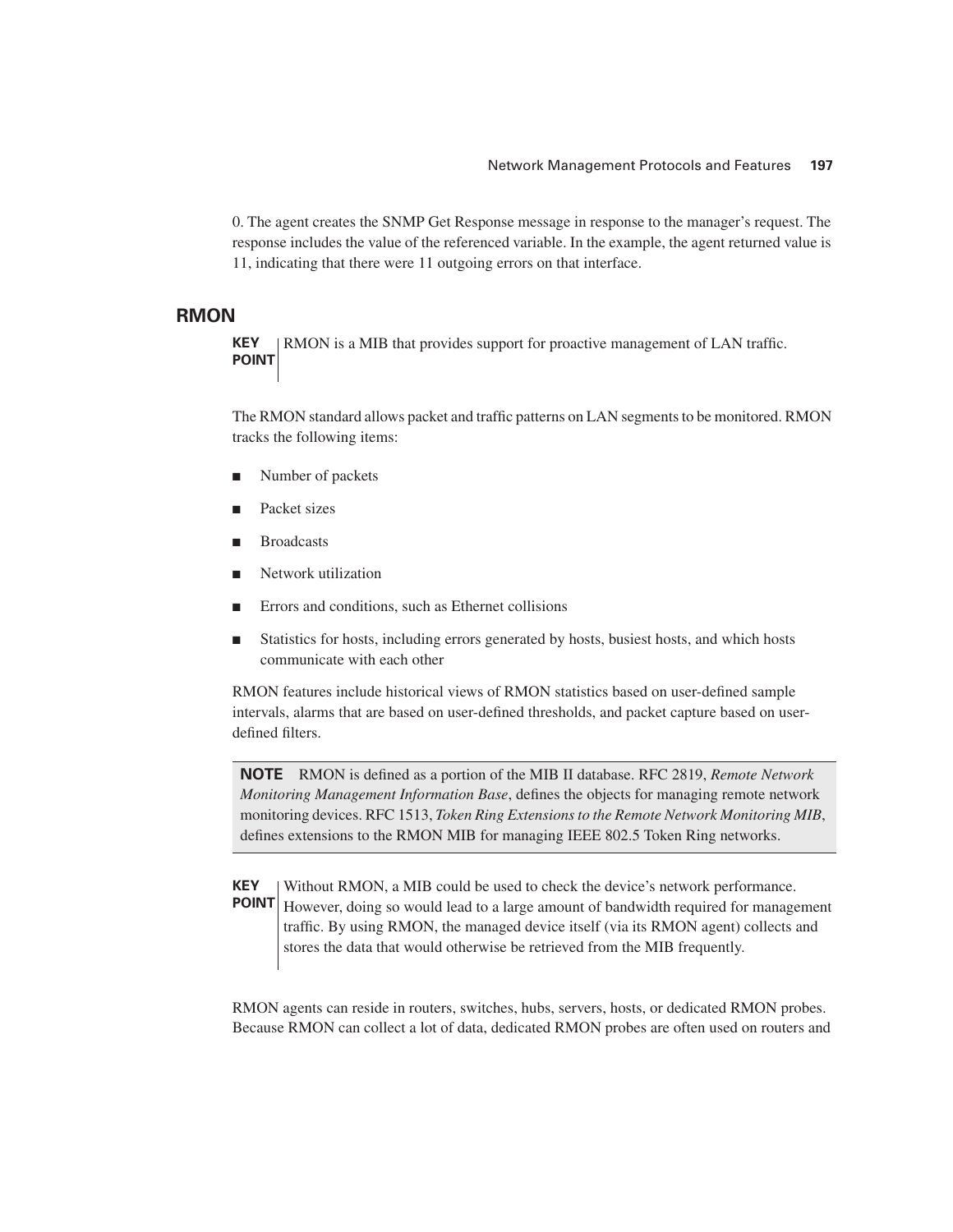0. The agent creates the SNMP Get Response message in response to the manager's request. The response includes the value of the referenced variable. In the example, the agent returned value is 11, indicating that there were 11 outgoing errors on that interface.

# **RMON**

**KEY POINT** RMON is a MIB that provides support for proactive management of LAN traffic.

The RMON standard allows packet and traffic patterns on LAN segments to be monitored. RMON tracks the following items:

- Number of packets
- Packet sizes
- **Broadcasts**
- Network utilization
- Errors and conditions, such as Ethernet collisions
- Statistics for hosts, including errors generated by hosts, busiest hosts, and which hosts communicate with each other

RMON features include historical views of RMON statistics based on user-defined sample intervals, alarms that are based on user-defined thresholds, and packet capture based on userdefined filters.

**NOTE** RMON is defined as a portion of the MIB II database. RFC 2819, *Remote Network Monitoring Management Information Base*, defines the objects for managing remote network monitoring devices. RFC 1513, *Token Ring Extensions to the Remote Network Monitoring MIB*, defines extensions to the RMON MIB for managing IEEE 802.5 Token Ring networks.

**KEY POINT** Without RMON, a MIB could be used to check the device's network performance. However, doing so would lead to a large amount of bandwidth required for management traffic. By using RMON, the managed device itself (via its RMON agent) collects and stores the data that would otherwise be retrieved from the MIB frequently.

RMON agents can reside in routers, switches, hubs, servers, hosts, or dedicated RMON probes. Because RMON can collect a lot of data, dedicated RMON probes are often used on routers and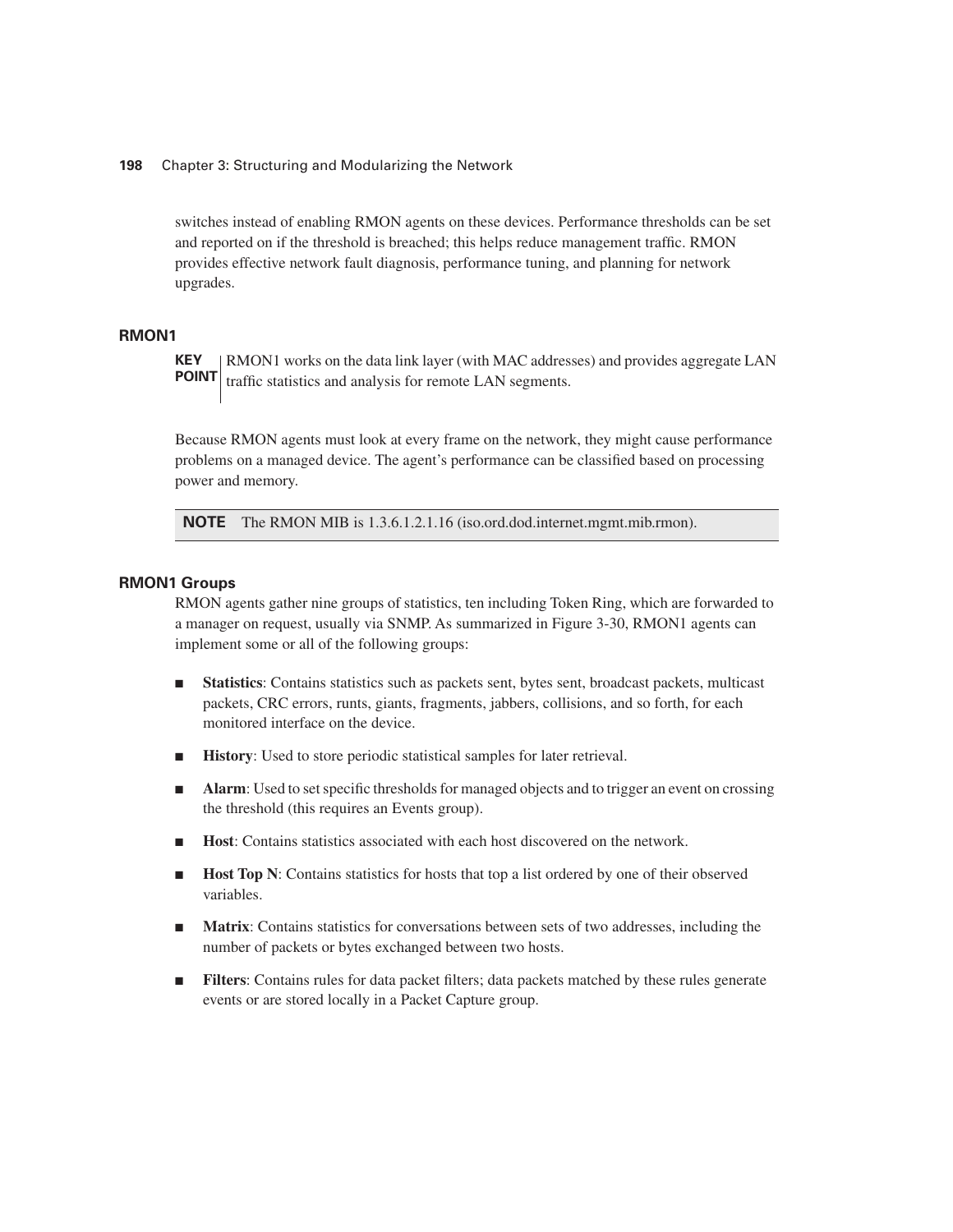switches instead of enabling RMON agents on these devices. Performance thresholds can be set and reported on if the threshold is breached; this helps reduce management traffic. RMON provides effective network fault diagnosis, performance tuning, and planning for network upgrades.

## **RMON1**

**KEY POINT** RMON1 works on the data link layer (with MAC addresses) and provides aggregate LAN traffic statistics and analysis for remote LAN segments.

Because RMON agents must look at every frame on the network, they might cause performance problems on a managed device. The agent's performance can be classified based on processing power and memory.

**NOTE** The RMON MIB is 1.3.6.1.2.1.16 (iso.ord.dod.internet.mgmt.mib.rmon).

## **RMON1 Groups**

RMON agents gather nine groups of statistics, ten including Token Ring, which are forwarded to a manager on request, usually via SNMP. As summarized in Figure 3-30, RMON1 agents can implement some or all of the following groups:

- **Statistics**: Contains statistics such as packets sent, bytes sent, broadcast packets, multicast packets, CRC errors, runts, giants, fragments, jabbers, collisions, and so forth, for each monitored interface on the device.
- **History**: Used to store periodic statistical samples for later retrieval.
- **Alarm**: Used to set specific thresholds for managed objects and to trigger an event on crossing the threshold (this requires an Events group).
- Host: Contains statistics associated with each host discovered on the network.
- **Host Top N**: Contains statistics for hosts that top a list ordered by one of their observed variables.
- **Matrix**: Contains statistics for conversations between sets of two addresses, including the number of packets or bytes exchanged between two hosts.
- **Filters**: Contains rules for data packet filters; data packets matched by these rules generate events or are stored locally in a Packet Capture group.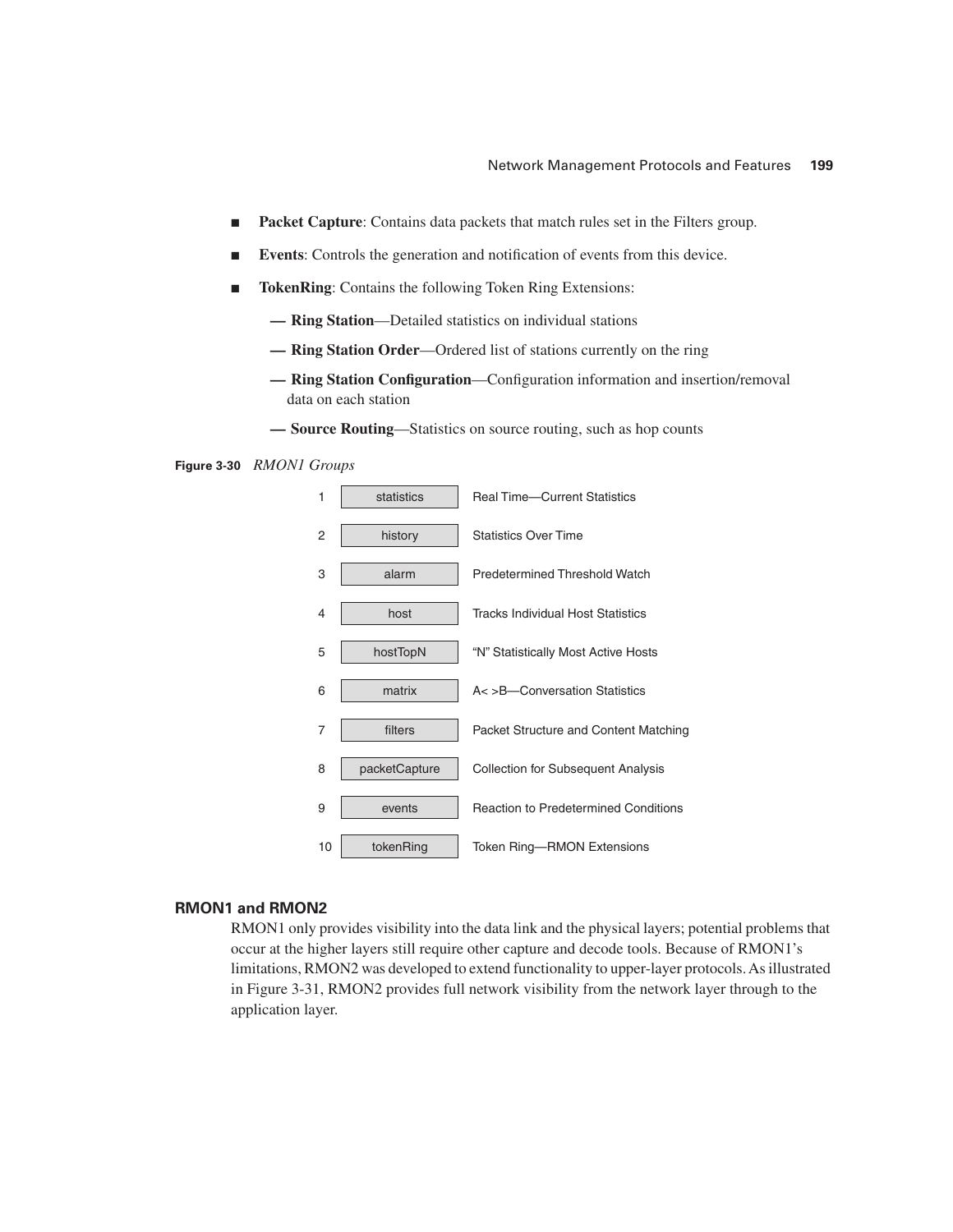- Packet Capture: Contains data packets that match rules set in the Filters group.
- Events: Controls the generation and notification of events from this device.
- **TokenRing:** Contains the following Token Ring Extensions:
	- **Ring Station**—Detailed statistics on individual stations
	- **Ring Station Order**—Ordered list of stations currently on the ring
	- **Ring Station Configuration**—Configuration information and insertion/removal data on each station
	- **Source Routing**—Statistics on source routing, such as hop counts

**Figure 3-30** *RMON1 Groups*



### **RMON1 and RMON2**

RMON1 only provides visibility into the data link and the physical layers; potential problems that occur at the higher layers still require other capture and decode tools. Because of RMON1's limitations, RMON2 was developed to extend functionality to upper-layer protocols. As illustrated in Figure 3-31, RMON2 provides full network visibility from the network layer through to the application layer.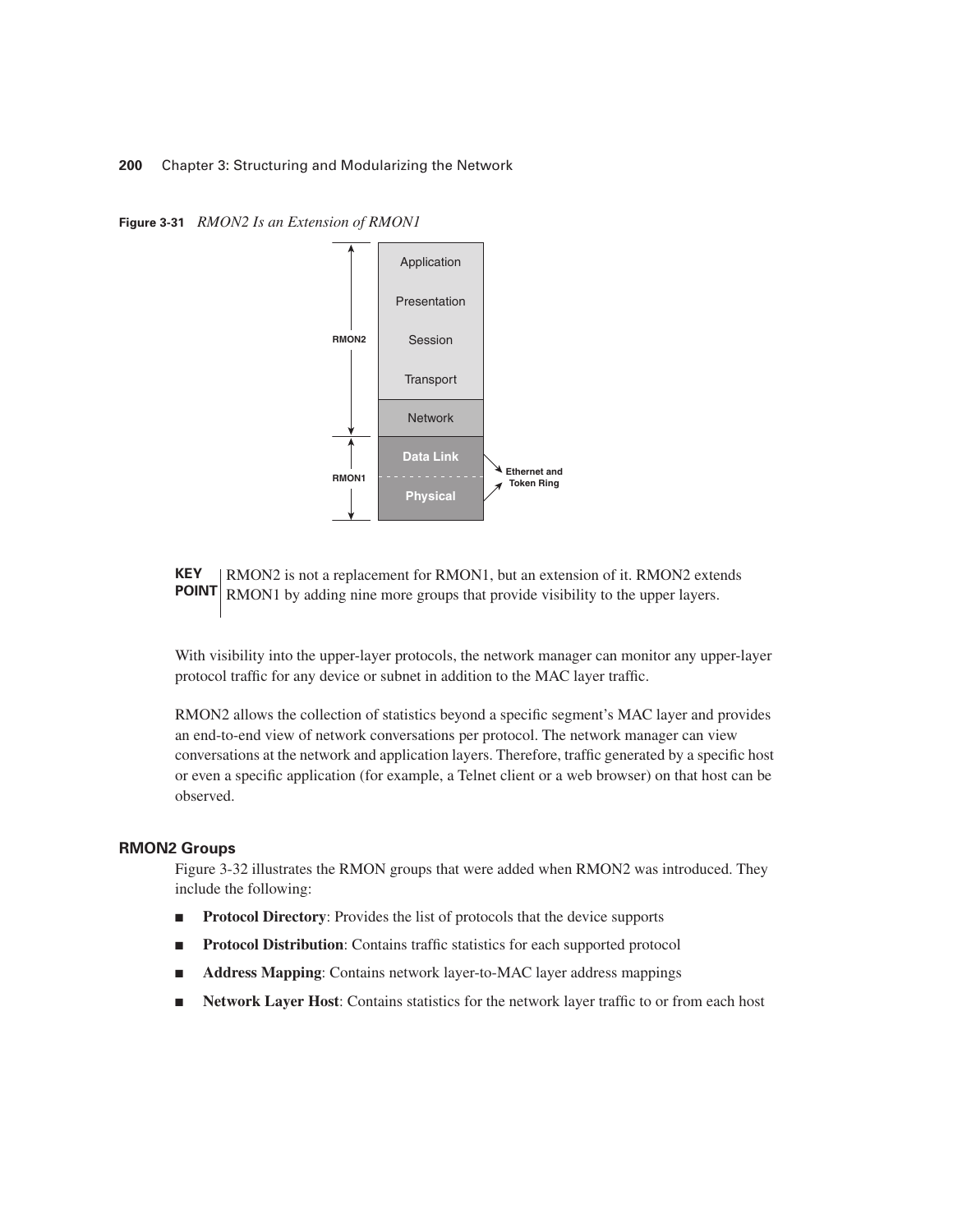

**Figure 3-31** *RMON2 Is an Extension of RMON1*

**KEY POINT** RMON1 by adding nine more groups that provide visibility to the upper layers. RMON2 is not a replacement for RMON1, but an extension of it. RMON2 extends

With visibility into the upper-layer protocols, the network manager can monitor any upper-layer protocol traffic for any device or subnet in addition to the MAC layer traffic.

RMON2 allows the collection of statistics beyond a specific segment's MAC layer and provides an end-to-end view of network conversations per protocol. The network manager can view conversations at the network and application layers. Therefore, traffic generated by a specific host or even a specific application (for example, a Telnet client or a web browser) on that host can be observed.

### **RMON2 Groups**

Figure 3-32 illustrates the RMON groups that were added when RMON2 was introduced. They include the following:

- **Protocol Directory**: Provides the list of protocols that the device supports
- **Protocol Distribution:** Contains traffic statistics for each supported protocol
- Address Mapping: Contains network layer-to-MAC layer address mappings
- **Network Layer Host**: Contains statistics for the network layer traffic to or from each host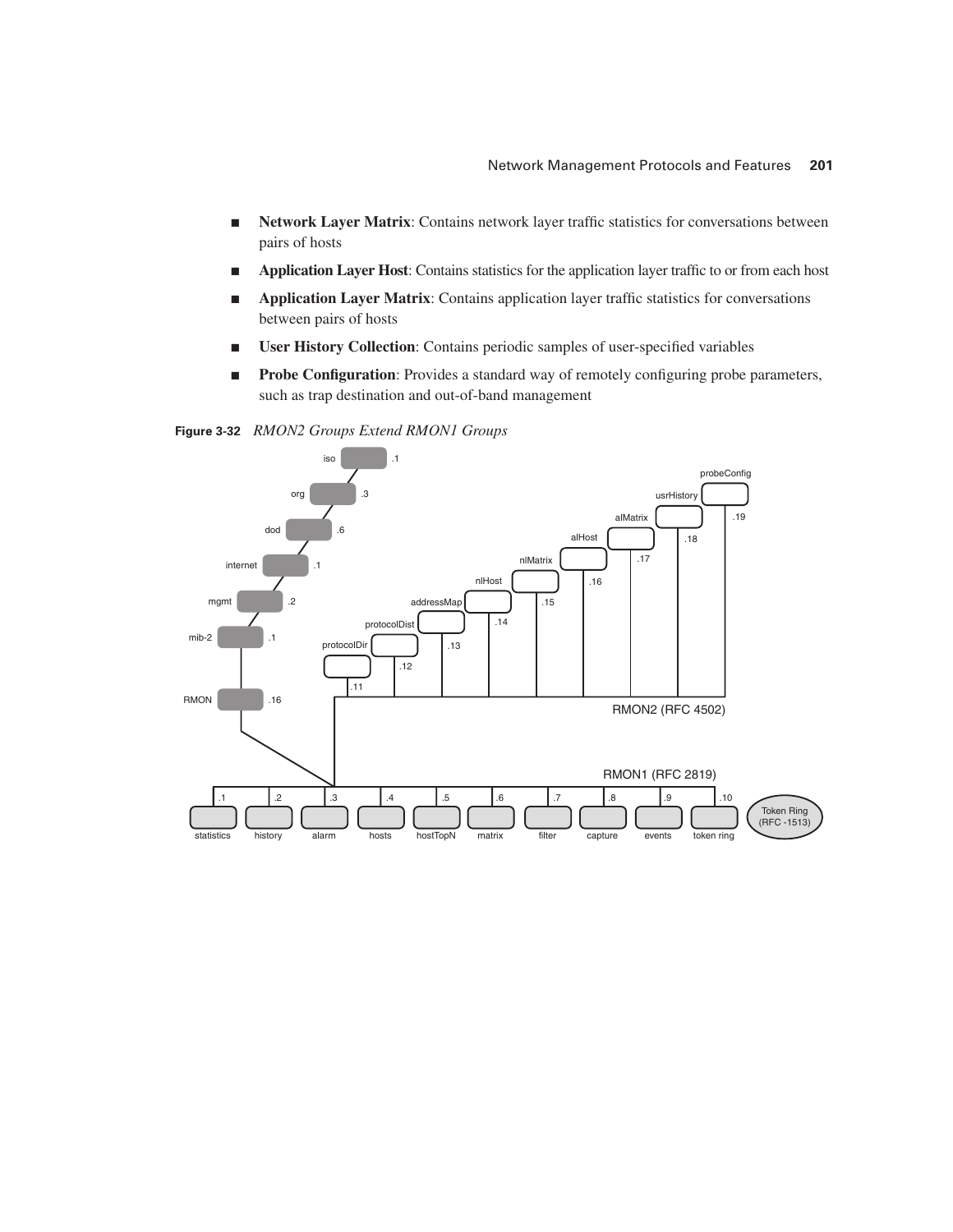- **Network Layer Matrix**: Contains network layer traffic statistics for conversations between pairs of hosts
- **Application Layer Host:** Contains statistics for the application layer traffic to or from each host
- **Application Layer Matrix:** Contains application layer traffic statistics for conversations between pairs of hosts
- **User History Collection**: Contains periodic samples of user-specified variables
- **Probe Configuration**: Provides a standard way of remotely configuring probe parameters, such as trap destination and out-of-band management

**Figure 3-32** *RMON2 Groups Extend RMON1 Groups*

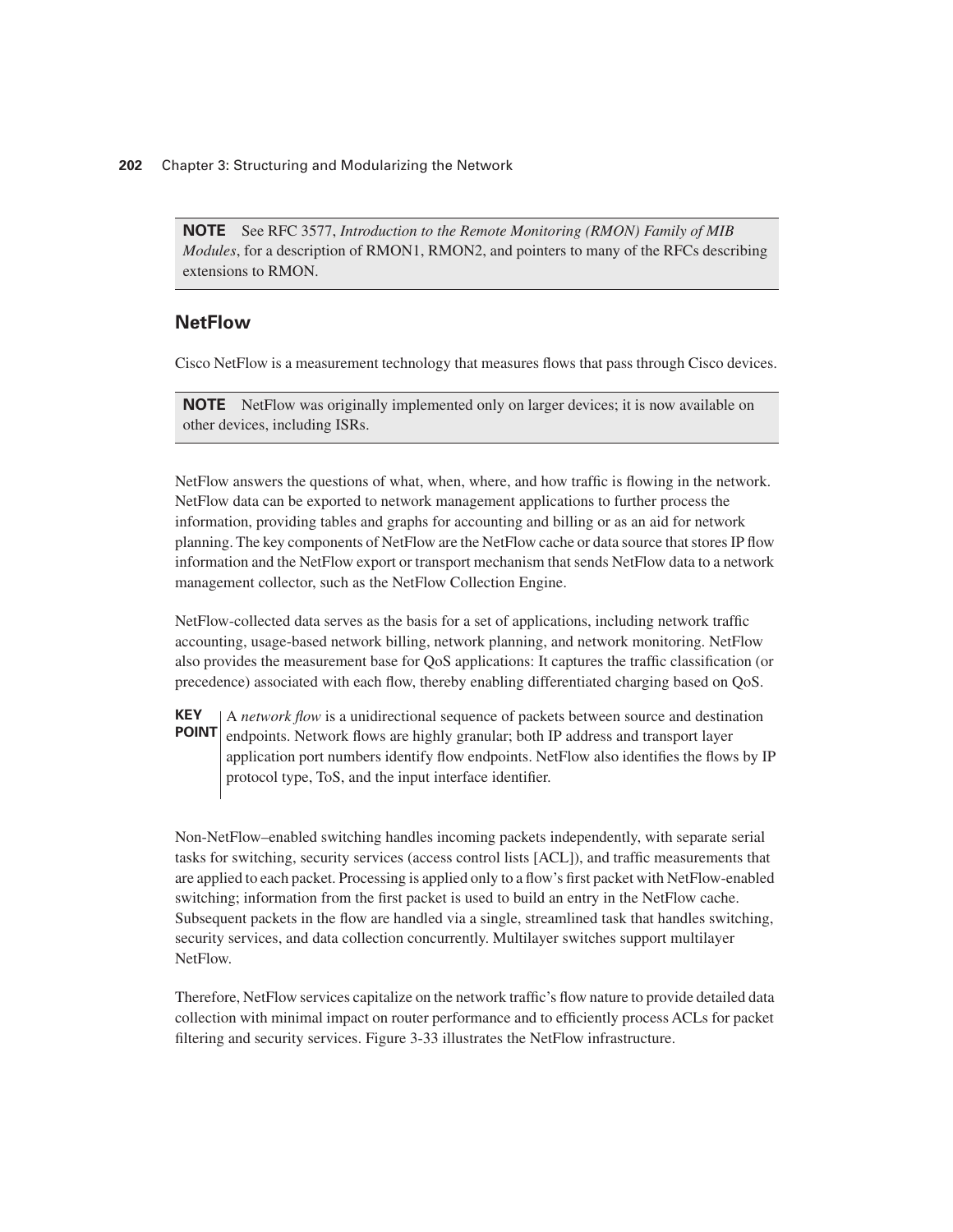**NOTE** See RFC 3577, *Introduction to the Remote Monitoring (RMON) Family of MIB Modules*, for a description of RMON1, RMON2, and pointers to many of the RFCs describing extensions to RMON.

## **NetFlow**

Cisco NetFlow is a measurement technology that measures flows that pass through Cisco devices.

**NOTE** NetFlow was originally implemented only on larger devices; it is now available on other devices, including ISRs.

NetFlow answers the questions of what, when, where, and how traffic is flowing in the network. NetFlow data can be exported to network management applications to further process the information, providing tables and graphs for accounting and billing or as an aid for network planning. The key components of NetFlow are the NetFlow cache or data source that stores IP flow information and the NetFlow export or transport mechanism that sends NetFlow data to a network management collector, such as the NetFlow Collection Engine.

NetFlow-collected data serves as the basis for a set of applications, including network traffic accounting, usage-based network billing, network planning, and network monitoring. NetFlow also provides the measurement base for QoS applications: It captures the traffic classification (or precedence) associated with each flow, thereby enabling differentiated charging based on QoS.

**KEY POINT** A *network flow* is a unidirectional sequence of packets between source and destination endpoints. Network flows are highly granular; both IP address and transport layer application port numbers identify flow endpoints. NetFlow also identifies the flows by IP protocol type, ToS, and the input interface identifier.

Non-NetFlow–enabled switching handles incoming packets independently, with separate serial tasks for switching, security services (access control lists [ACL]), and traffic measurements that are applied to each packet. Processing is applied only to a flow's first packet with NetFlow-enabled switching; information from the first packet is used to build an entry in the NetFlow cache. Subsequent packets in the flow are handled via a single, streamlined task that handles switching, security services, and data collection concurrently. Multilayer switches support multilayer NetFlow.

Therefore, NetFlow services capitalize on the network traffic's flow nature to provide detailed data collection with minimal impact on router performance and to efficiently process ACLs for packet filtering and security services. Figure 3-33 illustrates the NetFlow infrastructure.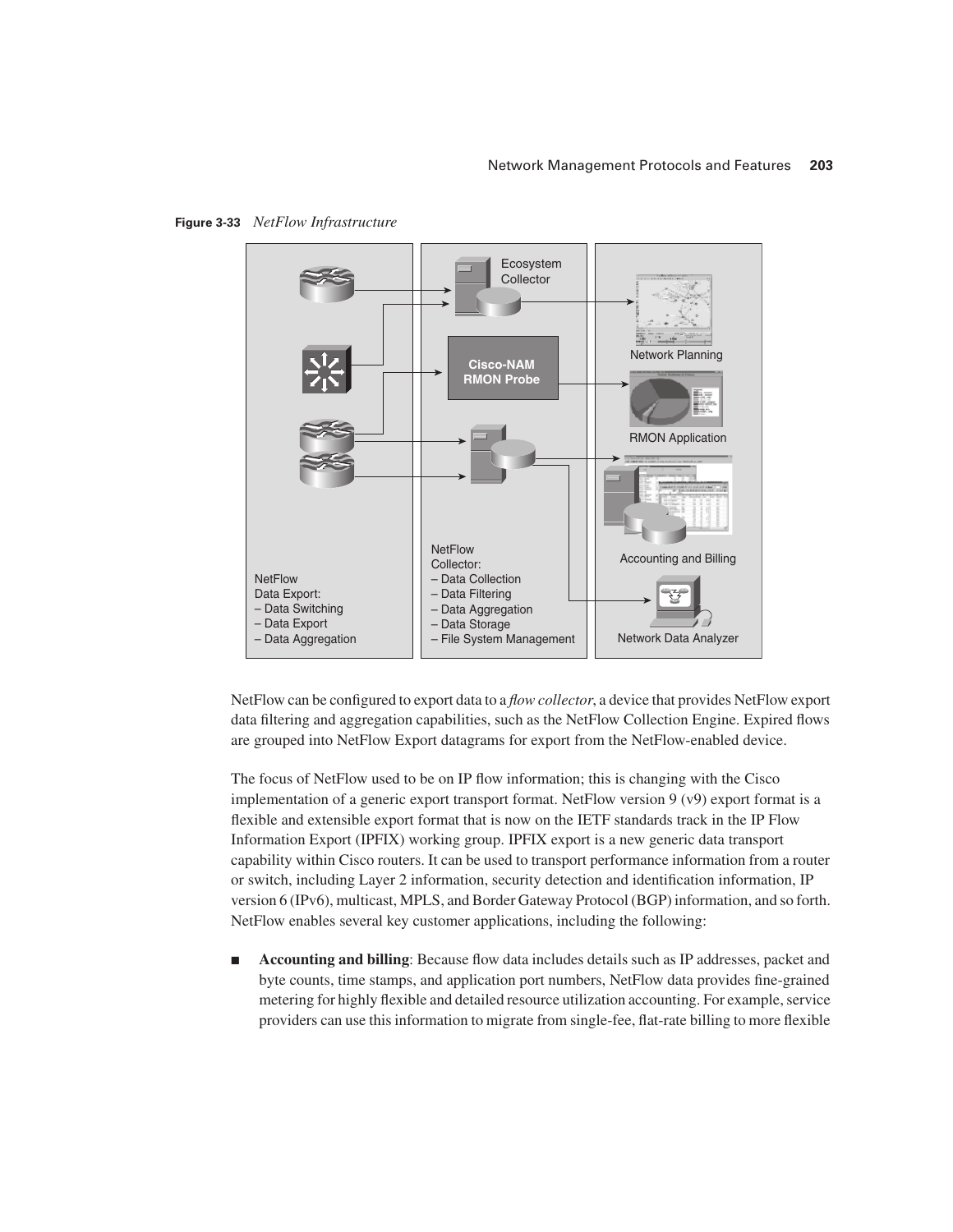

**Figure 3-33** *NetFlow Infrastructure*

NetFlow can be configured to export data to a *flow collector*, a device that provides NetFlow export data filtering and aggregation capabilities, such as the NetFlow Collection Engine. Expired flows are grouped into NetFlow Export datagrams for export from the NetFlow-enabled device.

The focus of NetFlow used to be on IP flow information; this is changing with the Cisco implementation of a generic export transport format. NetFlow version 9 (v9) export format is a flexible and extensible export format that is now on the IETF standards track in the IP Flow Information Export (IPFIX) working group. IPFIX export is a new generic data transport capability within Cisco routers. It can be used to transport performance information from a router or switch, including Layer 2 information, security detection and identification information, IP version 6 (IPv6), multicast, MPLS, and Border Gateway Protocol (BGP) information, and so forth. NetFlow enables several key customer applications, including the following:

■ **Accounting and billing**: Because flow data includes details such as IP addresses, packet and byte counts, time stamps, and application port numbers, NetFlow data provides fine-grained metering for highly flexible and detailed resource utilization accounting. For example, service providers can use this information to migrate from single-fee, flat-rate billing to more flexible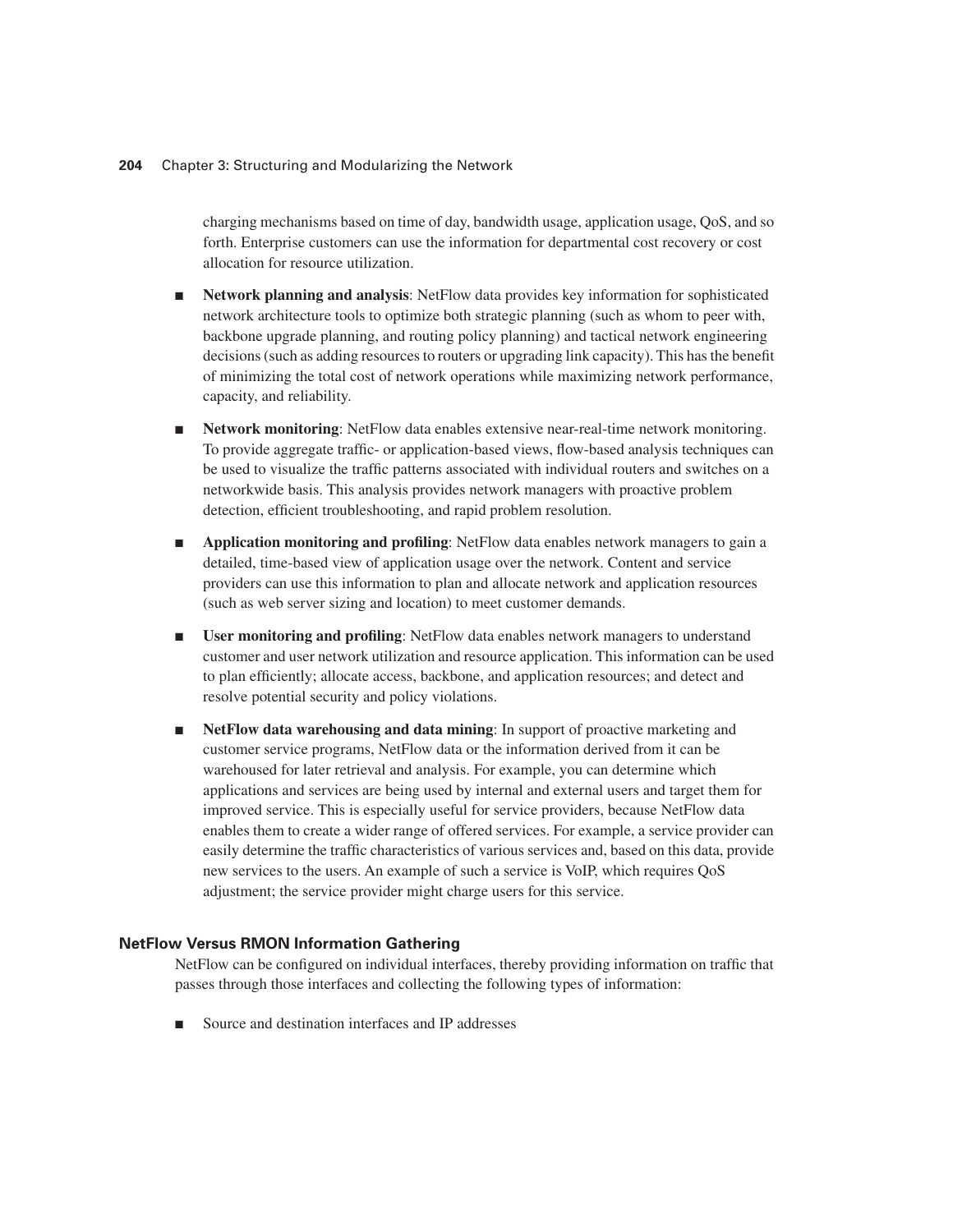charging mechanisms based on time of day, bandwidth usage, application usage, QoS, and so forth. Enterprise customers can use the information for departmental cost recovery or cost allocation for resource utilization.

- **Network planning and analysis:** NetFlow data provides key information for sophisticated network architecture tools to optimize both strategic planning (such as whom to peer with, backbone upgrade planning, and routing policy planning) and tactical network engineering decisions (such as adding resources to routers or upgrading link capacity). This has the benefit of minimizing the total cost of network operations while maximizing network performance, capacity, and reliability.
- **Network monitoring**: NetFlow data enables extensive near-real-time network monitoring. To provide aggregate traffic- or application-based views, flow-based analysis techniques can be used to visualize the traffic patterns associated with individual routers and switches on a networkwide basis. This analysis provides network managers with proactive problem detection, efficient troubleshooting, and rapid problem resolution.
- **Application monitoring and profiling**: NetFlow data enables network managers to gain a detailed, time-based view of application usage over the network. Content and service providers can use this information to plan and allocate network and application resources (such as web server sizing and location) to meet customer demands.
- **User monitoring and profiling:** NetFlow data enables network managers to understand customer and user network utilization and resource application. This information can be used to plan efficiently; allocate access, backbone, and application resources; and detect and resolve potential security and policy violations.
- **NetFlow data warehousing and data mining:** In support of proactive marketing and customer service programs, NetFlow data or the information derived from it can be warehoused for later retrieval and analysis. For example, you can determine which applications and services are being used by internal and external users and target them for improved service. This is especially useful for service providers, because NetFlow data enables them to create a wider range of offered services. For example, a service provider can easily determine the traffic characteristics of various services and, based on this data, provide new services to the users. An example of such a service is VoIP, which requires QoS adjustment; the service provider might charge users for this service.

#### **NetFlow Versus RMON Information Gathering**

NetFlow can be configured on individual interfaces, thereby providing information on traffic that passes through those interfaces and collecting the following types of information:

Source and destination interfaces and IP addresses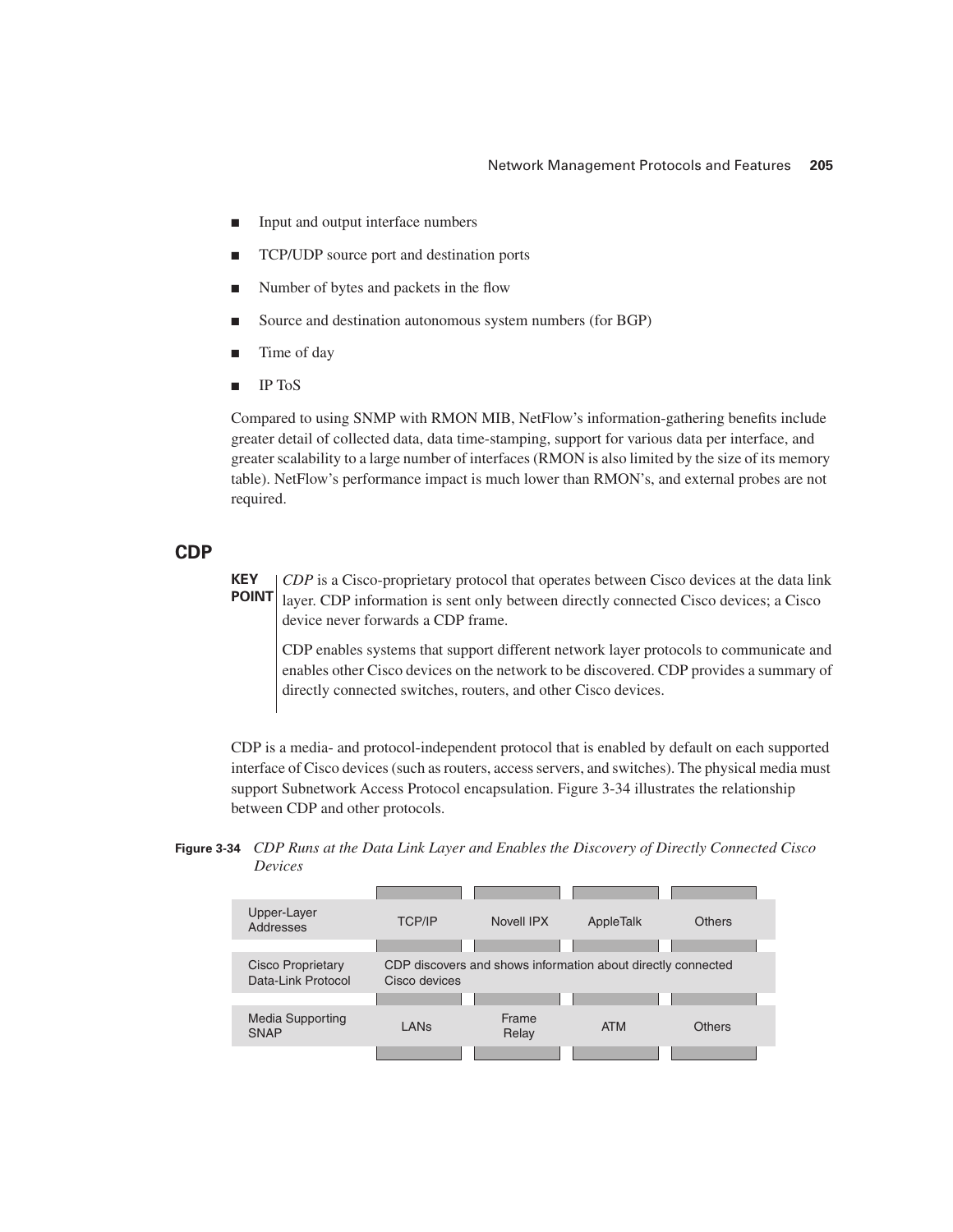- Input and output interface numbers
- TCP/UDP source port and destination ports
- Number of bytes and packets in the flow
- Source and destination autonomous system numbers (for BGP)
- Time of day
- IP ToS

Compared to using SNMP with RMON MIB, NetFlow's information-gathering benefits include greater detail of collected data, data time-stamping, support for various data per interface, and greater scalability to a large number of interfaces (RMON is also limited by the size of its memory table). NetFlow's performance impact is much lower than RMON's, and external probes are not required.

## **CDP**

**KEY POINT** *CDP* is a Cisco-proprietary protocol that operates between Cisco devices at the data link layer. CDP information is sent only between directly connected Cisco devices; a Cisco device never forwards a CDP frame.

CDP enables systems that support different network layer protocols to communicate and enables other Cisco devices on the network to be discovered. CDP provides a summary of directly connected switches, routers, and other Cisco devices.

CDP is a media- and protocol-independent protocol that is enabled by default on each supported interface of Cisco devices (such as routers, access servers, and switches). The physical media must support Subnetwork Access Protocol encapsulation. Figure 3-34 illustrates the relationship between CDP and other protocols.

**Figure 3-34** *CDP Runs at the Data Link Layer and Enables the Discovery of Directly Connected Cisco Devices*

| Upper-Layer<br>Addresses                | <b>TCP/IP</b>                                                                 | Novell IPX     | AppleTalk  | Others        |  |
|-----------------------------------------|-------------------------------------------------------------------------------|----------------|------------|---------------|--|
|                                         |                                                                               |                |            |               |  |
| Cisco Proprietary<br>Data-Link Protocol | CDP discovers and shows information about directly connected<br>Cisco devices |                |            |               |  |
|                                         |                                                                               |                |            |               |  |
| <b>Media Supporting</b><br><b>SNAP</b>  | <b>LAN<sub>s</sub></b>                                                        | Frame<br>Relay | <b>ATM</b> | <b>Others</b> |  |
|                                         |                                                                               |                |            |               |  |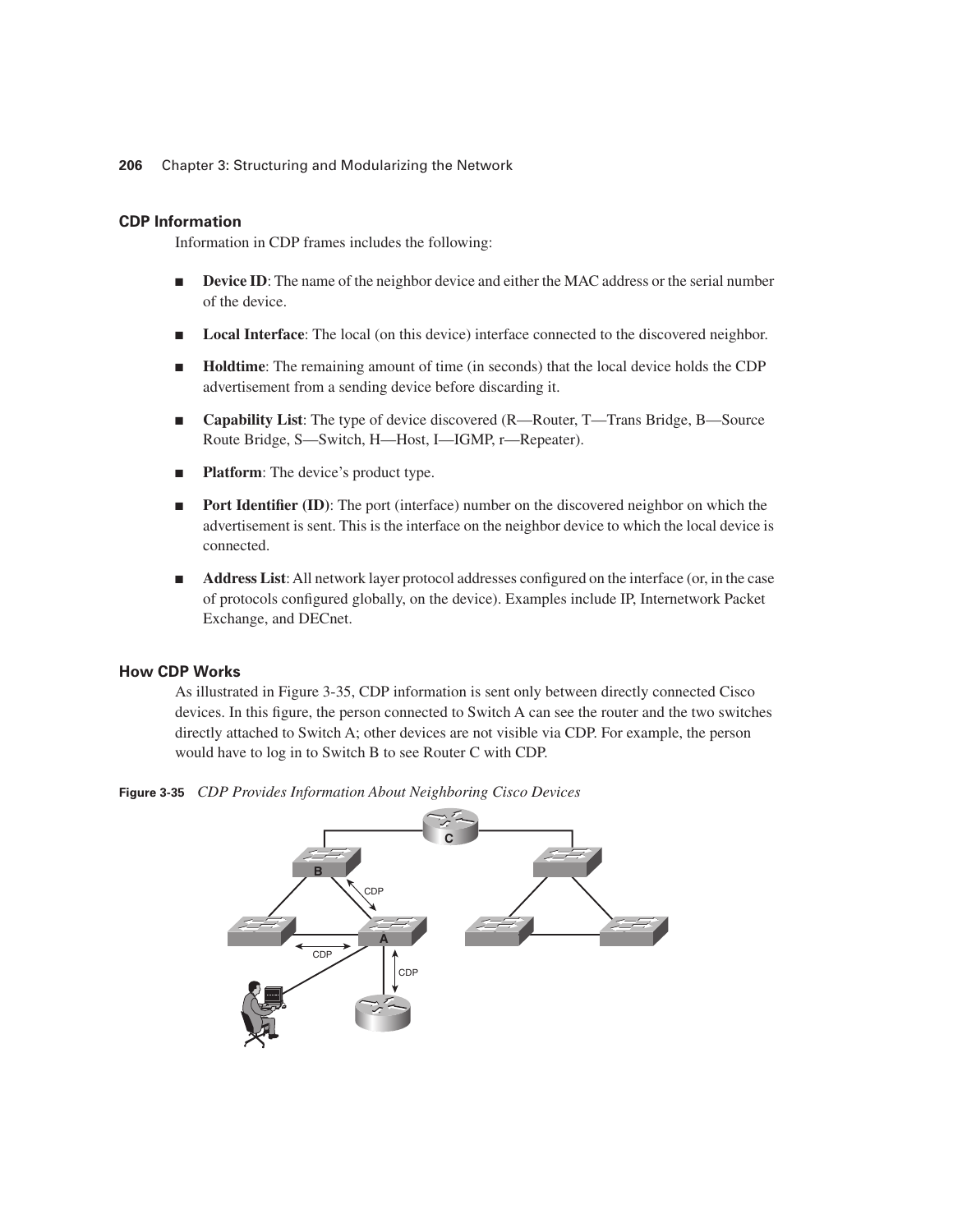## **CDP Information**

Information in CDP frames includes the following:

- **Device ID:** The name of the neighbor device and either the MAC address or the serial number of the device.
- **Local Interface**: The local (on this device) interface connected to the discovered neighbor.
- **Holdtime**: The remaining amount of time (in seconds) that the local device holds the CDP advertisement from a sending device before discarding it.
- **Capability List**: The type of device discovered (R—Router, T—Trans Bridge, B—Source Route Bridge, S—Switch, H—Host, I—IGMP, r—Repeater).
- **Platform**: The device's product type.
- **Port Identifier (ID)**: The port (interface) number on the discovered neighbor on which the advertisement is sent. This is the interface on the neighbor device to which the local device is connected.
- **Address List**: All network layer protocol addresses configured on the interface (or, in the case of protocols configured globally, on the device). Examples include IP, Internetwork Packet Exchange, and DECnet.

### **How CDP Works**

As illustrated in Figure 3-35, CDP information is sent only between directly connected Cisco devices. In this figure, the person connected to Switch A can see the router and the two switches directly attached to Switch A; other devices are not visible via CDP. For example, the person would have to log in to Switch B to see Router C with CDP.



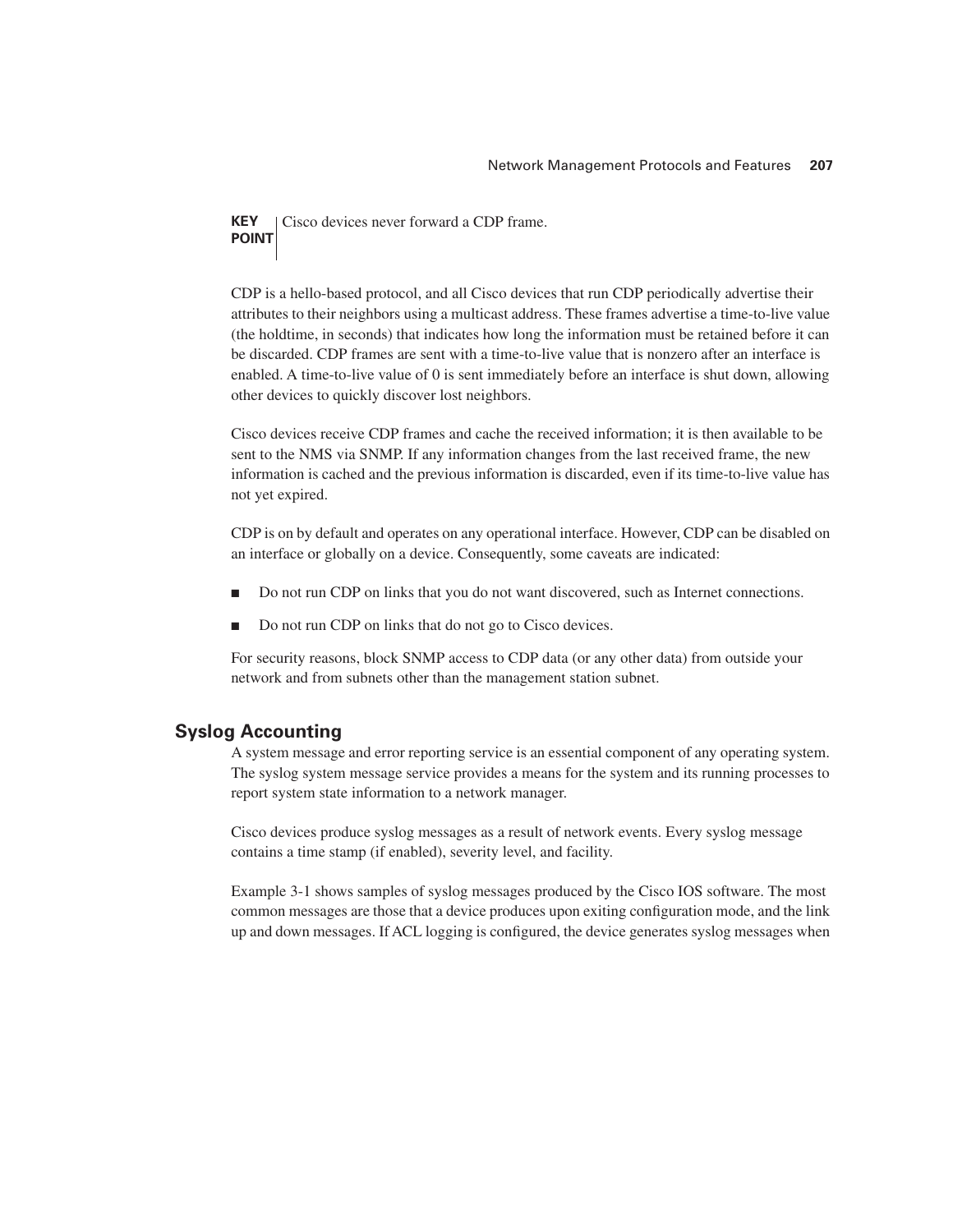**KEY POINT** Cisco devices never forward a CDP frame.

CDP is a hello-based protocol, and all Cisco devices that run CDP periodically advertise their attributes to their neighbors using a multicast address. These frames advertise a time-to-live value (the holdtime, in seconds) that indicates how long the information must be retained before it can be discarded. CDP frames are sent with a time-to-live value that is nonzero after an interface is enabled. A time-to-live value of 0 is sent immediately before an interface is shut down, allowing other devices to quickly discover lost neighbors.

Cisco devices receive CDP frames and cache the received information; it is then available to be sent to the NMS via SNMP. If any information changes from the last received frame, the new information is cached and the previous information is discarded, even if its time-to-live value has not yet expired.

CDP is on by default and operates on any operational interface. However, CDP can be disabled on an interface or globally on a device. Consequently, some caveats are indicated:

- Do not run CDP on links that you do not want discovered, such as Internet connections.
- Do not run CDP on links that do not go to Cisco devices.

For security reasons, block SNMP access to CDP data (or any other data) from outside your network and from subnets other than the management station subnet.

# **Syslog Accounting**

A system message and error reporting service is an essential component of any operating system. The syslog system message service provides a means for the system and its running processes to report system state information to a network manager.

Cisco devices produce syslog messages as a result of network events. Every syslog message contains a time stamp (if enabled), severity level, and facility.

Example 3-1 shows samples of syslog messages produced by the Cisco IOS software. The most common messages are those that a device produces upon exiting configuration mode, and the link up and down messages. If ACL logging is configured, the device generates syslog messages when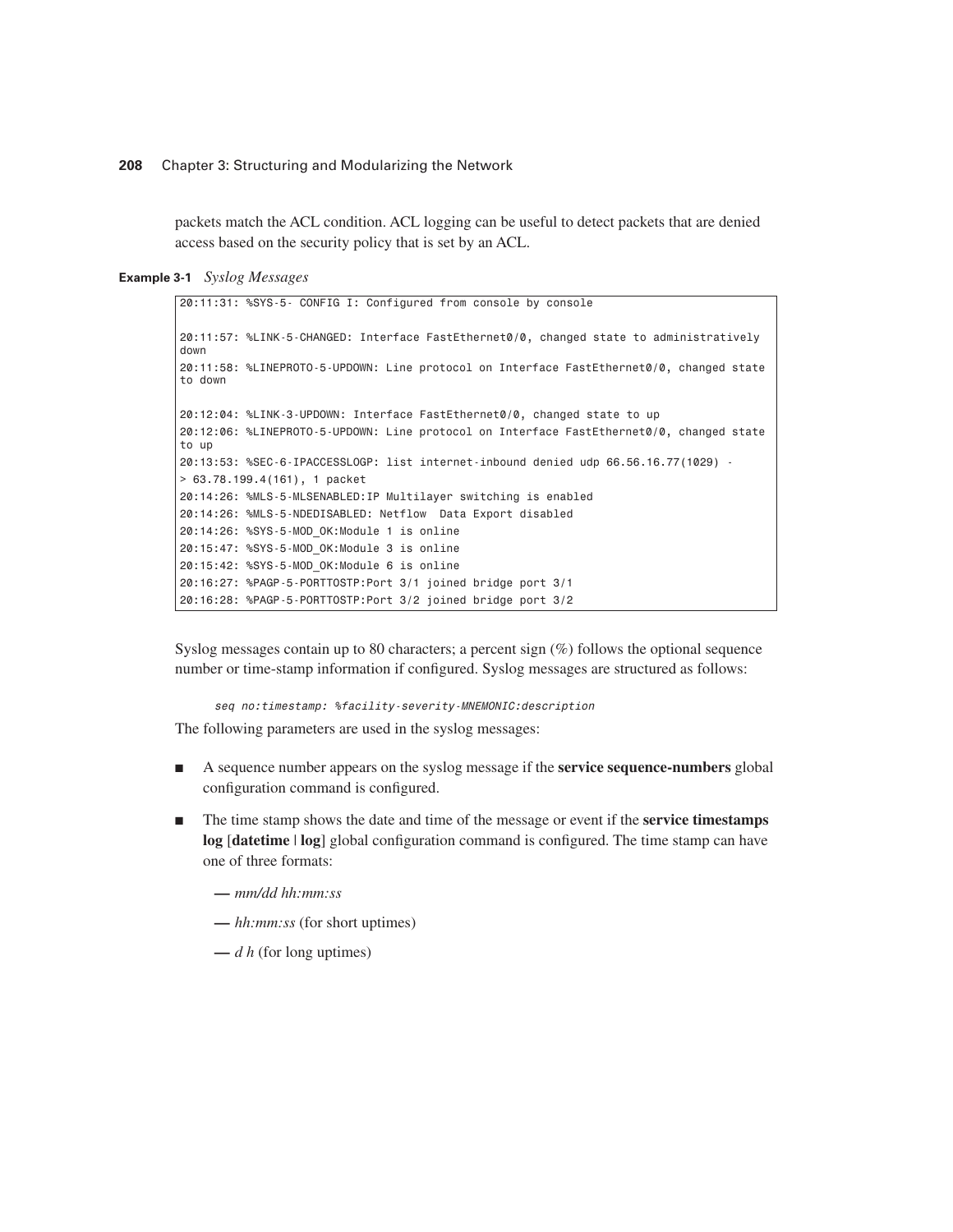packets match the ACL condition. ACL logging can be useful to detect packets that are denied access based on the security policy that is set by an ACL.

**Example 3-1** *Syslog Messages*

```
20:11:31: %SYS-5- CONFIG I: Configured from console by console
20:11:57: %LINK-5-CHANGED: Interface FastEthernet0/0, changed state to administratively 
down
20:11:58: %LINEPROTO-5-UPDOWN: Line protocol on Interface FastEthernet0/0, changed state 
to down
20:12:04: %LINK-3-UPDOWN: Interface FastEthernet0/0, changed state to up
20:12:06: %LINEPROTO-5-UPDOWN: Line protocol on Interface FastEthernet0/0, changed state 
to up
20:13:53: %SEC-6-IPACCESSLOGP: list internet-inbound denied udp 66.56.16.77(1029) -
> 63.78.199.4(161), 1 packet
20:14:26: %MLS-5-MLSENABLED:IP Multilayer switching is enabled
20:14:26: %MLS-5-NDEDISABLED: Netflow Data Export disabled
20:14:26: %SYS-5-MOD_OK:Module 1 is online
20:15:47: %SYS-5-MOD_OK:Module 3 is online
20:15:42: %SYS-5-MOD_OK:Module 6 is online
20:16:27: %PAGP-5-PORTTOSTP:Port 3/1 joined bridge port 3/1
20:16:28: %PAGP-5-PORTTOSTP:Port 3/2 joined bridge port 3/2
```
Syslog messages contain up to 80 characters; a percent sign (%) follows the optional sequence number or time-stamp information if configured. Syslog messages are structured as follows:

seq no:timestamp: %facility-severity-MNEMONIC:description The following parameters are used in the syslog messages:

- A sequence number appears on the syslog message if the **service sequence-numbers** global configuration command is configured.
- The time stamp shows the date and time of the message or event if the **service timestamps log** [**datetime** | **log**] global configuration command is configured. The time stamp can have one of three formats:
	- *mm/dd hh:mm:ss*
	- *hh:mm:ss* (for short uptimes)
	- *d h* (for long uptimes)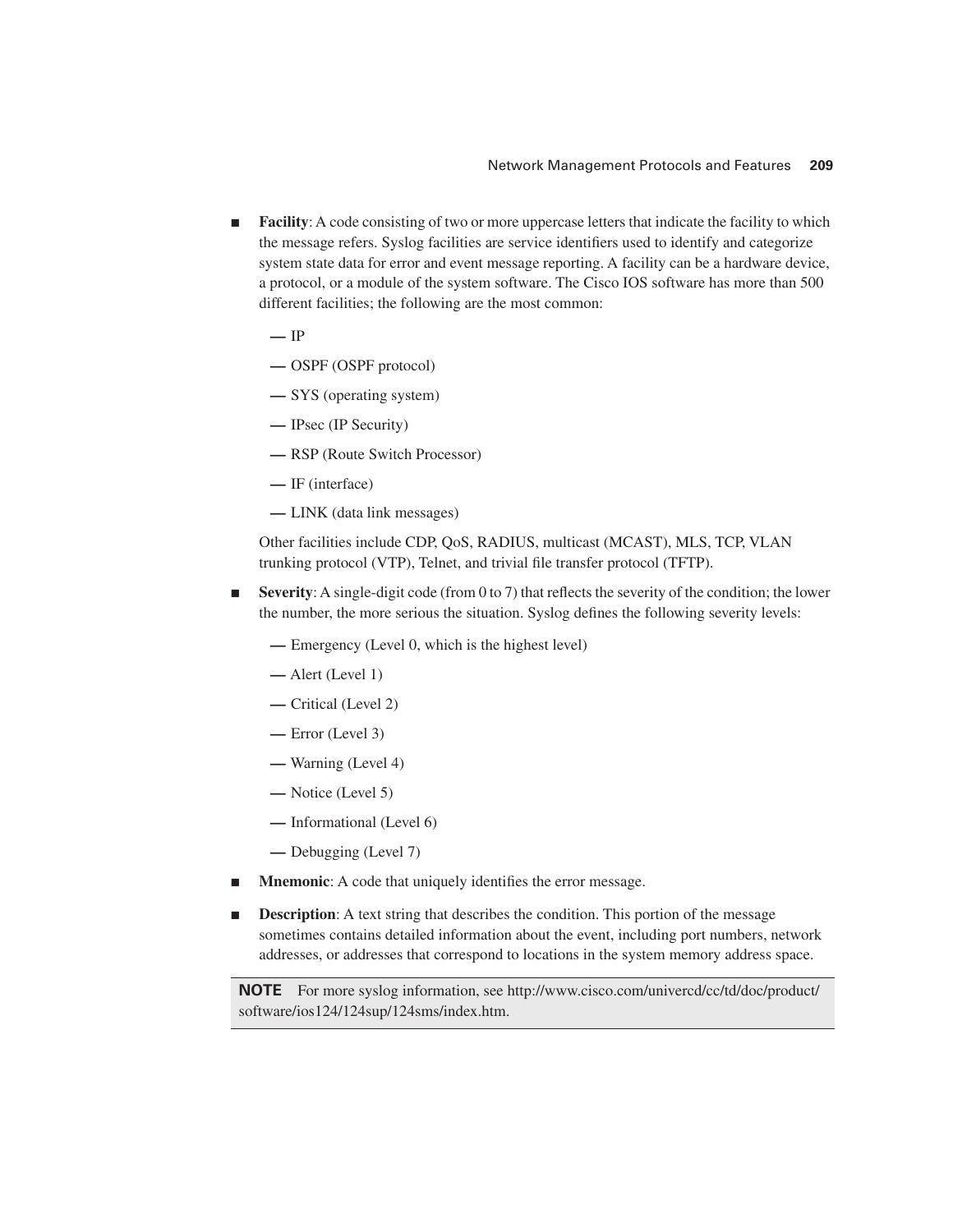- **Facility**: A code consisting of two or more uppercase letters that indicate the facility to which the message refers. Syslog facilities are service identifiers used to identify and categorize system state data for error and event message reporting. A facility can be a hardware device, a protocol, or a module of the system software. The Cisco IOS software has more than 500 different facilities; the following are the most common:
	- IP
	- OSPF (OSPF protocol)
	- SYS (operating system)
	- IPsec (IP Security)
	- RSP (Route Switch Processor)
	- IF (interface)
	- LINK (data link messages)

Other facilities include CDP, QoS, RADIUS, multicast (MCAST), MLS, TCP, VLAN trunking protocol (VTP), Telnet, and trivial file transfer protocol (TFTP).

- **Severity**: A single-digit code (from 0 to 7) that reflects the severity of the condition; the lower the number, the more serious the situation. Syslog defines the following severity levels:
	- Emergency (Level 0, which is the highest level)
	- Alert (Level 1)
	- Critical (Level 2)
	- Error (Level 3)
	- Warning (Level 4)
	- Notice (Level 5)
	- Informational (Level 6)
	- Debugging (Level 7)
- **Mnemonic**: A code that uniquely identifies the error message.
- **Description**: A text string that describes the condition. This portion of the message sometimes contains detailed information about the event, including port numbers, network addresses, or addresses that correspond to locations in the system memory address space.

**NOTE** For more syslog information, see http://www.cisco.com/univercd/cc/td/doc/product/ software/ios124/124sup/124sms/index.htm.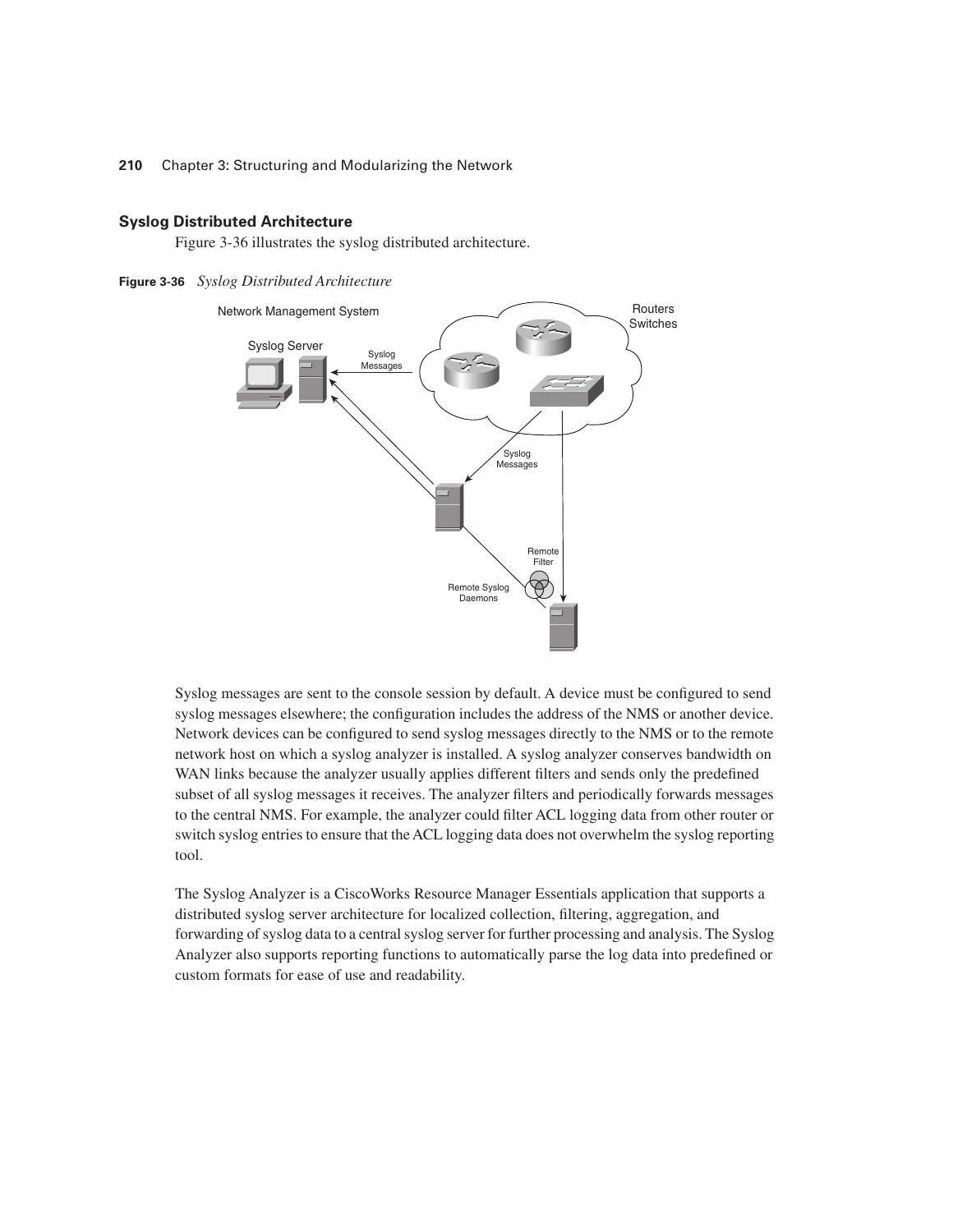### **Syslog Distributed Architecture**

Figure 3-36 illustrates the syslog distributed architecture.

**Figure 3-36** *Syslog Distributed Architecture*



Syslog messages are sent to the console session by default. A device must be configured to send syslog messages elsewhere; the configuration includes the address of the NMS or another device. Network devices can be configured to send syslog messages directly to the NMS or to the remote network host on which a syslog analyzer is installed. A syslog analyzer conserves bandwidth on WAN links because the analyzer usually applies different filters and sends only the predefined subset of all syslog messages it receives. The analyzer filters and periodically forwards messages to the central NMS. For example, the analyzer could filter ACL logging data from other router or switch syslog entries to ensure that the ACL logging data does not overwhelm the syslog reporting tool.

The Syslog Analyzer is a CiscoWorks Resource Manager Essentials application that supports a distributed syslog server architecture for localized collection, filtering, aggregation, and forwarding of syslog data to a central syslog server for further processing and analysis. The Syslog Analyzer also supports reporting functions to automatically parse the log data into predefined or custom formats for ease of use and readability.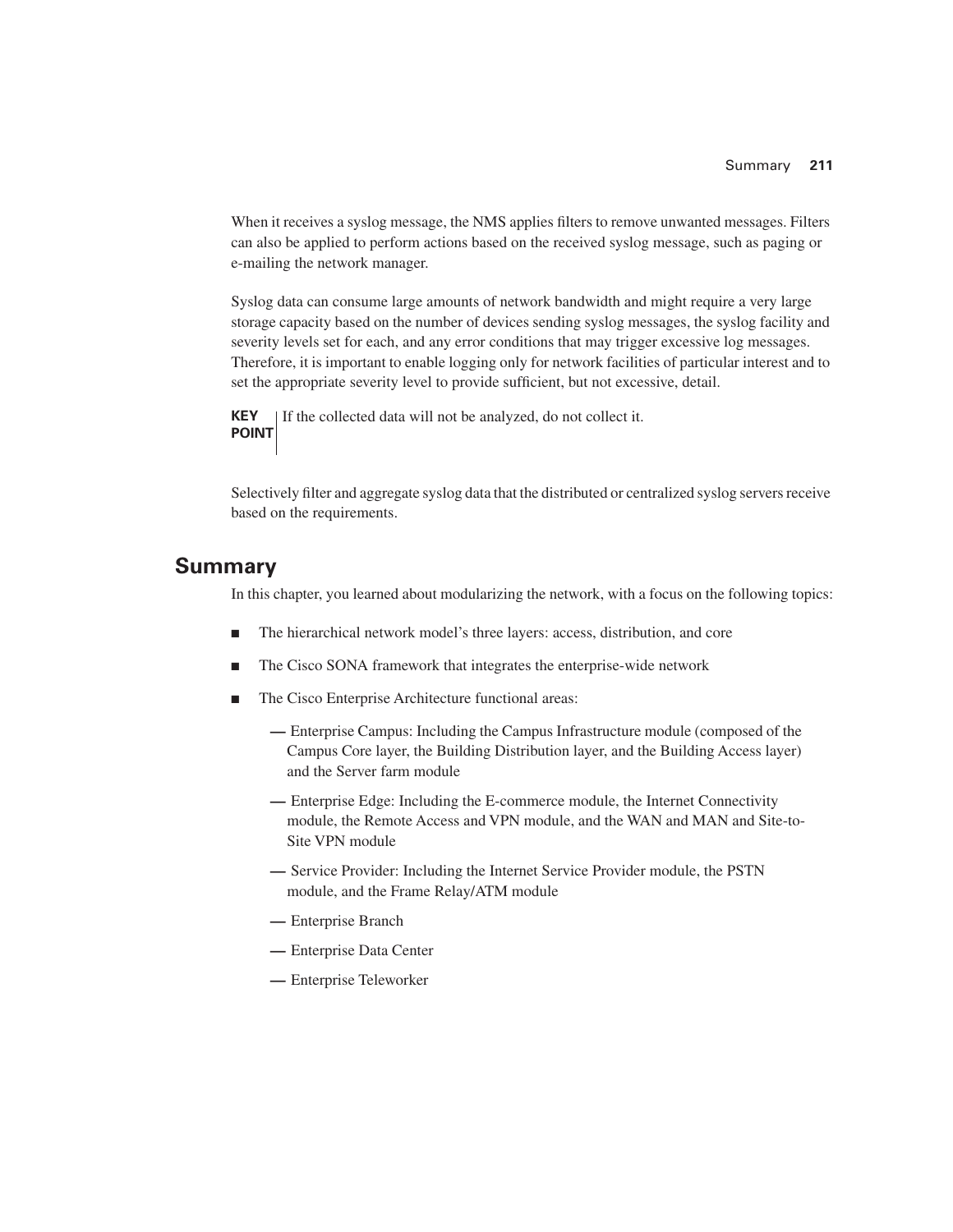When it receives a syslog message, the NMS applies filters to remove unwanted messages. Filters can also be applied to perform actions based on the received syslog message, such as paging or e-mailing the network manager.

Syslog data can consume large amounts of network bandwidth and might require a very large storage capacity based on the number of devices sending syslog messages, the syslog facility and severity levels set for each, and any error conditions that may trigger excessive log messages. Therefore, it is important to enable logging only for network facilities of particular interest and to set the appropriate severity level to provide sufficient, but not excessive, detail.

**KEY POINT** If the collected data will not be analyzed, do not collect it.

Selectively filter and aggregate syslog data that the distributed or centralized syslog servers receive based on the requirements.

# **Summary**

In this chapter, you learned about modularizing the network, with a focus on the following topics:

- The hierarchical network model's three layers: access, distribution, and core
- The Cisco SONA framework that integrates the enterprise-wide network
- The Cisco Enterprise Architecture functional areas:
	- Enterprise Campus: Including the Campus Infrastructure module (composed of the Campus Core layer, the Building Distribution layer, and the Building Access layer) and the Server farm module
	- Enterprise Edge: Including the E-commerce module, the Internet Connectivity module, the Remote Access and VPN module, and the WAN and MAN and Site-to-Site VPN module
	- Service Provider: Including the Internet Service Provider module, the PSTN module, and the Frame Relay/ATM module
	- Enterprise Branch
	- Enterprise Data Center
	- Enterprise Teleworker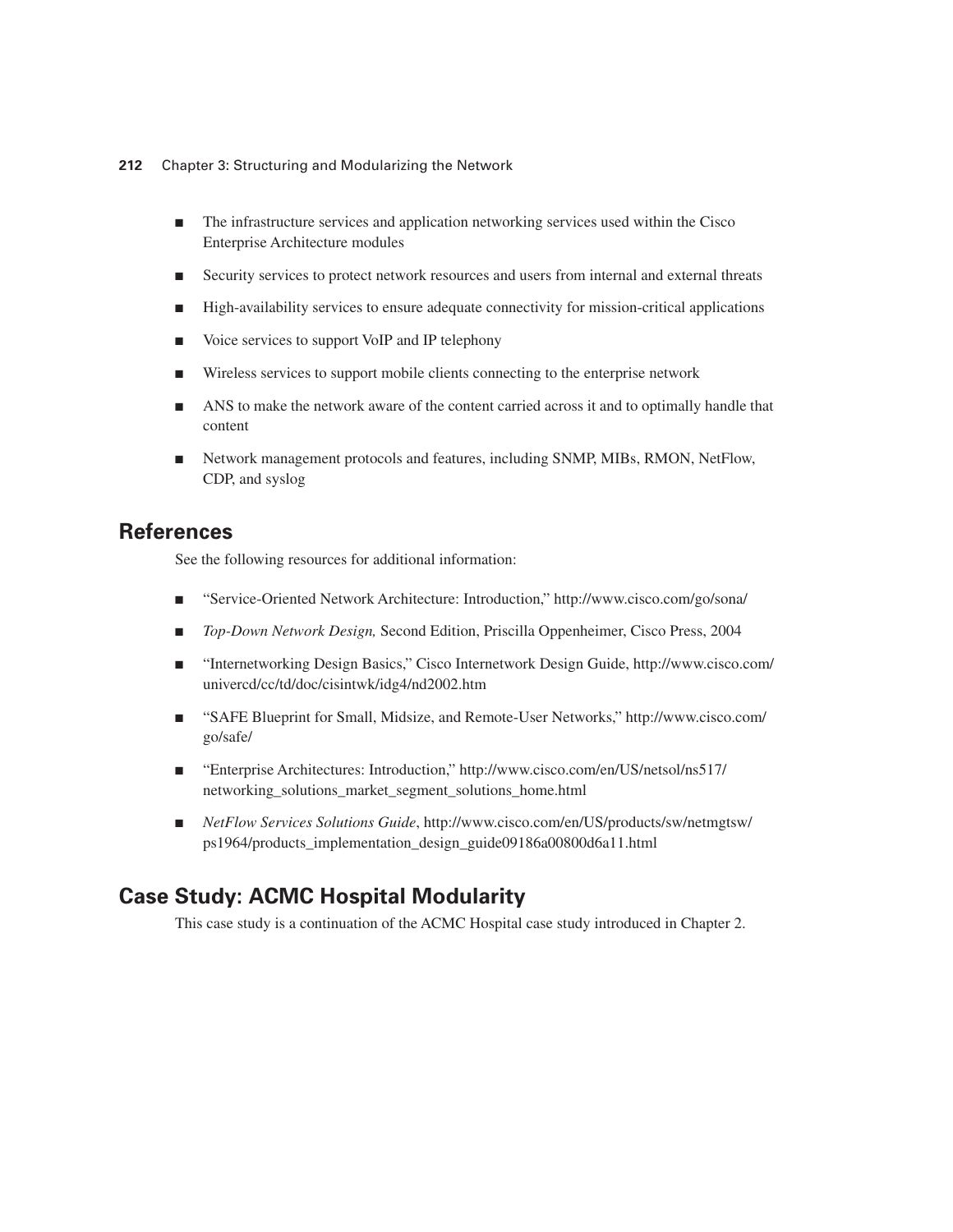- The infrastructure services and application networking services used within the Cisco Enterprise Architecture modules
- Security services to protect network resources and users from internal and external threats
- High-availability services to ensure adequate connectivity for mission-critical applications
- Voice services to support VoIP and IP telephony
- Wireless services to support mobile clients connecting to the enterprise network
- ANS to make the network aware of the content carried across it and to optimally handle that content
- Network management protocols and features, including SNMP, MIBs, RMON, NetFlow, CDP, and syslog

# **References**

See the following resources for additional information:

- "Service-Oriented Network Architecture: Introduction," http://www.cisco.com/go/sona/
- *Top-Down Network Design,* Second Edition, Priscilla Oppenheimer, Cisco Press, 2004
- "Internetworking Design Basics," Cisco Internetwork Design Guide, http://www.cisco.com/ univercd/cc/td/doc/cisintwk/idg4/nd2002.htm
- "SAFE Blueprint for Small, Midsize, and Remote-User Networks," http://www.cisco.com/ go/safe/
- "Enterprise Architectures: Introduction," http://www.cisco.com/en/US/netsol/ns517/ networking\_solutions\_market\_segment\_solutions\_home.html
- *NetFlow Services Solutions Guide*, http://www.cisco.com/en/US/products/sw/netmgtsw/ ps1964/products\_implementation\_design\_guide09186a00800d6a11.html

# **Case Study: ACMC Hospital Modularity**

This case study is a continuation of the ACMC Hospital case study introduced in Chapter 2.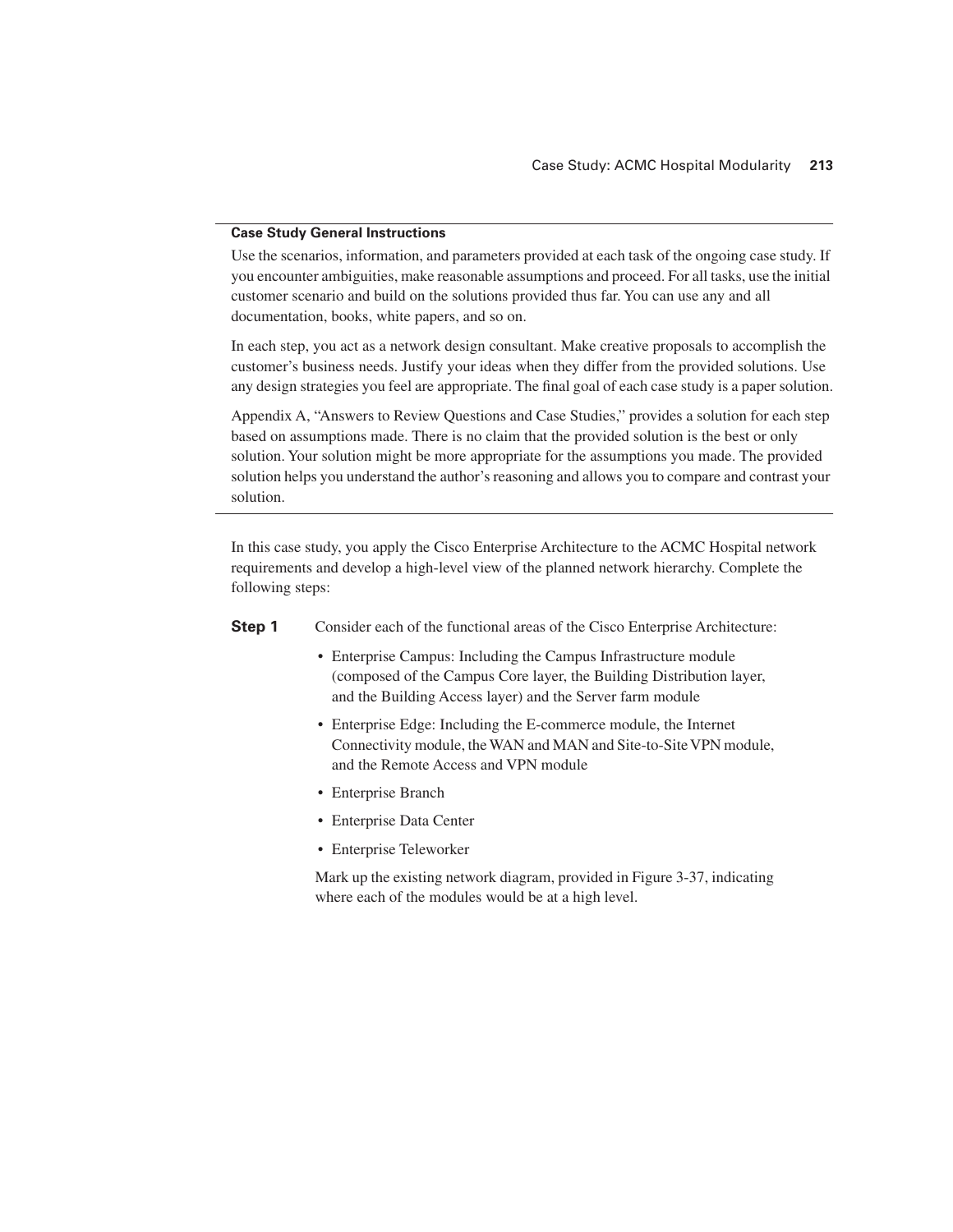#### **Case Study General Instructions**

Use the scenarios, information, and parameters provided at each task of the ongoing case study. If you encounter ambiguities, make reasonable assumptions and proceed. For all tasks, use the initial customer scenario and build on the solutions provided thus far. You can use any and all documentation, books, white papers, and so on.

In each step, you act as a network design consultant. Make creative proposals to accomplish the customer's business needs. Justify your ideas when they differ from the provided solutions. Use any design strategies you feel are appropriate. The final goal of each case study is a paper solution.

Appendix A, "Answers to Review Questions and Case Studies," provides a solution for each step based on assumptions made. There is no claim that the provided solution is the best or only solution. Your solution might be more appropriate for the assumptions you made. The provided solution helps you understand the author's reasoning and allows you to compare and contrast your solution.

In this case study, you apply the Cisco Enterprise Architecture to the ACMC Hospital network requirements and develop a high-level view of the planned network hierarchy. Complete the following steps:

**Step 1** Consider each of the functional areas of the Cisco Enterprise Architecture:

- Enterprise Campus: Including the Campus Infrastructure module (composed of the Campus Core layer, the Building Distribution layer, and the Building Access layer) and the Server farm module
- Enterprise Edge: Including the E-commerce module, the Internet Connectivity module, the WAN and MAN and Site-to-Site VPN module, and the Remote Access and VPN module
- Enterprise Branch
- Enterprise Data Center
- Enterprise Teleworker

Mark up the existing network diagram, provided in Figure 3-37, indicating where each of the modules would be at a high level.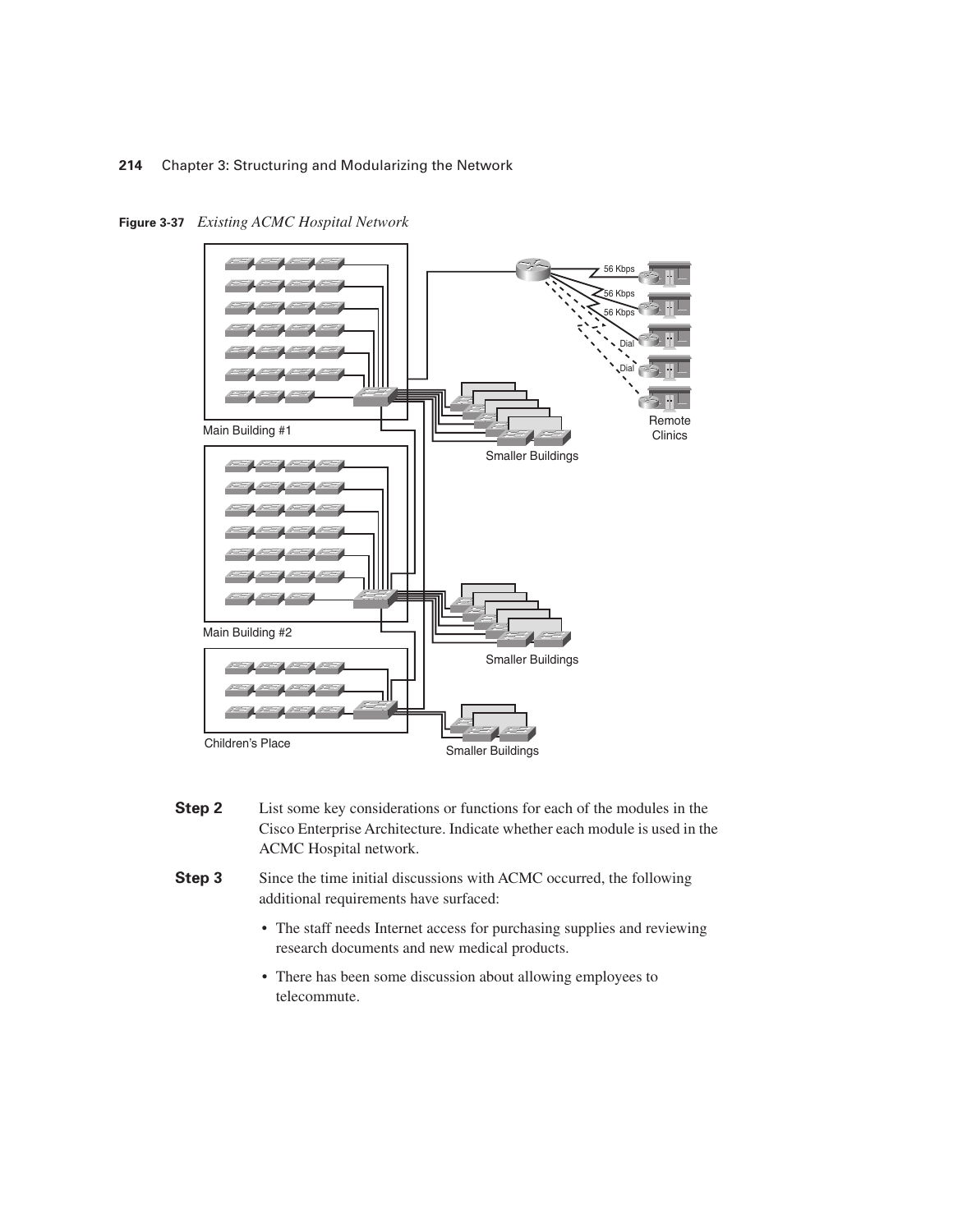

**Figure 3-37** *Existing ACMC Hospital Network*

- **Step 2** List some key considerations or functions for each of the modules in the Cisco Enterprise Architecture. Indicate whether each module is used in the ACMC Hospital network.
- **Step 3** Since the time initial discussions with ACMC occurred, the following additional requirements have surfaced:
	- The staff needs Internet access for purchasing supplies and reviewing research documents and new medical products.
	- There has been some discussion about allowing employees to telecommute.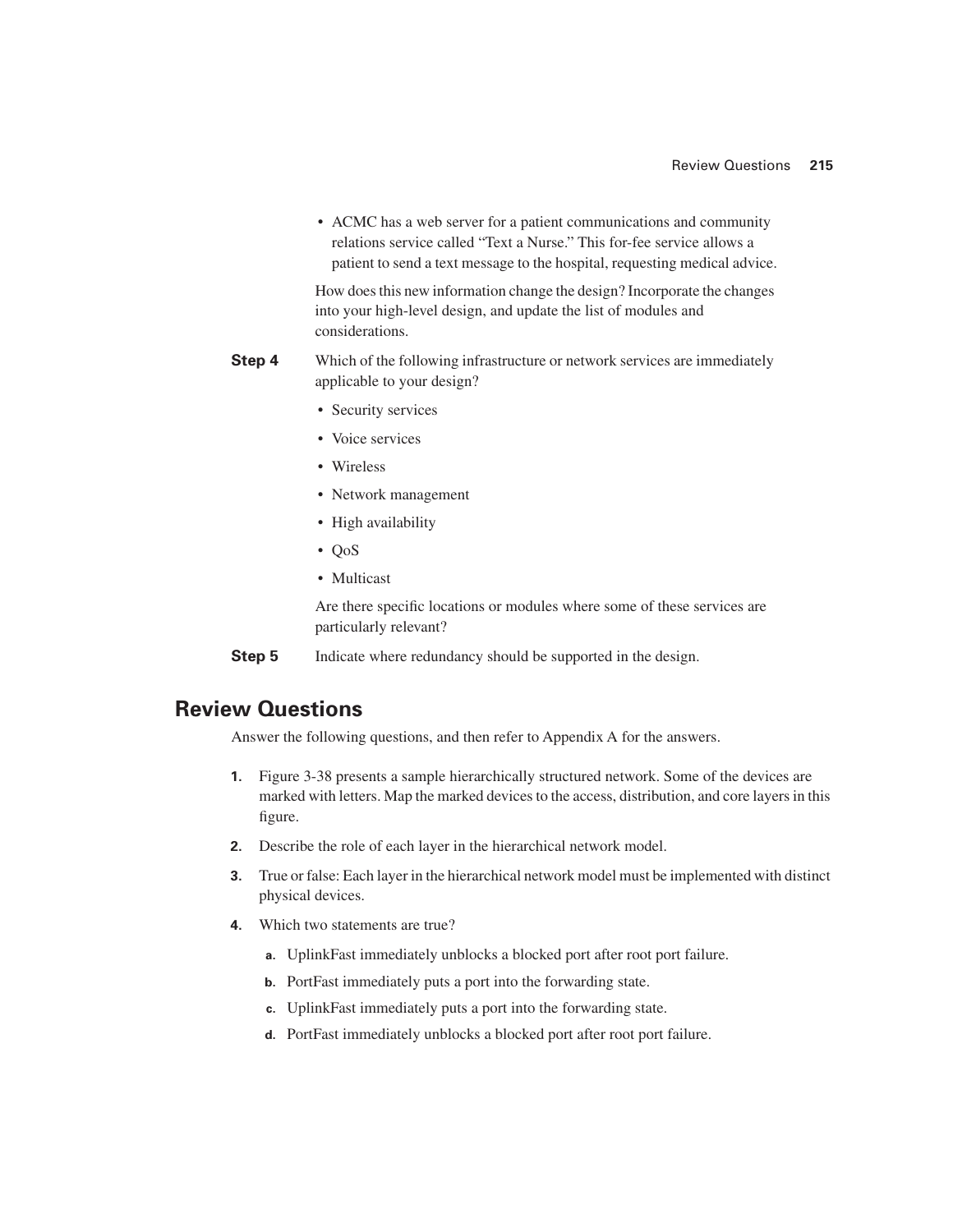#### Review Questions **215**

• ACMC has a web server for a patient communications and community relations service called "Text a Nurse." This for-fee service allows a patient to send a text message to the hospital, requesting medical advice.

How does this new information change the design? Incorporate the changes into your high-level design, and update the list of modules and considerations.

- **Step 4** Which of the following infrastructure or network services are immediately applicable to your design?
	- Security services
	- Voice services
	- Wireless
	- Network management
	- High availability
	- QoS
	- Multicast

Are there specific locations or modules where some of these services are particularly relevant?

**Step 5** Indicate where redundancy should be supported in the design.

# **Review Questions**

Answer the following questions, and then refer to Appendix A for the answers.

- **1.** Figure 3-38 presents a sample hierarchically structured network. Some of the devices are marked with letters. Map the marked devices to the access, distribution, and core layers in this figure.
- **2.** Describe the role of each layer in the hierarchical network model.
- **3.** True or false: Each layer in the hierarchical network model must be implemented with distinct physical devices.
- **4.** Which two statements are true?
	- **a.** UplinkFast immediately unblocks a blocked port after root port failure.
	- **b.** PortFast immediately puts a port into the forwarding state.
	- **c.** UplinkFast immediately puts a port into the forwarding state.
	- **d.** PortFast immediately unblocks a blocked port after root port failure.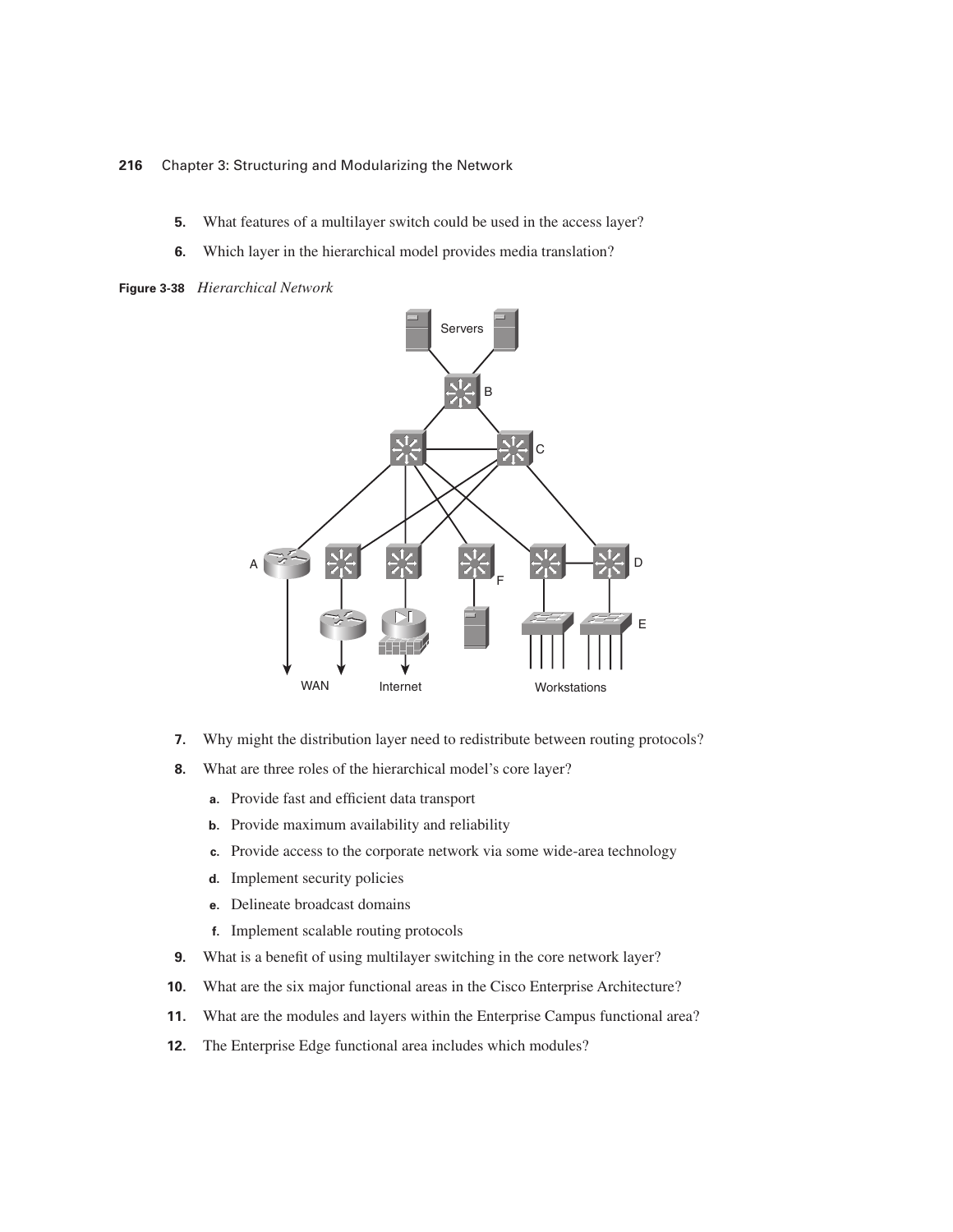- **5.** What features of a multilayer switch could be used in the access layer?
- **6.** Which layer in the hierarchical model provides media translation?

**Figure 3-38** *Hierarchical Network*



- **7.** Why might the distribution layer need to redistribute between routing protocols?
- **8.** What are three roles of the hierarchical model's core layer?
	- **a.** Provide fast and efficient data transport
	- **b.** Provide maximum availability and reliability
	- **c.** Provide access to the corporate network via some wide-area technology
	- **d.** Implement security policies
	- **e.** Delineate broadcast domains
	- **f.** Implement scalable routing protocols
- **9.** What is a benefit of using multilayer switching in the core network layer?
- **10.** What are the six major functional areas in the Cisco Enterprise Architecture?
- **11.** What are the modules and layers within the Enterprise Campus functional area?
- **12.** The Enterprise Edge functional area includes which modules?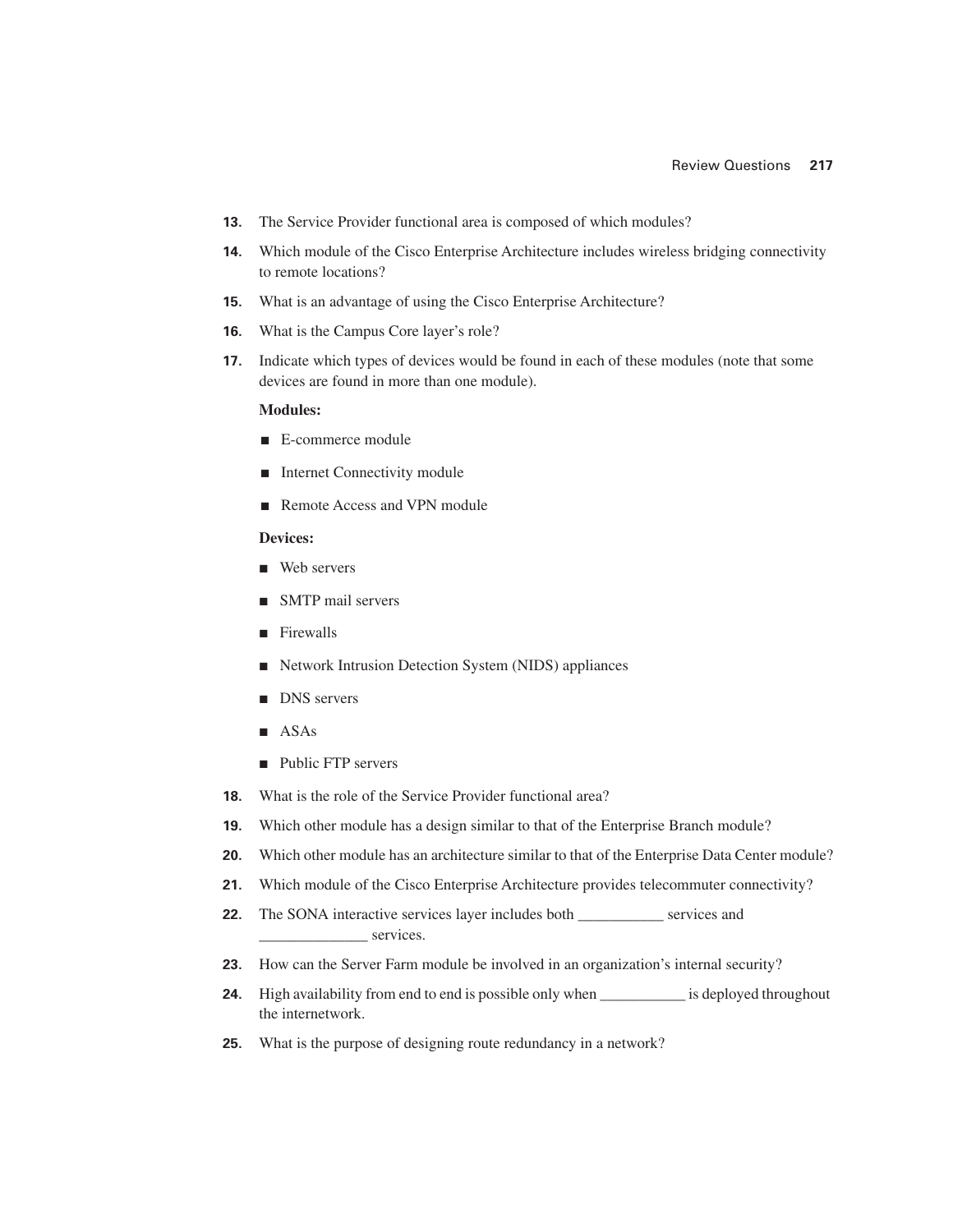#### Review Questions **217**

- **13.** The Service Provider functional area is composed of which modules?
- **14.** Which module of the Cisco Enterprise Architecture includes wireless bridging connectivity to remote locations?
- **15.** What is an advantage of using the Cisco Enterprise Architecture?
- **16.** What is the Campus Core layer's role?
- **17.** Indicate which types of devices would be found in each of these modules (note that some devices are found in more than one module).

#### **Modules:**

- E-commerce module
- Internet Connectivity module
- Remote Access and VPN module

#### **Devices:**

- Web servers
- SMTP mail servers
- Firewalls
- Network Intrusion Detection System (NIDS) appliances
- DNS servers
- ASAs
- Public FTP servers
- **18.** What is the role of the Service Provider functional area?
- **19.** Which other module has a design similar to that of the Enterprise Branch module?
- **20.** Which other module has an architecture similar to that of the Enterprise Data Center module?
- **21.** Which module of the Cisco Enterprise Architecture provides telecommuter connectivity?
- **22.** The SONA interactive services layer includes both \_\_\_\_\_\_\_\_\_\_\_ services and \_\_\_\_\_\_\_\_\_\_\_\_\_\_ services.
- **23.** How can the Server Farm module be involved in an organization's internal security?
- **24.** High availability from end to end is possible only when \_\_\_\_\_\_\_\_\_\_\_ is deployed throughout the internetwork.
- **25.** What is the purpose of designing route redundancy in a network?